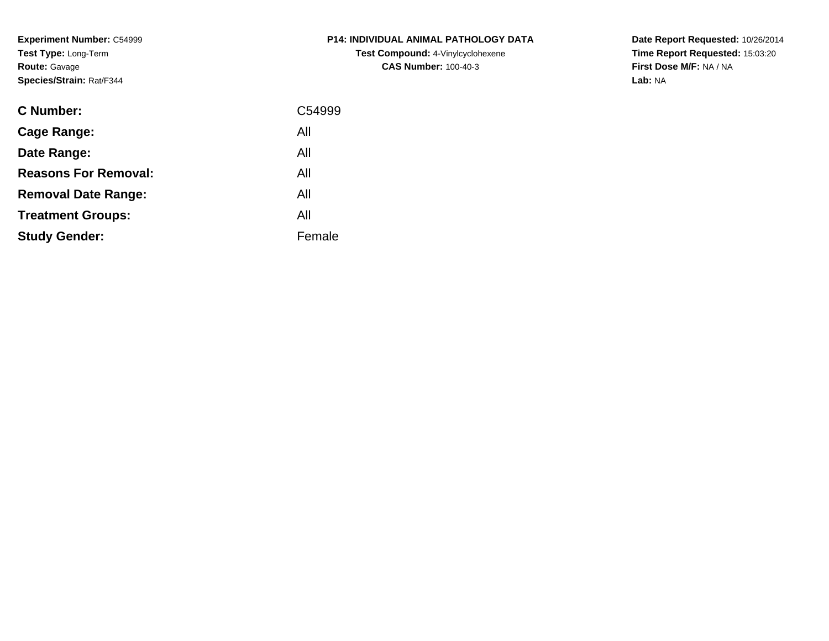**Experiment Number:** C54999**Test Type:** Long-Term**Route:** Gavage**Species/Strain:** Rat/F344

| P14: INDIVIDUAL ANIMAL PATHOLOGY DATA    |
|------------------------------------------|
| <b>Test Compound:</b> 4-Vinylcyclohexene |
| <b>CAS Number: 100-40-3</b>              |

| <b>C</b> Number:            | C54999 |
|-----------------------------|--------|
| Cage Range:                 | All    |
| Date Range:                 | All    |
| <b>Reasons For Removal:</b> | All    |
| <b>Removal Date Range:</b>  | All    |
| <b>Treatment Groups:</b>    | All    |
| <b>Study Gender:</b>        | Female |
|                             |        |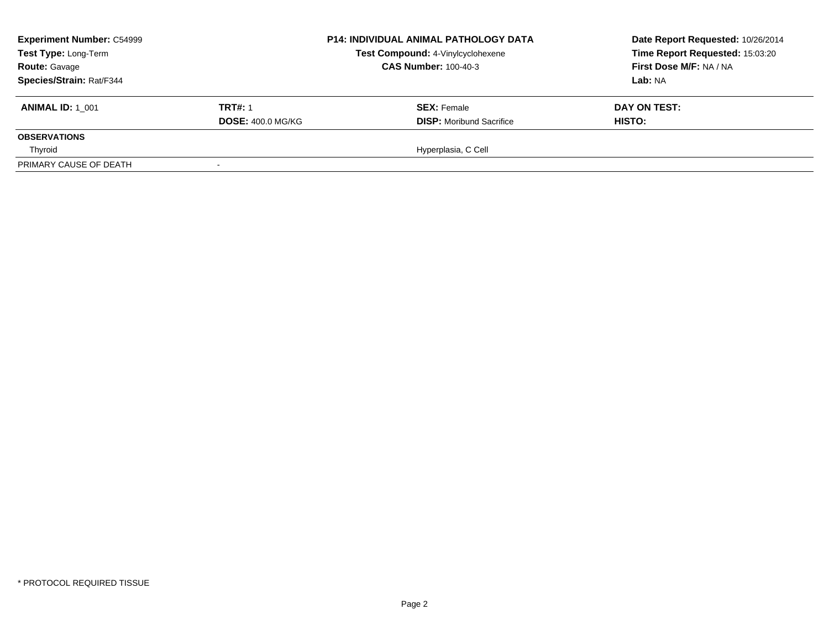| <b>Experiment Number: C54999</b><br>Test Type: Long-Term<br><b>Route: Gavage</b> |                          | <b>P14: INDIVIDUAL ANIMAL PATHOLOGY DATA</b> | Date Report Requested: 10/26/2014 |  |
|----------------------------------------------------------------------------------|--------------------------|----------------------------------------------|-----------------------------------|--|
|                                                                                  |                          | Test Compound: 4-Vinylcyclohexene            | Time Report Requested: 15:03:20   |  |
|                                                                                  |                          | <b>CAS Number: 100-40-3</b>                  | First Dose M/F: NA / NA           |  |
| Species/Strain: Rat/F344                                                         |                          |                                              | Lab: NA                           |  |
| <b>ANIMAL ID: 1 001</b>                                                          | <b>TRT#: 1</b>           | <b>SEX:</b> Female                           | DAY ON TEST:                      |  |
|                                                                                  | <b>DOSE: 400.0 MG/KG</b> | <b>DISP:</b> Moribund Sacrifice              | HISTO:                            |  |
| <b>OBSERVATIONS</b>                                                              |                          |                                              |                                   |  |
| Thyroid                                                                          |                          | Hyperplasia, C Cell                          |                                   |  |
| PRIMARY CAUSE OF DEATH                                                           |                          |                                              |                                   |  |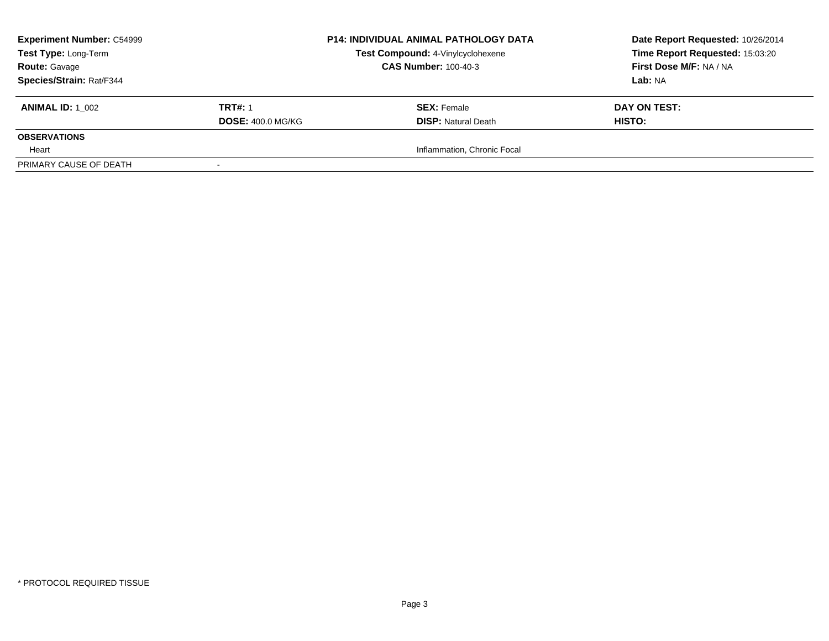| <b>Experiment Number: C54999</b><br>Test Type: Long-Term |                          | <b>P14: INDIVIDUAL ANIMAL PATHOLOGY DATA</b> | Date Report Requested: 10/26/2014 |  |
|----------------------------------------------------------|--------------------------|----------------------------------------------|-----------------------------------|--|
|                                                          |                          | Test Compound: 4-Vinylcyclohexene            | Time Report Requested: 15:03:20   |  |
| <b>Route: Gavage</b>                                     |                          | <b>CAS Number: 100-40-3</b>                  | First Dose M/F: NA / NA           |  |
| Species/Strain: Rat/F344                                 |                          |                                              | Lab: NA                           |  |
| <b>ANIMAL ID:</b> 1 002                                  | <b>TRT#: 1</b>           | <b>SEX: Female</b>                           | DAY ON TEST:                      |  |
|                                                          | <b>DOSE: 400.0 MG/KG</b> | <b>DISP: Natural Death</b>                   | <b>HISTO:</b>                     |  |
| <b>OBSERVATIONS</b>                                      |                          |                                              |                                   |  |
| Heart                                                    |                          | Inflammation, Chronic Focal                  |                                   |  |
| PRIMARY CAUSE OF DEATH                                   |                          |                                              |                                   |  |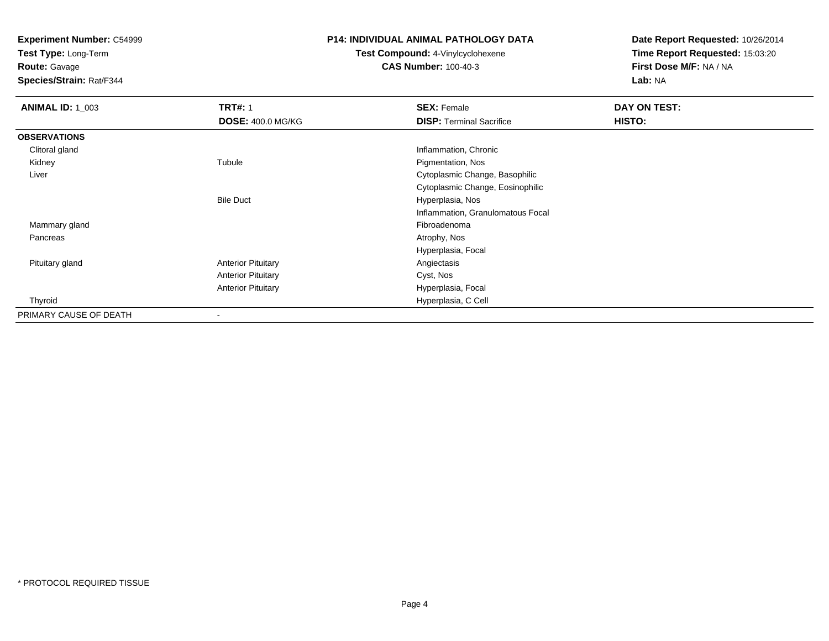**Test Type:** Long-Term

**Route:** Gavage

**Species/Strain:** Rat/F344

#### **P14: INDIVIDUAL ANIMAL PATHOLOGY DATA**

**Test Compound:** 4-Vinylcyclohexene**CAS Number:** 100-40-3

| <b>ANIMAL ID: 1_003</b> | <b>TRT#: 1</b>            | <b>SEX: Female</b>                | DAY ON TEST: |  |
|-------------------------|---------------------------|-----------------------------------|--------------|--|
|                         | <b>DOSE: 400.0 MG/KG</b>  | <b>DISP: Terminal Sacrifice</b>   | HISTO:       |  |
| <b>OBSERVATIONS</b>     |                           |                                   |              |  |
| Clitoral gland          |                           | Inflammation, Chronic             |              |  |
| Kidney                  | Tubule                    | Pigmentation, Nos                 |              |  |
| Liver                   |                           | Cytoplasmic Change, Basophilic    |              |  |
|                         |                           | Cytoplasmic Change, Eosinophilic  |              |  |
|                         | <b>Bile Duct</b>          | Hyperplasia, Nos                  |              |  |
|                         |                           | Inflammation, Granulomatous Focal |              |  |
| Mammary gland           |                           | Fibroadenoma                      |              |  |
| Pancreas                |                           | Atrophy, Nos                      |              |  |
|                         |                           | Hyperplasia, Focal                |              |  |
| Pituitary gland         | <b>Anterior Pituitary</b> | Angiectasis                       |              |  |
|                         | <b>Anterior Pituitary</b> | Cyst, Nos                         |              |  |
|                         | <b>Anterior Pituitary</b> | Hyperplasia, Focal                |              |  |
| Thyroid                 |                           | Hyperplasia, C Cell               |              |  |
| PRIMARY CAUSE OF DEATH  | $\overline{\phantom{a}}$  |                                   |              |  |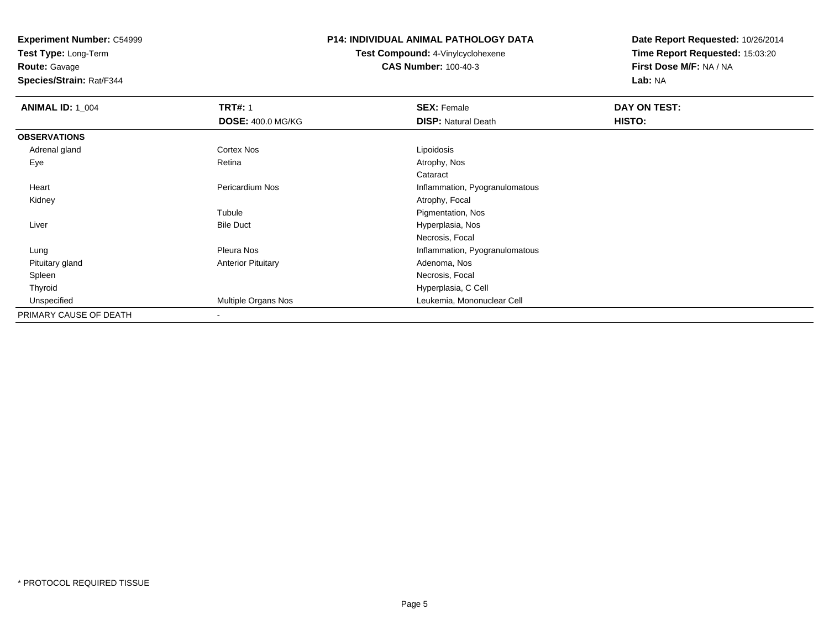**Test Type:** Long-Term

# **Route:** Gavage

**Species/Strain:** Rat/F344

#### **P14: INDIVIDUAL ANIMAL PATHOLOGY DATA**

# **Test Compound:** 4-Vinylcyclohexene**CAS Number:** 100-40-3

| <b>ANIMAL ID: 1_004</b> | <b>TRT#: 1</b>            | <b>SEX: Female</b>             | DAY ON TEST: |  |
|-------------------------|---------------------------|--------------------------------|--------------|--|
|                         | <b>DOSE: 400.0 MG/KG</b>  | <b>DISP: Natural Death</b>     | HISTO:       |  |
| <b>OBSERVATIONS</b>     |                           |                                |              |  |
| Adrenal gland           | <b>Cortex Nos</b>         | Lipoidosis                     |              |  |
| Eye                     | Retina                    | Atrophy, Nos                   |              |  |
|                         |                           | Cataract                       |              |  |
| Heart                   | Pericardium Nos           | Inflammation, Pyogranulomatous |              |  |
| Kidney                  |                           | Atrophy, Focal                 |              |  |
|                         | Tubule                    | Pigmentation, Nos              |              |  |
| Liver                   | <b>Bile Duct</b>          | Hyperplasia, Nos               |              |  |
|                         |                           | Necrosis, Focal                |              |  |
| Lung                    | <b>Pleura Nos</b>         | Inflammation, Pyogranulomatous |              |  |
| Pituitary gland         | <b>Anterior Pituitary</b> | Adenoma, Nos                   |              |  |
| Spleen                  |                           | Necrosis, Focal                |              |  |
| Thyroid                 |                           | Hyperplasia, C Cell            |              |  |
| Unspecified             | Multiple Organs Nos       | Leukemia, Mononuclear Cell     |              |  |
| PRIMARY CAUSE OF DEATH  | $\overline{\phantom{a}}$  |                                |              |  |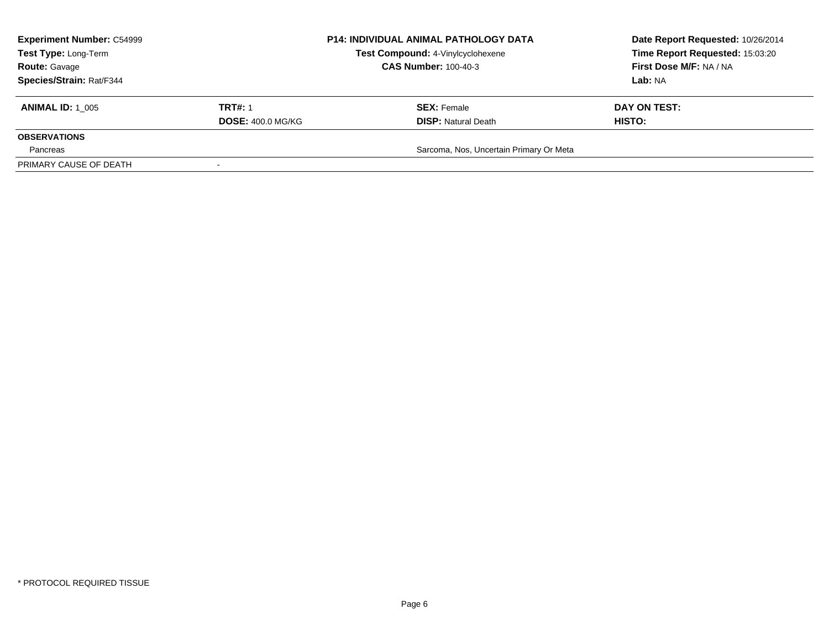| <b>Experiment Number: C54999</b><br>Test Type: Long-Term<br><b>Route: Gavage</b><br>Species/Strain: Rat/F344 |                                            | <b>P14: INDIVIDUAL ANIMAL PATHOLOGY DATA</b><br>Test Compound: 4-Vinylcyclohexene<br><b>CAS Number: 100-40-3</b> | Date Report Requested: 10/26/2014<br>Time Report Requested: 15:03:20<br>First Dose M/F: NA / NA<br><b>Lab: NA</b> |  |
|--------------------------------------------------------------------------------------------------------------|--------------------------------------------|------------------------------------------------------------------------------------------------------------------|-------------------------------------------------------------------------------------------------------------------|--|
| <b>ANIMAL ID: 1 005</b>                                                                                      | <b>TRT#: 1</b><br><b>DOSE: 400.0 MG/KG</b> | <b>SEX:</b> Female<br><b>DISP:</b> Natural Death                                                                 | DAY ON TEST:<br>HISTO:                                                                                            |  |
| <b>OBSERVATIONS</b><br>Pancreas                                                                              |                                            | Sarcoma, Nos, Uncertain Primary Or Meta                                                                          |                                                                                                                   |  |
| PRIMARY CAUSE OF DEATH                                                                                       |                                            |                                                                                                                  |                                                                                                                   |  |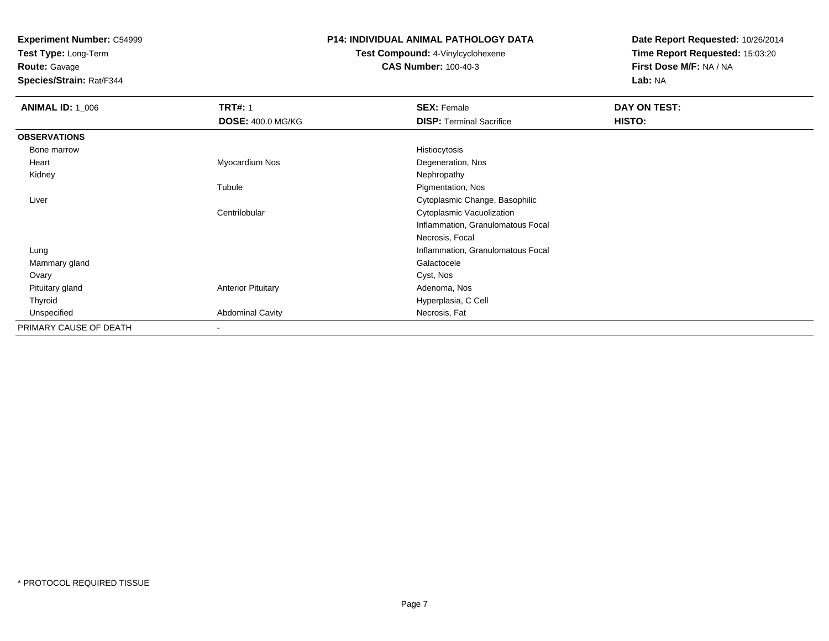**Test Type:** Long-Term

# **Route:** Gavage

**Species/Strain:** Rat/F344

#### **P14: INDIVIDUAL ANIMAL PATHOLOGY DATA**

# **Test Compound:** 4-Vinylcyclohexene**CAS Number:** 100-40-3

| <b>ANIMAL ID: 1_006</b> | <b>TRT#: 1</b>            | <b>SEX: Female</b>                | DAY ON TEST:  |
|-------------------------|---------------------------|-----------------------------------|---------------|
|                         | <b>DOSE: 400.0 MG/KG</b>  | <b>DISP: Terminal Sacrifice</b>   | <b>HISTO:</b> |
| <b>OBSERVATIONS</b>     |                           |                                   |               |
| Bone marrow             |                           | Histiocytosis                     |               |
| Heart                   | Myocardium Nos            | Degeneration, Nos                 |               |
| Kidney                  |                           | Nephropathy                       |               |
|                         | Tubule                    | Pigmentation, Nos                 |               |
| Liver                   |                           | Cytoplasmic Change, Basophilic    |               |
|                         | Centrilobular             | Cytoplasmic Vacuolization         |               |
|                         |                           | Inflammation, Granulomatous Focal |               |
|                         |                           | Necrosis, Focal                   |               |
| Lung                    |                           | Inflammation, Granulomatous Focal |               |
| Mammary gland           |                           | Galactocele                       |               |
| Ovary                   |                           | Cyst, Nos                         |               |
| Pituitary gland         | <b>Anterior Pituitary</b> | Adenoma, Nos                      |               |
| Thyroid                 |                           | Hyperplasia, C Cell               |               |
| Unspecified             | <b>Abdominal Cavity</b>   | Necrosis, Fat                     |               |
| PRIMARY CAUSE OF DEATH  | $\overline{\phantom{a}}$  |                                   |               |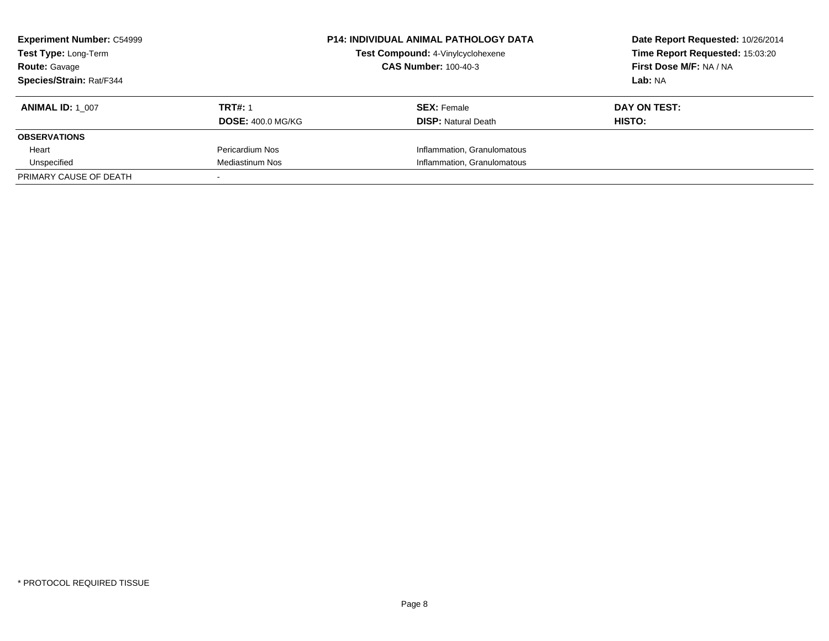| <b>Experiment Number: C54999</b><br>Test Type: Long-Term |                          | <b>P14: INDIVIDUAL ANIMAL PATHOLOGY DATA</b> | Date Report Requested: 10/26/2014 |  |
|----------------------------------------------------------|--------------------------|----------------------------------------------|-----------------------------------|--|
|                                                          |                          | Test Compound: 4-Vinylcyclohexene            | Time Report Requested: 15:03:20   |  |
| <b>Route: Gavage</b>                                     |                          | <b>CAS Number: 100-40-3</b>                  | First Dose M/F: NA / NA           |  |
| Species/Strain: Rat/F344                                 |                          |                                              | Lab: NA                           |  |
| <b>ANIMAL ID: 1 007</b>                                  | <b>TRT#: 1</b>           | <b>SEX:</b> Female                           | DAY ON TEST:                      |  |
|                                                          | <b>DOSE: 400.0 MG/KG</b> | <b>DISP:</b> Natural Death                   | <b>HISTO:</b>                     |  |
| <b>OBSERVATIONS</b>                                      |                          |                                              |                                   |  |
| Heart                                                    | Pericardium Nos          | Inflammation, Granulomatous                  |                                   |  |
| Unspecified                                              | <b>Mediastinum Nos</b>   | Inflammation, Granulomatous                  |                                   |  |
| PRIMARY CAUSE OF DEATH                                   |                          |                                              |                                   |  |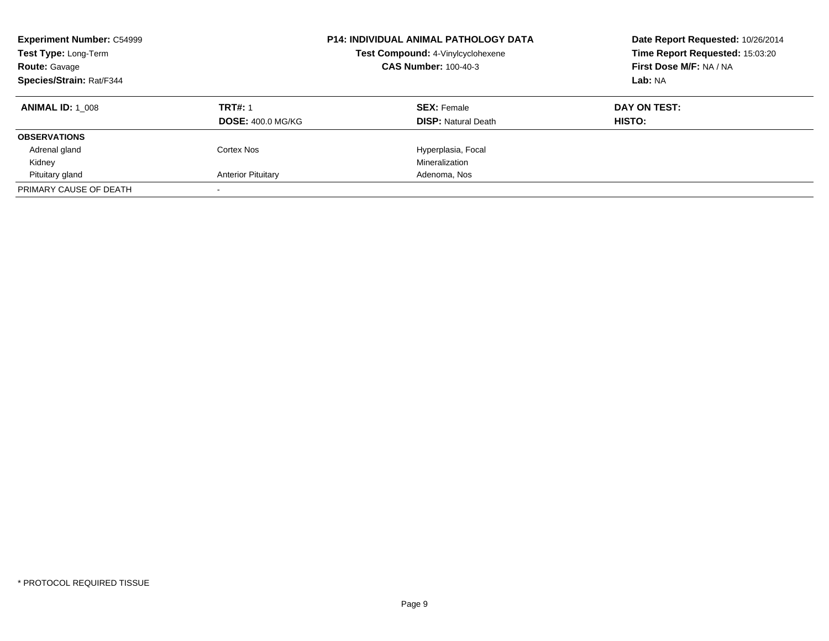| <b>Experiment Number: C54999</b><br><b>Test Type: Long-Term</b><br><b>Route: Gavage</b><br>Species/Strain: Rat/F344 | <b>P14: INDIVIDUAL ANIMAL PATHOLOGY DATA</b><br>Test Compound: 4-Vinylcyclohexene<br><b>CAS Number: 100-40-3</b> |                            | Date Report Requested: 10/26/2014<br>Time Report Requested: 15:03:20<br>First Dose M/F: NA / NA<br>Lab: NA |
|---------------------------------------------------------------------------------------------------------------------|------------------------------------------------------------------------------------------------------------------|----------------------------|------------------------------------------------------------------------------------------------------------|
| <b>ANIMAL ID: 1 008</b>                                                                                             | <b>TRT#: 1</b>                                                                                                   | <b>SEX: Female</b>         | DAY ON TEST:                                                                                               |
|                                                                                                                     | <b>DOSE: 400.0 MG/KG</b>                                                                                         | <b>DISP: Natural Death</b> | <b>HISTO:</b>                                                                                              |
| <b>OBSERVATIONS</b>                                                                                                 |                                                                                                                  |                            |                                                                                                            |
| Adrenal gland                                                                                                       | Cortex Nos                                                                                                       | Hyperplasia, Focal         |                                                                                                            |
| Kidney                                                                                                              |                                                                                                                  | Mineralization             |                                                                                                            |
| Pituitary gland                                                                                                     | <b>Anterior Pituitary</b>                                                                                        | Adenoma, Nos               |                                                                                                            |
| PRIMARY CAUSE OF DEATH                                                                                              |                                                                                                                  |                            |                                                                                                            |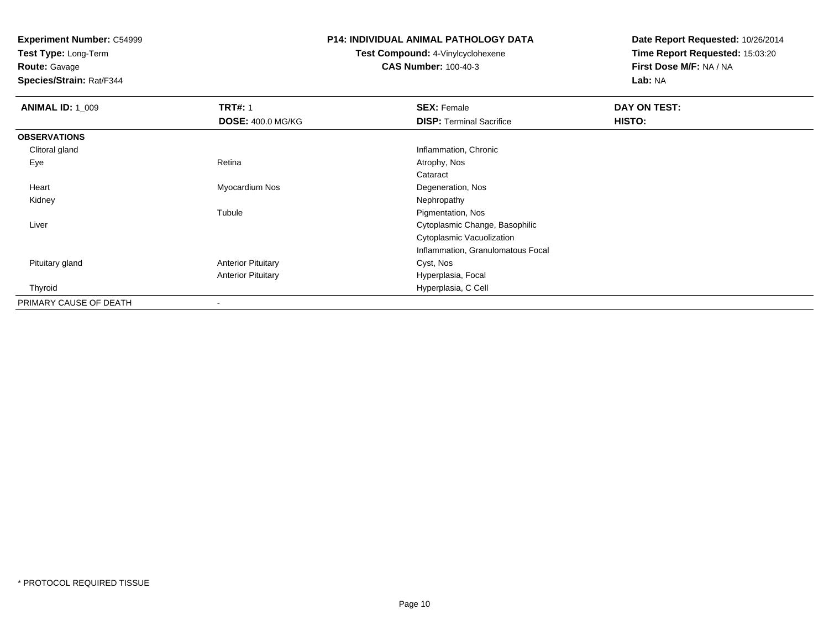**Test Type:** Long-Term

# **Route:** Gavage

**Species/Strain:** Rat/F344

# **P14: INDIVIDUAL ANIMAL PATHOLOGY DATA**

# **Test Compound:** 4-Vinylcyclohexene**CAS Number:** 100-40-3

| <b>ANIMAL ID: 1_009</b> | <b>TRT#: 1</b>            | <b>SEX: Female</b>                | DAY ON TEST: |  |
|-------------------------|---------------------------|-----------------------------------|--------------|--|
|                         | <b>DOSE: 400.0 MG/KG</b>  | <b>DISP: Terminal Sacrifice</b>   | HISTO:       |  |
| <b>OBSERVATIONS</b>     |                           |                                   |              |  |
| Clitoral gland          |                           | Inflammation, Chronic             |              |  |
| Eye                     | Retina                    | Atrophy, Nos                      |              |  |
|                         |                           | Cataract                          |              |  |
| Heart                   | Myocardium Nos            | Degeneration, Nos                 |              |  |
| Kidney                  |                           | Nephropathy                       |              |  |
|                         | Tubule                    | Pigmentation, Nos                 |              |  |
| Liver                   |                           | Cytoplasmic Change, Basophilic    |              |  |
|                         |                           | Cytoplasmic Vacuolization         |              |  |
|                         |                           | Inflammation, Granulomatous Focal |              |  |
| Pituitary gland         | <b>Anterior Pituitary</b> | Cyst, Nos                         |              |  |
|                         | <b>Anterior Pituitary</b> | Hyperplasia, Focal                |              |  |
| Thyroid                 |                           | Hyperplasia, C Cell               |              |  |
| PRIMARY CAUSE OF DEATH  |                           |                                   |              |  |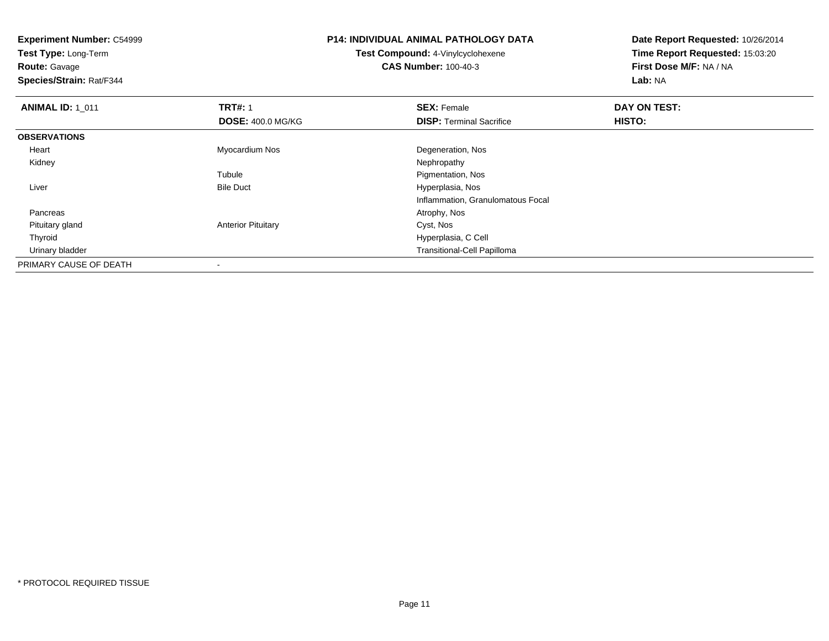**Experiment Number:** C54999**Test Type:** Long-Term**Route:** Gavage **Species/Strain:** Rat/F344**P14: INDIVIDUAL ANIMAL PATHOLOGY DATATest Compound:** 4-Vinylcyclohexene**CAS Number:** 100-40-3**Date Report Requested:** 10/26/2014**Time Report Requested:** 15:03:20**First Dose M/F:** NA / NA**Lab:** NA**ANIMAL ID: 1\_011 TRT#:** 1 **SEX:** Female **DAY ON TEST: DOSE:** 400.0 MG/KG**DISP:** Terminal Sacrifice **HISTO: OBSERVATIONS** Heart Myocardium Nos Degeneration, Nos Kidneyy the control of the control of the control of the control of the control of the control of the control of the control of the control of the control of the control of the control of the control of the control of the contro TubuleTubule The Contract of the Pigmentation, Nos<br>
Bile Duct The Contract of the Pigmentation, Nos LiverHyperplasia, Nos Inflammation, Granulomatous Focal Pancreass and the contract of the contract of the contract of the contract of the contract of the contract of the contract of  $\mathcal{A}$  Pituitary glandAnterior Pituitary **Cyst, Nos**  Thyroid Hyperplasia, C Cell Urinary bladder Transitional-Cell PapillomaPRIMARY CAUSE OF DEATH-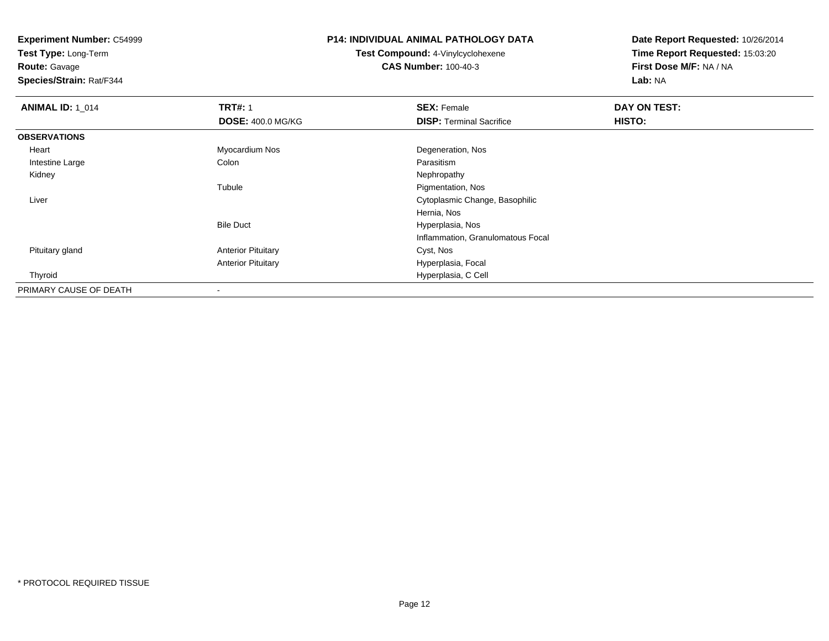**Test Type:** Long-Term

**Route:** Gavage

**Species/Strain:** Rat/F344

### **P14: INDIVIDUAL ANIMAL PATHOLOGY DATA**

**Test Compound:** 4-Vinylcyclohexene**CAS Number:** 100-40-3

| <b>ANIMAL ID: 1_014</b> | <b>TRT#: 1</b>            | <b>SEX: Female</b>                | DAY ON TEST: |  |
|-------------------------|---------------------------|-----------------------------------|--------------|--|
|                         | <b>DOSE: 400.0 MG/KG</b>  | <b>DISP: Terminal Sacrifice</b>   | HISTO:       |  |
| <b>OBSERVATIONS</b>     |                           |                                   |              |  |
| Heart                   | Myocardium Nos            | Degeneration, Nos                 |              |  |
| Intestine Large         | Colon                     | Parasitism                        |              |  |
| Kidney                  |                           | Nephropathy                       |              |  |
|                         | Tubule                    | Pigmentation, Nos                 |              |  |
| Liver                   |                           | Cytoplasmic Change, Basophilic    |              |  |
|                         |                           | Hernia, Nos                       |              |  |
|                         | <b>Bile Duct</b>          | Hyperplasia, Nos                  |              |  |
|                         |                           | Inflammation, Granulomatous Focal |              |  |
| Pituitary gland         | <b>Anterior Pituitary</b> | Cyst, Nos                         |              |  |
|                         | <b>Anterior Pituitary</b> | Hyperplasia, Focal                |              |  |
| Thyroid                 |                           | Hyperplasia, C Cell               |              |  |
| PRIMARY CAUSE OF DEATH  | $\,$                      |                                   |              |  |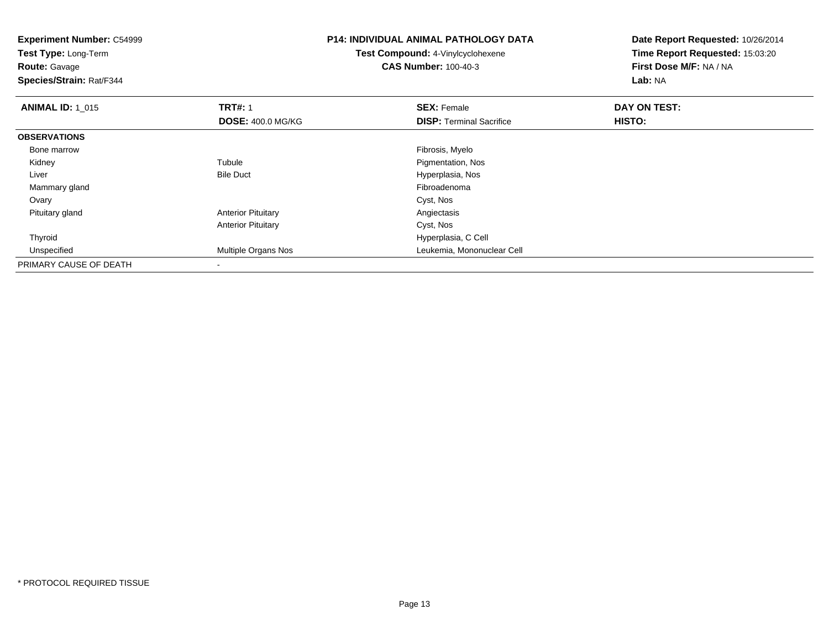| <b>Experiment Number: C54999</b><br>Test Type: Long-Term<br><b>Route: Gavage</b><br>Species/Strain: Rat/F344 |                           | <b>P14: INDIVIDUAL ANIMAL PATHOLOGY DATA</b><br><b>Test Compound: 4-Vinylcyclohexene</b><br><b>CAS Number: 100-40-3</b> | Date Report Requested: 10/26/2014<br>Time Report Requested: 15:03:20<br>First Dose M/F: NA / NA<br>Lab: NA |
|--------------------------------------------------------------------------------------------------------------|---------------------------|-------------------------------------------------------------------------------------------------------------------------|------------------------------------------------------------------------------------------------------------|
| <b>ANIMAL ID: 1 015</b>                                                                                      | <b>TRT#: 1</b>            | <b>SEX: Female</b>                                                                                                      | DAY ON TEST:                                                                                               |
|                                                                                                              | <b>DOSE: 400.0 MG/KG</b>  | <b>DISP: Terminal Sacrifice</b>                                                                                         | <b>HISTO:</b>                                                                                              |
| <b>OBSERVATIONS</b>                                                                                          |                           |                                                                                                                         |                                                                                                            |
| Bone marrow                                                                                                  |                           | Fibrosis, Myelo                                                                                                         |                                                                                                            |
| Kidney                                                                                                       | Tubule                    | Pigmentation, Nos                                                                                                       |                                                                                                            |
| Liver                                                                                                        | <b>Bile Duct</b>          | Hyperplasia, Nos                                                                                                        |                                                                                                            |
| Mammary gland                                                                                                |                           | Fibroadenoma                                                                                                            |                                                                                                            |
| Ovary                                                                                                        |                           | Cyst, Nos                                                                                                               |                                                                                                            |
| Pituitary gland                                                                                              | <b>Anterior Pituitary</b> | Angiectasis                                                                                                             |                                                                                                            |
|                                                                                                              | <b>Anterior Pituitary</b> | Cyst, Nos                                                                                                               |                                                                                                            |
| Thyroid                                                                                                      |                           | Hyperplasia, C Cell                                                                                                     |                                                                                                            |
| Unspecified                                                                                                  | Multiple Organs Nos       | Leukemia, Mononuclear Cell                                                                                              |                                                                                                            |
| PRIMARY CAUSE OF DEATH                                                                                       |                           |                                                                                                                         |                                                                                                            |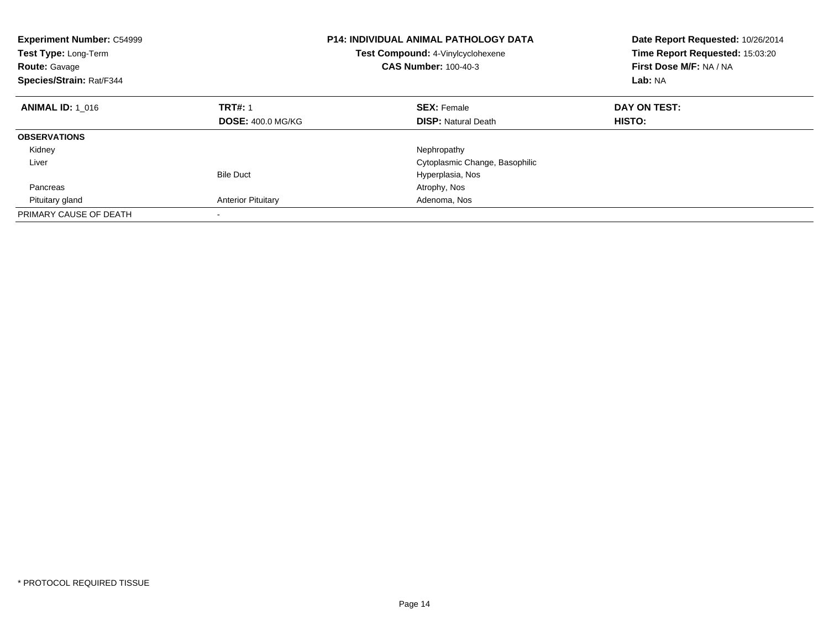| <b>Experiment Number: C54999</b><br>Test Type: Long-Term<br><b>Route: Gavage</b><br>Species/Strain: Rat/F344 |                           | <b>P14: INDIVIDUAL ANIMAL PATHOLOGY DATA</b><br>Test Compound: 4-Vinylcyclohexene<br><b>CAS Number: 100-40-3</b> | Date Report Requested: 10/26/2014<br>Time Report Requested: 15:03:20<br>First Dose M/F: NA / NA<br>Lab: NA |
|--------------------------------------------------------------------------------------------------------------|---------------------------|------------------------------------------------------------------------------------------------------------------|------------------------------------------------------------------------------------------------------------|
| <b>ANIMAL ID: 1 016</b>                                                                                      | <b>TRT#: 1</b>            | <b>SEX: Female</b>                                                                                               | DAY ON TEST:                                                                                               |
|                                                                                                              | <b>DOSE: 400.0 MG/KG</b>  | <b>DISP:</b> Natural Death                                                                                       | <b>HISTO:</b>                                                                                              |
| <b>OBSERVATIONS</b>                                                                                          |                           |                                                                                                                  |                                                                                                            |
| Kidney                                                                                                       |                           | Nephropathy                                                                                                      |                                                                                                            |
| Liver                                                                                                        |                           | Cytoplasmic Change, Basophilic                                                                                   |                                                                                                            |
|                                                                                                              | <b>Bile Duct</b>          | Hyperplasia, Nos                                                                                                 |                                                                                                            |
| Pancreas                                                                                                     |                           | Atrophy, Nos                                                                                                     |                                                                                                            |
| Pituitary gland                                                                                              | <b>Anterior Pituitary</b> | Adenoma, Nos                                                                                                     |                                                                                                            |
| PRIMARY CAUSE OF DEATH                                                                                       |                           |                                                                                                                  |                                                                                                            |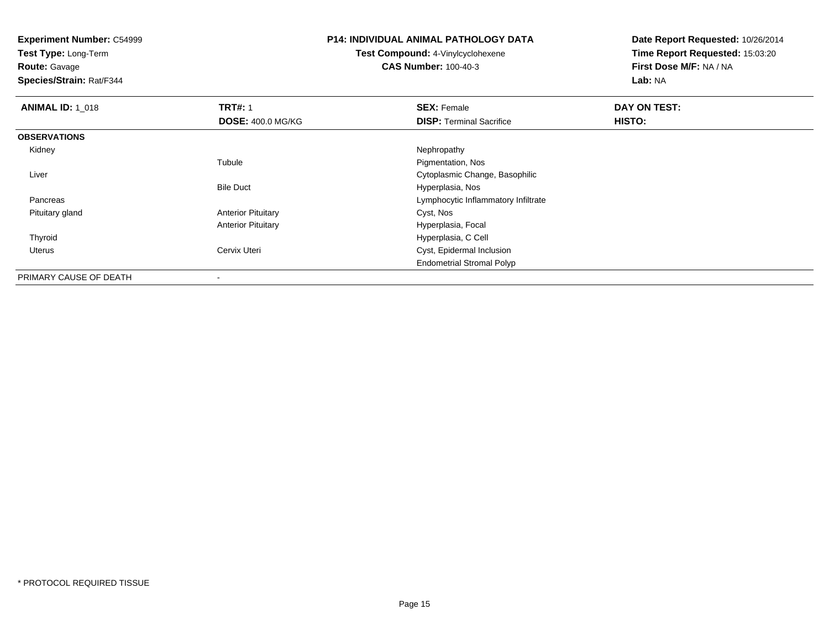**Test Type:** Long-Term

**Route:** Gavage

**Species/Strain:** Rat/F344

# **P14: INDIVIDUAL ANIMAL PATHOLOGY DATA**

**Test Compound:** 4-Vinylcyclohexene**CAS Number:** 100-40-3

| <b>ANIMAL ID: 1_018</b> | <b>TRT#: 1</b>            | <b>SEX: Female</b>                  | DAY ON TEST: |  |
|-------------------------|---------------------------|-------------------------------------|--------------|--|
|                         | <b>DOSE: 400.0 MG/KG</b>  | <b>DISP: Terminal Sacrifice</b>     | HISTO:       |  |
| <b>OBSERVATIONS</b>     |                           |                                     |              |  |
| Kidney                  |                           | Nephropathy                         |              |  |
|                         | Tubule                    | Pigmentation, Nos                   |              |  |
| Liver                   |                           | Cytoplasmic Change, Basophilic      |              |  |
|                         | <b>Bile Duct</b>          | Hyperplasia, Nos                    |              |  |
| Pancreas                |                           | Lymphocytic Inflammatory Infiltrate |              |  |
| Pituitary gland         | <b>Anterior Pituitary</b> | Cyst, Nos                           |              |  |
|                         | <b>Anterior Pituitary</b> | Hyperplasia, Focal                  |              |  |
| Thyroid                 |                           | Hyperplasia, C Cell                 |              |  |
| Uterus                  | Cervix Uteri              | Cyst, Epidermal Inclusion           |              |  |
|                         |                           | <b>Endometrial Stromal Polyp</b>    |              |  |
| PRIMARY CAUSE OF DEATH  | ۰                         |                                     |              |  |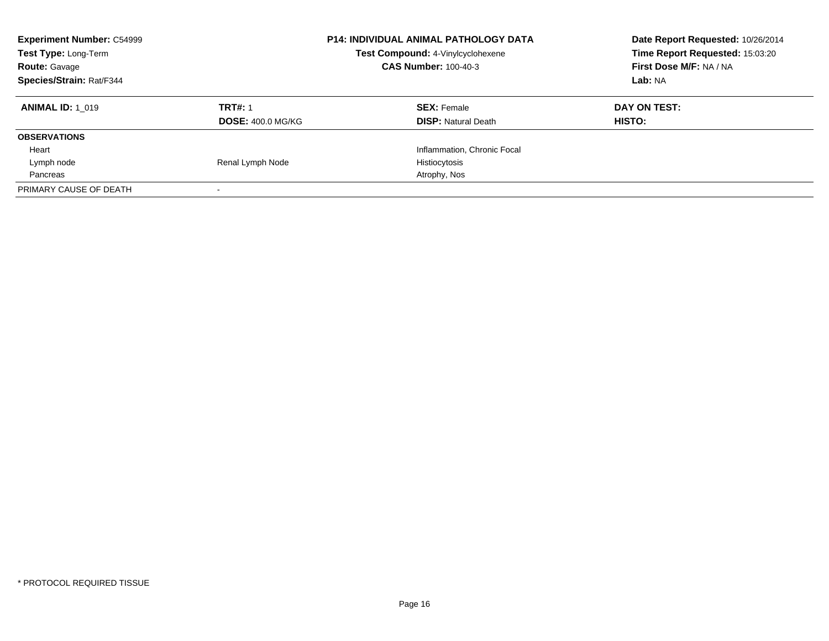| <b>Experiment Number: C54999</b><br><b>Test Type: Long-Term</b><br><b>Route: Gavage</b><br>Species/Strain: Rat/F344 |                          | <b>P14: INDIVIDUAL ANIMAL PATHOLOGY DATA</b><br>Test Compound: 4-Vinylcyclohexene<br><b>CAS Number: 100-40-3</b> | Date Report Requested: 10/26/2014<br>Time Report Requested: 15:03:20<br>First Dose M/F: NA / NA<br>Lab: NA |
|---------------------------------------------------------------------------------------------------------------------|--------------------------|------------------------------------------------------------------------------------------------------------------|------------------------------------------------------------------------------------------------------------|
| <b>ANIMAL ID: 1 019</b>                                                                                             | <b>TRT#: 1</b>           | <b>SEX: Female</b>                                                                                               | DAY ON TEST:                                                                                               |
|                                                                                                                     | <b>DOSE: 400.0 MG/KG</b> | <b>DISP: Natural Death</b>                                                                                       | <b>HISTO:</b>                                                                                              |
| <b>OBSERVATIONS</b>                                                                                                 |                          |                                                                                                                  |                                                                                                            |
| Heart                                                                                                               |                          | Inflammation, Chronic Focal                                                                                      |                                                                                                            |
| Lymph node                                                                                                          | Renal Lymph Node         | Histiocytosis                                                                                                    |                                                                                                            |
| Pancreas                                                                                                            |                          | Atrophy, Nos                                                                                                     |                                                                                                            |
| PRIMARY CAUSE OF DEATH                                                                                              |                          |                                                                                                                  |                                                                                                            |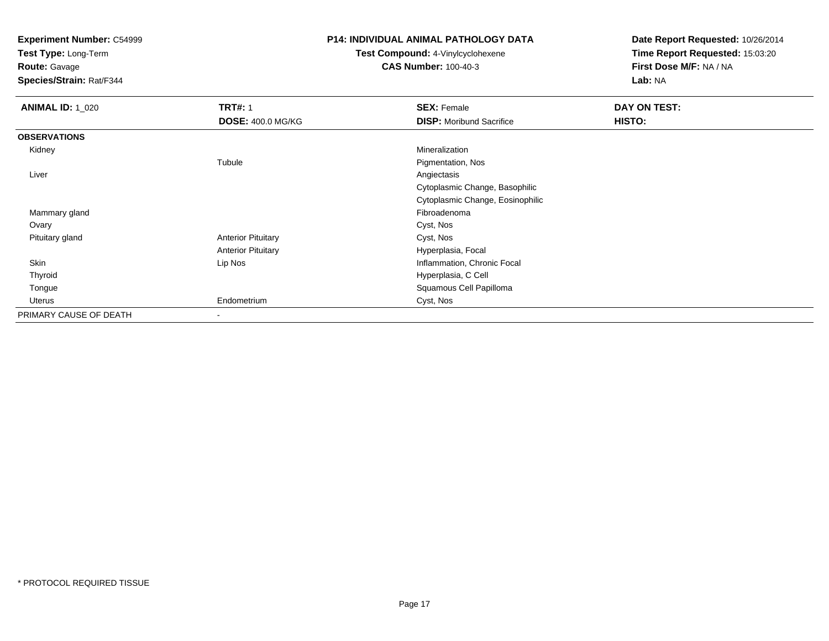**Test Type:** Long-Term

**Route:** Gavage

**Species/Strain:** Rat/F344

#### **P14: INDIVIDUAL ANIMAL PATHOLOGY DATA**

**Test Compound:** 4-Vinylcyclohexene**CAS Number:** 100-40-3

| <b>ANIMAL ID: 1_020</b> | <b>TRT#: 1</b>            | <b>SEX: Female</b>               | DAY ON TEST: |  |
|-------------------------|---------------------------|----------------------------------|--------------|--|
|                         | DOSE: 400.0 MG/KG         | <b>DISP:</b> Moribund Sacrifice  | HISTO:       |  |
| <b>OBSERVATIONS</b>     |                           |                                  |              |  |
| Kidney                  |                           | Mineralization                   |              |  |
|                         | Tubule                    | Pigmentation, Nos                |              |  |
| Liver                   |                           | Angiectasis                      |              |  |
|                         |                           | Cytoplasmic Change, Basophilic   |              |  |
|                         |                           | Cytoplasmic Change, Eosinophilic |              |  |
| Mammary gland           |                           | Fibroadenoma                     |              |  |
| Ovary                   |                           | Cyst, Nos                        |              |  |
| Pituitary gland         | <b>Anterior Pituitary</b> | Cyst, Nos                        |              |  |
|                         | <b>Anterior Pituitary</b> | Hyperplasia, Focal               |              |  |
| Skin                    | Lip Nos                   | Inflammation, Chronic Focal      |              |  |
| Thyroid                 |                           | Hyperplasia, C Cell              |              |  |
| Tongue                  |                           | Squamous Cell Papilloma          |              |  |
| Uterus                  | Endometrium               | Cyst, Nos                        |              |  |
| PRIMARY CAUSE OF DEATH  | ۰                         |                                  |              |  |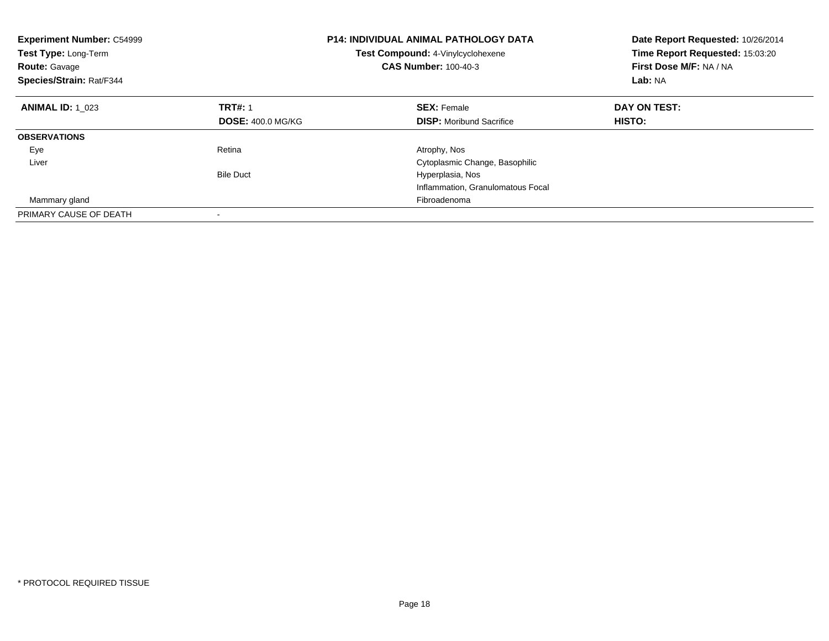| <b>Experiment Number: C54999</b><br>Test Type: Long-Term<br><b>Route: Gavage</b><br>Species/Strain: Rat/F344 |                          | <b>P14: INDIVIDUAL ANIMAL PATHOLOGY DATA</b><br>Test Compound: 4-Vinylcyclohexene<br><b>CAS Number: 100-40-3</b> | Date Report Requested: 10/26/2014<br>Time Report Requested: 15:03:20<br>First Dose M/F: NA / NA<br>Lab: NA |
|--------------------------------------------------------------------------------------------------------------|--------------------------|------------------------------------------------------------------------------------------------------------------|------------------------------------------------------------------------------------------------------------|
| <b>ANIMAL ID: 1 023</b>                                                                                      | <b>TRT#: 1</b>           | <b>SEX: Female</b>                                                                                               | DAY ON TEST:                                                                                               |
|                                                                                                              | <b>DOSE: 400.0 MG/KG</b> | <b>DISP:</b> Moribund Sacrifice                                                                                  | HISTO:                                                                                                     |
| <b>OBSERVATIONS</b>                                                                                          |                          |                                                                                                                  |                                                                                                            |
| Eye                                                                                                          | Retina                   | Atrophy, Nos                                                                                                     |                                                                                                            |
| Liver                                                                                                        |                          | Cytoplasmic Change, Basophilic                                                                                   |                                                                                                            |
|                                                                                                              | <b>Bile Duct</b>         | Hyperplasia, Nos                                                                                                 |                                                                                                            |
|                                                                                                              |                          | Inflammation, Granulomatous Focal                                                                                |                                                                                                            |
| Mammary gland                                                                                                |                          | Fibroadenoma                                                                                                     |                                                                                                            |
| PRIMARY CAUSE OF DEATH                                                                                       |                          |                                                                                                                  |                                                                                                            |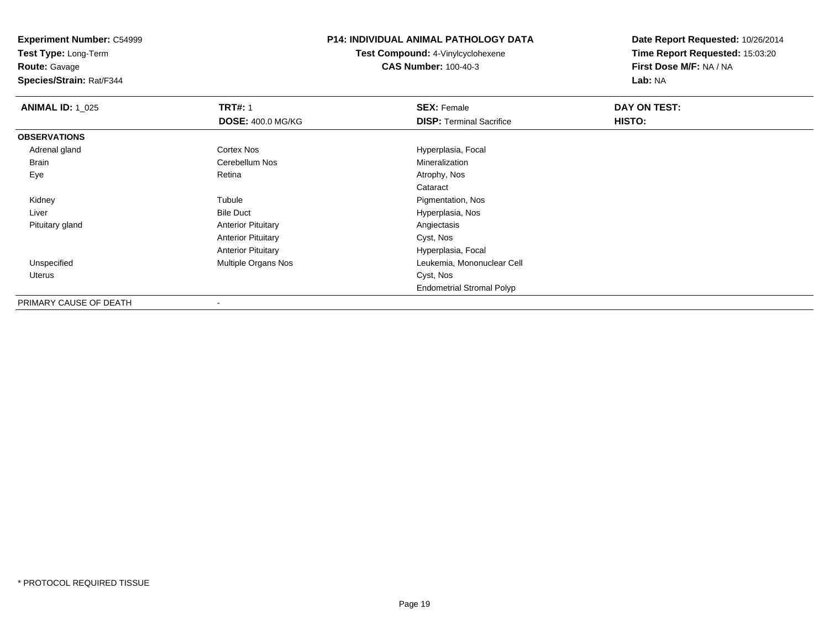**Test Type:** Long-Term

**Route:** Gavage

**Species/Strain:** Rat/F344

#### **P14: INDIVIDUAL ANIMAL PATHOLOGY DATA**

**Test Compound:** 4-Vinylcyclohexene**CAS Number:** 100-40-3

| <b>ANIMAL ID: 1 025</b> | <b>TRT#: 1</b>            | <b>SEX: Female</b>               | DAY ON TEST: |
|-------------------------|---------------------------|----------------------------------|--------------|
|                         | <b>DOSE: 400.0 MG/KG</b>  | <b>DISP: Terminal Sacrifice</b>  | HISTO:       |
| <b>OBSERVATIONS</b>     |                           |                                  |              |
| Adrenal gland           | <b>Cortex Nos</b>         | Hyperplasia, Focal               |              |
| <b>Brain</b>            | Cerebellum Nos            | Mineralization                   |              |
| Eye                     | Retina                    | Atrophy, Nos                     |              |
|                         |                           | Cataract                         |              |
| Kidney                  | Tubule                    | Pigmentation, Nos                |              |
| Liver                   | <b>Bile Duct</b>          | Hyperplasia, Nos                 |              |
| Pituitary gland         | <b>Anterior Pituitary</b> | Angiectasis                      |              |
|                         | <b>Anterior Pituitary</b> | Cyst, Nos                        |              |
|                         | <b>Anterior Pituitary</b> | Hyperplasia, Focal               |              |
| Unspecified             | Multiple Organs Nos       | Leukemia, Mononuclear Cell       |              |
| Uterus                  |                           | Cyst, Nos                        |              |
|                         |                           | <b>Endometrial Stromal Polyp</b> |              |
| PRIMARY CAUSE OF DEATH  | $\overline{\phantom{a}}$  |                                  |              |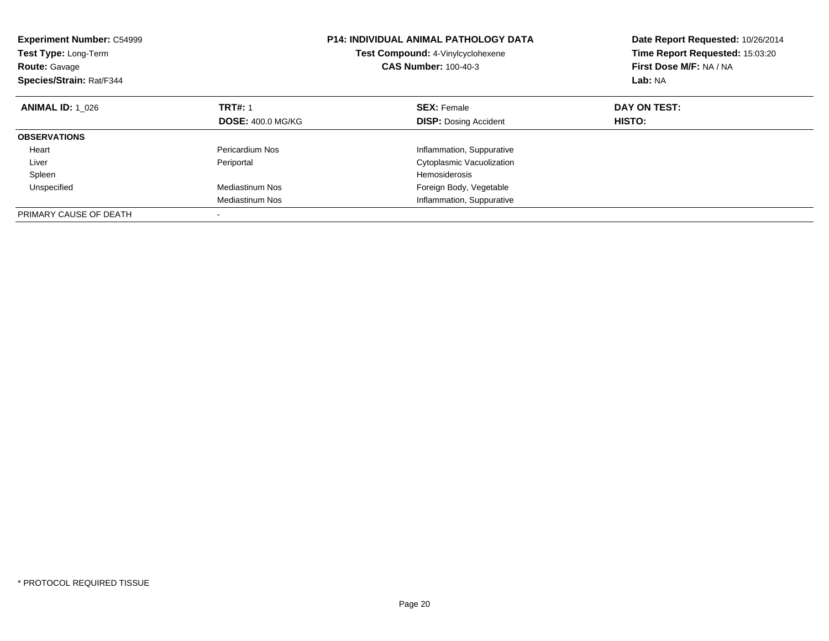| <b>Experiment Number: C54999</b><br><b>Test Type: Long-Term</b><br><b>Route: Gavage</b><br>Species/Strain: Rat/F344 |                          | <b>P14: INDIVIDUAL ANIMAL PATHOLOGY DATA</b><br><b>Test Compound: 4-Vinylcyclohexene</b><br><b>CAS Number: 100-40-3</b> | Date Report Requested: 10/26/2014<br>Time Report Requested: 15:03:20<br>First Dose M/F: NA / NA<br>Lab: NA |
|---------------------------------------------------------------------------------------------------------------------|--------------------------|-------------------------------------------------------------------------------------------------------------------------|------------------------------------------------------------------------------------------------------------|
| <b>ANIMAL ID: 1 026</b>                                                                                             | <b>TRT#: 1</b>           | <b>SEX: Female</b>                                                                                                      | DAY ON TEST:                                                                                               |
|                                                                                                                     | <b>DOSE: 400.0 MG/KG</b> | <b>DISP:</b> Dosing Accident                                                                                            | HISTO:                                                                                                     |
| <b>OBSERVATIONS</b>                                                                                                 |                          |                                                                                                                         |                                                                                                            |
| Heart                                                                                                               | Pericardium Nos          | Inflammation, Suppurative                                                                                               |                                                                                                            |
| Liver                                                                                                               | Periportal               | Cytoplasmic Vacuolization                                                                                               |                                                                                                            |
| Spleen                                                                                                              |                          | <b>Hemosiderosis</b>                                                                                                    |                                                                                                            |
| Unspecified                                                                                                         | Mediastinum Nos          | Foreign Body, Vegetable                                                                                                 |                                                                                                            |
|                                                                                                                     | <b>Mediastinum Nos</b>   | Inflammation, Suppurative                                                                                               |                                                                                                            |
| PRIMARY CAUSE OF DEATH                                                                                              |                          |                                                                                                                         |                                                                                                            |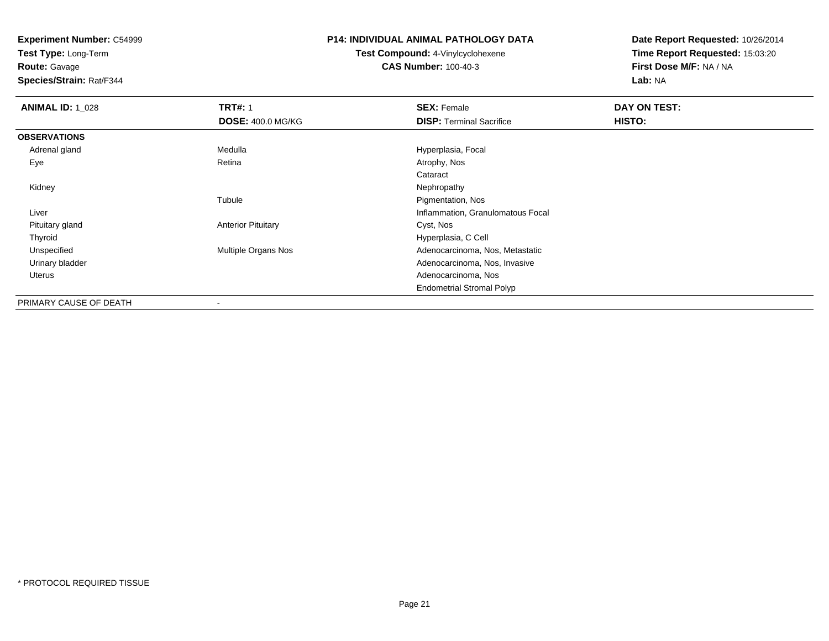**Test Type:** Long-Term

**Route:** Gavage

**Species/Strain:** Rat/F344

# **P14: INDIVIDUAL ANIMAL PATHOLOGY DATA**

**Test Compound:** 4-Vinylcyclohexene**CAS Number:** 100-40-3

| <b>ANIMAL ID: 1 028</b> | <b>TRT#: 1</b>            | <b>SEX: Female</b>                | DAY ON TEST: |
|-------------------------|---------------------------|-----------------------------------|--------------|
|                         | <b>DOSE: 400.0 MG/KG</b>  | <b>DISP:</b> Terminal Sacrifice   | HISTO:       |
| <b>OBSERVATIONS</b>     |                           |                                   |              |
| Adrenal gland           | Medulla                   | Hyperplasia, Focal                |              |
| Eye                     | Retina                    | Atrophy, Nos                      |              |
|                         |                           | Cataract                          |              |
| Kidney                  |                           | Nephropathy                       |              |
|                         | Tubule                    | Pigmentation, Nos                 |              |
| Liver                   |                           | Inflammation, Granulomatous Focal |              |
| Pituitary gland         | <b>Anterior Pituitary</b> | Cyst, Nos                         |              |
| Thyroid                 |                           | Hyperplasia, C Cell               |              |
| Unspecified             | Multiple Organs Nos       | Adenocarcinoma, Nos, Metastatic   |              |
| Urinary bladder         |                           | Adenocarcinoma, Nos, Invasive     |              |
| Uterus                  |                           | Adenocarcinoma, Nos               |              |
|                         |                           | <b>Endometrial Stromal Polyp</b>  |              |
| PRIMARY CAUSE OF DEATH  | ٠                         |                                   |              |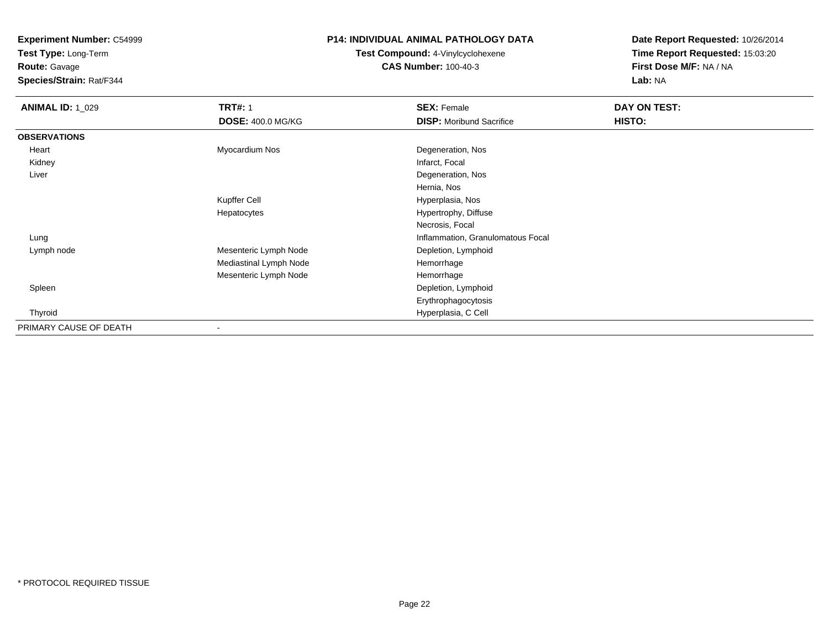**Test Type:** Long-Term

# **Route:** Gavage

**Species/Strain:** Rat/F344

# **P14: INDIVIDUAL ANIMAL PATHOLOGY DATA**

# **Test Compound:** 4-Vinylcyclohexene**CAS Number:** 100-40-3

| <b>ANIMAL ID: 1_029</b> | <b>TRT#: 1</b>           | <b>SEX: Female</b>                | DAY ON TEST: |  |
|-------------------------|--------------------------|-----------------------------------|--------------|--|
|                         | <b>DOSE: 400.0 MG/KG</b> | <b>DISP:</b> Moribund Sacrifice   | HISTO:       |  |
| <b>OBSERVATIONS</b>     |                          |                                   |              |  |
| Heart                   | Myocardium Nos           | Degeneration, Nos                 |              |  |
| Kidney                  |                          | Infarct, Focal                    |              |  |
| Liver                   |                          | Degeneration, Nos                 |              |  |
|                         |                          | Hernia, Nos                       |              |  |
|                         | <b>Kupffer Cell</b>      | Hyperplasia, Nos                  |              |  |
|                         | Hepatocytes              | Hypertrophy, Diffuse              |              |  |
|                         |                          | Necrosis, Focal                   |              |  |
| Lung                    |                          | Inflammation, Granulomatous Focal |              |  |
| Lymph node              | Mesenteric Lymph Node    | Depletion, Lymphoid               |              |  |
|                         | Mediastinal Lymph Node   | Hemorrhage                        |              |  |
|                         | Mesenteric Lymph Node    | Hemorrhage                        |              |  |
| Spleen                  |                          | Depletion, Lymphoid               |              |  |
|                         |                          | Erythrophagocytosis               |              |  |
| Thyroid                 |                          | Hyperplasia, C Cell               |              |  |
| PRIMARY CAUSE OF DEATH  | -                        |                                   |              |  |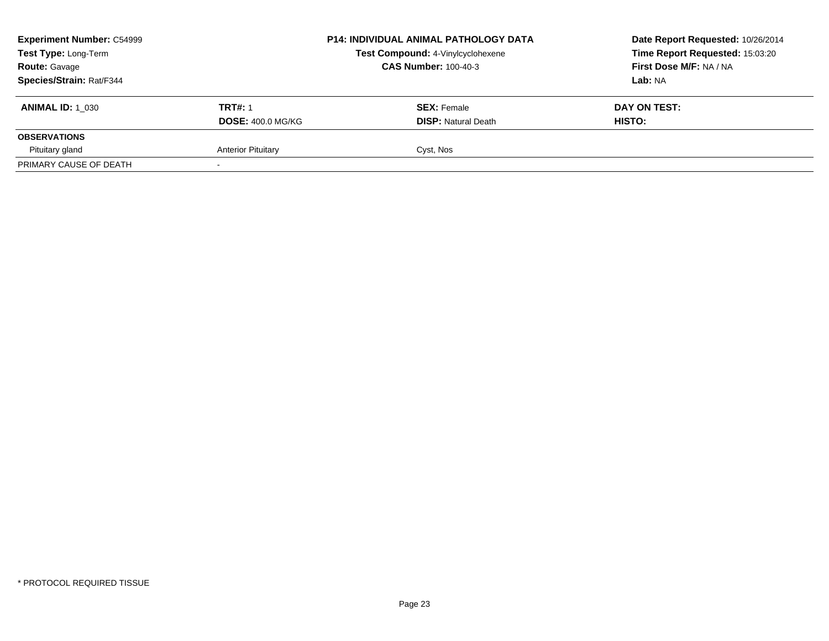| <b>Experiment Number: C54999</b><br>Test Type: Long-Term<br><b>Route: Gavage</b><br>Species/Strain: Rat/F344 |                                            | <b>P14: INDIVIDUAL ANIMAL PATHOLOGY DATA</b><br>Test Compound: 4-Vinylcyclohexene<br><b>CAS Number: 100-40-3</b> | Date Report Requested: 10/26/2014<br>Time Report Requested: 15:03:20<br>First Dose M/F: NA / NA<br>Lab: NA |
|--------------------------------------------------------------------------------------------------------------|--------------------------------------------|------------------------------------------------------------------------------------------------------------------|------------------------------------------------------------------------------------------------------------|
| <b>ANIMAL ID: 1 030</b>                                                                                      | <b>TRT#: 1</b><br><b>DOSE: 400.0 MG/KG</b> | <b>SEX: Female</b><br><b>DISP:</b> Natural Death                                                                 | DAY ON TEST:<br>HISTO:                                                                                     |
| <b>OBSERVATIONS</b>                                                                                          |                                            |                                                                                                                  |                                                                                                            |
| Pituitary gland                                                                                              | <b>Anterior Pituitary</b>                  | Cyst, Nos                                                                                                        |                                                                                                            |
| PRIMARY CAUSE OF DEATH                                                                                       |                                            |                                                                                                                  |                                                                                                            |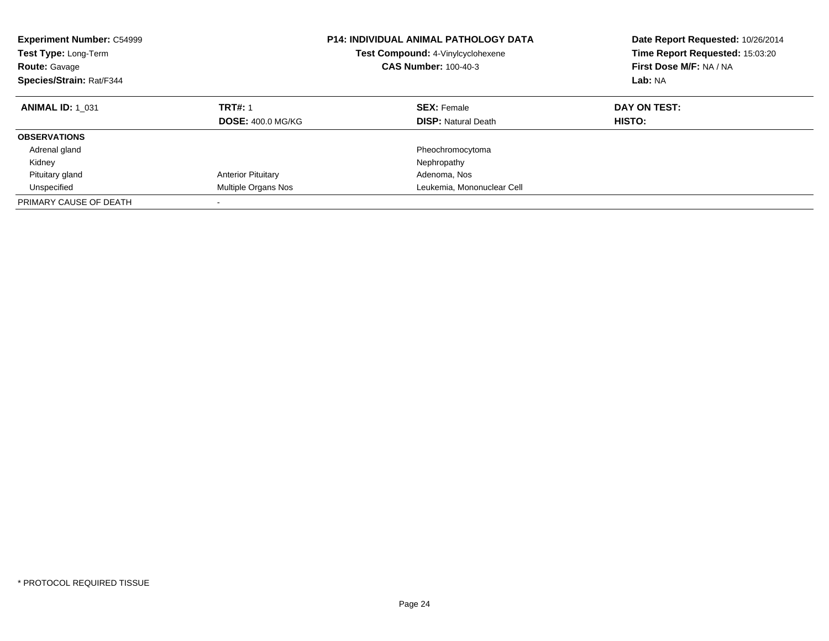| <b>Experiment Number: C54999</b><br><b>Test Type: Long-Term</b><br><b>Route: Gavage</b><br>Species/Strain: Rat/F344 | <b>P14: INDIVIDUAL ANIMAL PATHOLOGY DATA</b><br>Test Compound: 4-Vinylcyclohexene<br><b>CAS Number: 100-40-3</b> |                                                  | Date Report Requested: 10/26/2014<br>Time Report Requested: 15:03:20<br>First Dose M/F: NA / NA<br>Lab: NA |
|---------------------------------------------------------------------------------------------------------------------|------------------------------------------------------------------------------------------------------------------|--------------------------------------------------|------------------------------------------------------------------------------------------------------------|
| <b>ANIMAL ID: 1 031</b>                                                                                             | <b>TRT#: 1</b><br><b>DOSE: 400.0 MG/KG</b>                                                                       | <b>SEX: Female</b><br><b>DISP:</b> Natural Death | DAY ON TEST:<br><b>HISTO:</b>                                                                              |
| <b>OBSERVATIONS</b>                                                                                                 |                                                                                                                  |                                                  |                                                                                                            |
| Adrenal gland                                                                                                       |                                                                                                                  | Pheochromocytoma                                 |                                                                                                            |
| Kidney                                                                                                              |                                                                                                                  | Nephropathy                                      |                                                                                                            |
| Pituitary gland                                                                                                     | <b>Anterior Pituitary</b>                                                                                        | Adenoma, Nos                                     |                                                                                                            |
| Unspecified                                                                                                         | Multiple Organs Nos                                                                                              | Leukemia, Mononuclear Cell                       |                                                                                                            |
| PRIMARY CAUSE OF DEATH                                                                                              |                                                                                                                  |                                                  |                                                                                                            |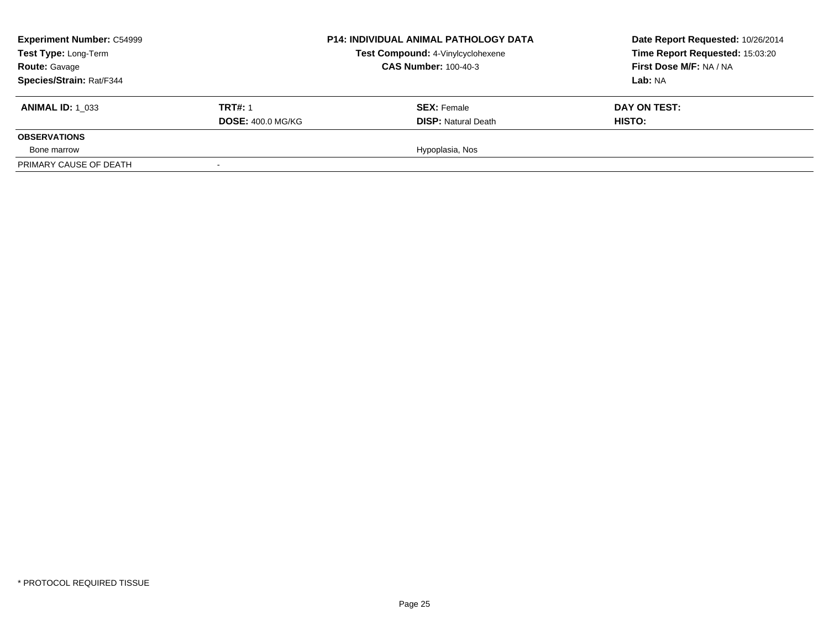| <b>Experiment Number: C54999</b><br>Test Type: Long-Term<br><b>Route: Gavage</b><br><b>Species/Strain: Rat/F344</b> |                                            | <b>P14: INDIVIDUAL ANIMAL PATHOLOGY DATA</b><br>Test Compound: 4-Vinylcyclohexene<br><b>CAS Number: 100-40-3</b> | Date Report Requested: 10/26/2014<br>Time Report Requested: 15:03:20<br>First Dose M/F: NA / NA<br><b>Lab: NA</b> |
|---------------------------------------------------------------------------------------------------------------------|--------------------------------------------|------------------------------------------------------------------------------------------------------------------|-------------------------------------------------------------------------------------------------------------------|
| <b>ANIMAL ID: 1 033</b>                                                                                             | <b>TRT#: 1</b><br><b>DOSE: 400.0 MG/KG</b> | <b>SEX: Female</b><br><b>DISP: Natural Death</b>                                                                 | DAY ON TEST:<br><b>HISTO:</b>                                                                                     |
| <b>OBSERVATIONS</b>                                                                                                 |                                            |                                                                                                                  |                                                                                                                   |
| Bone marrow                                                                                                         |                                            | Hypoplasia, Nos                                                                                                  |                                                                                                                   |
| PRIMARY CAUSE OF DEATH                                                                                              |                                            |                                                                                                                  |                                                                                                                   |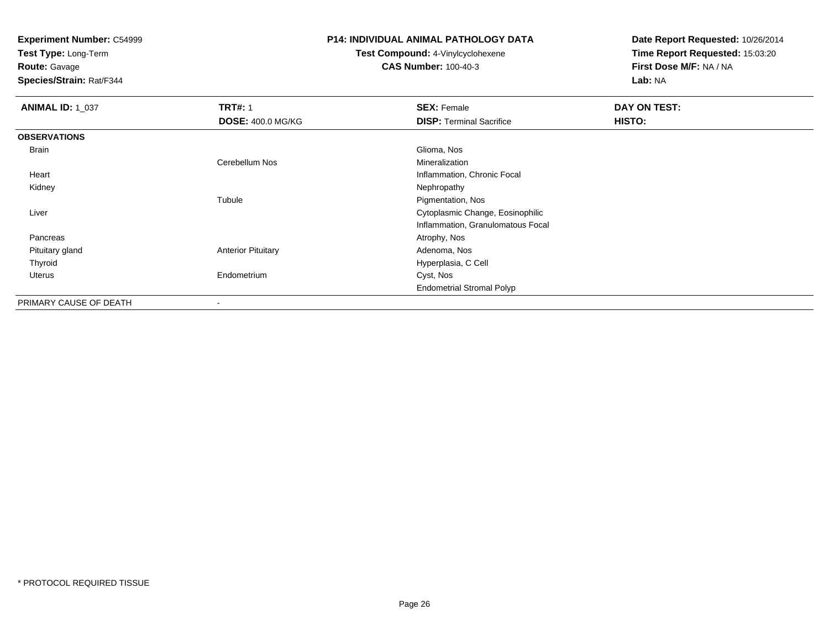**Test Type:** Long-Term

**Route:** Gavage

**Species/Strain:** Rat/F344

#### **P14: INDIVIDUAL ANIMAL PATHOLOGY DATA**

**Test Compound:** 4-Vinylcyclohexene**CAS Number:** 100-40-3

| <b>ANIMAL ID: 1_037</b> | <b>TRT#: 1</b>            | <b>SEX: Female</b>                | DAY ON TEST: |  |
|-------------------------|---------------------------|-----------------------------------|--------------|--|
|                         | <b>DOSE: 400.0 MG/KG</b>  | <b>DISP: Terminal Sacrifice</b>   | HISTO:       |  |
| <b>OBSERVATIONS</b>     |                           |                                   |              |  |
| Brain                   |                           | Glioma, Nos                       |              |  |
|                         | Cerebellum Nos            | Mineralization                    |              |  |
| Heart                   |                           | Inflammation, Chronic Focal       |              |  |
| Kidney                  |                           | Nephropathy                       |              |  |
|                         | Tubule                    | Pigmentation, Nos                 |              |  |
| Liver                   |                           | Cytoplasmic Change, Eosinophilic  |              |  |
|                         |                           | Inflammation, Granulomatous Focal |              |  |
| Pancreas                |                           | Atrophy, Nos                      |              |  |
| Pituitary gland         | <b>Anterior Pituitary</b> | Adenoma, Nos                      |              |  |
| Thyroid                 |                           | Hyperplasia, C Cell               |              |  |
| Uterus                  | Endometrium               | Cyst, Nos                         |              |  |
|                         |                           | <b>Endometrial Stromal Polyp</b>  |              |  |
| PRIMARY CAUSE OF DEATH  | ٠                         |                                   |              |  |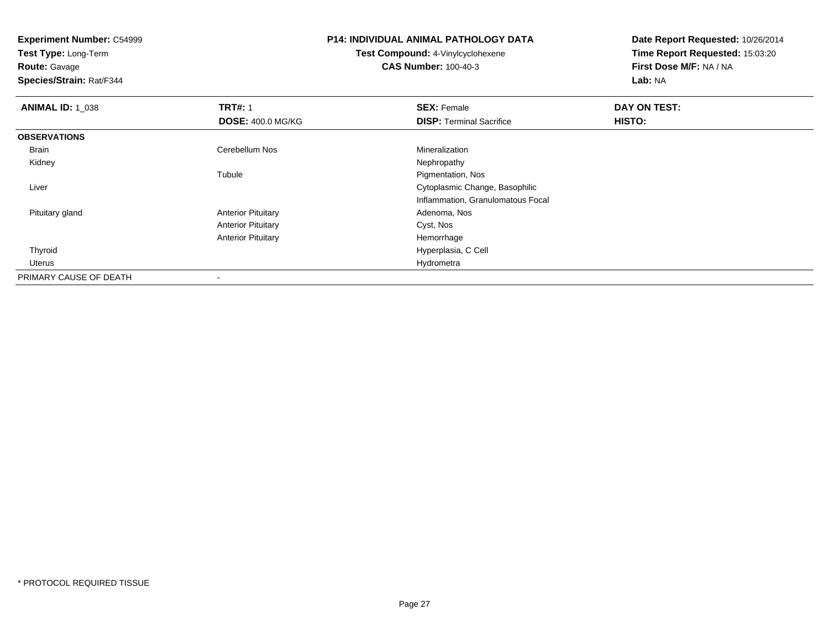**Experiment Number:** C54999**Test Type:** Long-Term**Route:** Gavage **Species/Strain:** Rat/F344**P14: INDIVIDUAL ANIMAL PATHOLOGY DATATest Compound:** 4-Vinylcyclohexene**CAS Number:** 100-40-3**Date Report Requested:** 10/26/2014**Time Report Requested:** 15:03:20**First Dose M/F:** NA / NA**Lab:** NA**ANIMAL ID: 1\_038 REX:** Female **DAY ON TEST: CONSIST: SEX:** Female **DAY ON TEST: DOSE:** 400.0 MG/KG**DISP:** Terminal Sacrifice **HISTO: OBSERVATIONS** Brainn and the Cerebellum Nos and the Mineralization of the Cerebellum Nos and the Mineralization Kidneyy the control of the control of the control of the control of the control of the control of the control of the control of the control of the control of the control of the control of the control of the control of the contro Tubule Pigmentation, Nos Liver Cytoplasmic Change, Basophilic Inflammation, Granulomatous Focal Pituitary glandAnterior Pituitary **Adenoma, Nos** Adenoma, Nos Anterior Pituitary Cyst, Nos Anterior Pituitary Hemorrhage Hyperplasia, C Cell Thyroid Uteruss and the contract of the contract of the contract of the contract of the contract of the contract of the contract of the contract of the contract of the contract of the contract of the contract of the contract of the cont PRIMARY CAUSE OF DEATH

-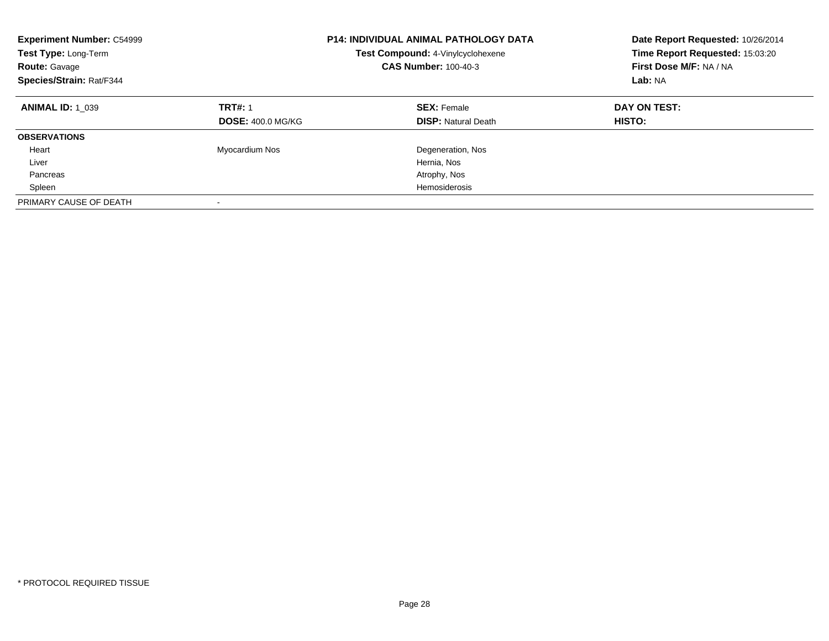| <b>Experiment Number: C54999</b><br>Test Type: Long-Term<br><b>Route: Gavage</b><br>Species/Strain: Rat/F344 |                                            | <b>P14: INDIVIDUAL ANIMAL PATHOLOGY DATA</b><br>Test Compound: 4-Vinylcyclohexene<br><b>CAS Number: 100-40-3</b> | Date Report Requested: 10/26/2014<br>Time Report Requested: 15:03:20<br>First Dose M/F: NA / NA<br>Lab: NA |
|--------------------------------------------------------------------------------------------------------------|--------------------------------------------|------------------------------------------------------------------------------------------------------------------|------------------------------------------------------------------------------------------------------------|
| <b>ANIMAL ID: 1 039</b>                                                                                      | <b>TRT#: 1</b><br><b>DOSE: 400.0 MG/KG</b> | <b>SEX: Female</b><br><b>DISP:</b> Natural Death                                                                 | DAY ON TEST:<br>HISTO:                                                                                     |
| <b>OBSERVATIONS</b>                                                                                          |                                            |                                                                                                                  |                                                                                                            |
| Heart                                                                                                        | Myocardium Nos                             | Degeneration, Nos                                                                                                |                                                                                                            |
| Liver                                                                                                        |                                            | Hernia, Nos                                                                                                      |                                                                                                            |
| Pancreas                                                                                                     |                                            | Atrophy, Nos                                                                                                     |                                                                                                            |
| Spleen                                                                                                       |                                            | Hemosiderosis                                                                                                    |                                                                                                            |
| PRIMARY CAUSE OF DEATH                                                                                       | -                                          |                                                                                                                  |                                                                                                            |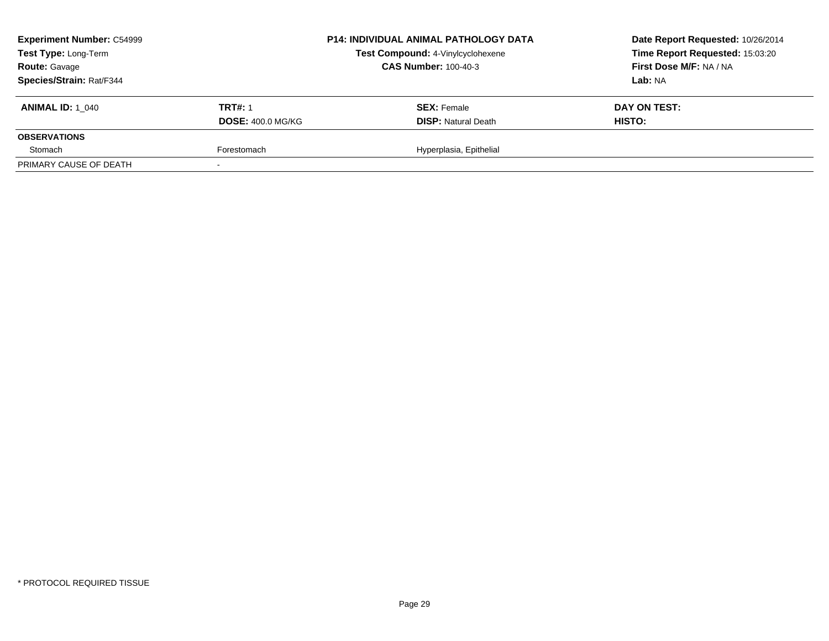| <b>Experiment Number: C54999</b><br>Test Type: Long-Term<br><b>Route: Gavage</b> |                          | P14: INDIVIDUAL ANIMAL PATHOLOGY DATA | Date Report Requested: 10/26/2014 |  |
|----------------------------------------------------------------------------------|--------------------------|---------------------------------------|-----------------------------------|--|
|                                                                                  |                          | Test Compound: 4-Vinylcyclohexene     | Time Report Requested: 15:03:20   |  |
|                                                                                  |                          | <b>CAS Number: 100-40-3</b>           | First Dose M/F: NA / NA           |  |
| Species/Strain: Rat/F344                                                         |                          |                                       | Lab: NA                           |  |
| <b>ANIMAL ID:</b> 1 040                                                          | <b>TRT#: 1</b>           | <b>SEX: Female</b>                    | DAY ON TEST:                      |  |
|                                                                                  | <b>DOSE: 400.0 MG/KG</b> | <b>DISP: Natural Death</b>            | HISTO:                            |  |
| <b>OBSERVATIONS</b>                                                              |                          |                                       |                                   |  |
| Stomach                                                                          | Forestomach              | Hyperplasia, Epithelial               |                                   |  |
| PRIMARY CAUSE OF DEATH                                                           |                          |                                       |                                   |  |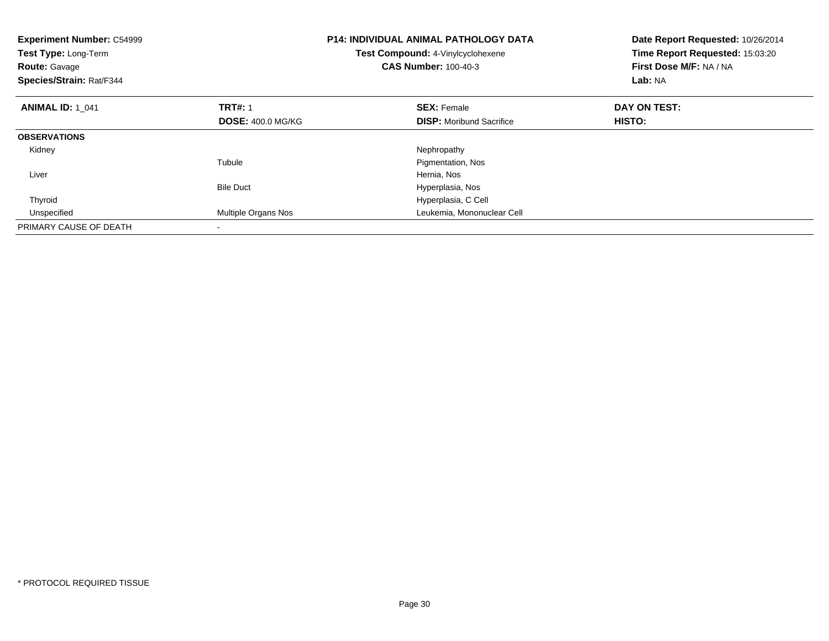| <b>Experiment Number: C54999</b><br>Test Type: Long-Term<br><b>Route: Gavage</b><br>Species/Strain: Rat/F344 |                          | <b>P14: INDIVIDUAL ANIMAL PATHOLOGY DATA</b><br>Test Compound: 4-Vinylcyclohexene<br><b>CAS Number: 100-40-3</b> | Date Report Requested: 10/26/2014<br>Time Report Requested: 15:03:20<br>First Dose M/F: NA / NA<br>Lab: NA |
|--------------------------------------------------------------------------------------------------------------|--------------------------|------------------------------------------------------------------------------------------------------------------|------------------------------------------------------------------------------------------------------------|
| <b>ANIMAL ID: 1 041</b>                                                                                      | <b>TRT#: 1</b>           | <b>SEX: Female</b>                                                                                               | DAY ON TEST:                                                                                               |
|                                                                                                              | <b>DOSE: 400.0 MG/KG</b> | <b>DISP:</b> Moribund Sacrifice                                                                                  | <b>HISTO:</b>                                                                                              |
| <b>OBSERVATIONS</b>                                                                                          |                          |                                                                                                                  |                                                                                                            |
| Kidney                                                                                                       |                          | Nephropathy                                                                                                      |                                                                                                            |
|                                                                                                              | Tubule                   | Pigmentation, Nos                                                                                                |                                                                                                            |
| Liver                                                                                                        |                          | Hernia, Nos                                                                                                      |                                                                                                            |
|                                                                                                              | <b>Bile Duct</b>         | Hyperplasia, Nos                                                                                                 |                                                                                                            |
| Thyroid                                                                                                      |                          | Hyperplasia, C Cell                                                                                              |                                                                                                            |
| Unspecified                                                                                                  | Multiple Organs Nos      | Leukemia, Mononuclear Cell                                                                                       |                                                                                                            |
| PRIMARY CAUSE OF DEATH                                                                                       |                          |                                                                                                                  |                                                                                                            |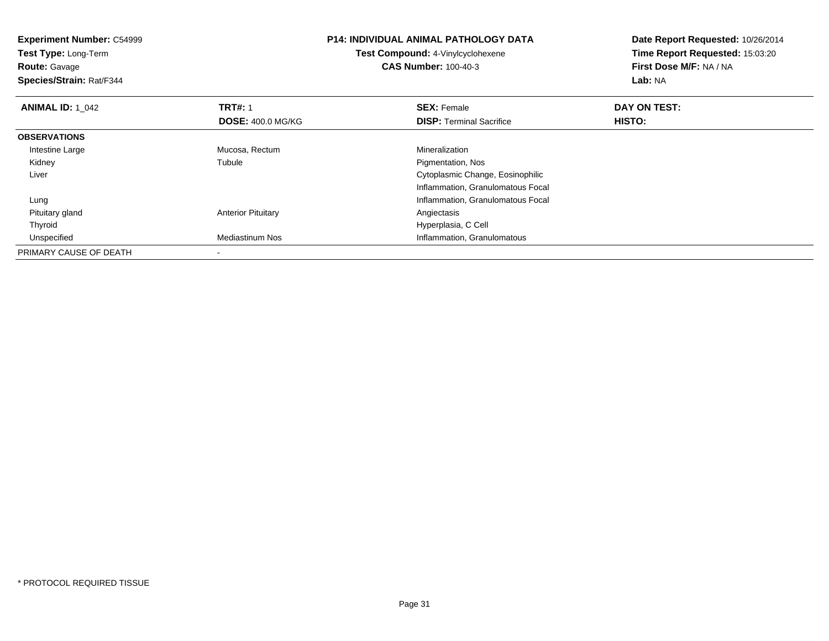| <b>Experiment Number: C54999</b><br>Test Type: Long-Term<br><b>Route: Gavage</b><br>Species/Strain: Rat/F344 |                           | <b>P14: INDIVIDUAL ANIMAL PATHOLOGY DATA</b><br><b>Test Compound: 4-Vinylcyclohexene</b><br><b>CAS Number: 100-40-3</b> | Date Report Requested: 10/26/2014<br>Time Report Requested: 15:03:20<br>First Dose M/F: NA / NA<br>Lab: NA |
|--------------------------------------------------------------------------------------------------------------|---------------------------|-------------------------------------------------------------------------------------------------------------------------|------------------------------------------------------------------------------------------------------------|
| <b>ANIMAL ID: 1 042</b>                                                                                      | <b>TRT#: 1</b>            | <b>SEX: Female</b>                                                                                                      | DAY ON TEST:                                                                                               |
|                                                                                                              | <b>DOSE: 400.0 MG/KG</b>  | <b>DISP:</b> Terminal Sacrifice                                                                                         | HISTO:                                                                                                     |
| <b>OBSERVATIONS</b>                                                                                          |                           |                                                                                                                         |                                                                                                            |
| Intestine Large                                                                                              | Mucosa, Rectum            | Mineralization                                                                                                          |                                                                                                            |
| Kidney                                                                                                       | Tubule                    | Pigmentation, Nos                                                                                                       |                                                                                                            |
| Liver                                                                                                        |                           | Cytoplasmic Change, Eosinophilic                                                                                        |                                                                                                            |
|                                                                                                              |                           | Inflammation, Granulomatous Focal                                                                                       |                                                                                                            |
| Lung                                                                                                         |                           | Inflammation, Granulomatous Focal                                                                                       |                                                                                                            |
| Pituitary gland                                                                                              | <b>Anterior Pituitary</b> | Angiectasis                                                                                                             |                                                                                                            |
| Thyroid                                                                                                      |                           | Hyperplasia, C Cell                                                                                                     |                                                                                                            |
| Unspecified                                                                                                  | Mediastinum Nos           | Inflammation, Granulomatous                                                                                             |                                                                                                            |
| PRIMARY CAUSE OF DEATH                                                                                       |                           |                                                                                                                         |                                                                                                            |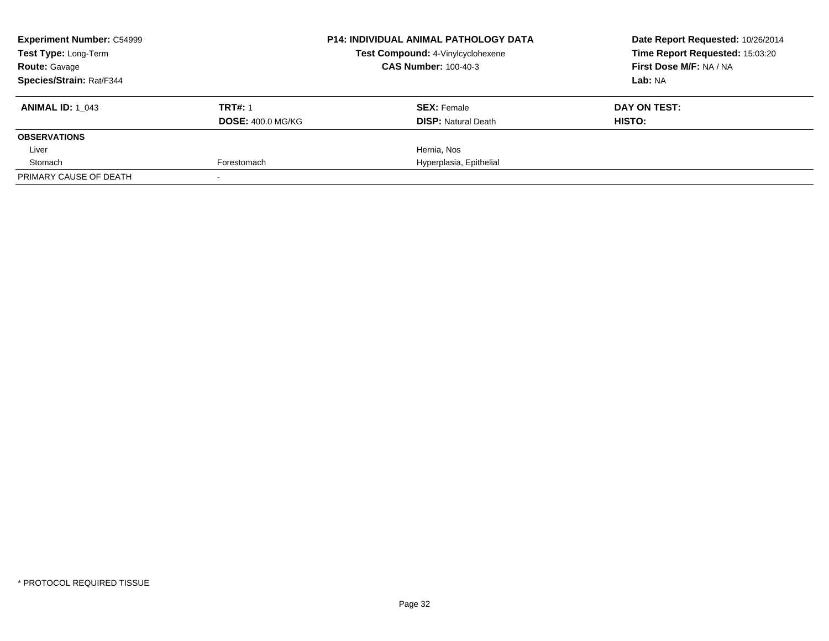| <b>Experiment Number: C54999</b>             |                          | <b>P14: INDIVIDUAL ANIMAL PATHOLOGY DATA</b> | Date Report Requested: 10/26/2014 |  |
|----------------------------------------------|--------------------------|----------------------------------------------|-----------------------------------|--|
| Test Type: Long-Term<br><b>Route: Gavage</b> |                          | Test Compound: 4-Vinylcyclohexene            | Time Report Requested: 15:03:20   |  |
|                                              |                          | <b>CAS Number: 100-40-3</b>                  | First Dose M/F: NA / NA           |  |
| Species/Strain: Rat/F344                     |                          |                                              | Lab: NA                           |  |
| <b>ANIMAL ID:</b> 1 043                      | <b>TRT#: 1</b>           | <b>SEX: Female</b>                           | DAY ON TEST:                      |  |
|                                              | <b>DOSE: 400.0 MG/KG</b> | <b>DISP:</b> Natural Death                   | HISTO:                            |  |
| <b>OBSERVATIONS</b>                          |                          |                                              |                                   |  |
| Liver                                        |                          | Hernia, Nos                                  |                                   |  |
| Stomach                                      | Forestomach              | Hyperplasia, Epithelial                      |                                   |  |
| PRIMARY CAUSE OF DEATH                       |                          |                                              |                                   |  |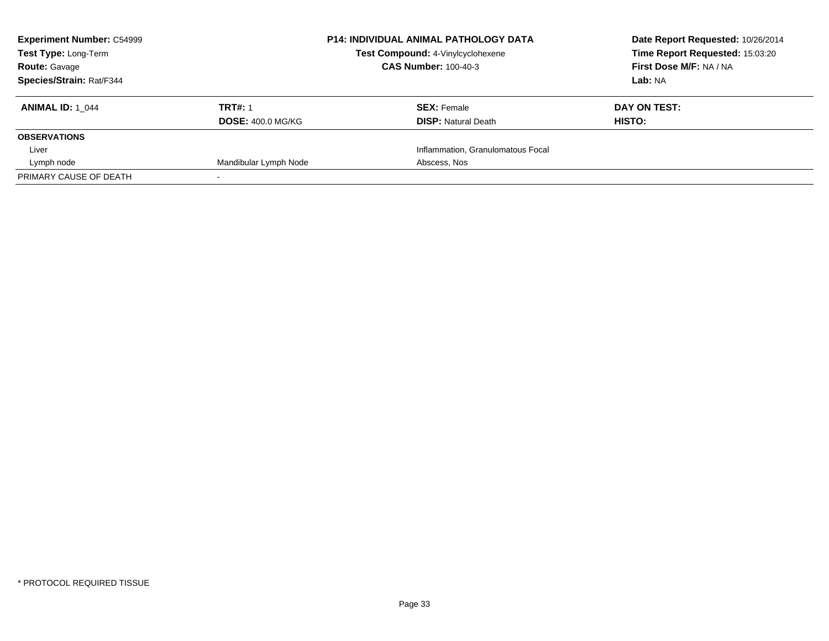| <b>Experiment Number: C54999</b> |                          | <b>P14: INDIVIDUAL ANIMAL PATHOLOGY DATA</b> | Date Report Requested: 10/26/2014 |  |
|----------------------------------|--------------------------|----------------------------------------------|-----------------------------------|--|
| Test Type: Long-Term             |                          | Test Compound: 4-Vinylcyclohexene            | Time Report Requested: 15:03:20   |  |
| <b>Route: Gavage</b>             |                          | <b>CAS Number: 100-40-3</b>                  | First Dose M/F: NA / NA           |  |
| Species/Strain: Rat/F344         |                          |                                              | Lab: NA                           |  |
| <b>ANIMAL ID:</b> 1 044          | <b>TRT#: 1</b>           | <b>SEX: Female</b>                           | DAY ON TEST:                      |  |
|                                  | <b>DOSE: 400.0 MG/KG</b> | <b>DISP:</b> Natural Death                   | <b>HISTO:</b>                     |  |
| <b>OBSERVATIONS</b>              |                          |                                              |                                   |  |
| Liver                            |                          | Inflammation, Granulomatous Focal            |                                   |  |
| Lymph node                       | Mandibular Lymph Node    | Abscess, Nos                                 |                                   |  |
| PRIMARY CAUSE OF DEATH           |                          |                                              |                                   |  |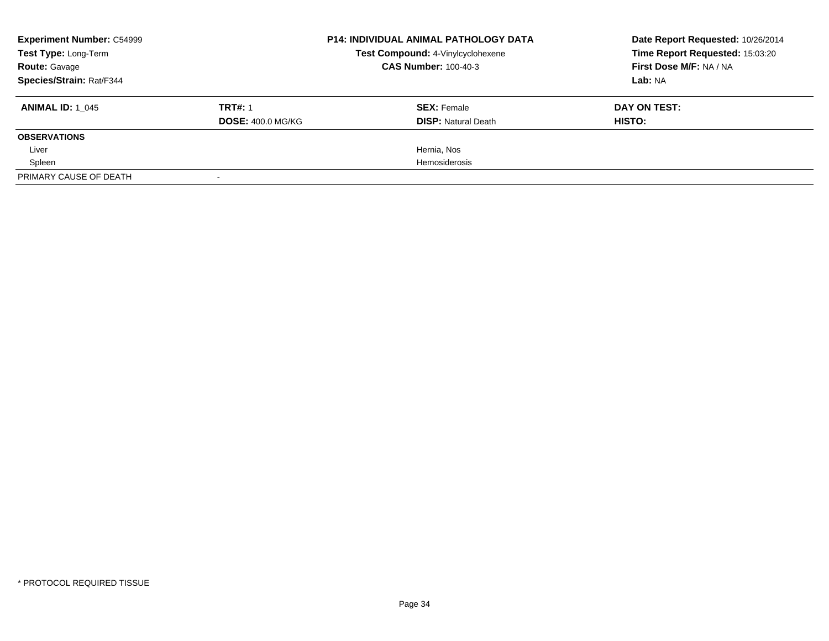| <b>Experiment Number: C54999</b><br>Test Type: Long-Term<br><b>Route: Gavage</b> |                          | <b>P14: INDIVIDUAL ANIMAL PATHOLOGY DATA</b> | Date Report Requested: 10/26/2014 |  |
|----------------------------------------------------------------------------------|--------------------------|----------------------------------------------|-----------------------------------|--|
|                                                                                  |                          | Test Compound: 4-Vinylcyclohexene            | Time Report Requested: 15:03:20   |  |
|                                                                                  |                          | <b>CAS Number: 100-40-3</b>                  | First Dose M/F: NA / NA           |  |
| Species/Strain: Rat/F344                                                         |                          | Lab: NA                                      |                                   |  |
| <b>ANIMAL ID: 1_045</b>                                                          | <b>TRT#: 1</b>           | <b>SEX: Female</b>                           | DAY ON TEST:                      |  |
|                                                                                  | <b>DOSE: 400.0 MG/KG</b> | <b>DISP: Natural Death</b>                   | <b>HISTO:</b>                     |  |
| <b>OBSERVATIONS</b>                                                              |                          |                                              |                                   |  |
| Liver                                                                            |                          | Hernia, Nos                                  |                                   |  |
| Spleen                                                                           |                          | Hemosiderosis                                |                                   |  |
| PRIMARY CAUSE OF DEATH                                                           |                          |                                              |                                   |  |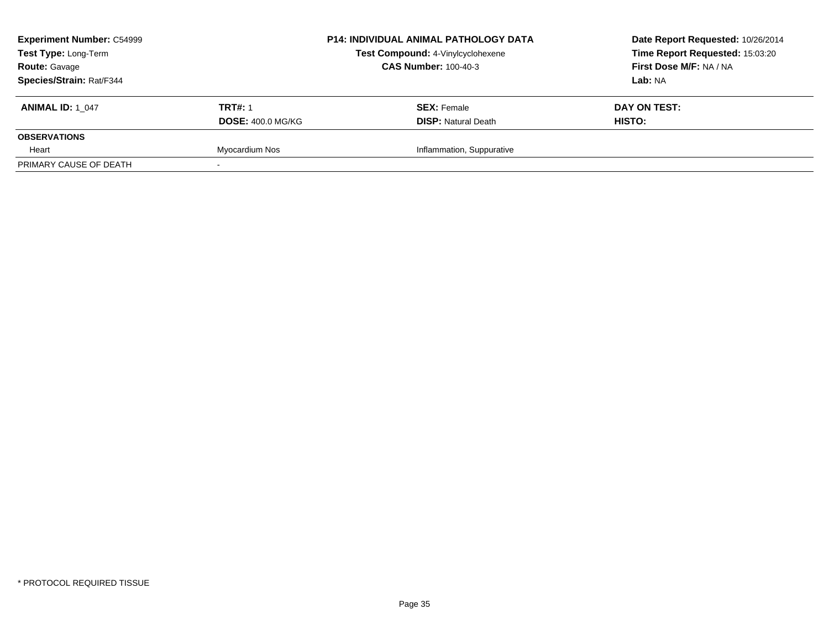| <b>Experiment Number: C54999</b><br>Test Type: Long-Term<br><b>Route: Gavage</b> |                          | <b>P14: INDIVIDUAL ANIMAL PATHOLOGY DATA</b> | Date Report Requested: 10/26/2014 |  |
|----------------------------------------------------------------------------------|--------------------------|----------------------------------------------|-----------------------------------|--|
|                                                                                  |                          | Test Compound: 4-Vinylcyclohexene            | Time Report Requested: 15:03:20   |  |
|                                                                                  |                          | <b>CAS Number: 100-40-3</b>                  | First Dose M/F: NA / NA           |  |
| Species/Strain: Rat/F344                                                         |                          |                                              | Lab: NA                           |  |
| <b>ANIMAL ID: 1 047</b>                                                          | <b>TRT#: 1</b>           | <b>SEX: Female</b>                           | DAY ON TEST:                      |  |
|                                                                                  | <b>DOSE: 400.0 MG/KG</b> | <b>DISP:</b> Natural Death                   | HISTO:                            |  |
| <b>OBSERVATIONS</b>                                                              |                          |                                              |                                   |  |
| Heart                                                                            | Myocardium Nos           | Inflammation, Suppurative                    |                                   |  |
| PRIMARY CAUSE OF DEATH                                                           |                          |                                              |                                   |  |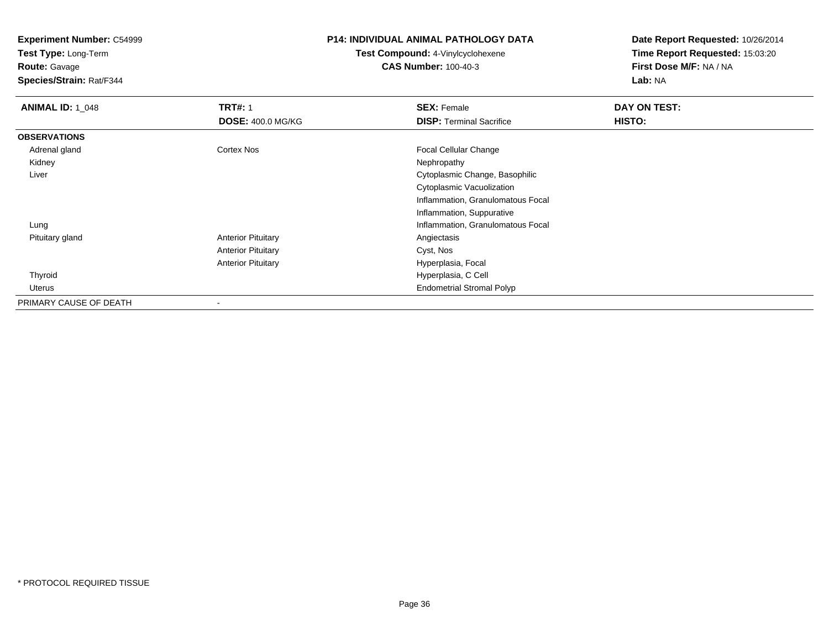**Test Type:** Long-Term

**Route:** Gavage

**Species/Strain:** Rat/F344

# **P14: INDIVIDUAL ANIMAL PATHOLOGY DATA**

**Test Compound:** 4-Vinylcyclohexene**CAS Number:** 100-40-3

| <b>ANIMAL ID: 1 048</b> | <b>TRT#: 1</b>            | <b>SEX: Female</b>                | DAY ON TEST: |  |
|-------------------------|---------------------------|-----------------------------------|--------------|--|
|                         | <b>DOSE: 400.0 MG/KG</b>  | <b>DISP: Terminal Sacrifice</b>   | HISTO:       |  |
| <b>OBSERVATIONS</b>     |                           |                                   |              |  |
| Adrenal gland           | Cortex Nos                | <b>Focal Cellular Change</b>      |              |  |
| Kidney                  |                           | Nephropathy                       |              |  |
| Liver                   |                           | Cytoplasmic Change, Basophilic    |              |  |
|                         |                           | Cytoplasmic Vacuolization         |              |  |
|                         |                           | Inflammation, Granulomatous Focal |              |  |
|                         |                           | Inflammation, Suppurative         |              |  |
| Lung                    |                           | Inflammation, Granulomatous Focal |              |  |
| Pituitary gland         | <b>Anterior Pituitary</b> | Angiectasis                       |              |  |
|                         | <b>Anterior Pituitary</b> | Cyst, Nos                         |              |  |
|                         | <b>Anterior Pituitary</b> | Hyperplasia, Focal                |              |  |
| Thyroid                 |                           | Hyperplasia, C Cell               |              |  |
| Uterus                  |                           | <b>Endometrial Stromal Polyp</b>  |              |  |
| PRIMARY CAUSE OF DEATH  |                           |                                   |              |  |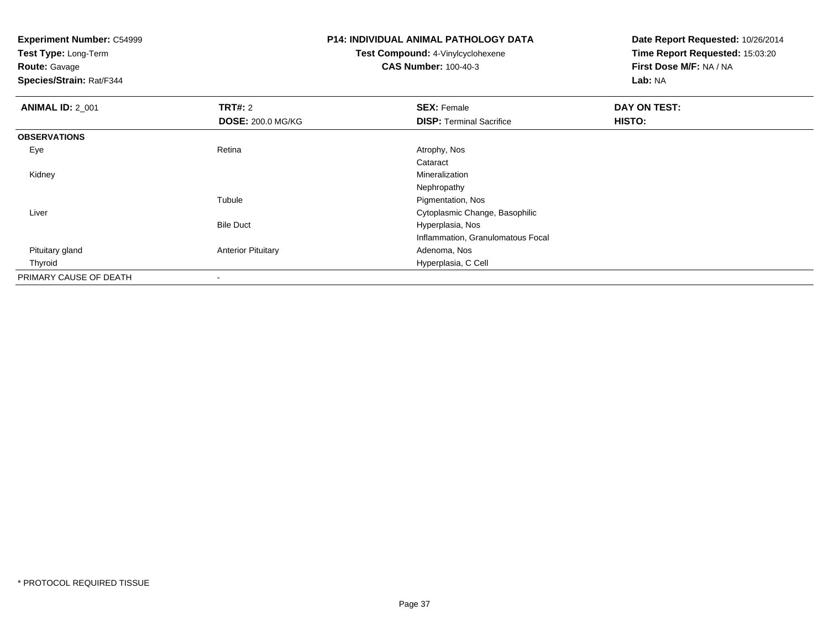**Test Type:** Long-Term

**Route:** Gavage

**Species/Strain:** Rat/F344

# **P14: INDIVIDUAL ANIMAL PATHOLOGY DATA**

**Test Compound:** 4-Vinylcyclohexene**CAS Number:** 100-40-3

| <b>ANIMAL ID: 2 001</b> | TRT#: 2                   | <b>SEX: Female</b>                | DAY ON TEST: |  |
|-------------------------|---------------------------|-----------------------------------|--------------|--|
|                         | <b>DOSE: 200.0 MG/KG</b>  | <b>DISP: Terminal Sacrifice</b>   | HISTO:       |  |
| <b>OBSERVATIONS</b>     |                           |                                   |              |  |
| Eye                     | Retina                    | Atrophy, Nos                      |              |  |
|                         |                           | Cataract                          |              |  |
| Kidney                  |                           | Mineralization                    |              |  |
|                         |                           | Nephropathy                       |              |  |
|                         | Tubule                    | Pigmentation, Nos                 |              |  |
| Liver                   |                           | Cytoplasmic Change, Basophilic    |              |  |
|                         | <b>Bile Duct</b>          | Hyperplasia, Nos                  |              |  |
|                         |                           | Inflammation, Granulomatous Focal |              |  |
| Pituitary gland         | <b>Anterior Pituitary</b> | Adenoma, Nos                      |              |  |
| Thyroid                 |                           | Hyperplasia, C Cell               |              |  |
| PRIMARY CAUSE OF DEATH  | ٠                         |                                   |              |  |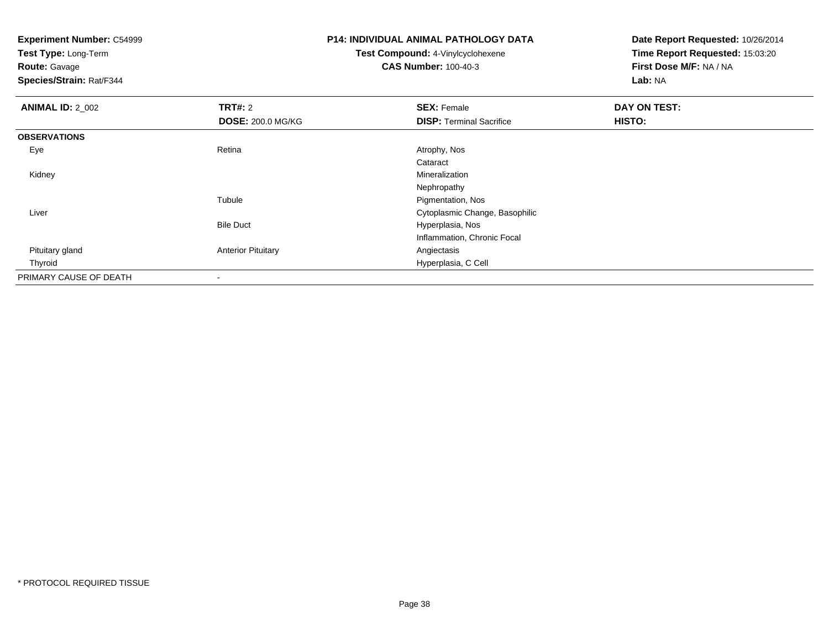**Test Type:** Long-Term

**Route:** Gavage

**Species/Strain:** Rat/F344

# **P14: INDIVIDUAL ANIMAL PATHOLOGY DATA**

**Test Compound:** 4-Vinylcyclohexene**CAS Number:** 100-40-3

| <b>ANIMAL ID: 2_002</b> | <b>TRT#: 2</b>            | <b>SEX: Female</b>              | DAY ON TEST: |  |
|-------------------------|---------------------------|---------------------------------|--------------|--|
|                         | <b>DOSE: 200.0 MG/KG</b>  | <b>DISP: Terminal Sacrifice</b> | HISTO:       |  |
| <b>OBSERVATIONS</b>     |                           |                                 |              |  |
| Eye                     | Retina                    | Atrophy, Nos                    |              |  |
|                         |                           | Cataract                        |              |  |
| Kidney                  |                           | Mineralization                  |              |  |
|                         |                           | Nephropathy                     |              |  |
|                         | Tubule                    | Pigmentation, Nos               |              |  |
| Liver                   |                           | Cytoplasmic Change, Basophilic  |              |  |
|                         | <b>Bile Duct</b>          | Hyperplasia, Nos                |              |  |
|                         |                           | Inflammation, Chronic Focal     |              |  |
| Pituitary gland         | <b>Anterior Pituitary</b> | Angiectasis                     |              |  |
| Thyroid                 |                           | Hyperplasia, C Cell             |              |  |
| PRIMARY CAUSE OF DEATH  | $\overline{\phantom{a}}$  |                                 |              |  |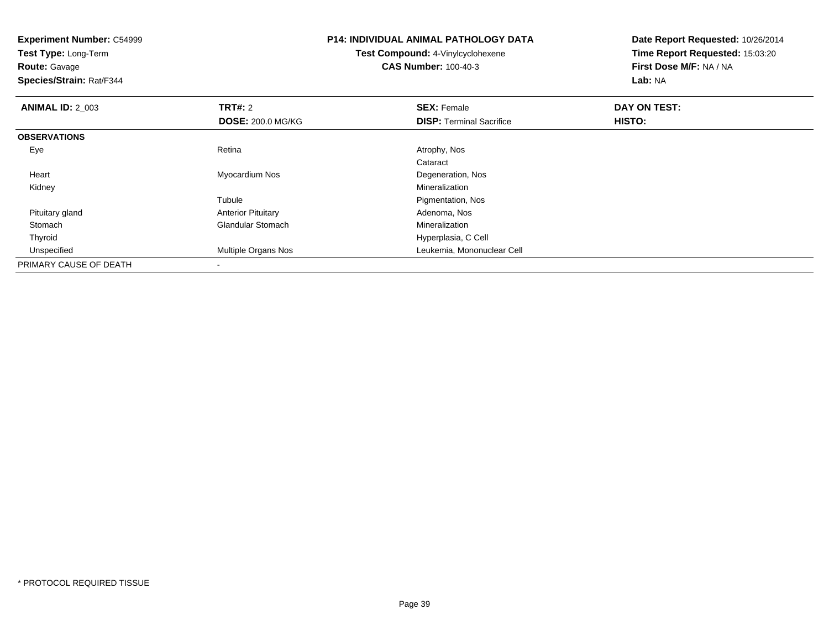| <b>Experiment Number: C54999</b><br>Test Type: Long-Term<br><b>Route: Gavage</b><br>Species/Strain: Rat/F344 |                           | <b>P14: INDIVIDUAL ANIMAL PATHOLOGY DATA</b><br><b>Test Compound: 4-Vinylcyclohexene</b><br><b>CAS Number: 100-40-3</b> | Date Report Requested: 10/26/2014<br>Time Report Requested: 15:03:20<br>First Dose M/F: NA / NA<br>Lab: NA |
|--------------------------------------------------------------------------------------------------------------|---------------------------|-------------------------------------------------------------------------------------------------------------------------|------------------------------------------------------------------------------------------------------------|
| <b>ANIMAL ID: 2_003</b>                                                                                      | TRT#: 2                   | <b>SEX: Female</b>                                                                                                      | DAY ON TEST:                                                                                               |
|                                                                                                              | <b>DOSE: 200.0 MG/KG</b>  | <b>DISP: Terminal Sacrifice</b>                                                                                         | HISTO:                                                                                                     |
| <b>OBSERVATIONS</b>                                                                                          |                           |                                                                                                                         |                                                                                                            |
| Eye                                                                                                          | Retina                    | Atrophy, Nos                                                                                                            |                                                                                                            |
|                                                                                                              |                           | Cataract                                                                                                                |                                                                                                            |
| Heart                                                                                                        | Myocardium Nos            | Degeneration, Nos                                                                                                       |                                                                                                            |
| Kidney                                                                                                       |                           | Mineralization                                                                                                          |                                                                                                            |
|                                                                                                              | Tubule                    | Pigmentation, Nos                                                                                                       |                                                                                                            |
| Pituitary gland                                                                                              | <b>Anterior Pituitary</b> | Adenoma, Nos                                                                                                            |                                                                                                            |
| Stomach                                                                                                      | <b>Glandular Stomach</b>  | <b>Mineralization</b>                                                                                                   |                                                                                                            |
| Thyroid                                                                                                      |                           | Hyperplasia, C Cell                                                                                                     |                                                                                                            |
| Unspecified                                                                                                  | Multiple Organs Nos       | Leukemia, Mononuclear Cell                                                                                              |                                                                                                            |
| PRIMARY CAUSE OF DEATH                                                                                       |                           |                                                                                                                         |                                                                                                            |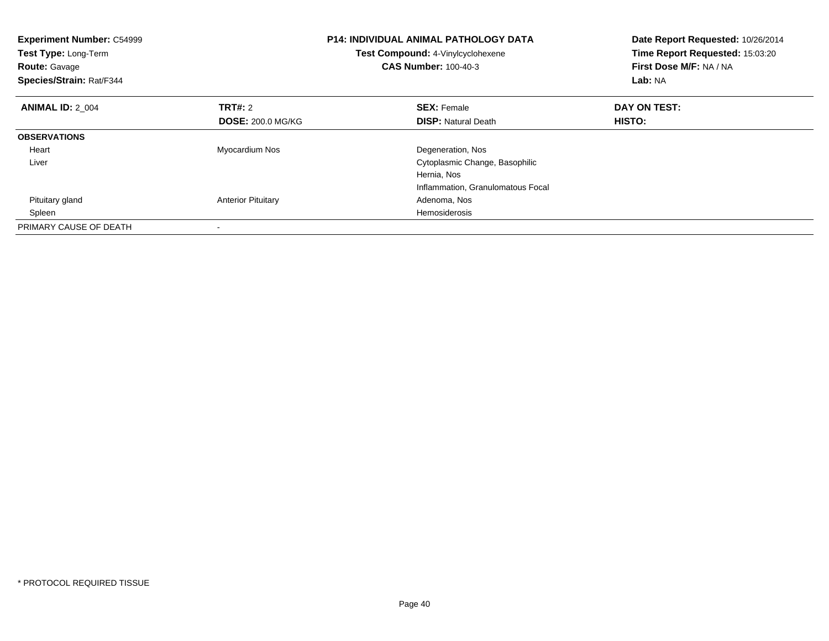| <b>Experiment Number: C54999</b><br>Test Type: Long-Term<br><b>Route: Gavage</b><br>Species/Strain: Rat/F344 |                           | <b>P14: INDIVIDUAL ANIMAL PATHOLOGY DATA</b><br>Test Compound: 4-Vinylcyclohexene<br><b>CAS Number: 100-40-3</b> | Date Report Requested: 10/26/2014<br>Time Report Requested: 15:03:20<br>First Dose M/F: NA / NA<br>Lab: NA |
|--------------------------------------------------------------------------------------------------------------|---------------------------|------------------------------------------------------------------------------------------------------------------|------------------------------------------------------------------------------------------------------------|
| <b>ANIMAL ID: 2 004</b>                                                                                      | TRT#: 2                   | <b>SEX: Female</b>                                                                                               | DAY ON TEST:                                                                                               |
|                                                                                                              | <b>DOSE: 200.0 MG/KG</b>  | <b>DISP:</b> Natural Death                                                                                       | HISTO:                                                                                                     |
| <b>OBSERVATIONS</b>                                                                                          |                           |                                                                                                                  |                                                                                                            |
| Heart                                                                                                        | Myocardium Nos            | Degeneration, Nos                                                                                                |                                                                                                            |
| Liver                                                                                                        |                           | Cytoplasmic Change, Basophilic                                                                                   |                                                                                                            |
|                                                                                                              |                           | Hernia, Nos                                                                                                      |                                                                                                            |
|                                                                                                              |                           | Inflammation, Granulomatous Focal                                                                                |                                                                                                            |
| Pituitary gland                                                                                              | <b>Anterior Pituitary</b> | Adenoma, Nos                                                                                                     |                                                                                                            |
| Spleen                                                                                                       |                           | Hemosiderosis                                                                                                    |                                                                                                            |
| PRIMARY CAUSE OF DEATH                                                                                       |                           |                                                                                                                  |                                                                                                            |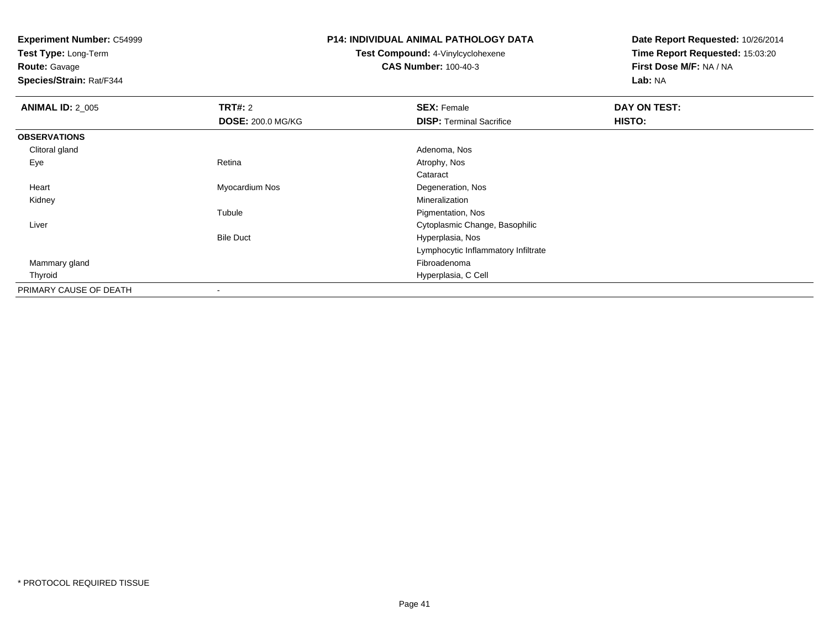**Test Type:** Long-Term

**Route:** Gavage

**Species/Strain:** Rat/F344

### **P14: INDIVIDUAL ANIMAL PATHOLOGY DATA**

**Test Compound:** 4-Vinylcyclohexene**CAS Number:** 100-40-3

| <b>ANIMAL ID: 2_005</b> | <b>TRT#: 2</b>           | <b>SEX: Female</b>                  | DAY ON TEST: |  |
|-------------------------|--------------------------|-------------------------------------|--------------|--|
|                         | <b>DOSE: 200.0 MG/KG</b> | <b>DISP:</b> Terminal Sacrifice     | HISTO:       |  |
| <b>OBSERVATIONS</b>     |                          |                                     |              |  |
| Clitoral gland          |                          | Adenoma, Nos                        |              |  |
| Eye                     | Retina                   | Atrophy, Nos                        |              |  |
|                         |                          | Cataract                            |              |  |
| Heart                   | Myocardium Nos           | Degeneration, Nos                   |              |  |
| Kidney                  |                          | Mineralization                      |              |  |
|                         | Tubule                   | Pigmentation, Nos                   |              |  |
| Liver                   |                          | Cytoplasmic Change, Basophilic      |              |  |
|                         | <b>Bile Duct</b>         | Hyperplasia, Nos                    |              |  |
|                         |                          | Lymphocytic Inflammatory Infiltrate |              |  |
| Mammary gland           |                          | Fibroadenoma                        |              |  |
| Thyroid                 |                          | Hyperplasia, C Cell                 |              |  |
| PRIMARY CAUSE OF DEATH  |                          |                                     |              |  |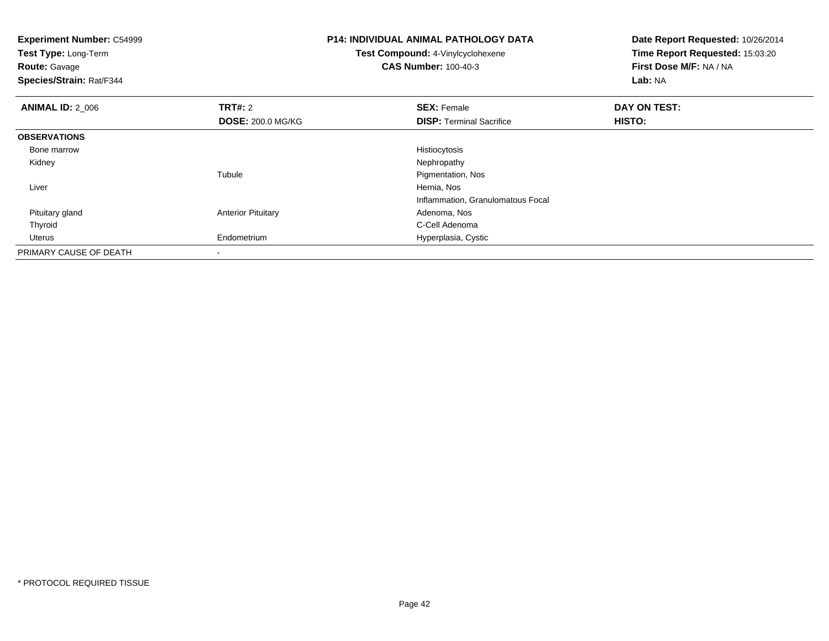| <b>Experiment Number: C54999</b><br>Test Type: Long-Term<br><b>Route: Gavage</b><br>Species/Strain: Rat/F344 |                           | <b>P14: INDIVIDUAL ANIMAL PATHOLOGY DATA</b><br>Test Compound: 4-Vinylcyclohexene<br><b>CAS Number: 100-40-3</b> | Date Report Requested: 10/26/2014<br>Time Report Requested: 15:03:20<br>First Dose M/F: NA / NA<br>Lab: NA |
|--------------------------------------------------------------------------------------------------------------|---------------------------|------------------------------------------------------------------------------------------------------------------|------------------------------------------------------------------------------------------------------------|
| <b>ANIMAL ID: 2_006</b>                                                                                      | <b>TRT#: 2</b>            | <b>SEX: Female</b>                                                                                               | DAY ON TEST:                                                                                               |
|                                                                                                              | <b>DOSE: 200.0 MG/KG</b>  | <b>DISP:</b> Terminal Sacrifice                                                                                  | HISTO:                                                                                                     |
| <b>OBSERVATIONS</b>                                                                                          |                           |                                                                                                                  |                                                                                                            |
| Bone marrow                                                                                                  |                           | Histiocytosis                                                                                                    |                                                                                                            |
| Kidney                                                                                                       |                           | Nephropathy                                                                                                      |                                                                                                            |
|                                                                                                              | Tubule                    | Pigmentation, Nos                                                                                                |                                                                                                            |
| Liver                                                                                                        |                           | Hernia, Nos                                                                                                      |                                                                                                            |
|                                                                                                              |                           | Inflammation, Granulomatous Focal                                                                                |                                                                                                            |
| Pituitary gland                                                                                              | <b>Anterior Pituitary</b> | Adenoma, Nos                                                                                                     |                                                                                                            |
| Thyroid                                                                                                      |                           | C-Cell Adenoma                                                                                                   |                                                                                                            |
| Uterus                                                                                                       | Endometrium               | Hyperplasia, Cystic                                                                                              |                                                                                                            |
| PRIMARY CAUSE OF DEATH                                                                                       | $\overline{\phantom{a}}$  |                                                                                                                  |                                                                                                            |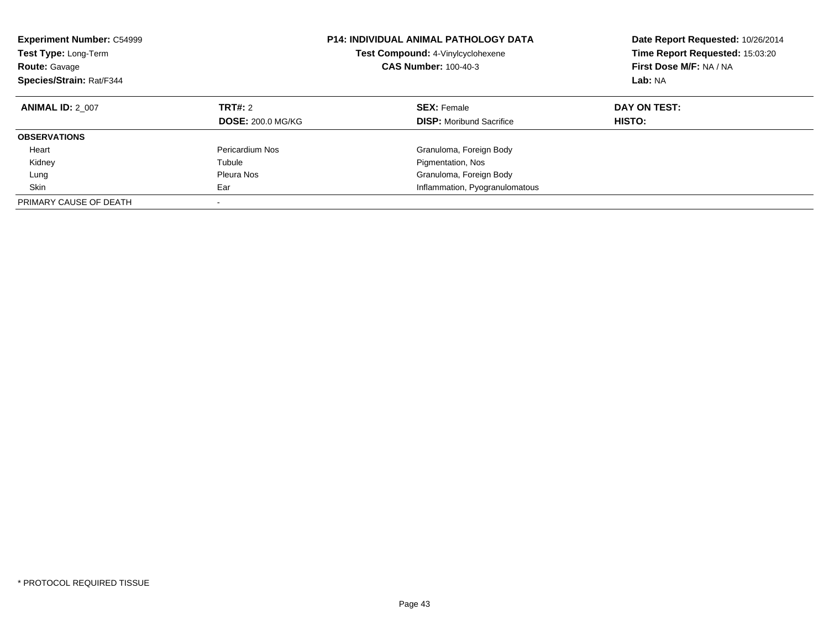| <b>Experiment Number: C54999</b><br>Test Type: Long-Term<br><b>Route: Gavage</b><br>Species/Strain: Rat/F344 |                                     | <b>P14: INDIVIDUAL ANIMAL PATHOLOGY DATA</b><br>Test Compound: 4-Vinylcyclohexene<br><b>CAS Number: 100-40-3</b> | Date Report Requested: 10/26/2014<br>Time Report Requested: 15:03:20<br>First Dose M/F: NA / NA<br>Lab: NA |
|--------------------------------------------------------------------------------------------------------------|-------------------------------------|------------------------------------------------------------------------------------------------------------------|------------------------------------------------------------------------------------------------------------|
| <b>ANIMAL ID: 2 007</b>                                                                                      | TRT#: 2<br><b>DOSE: 200.0 MG/KG</b> | <b>SEX: Female</b><br><b>DISP:</b> Moribund Sacrifice                                                            | DAY ON TEST:<br>HISTO:                                                                                     |
|                                                                                                              |                                     |                                                                                                                  |                                                                                                            |
| <b>OBSERVATIONS</b>                                                                                          |                                     |                                                                                                                  |                                                                                                            |
| Heart                                                                                                        | Pericardium Nos                     | Granuloma, Foreign Body                                                                                          |                                                                                                            |
| Kidney                                                                                                       | Tubule                              | Pigmentation, Nos                                                                                                |                                                                                                            |
| Lung                                                                                                         | Pleura Nos                          | Granuloma, Foreign Body                                                                                          |                                                                                                            |
| Skin                                                                                                         | Ear                                 | Inflammation, Pyogranulomatous                                                                                   |                                                                                                            |
| PRIMARY CAUSE OF DEATH                                                                                       | $\overline{\phantom{a}}$            |                                                                                                                  |                                                                                                            |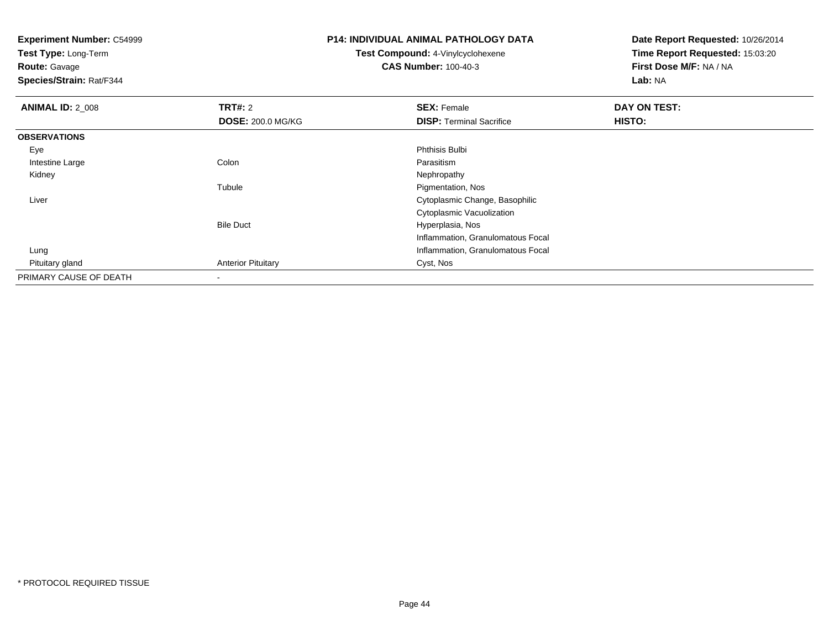**Experiment Number:** C54999**Test Type:** Long-Term**Route:** Gavage **Species/Strain:** Rat/F344**P14: INDIVIDUAL ANIMAL PATHOLOGY DATATest Compound:** 4-Vinylcyclohexene**CAS Number:** 100-40-3**Date Report Requested:** 10/26/2014**Time Report Requested:** 15:03:20**First Dose M/F:** NA / NA**Lab:** NA**ANIMAL ID: 2 008 REX:** Female **DAY ON TEST: CONSIST: SEX:** Female **DAY ON TEST: DOSE:** 200.0 MG/KG**DISP:** Terminal Sacrifice **HISTO: OBSERVATIONS** Eyee discussion of the control of the control of the control of the control of the control of the control of the control of the control of the control of the control of the control of the control of the control of the control Intestine Largee and the Colon Colon Colon Colon and the Parasitism Nephropathy Kidneyy the control of the control of the control of the control of the control of the control of the control of the control of the control of the control of the control of the control of the control of the control of the contro Tubule Pigmentation, Nos Liver Cytoplasmic Change, BasophilicCytoplasmic VacuolizationBile Duct Hyperplasia, Nos Inflammation, Granulomatous Focal Lung Inflammation, Granulomatous Focal Pituitary glandAnterior Pituitary **Cyst, Nos** PRIMARY CAUSE OF DEATH-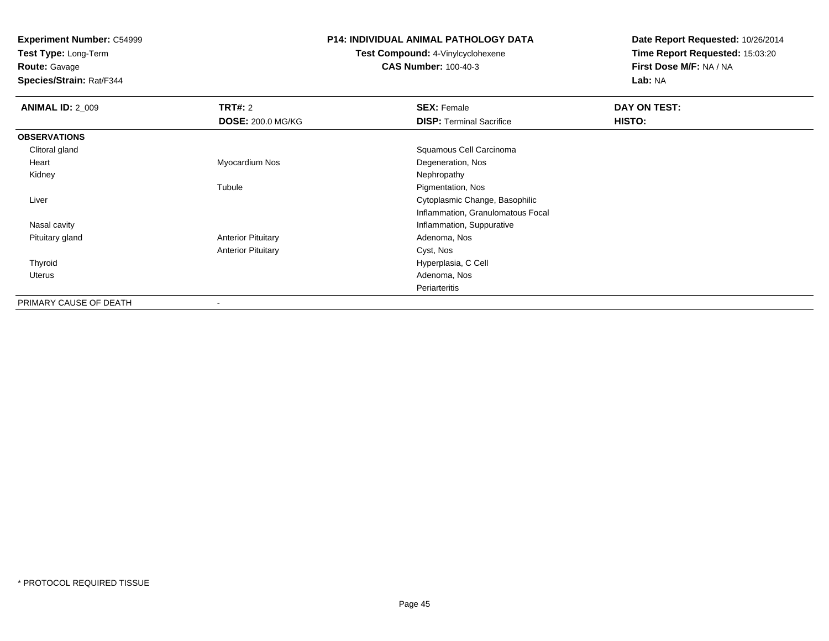**Test Type:** Long-Term

**Route:** Gavage

**Species/Strain:** Rat/F344

#### **P14: INDIVIDUAL ANIMAL PATHOLOGY DATA**

**Test Compound:** 4-Vinylcyclohexene**CAS Number:** 100-40-3

| <b>ANIMAL ID: 2_009</b> | TRT#: 2                   | <b>SEX: Female</b>                | DAY ON TEST: |
|-------------------------|---------------------------|-----------------------------------|--------------|
|                         | <b>DOSE: 200.0 MG/KG</b>  | <b>DISP: Terminal Sacrifice</b>   | HISTO:       |
| <b>OBSERVATIONS</b>     |                           |                                   |              |
| Clitoral gland          |                           | Squamous Cell Carcinoma           |              |
| Heart                   | Myocardium Nos            | Degeneration, Nos                 |              |
| Kidney                  |                           | Nephropathy                       |              |
|                         | Tubule                    | Pigmentation, Nos                 |              |
| Liver                   |                           | Cytoplasmic Change, Basophilic    |              |
|                         |                           | Inflammation, Granulomatous Focal |              |
| Nasal cavity            |                           | Inflammation, Suppurative         |              |
| Pituitary gland         | <b>Anterior Pituitary</b> | Adenoma, Nos                      |              |
|                         | <b>Anterior Pituitary</b> | Cyst, Nos                         |              |
| Thyroid                 |                           | Hyperplasia, C Cell               |              |
| Uterus                  |                           | Adenoma, Nos                      |              |
|                         |                           | Periarteritis                     |              |
| PRIMARY CAUSE OF DEATH  | -                         |                                   |              |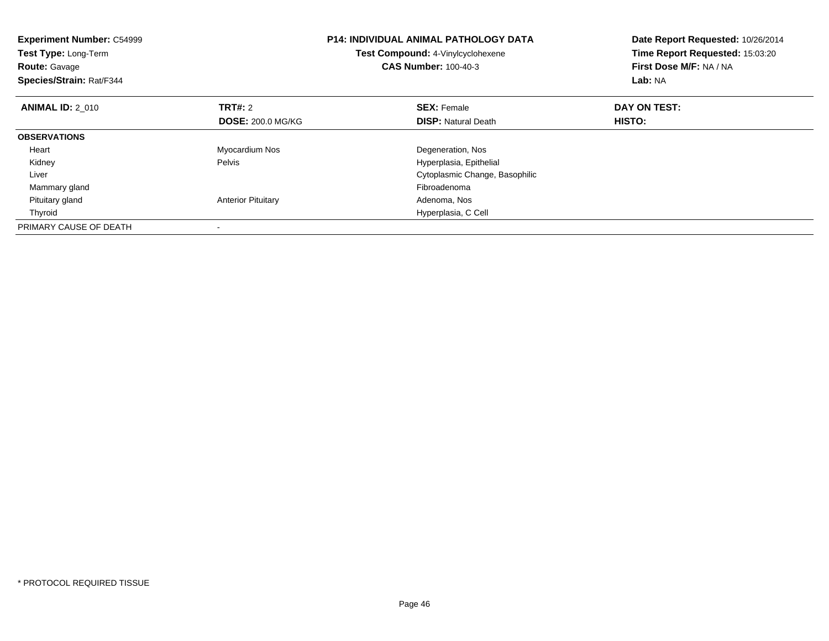| <b>Experiment Number: C54999</b><br><b>Test Type: Long-Term</b><br><b>Route: Gavage</b><br>Species/Strain: Rat/F344 |                           | <b>P14: INDIVIDUAL ANIMAL PATHOLOGY DATA</b><br><b>Test Compound: 4-Vinylcyclohexene</b><br><b>CAS Number: 100-40-3</b> | Date Report Requested: 10/26/2014<br>Time Report Requested: 15:03:20<br>First Dose M/F: NA / NA<br>Lab: NA |
|---------------------------------------------------------------------------------------------------------------------|---------------------------|-------------------------------------------------------------------------------------------------------------------------|------------------------------------------------------------------------------------------------------------|
| <b>ANIMAL ID: 2 010</b>                                                                                             | <b>TRT#: 2</b>            | <b>SEX: Female</b>                                                                                                      | DAY ON TEST:                                                                                               |
|                                                                                                                     | <b>DOSE: 200.0 MG/KG</b>  | <b>DISP:</b> Natural Death                                                                                              | <b>HISTO:</b>                                                                                              |
| <b>OBSERVATIONS</b>                                                                                                 |                           |                                                                                                                         |                                                                                                            |
| Heart                                                                                                               | Myocardium Nos            | Degeneration, Nos                                                                                                       |                                                                                                            |
| Kidney                                                                                                              | Pelvis                    | Hyperplasia, Epithelial                                                                                                 |                                                                                                            |
| Liver                                                                                                               |                           | Cytoplasmic Change, Basophilic                                                                                          |                                                                                                            |
| Mammary gland                                                                                                       |                           | Fibroadenoma                                                                                                            |                                                                                                            |
| Pituitary gland                                                                                                     | <b>Anterior Pituitary</b> | Adenoma, Nos                                                                                                            |                                                                                                            |
| Thyroid                                                                                                             |                           | Hyperplasia, C Cell                                                                                                     |                                                                                                            |
| PRIMARY CAUSE OF DEATH                                                                                              |                           |                                                                                                                         |                                                                                                            |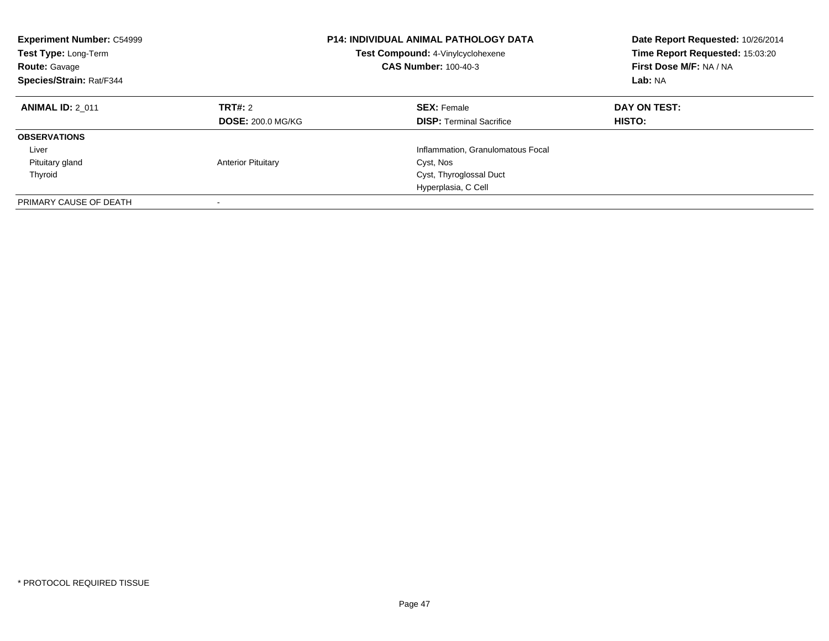| <b>Experiment Number: C54999</b><br><b>Test Type: Long-Term</b><br><b>Route: Gavage</b><br>Species/Strain: Rat/F344 | <b>P14: INDIVIDUAL ANIMAL PATHOLOGY DATA</b><br>Test Compound: 4-Vinylcyclohexene<br><b>CAS Number: 100-40-3</b> |                                                       | Date Report Requested: 10/26/2014<br>Time Report Requested: 15:03:20<br>First Dose M/F: NA / NA<br>Lab: NA |
|---------------------------------------------------------------------------------------------------------------------|------------------------------------------------------------------------------------------------------------------|-------------------------------------------------------|------------------------------------------------------------------------------------------------------------|
| <b>ANIMAL ID: 2 011</b>                                                                                             | TRT#: 2<br><b>DOSE: 200.0 MG/KG</b>                                                                              | <b>SEX: Female</b><br><b>DISP:</b> Terminal Sacrifice | DAY ON TEST:<br><b>HISTO:</b>                                                                              |
| <b>OBSERVATIONS</b>                                                                                                 |                                                                                                                  |                                                       |                                                                                                            |
| Liver                                                                                                               |                                                                                                                  | Inflammation, Granulomatous Focal                     |                                                                                                            |
| Pituitary gland                                                                                                     | <b>Anterior Pituitary</b>                                                                                        | Cyst, Nos                                             |                                                                                                            |
| Thyroid                                                                                                             |                                                                                                                  | Cyst, Thyroglossal Duct                               |                                                                                                            |
|                                                                                                                     |                                                                                                                  | Hyperplasia, C Cell                                   |                                                                                                            |
| PRIMARY CAUSE OF DEATH                                                                                              |                                                                                                                  |                                                       |                                                                                                            |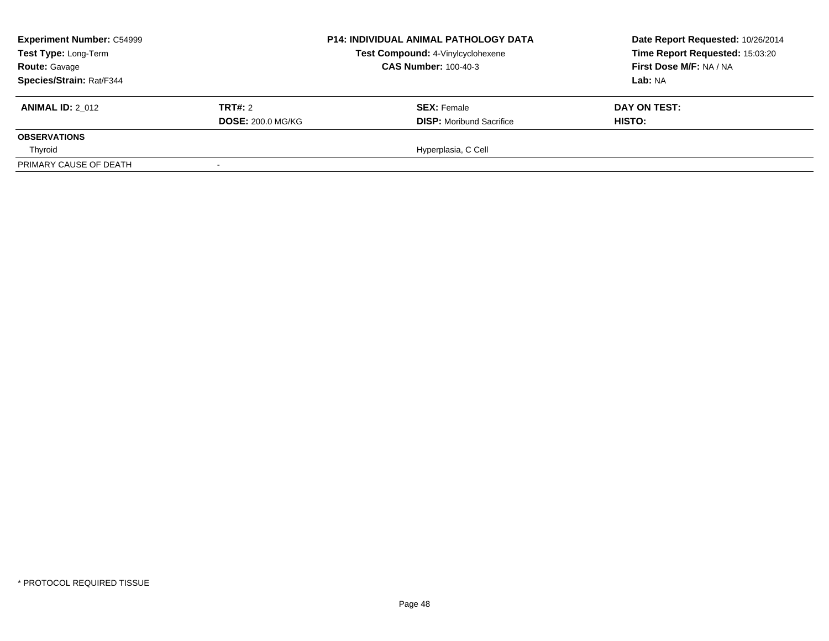| <b>Experiment Number: C54999</b> |                          | <b>P14: INDIVIDUAL ANIMAL PATHOLOGY DATA</b> | Date Report Requested: 10/26/2014 |  |
|----------------------------------|--------------------------|----------------------------------------------|-----------------------------------|--|
| Test Type: Long-Term             |                          | Test Compound: 4-Vinylcyclohexene            | Time Report Requested: 15:03:20   |  |
| <b>Route: Gavage</b>             |                          | <b>CAS Number: 100-40-3</b>                  | First Dose M/F: NA / NA           |  |
| Species/Strain: Rat/F344         |                          |                                              | Lab: NA                           |  |
| <b>ANIMAL ID: 2 012</b>          | <b>TRT#: 2</b>           | <b>SEX:</b> Female                           | DAY ON TEST:                      |  |
|                                  | <b>DOSE: 200.0 MG/KG</b> | <b>DISP:</b> Moribund Sacrifice              | HISTO:                            |  |
| <b>OBSERVATIONS</b>              |                          |                                              |                                   |  |
| Thyroid                          |                          | Hyperplasia, C Cell                          |                                   |  |
| PRIMARY CAUSE OF DEATH           |                          |                                              |                                   |  |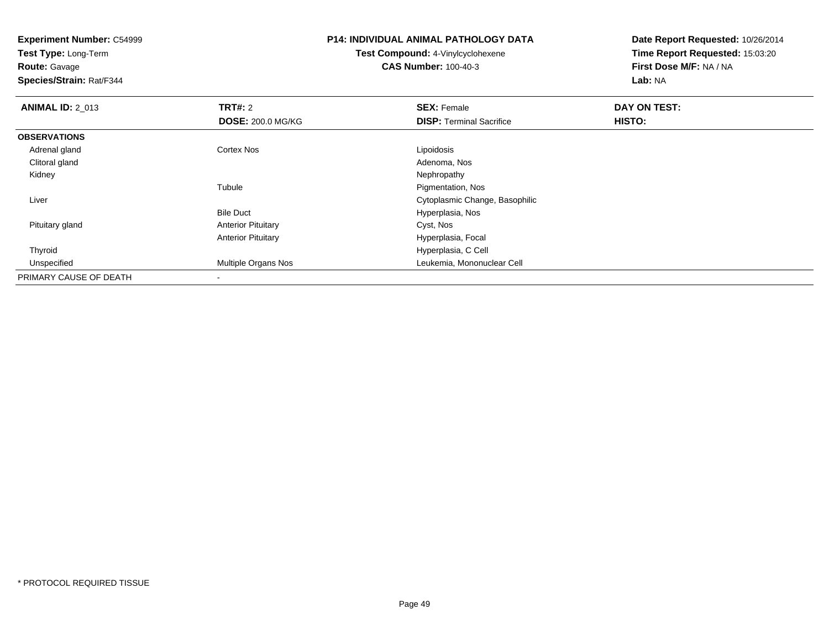**Experiment Number:** C54999**Test Type:** Long-Term**Route:** Gavage **Species/Strain:** Rat/F344**P14: INDIVIDUAL ANIMAL PATHOLOGY DATATest Compound:** 4-Vinylcyclohexene**CAS Number:** 100-40-3**Date Report Requested:** 10/26/2014**Time Report Requested:** 15:03:20**First Dose M/F:** NA / NA**Lab:** NA**ANIMAL ID: 2 013 TRT#:** 2 **SEX:** Female **DAY ON TEST: DOSE:** 200.0 MG/KG**DISP:** Terminal Sacrifice **HISTO: OBSERVATIONS** Adrenal glandd Cortex Nos Cortex Nos Lipoidosis Clitoral glandd and the control of the control of the control of the control of the control of the control of the control of the control of the control of the control of the control of the control of the control of the control of the co Kidneyy the control of the control of the control of the control of the control of the control of the control of the control of the control of the control of the control of the control of the control of the control of the contro Tubule Pigmentation, Nos LiverCytoplasmic Change, Basophilic

Anterior Pituitary **Cyst, Nos** 

Hyperplasia, C Cell

Hyperplasia, Nos

Hyperplasia, Focal

Leukemia, Mononuclear Cell

Bile Duct

-

Anterior Pituitary

Pituitary gland

Thyroid

Unspecified

PRIMARY CAUSE OF DEATH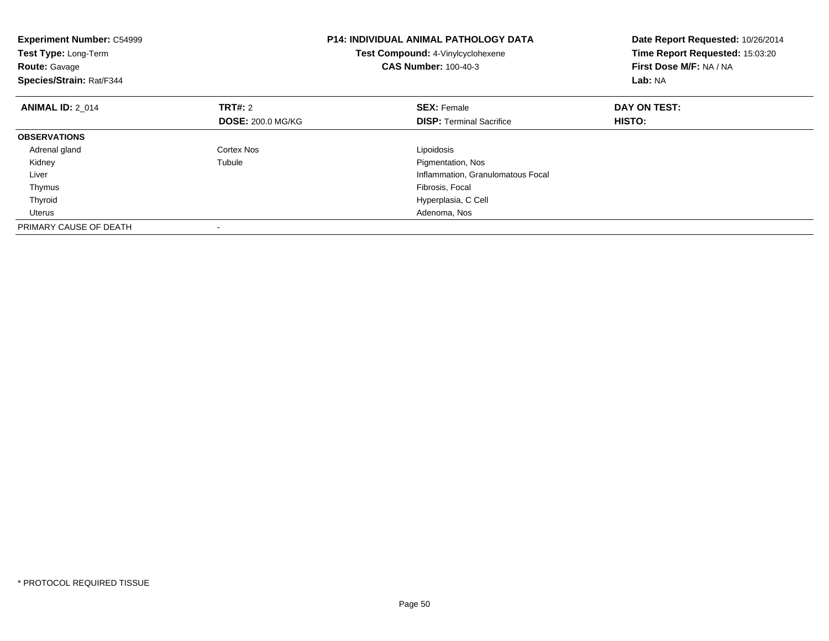| <b>Experiment Number: C54999</b><br>Test Type: Long-Term<br><b>Route: Gavage</b><br>Species/Strain: Rat/F344 |                          | <b>P14: INDIVIDUAL ANIMAL PATHOLOGY DATA</b><br>Test Compound: 4-Vinylcyclohexene<br><b>CAS Number: 100-40-3</b> | Date Report Requested: 10/26/2014<br>Time Report Requested: 15:03:20<br>First Dose M/F: NA / NA<br>Lab: NA |
|--------------------------------------------------------------------------------------------------------------|--------------------------|------------------------------------------------------------------------------------------------------------------|------------------------------------------------------------------------------------------------------------|
| <b>ANIMAL ID: 2 014</b>                                                                                      | <b>TRT#: 2</b>           | <b>SEX: Female</b>                                                                                               | DAY ON TEST:                                                                                               |
|                                                                                                              | <b>DOSE: 200.0 MG/KG</b> | <b>DISP:</b> Terminal Sacrifice                                                                                  | HISTO:                                                                                                     |
| <b>OBSERVATIONS</b>                                                                                          |                          |                                                                                                                  |                                                                                                            |
| Adrenal gland                                                                                                | Cortex Nos               | Lipoidosis                                                                                                       |                                                                                                            |
| Kidney                                                                                                       | Tubule                   | Pigmentation, Nos                                                                                                |                                                                                                            |
| Liver                                                                                                        |                          | Inflammation, Granulomatous Focal                                                                                |                                                                                                            |
| Thymus                                                                                                       |                          | Fibrosis, Focal                                                                                                  |                                                                                                            |
| Thyroid                                                                                                      |                          | Hyperplasia, C Cell                                                                                              |                                                                                                            |
| Uterus                                                                                                       |                          | Adenoma, Nos                                                                                                     |                                                                                                            |
| PRIMARY CAUSE OF DEATH                                                                                       |                          |                                                                                                                  |                                                                                                            |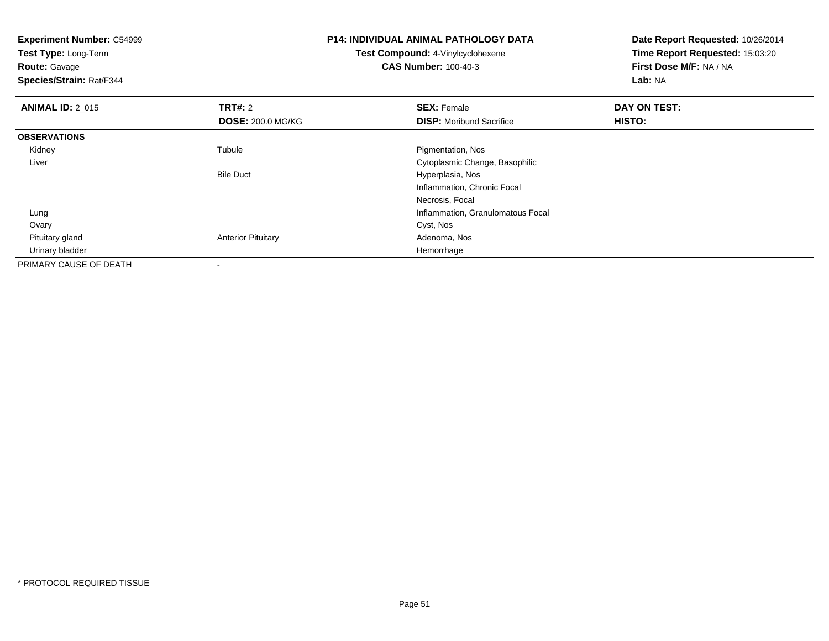| <b>Experiment Number: C54999</b><br><b>Test Type: Long-Term</b><br><b>Route: Gavage</b><br>Species/Strain: Rat/F344 |                           | <b>P14: INDIVIDUAL ANIMAL PATHOLOGY DATA</b><br>Test Compound: 4-Vinylcyclohexene<br><b>CAS Number: 100-40-3</b> | Date Report Requested: 10/26/2014<br>Time Report Requested: 15:03:20<br>First Dose M/F: NA / NA<br>Lab: NA |
|---------------------------------------------------------------------------------------------------------------------|---------------------------|------------------------------------------------------------------------------------------------------------------|------------------------------------------------------------------------------------------------------------|
| <b>ANIMAL ID: 2_015</b>                                                                                             | <b>TRT#: 2</b>            | <b>SEX: Female</b>                                                                                               | DAY ON TEST:                                                                                               |
|                                                                                                                     | <b>DOSE: 200.0 MG/KG</b>  | <b>DISP:</b> Moribund Sacrifice                                                                                  | HISTO:                                                                                                     |
| <b>OBSERVATIONS</b>                                                                                                 |                           |                                                                                                                  |                                                                                                            |
| Kidney                                                                                                              | Tubule                    | Pigmentation, Nos                                                                                                |                                                                                                            |
| Liver                                                                                                               |                           | Cytoplasmic Change, Basophilic                                                                                   |                                                                                                            |
|                                                                                                                     | <b>Bile Duct</b>          | Hyperplasia, Nos                                                                                                 |                                                                                                            |
|                                                                                                                     |                           | Inflammation, Chronic Focal                                                                                      |                                                                                                            |
|                                                                                                                     |                           | Necrosis, Focal                                                                                                  |                                                                                                            |
| Lung                                                                                                                |                           | Inflammation, Granulomatous Focal                                                                                |                                                                                                            |
| Ovary                                                                                                               |                           | Cyst, Nos                                                                                                        |                                                                                                            |
| Pituitary gland                                                                                                     | <b>Anterior Pituitary</b> | Adenoma, Nos                                                                                                     |                                                                                                            |
| Urinary bladder                                                                                                     |                           | Hemorrhage                                                                                                       |                                                                                                            |
| PRIMARY CAUSE OF DEATH                                                                                              |                           |                                                                                                                  |                                                                                                            |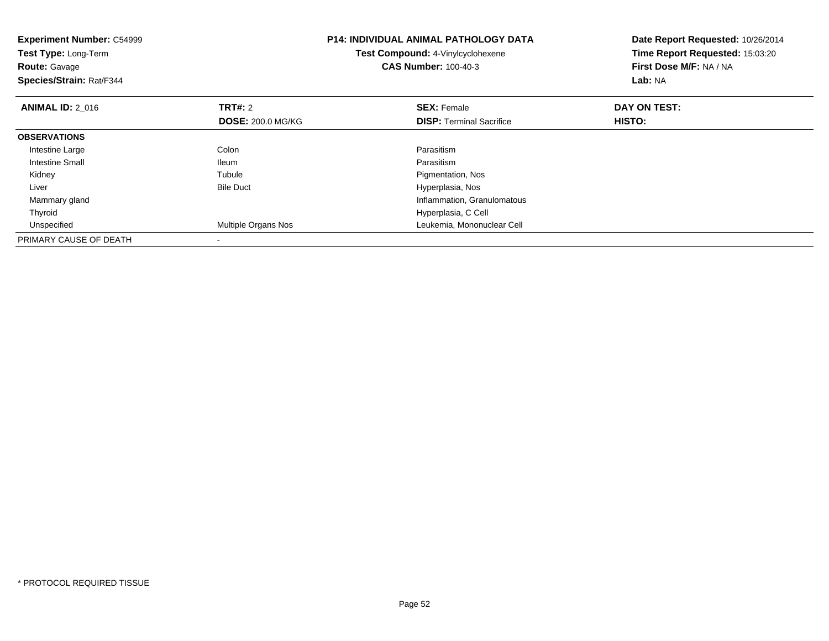| <b>Experiment Number: C54999</b><br>Test Type: Long-Term<br><b>Route: Gavage</b><br>Species/Strain: Rat/F344 |                          | <b>P14: INDIVIDUAL ANIMAL PATHOLOGY DATA</b><br>Test Compound: 4-Vinylcyclohexene<br><b>CAS Number: 100-40-3</b> | Date Report Requested: 10/26/2014<br>Time Report Requested: 15:03:20<br>First Dose M/F: NA / NA<br>Lab: NA |
|--------------------------------------------------------------------------------------------------------------|--------------------------|------------------------------------------------------------------------------------------------------------------|------------------------------------------------------------------------------------------------------------|
| <b>ANIMAL ID: 2 016</b>                                                                                      | <b>TRT#: 2</b>           | <b>SEX: Female</b>                                                                                               | DAY ON TEST:                                                                                               |
|                                                                                                              | <b>DOSE: 200.0 MG/KG</b> | <b>DISP:</b> Terminal Sacrifice                                                                                  | HISTO:                                                                                                     |
| <b>OBSERVATIONS</b>                                                                                          |                          |                                                                                                                  |                                                                                                            |
| Intestine Large                                                                                              | Colon                    | Parasitism                                                                                                       |                                                                                                            |
| <b>Intestine Small</b>                                                                                       | <b>Ileum</b>             | Parasitism                                                                                                       |                                                                                                            |
| Kidney                                                                                                       | Tubule                   | Pigmentation, Nos                                                                                                |                                                                                                            |
| Liver                                                                                                        | <b>Bile Duct</b>         | Hyperplasia, Nos                                                                                                 |                                                                                                            |
| Mammary gland                                                                                                |                          | Inflammation, Granulomatous                                                                                      |                                                                                                            |
| Thyroid                                                                                                      |                          | Hyperplasia, C Cell                                                                                              |                                                                                                            |
| Unspecified                                                                                                  | Multiple Organs Nos      | Leukemia, Mononuclear Cell                                                                                       |                                                                                                            |
| PRIMARY CAUSE OF DEATH                                                                                       |                          |                                                                                                                  |                                                                                                            |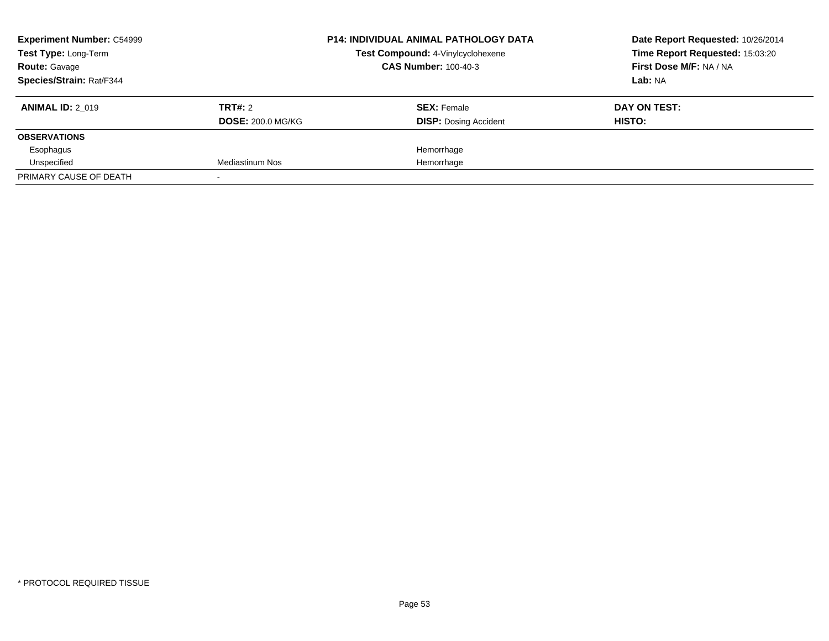| <b>Experiment Number: C54999</b> |                          | <b>P14: INDIVIDUAL ANIMAL PATHOLOGY DATA</b> | Date Report Requested: 10/26/2014 |
|----------------------------------|--------------------------|----------------------------------------------|-----------------------------------|
| Test Type: Long-Term             |                          | Test Compound: 4-Vinylcyclohexene            | Time Report Requested: 15:03:20   |
| <b>Route: Gavage</b>             |                          | <b>CAS Number: 100-40-3</b>                  | First Dose M/F: NA / NA           |
| Species/Strain: Rat/F344         |                          |                                              | Lab: NA                           |
| <b>ANIMAL ID: 2 019</b>          | TRT#: 2                  | <b>SEX: Female</b>                           | DAY ON TEST:                      |
|                                  | <b>DOSE: 200.0 MG/KG</b> | <b>DISP:</b> Dosing Accident                 | HISTO:                            |
| <b>OBSERVATIONS</b>              |                          |                                              |                                   |
| Esophagus                        |                          | Hemorrhage                                   |                                   |
| Unspecified                      | Mediastinum Nos          | Hemorrhage                                   |                                   |
| PRIMARY CAUSE OF DEATH           |                          |                                              |                                   |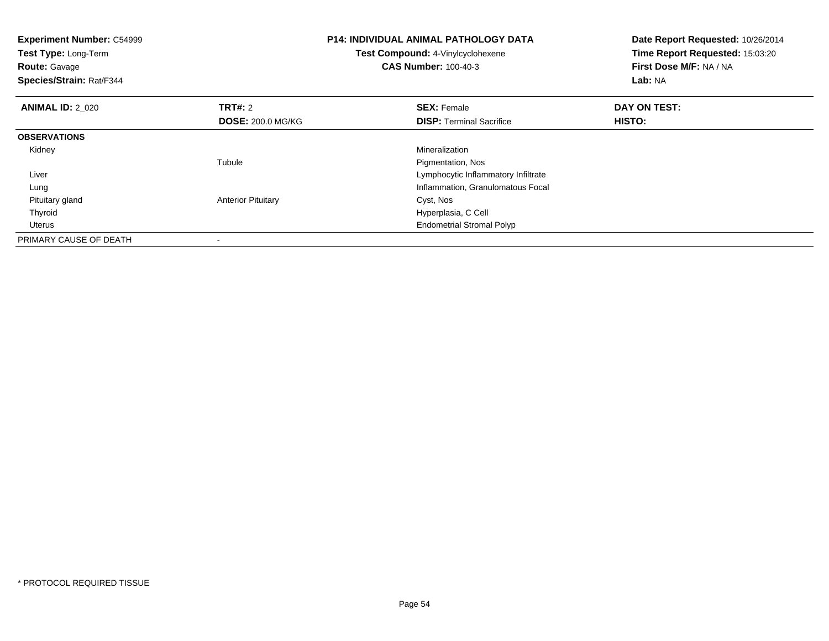| <b>Experiment Number: C54999</b><br><b>Test Type: Long-Term</b><br><b>Route: Gavage</b><br>Species/Strain: Rat/F344 |                                            | <b>P14: INDIVIDUAL ANIMAL PATHOLOGY DATA</b><br>Test Compound: 4-Vinylcyclohexene<br><b>CAS Number: 100-40-3</b> | Date Report Requested: 10/26/2014<br>Time Report Requested: 15:03:20<br>First Dose M/F: NA / NA<br>Lab: NA |
|---------------------------------------------------------------------------------------------------------------------|--------------------------------------------|------------------------------------------------------------------------------------------------------------------|------------------------------------------------------------------------------------------------------------|
| <b>ANIMAL ID: 2 020</b>                                                                                             | <b>TRT#: 2</b><br><b>DOSE: 200.0 MG/KG</b> | <b>SEX: Female</b><br><b>DISP:</b> Terminal Sacrifice                                                            | DAY ON TEST:<br>HISTO:                                                                                     |
| <b>OBSERVATIONS</b>                                                                                                 |                                            |                                                                                                                  |                                                                                                            |
| Kidney                                                                                                              |                                            | Mineralization                                                                                                   |                                                                                                            |
|                                                                                                                     | Tubule                                     | Pigmentation, Nos                                                                                                |                                                                                                            |
| Liver                                                                                                               |                                            | Lymphocytic Inflammatory Infiltrate                                                                              |                                                                                                            |
| Lung                                                                                                                |                                            | Inflammation, Granulomatous Focal                                                                                |                                                                                                            |
| Pituitary gland                                                                                                     | <b>Anterior Pituitary</b>                  | Cyst, Nos                                                                                                        |                                                                                                            |
| Thyroid                                                                                                             |                                            | Hyperplasia, C Cell                                                                                              |                                                                                                            |
| Uterus                                                                                                              |                                            | <b>Endometrial Stromal Polyp</b>                                                                                 |                                                                                                            |
| PRIMARY CAUSE OF DEATH                                                                                              |                                            |                                                                                                                  |                                                                                                            |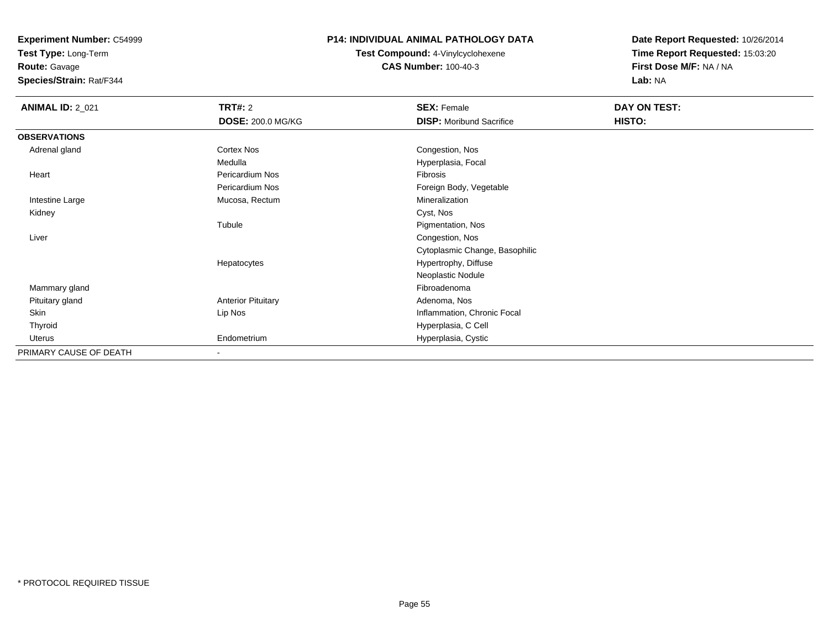**Test Type:** Long-Term

**Route:** Gavage

**Species/Strain:** Rat/F344

#### **P14: INDIVIDUAL ANIMAL PATHOLOGY DATA**

**Test Compound:** 4-Vinylcyclohexene**CAS Number:** 100-40-3

| <b>ANIMAL ID: 2_021</b> | <b>TRT#: 2</b>            | <b>SEX: Female</b>              | <b>DAY ON TEST:</b> |  |
|-------------------------|---------------------------|---------------------------------|---------------------|--|
|                         | <b>DOSE: 200.0 MG/KG</b>  | <b>DISP:</b> Moribund Sacrifice | HISTO:              |  |
| <b>OBSERVATIONS</b>     |                           |                                 |                     |  |
| Adrenal gland           | Cortex Nos                | Congestion, Nos                 |                     |  |
|                         | Medulla                   | Hyperplasia, Focal              |                     |  |
| Heart                   | Pericardium Nos           | Fibrosis                        |                     |  |
|                         | Pericardium Nos           | Foreign Body, Vegetable         |                     |  |
| Intestine Large         | Mucosa, Rectum            | Mineralization                  |                     |  |
| Kidney                  |                           | Cyst, Nos                       |                     |  |
|                         | Tubule                    | Pigmentation, Nos               |                     |  |
| Liver                   |                           | Congestion, Nos                 |                     |  |
|                         |                           | Cytoplasmic Change, Basophilic  |                     |  |
|                         | Hepatocytes               | Hypertrophy, Diffuse            |                     |  |
|                         |                           | Neoplastic Nodule               |                     |  |
| Mammary gland           |                           | Fibroadenoma                    |                     |  |
| Pituitary gland         | <b>Anterior Pituitary</b> | Adenoma, Nos                    |                     |  |
| Skin                    | Lip Nos                   | Inflammation, Chronic Focal     |                     |  |
| Thyroid                 |                           | Hyperplasia, C Cell             |                     |  |
| Uterus                  | Endometrium               | Hyperplasia, Cystic             |                     |  |
| PRIMARY CAUSE OF DEATH  | $\blacksquare$            |                                 |                     |  |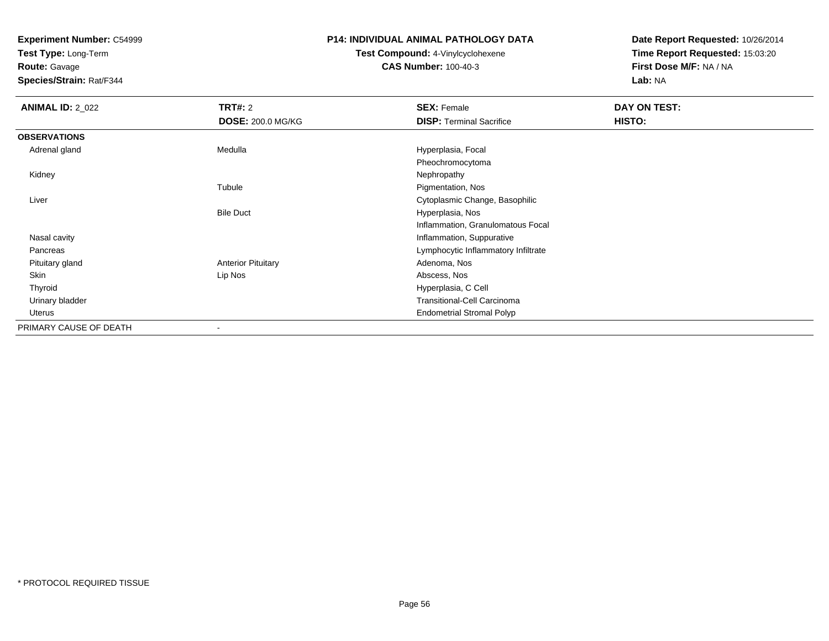**Test Type:** Long-Term

**Route:** Gavage

**Species/Strain:** Rat/F344

#### **P14: INDIVIDUAL ANIMAL PATHOLOGY DATA**

**Test Compound:** 4-Vinylcyclohexene**CAS Number:** 100-40-3

| <b>ANIMAL ID: 2_022</b> | <b>TRT#:</b> 2            | <b>SEX: Female</b>                  | DAY ON TEST: |  |
|-------------------------|---------------------------|-------------------------------------|--------------|--|
|                         | <b>DOSE: 200.0 MG/KG</b>  | <b>DISP:</b> Terminal Sacrifice     | HISTO:       |  |
| <b>OBSERVATIONS</b>     |                           |                                     |              |  |
| Adrenal gland           | Medulla                   | Hyperplasia, Focal                  |              |  |
|                         |                           | Pheochromocytoma                    |              |  |
| Kidney                  |                           | Nephropathy                         |              |  |
|                         | Tubule                    | Pigmentation, Nos                   |              |  |
| Liver                   |                           | Cytoplasmic Change, Basophilic      |              |  |
|                         | <b>Bile Duct</b>          | Hyperplasia, Nos                    |              |  |
|                         |                           | Inflammation, Granulomatous Focal   |              |  |
| Nasal cavity            |                           | Inflammation, Suppurative           |              |  |
| Pancreas                |                           | Lymphocytic Inflammatory Infiltrate |              |  |
| Pituitary gland         | <b>Anterior Pituitary</b> | Adenoma, Nos                        |              |  |
| Skin                    | Lip Nos                   | Abscess, Nos                        |              |  |
| Thyroid                 |                           | Hyperplasia, C Cell                 |              |  |
| Urinary bladder         |                           | Transitional-Cell Carcinoma         |              |  |
| Uterus                  |                           | <b>Endometrial Stromal Polyp</b>    |              |  |
| PRIMARY CAUSE OF DEATH  |                           |                                     |              |  |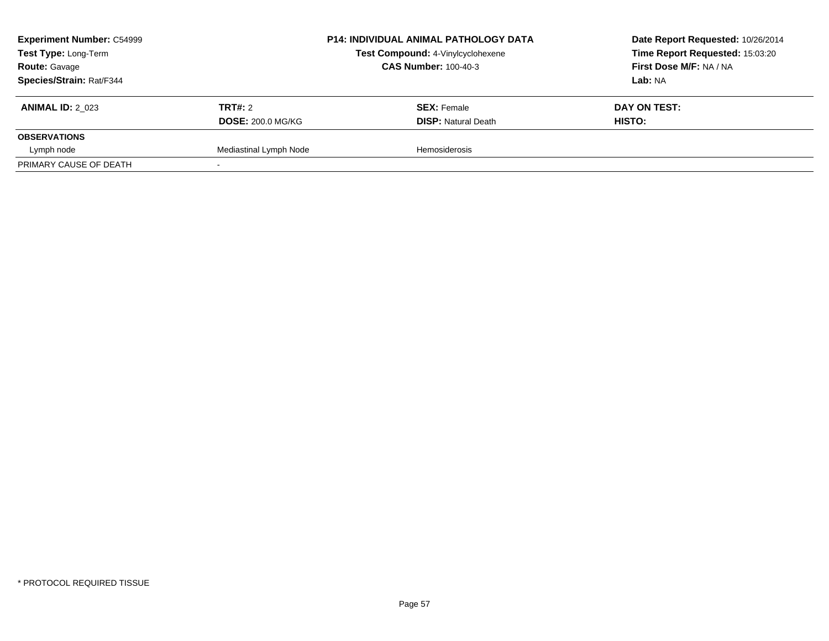| <b>Experiment Number: C54999</b><br>Test Type: Long-Term<br><b>Route: Gavage</b><br>Species/Strain: Rat/F344 |                                            | <b>P14: INDIVIDUAL ANIMAL PATHOLOGY DATA</b><br>Test Compound: 4-Vinylcyclohexene<br><b>CAS Number: 100-40-3</b> | Date Report Requested: 10/26/2014<br>Time Report Requested: 15:03:20<br>First Dose M/F: NA / NA<br>Lab: NA |
|--------------------------------------------------------------------------------------------------------------|--------------------------------------------|------------------------------------------------------------------------------------------------------------------|------------------------------------------------------------------------------------------------------------|
| <b>ANIMAL ID: 2 023</b>                                                                                      | <b>TRT#: 2</b><br><b>DOSE: 200.0 MG/KG</b> | <b>SEX: Female</b><br><b>DISP:</b> Natural Death                                                                 | DAY ON TEST:<br>HISTO:                                                                                     |
| <b>OBSERVATIONS</b>                                                                                          |                                            |                                                                                                                  |                                                                                                            |
| Lymph node                                                                                                   | Mediastinal Lymph Node                     | Hemosiderosis                                                                                                    |                                                                                                            |
| PRIMARY CAUSE OF DEATH                                                                                       |                                            |                                                                                                                  |                                                                                                            |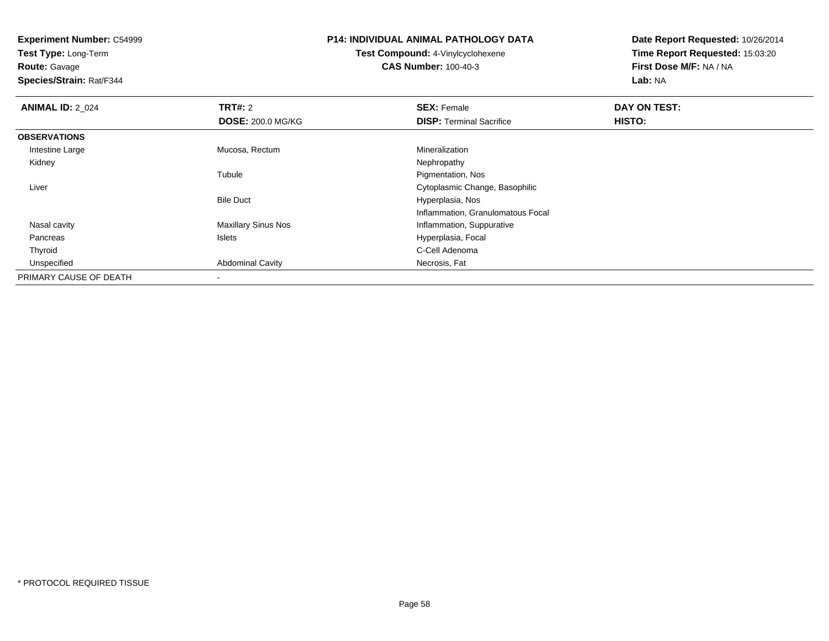**Test Type:** Long-Term

**Route:** Gavage

**Species/Strain:** Rat/F344

## **P14: INDIVIDUAL ANIMAL PATHOLOGY DATA**

**Test Compound:** 4-Vinylcyclohexene**CAS Number:** 100-40-3

| <b>ANIMAL ID: 2 024</b> | TRT#: 2                    | <b>SEX: Female</b>                | DAY ON TEST: |  |
|-------------------------|----------------------------|-----------------------------------|--------------|--|
|                         | <b>DOSE: 200.0 MG/KG</b>   | <b>DISP: Terminal Sacrifice</b>   | HISTO:       |  |
| <b>OBSERVATIONS</b>     |                            |                                   |              |  |
| Intestine Large         | Mucosa, Rectum             | Mineralization                    |              |  |
| Kidney                  |                            | Nephropathy                       |              |  |
|                         | Tubule                     | Pigmentation, Nos                 |              |  |
| Liver                   |                            | Cytoplasmic Change, Basophilic    |              |  |
|                         | <b>Bile Duct</b>           | Hyperplasia, Nos                  |              |  |
|                         |                            | Inflammation, Granulomatous Focal |              |  |
| Nasal cavity            | <b>Maxillary Sinus Nos</b> | Inflammation, Suppurative         |              |  |
| Pancreas                | Islets                     | Hyperplasia, Focal                |              |  |
| Thyroid                 |                            | C-Cell Adenoma                    |              |  |
| Unspecified             | <b>Abdominal Cavity</b>    | Necrosis, Fat                     |              |  |
| PRIMARY CAUSE OF DEATH  |                            |                                   |              |  |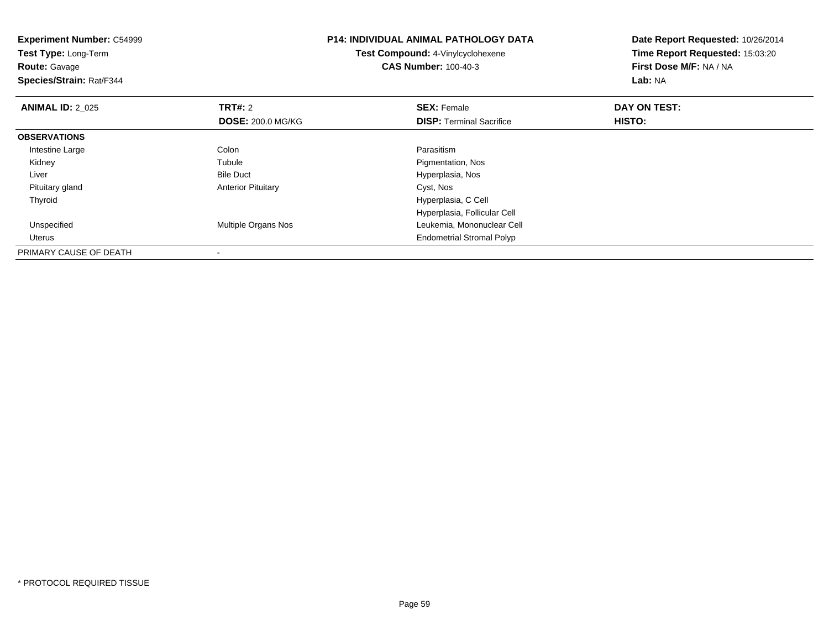| <b>Experiment Number: C54999</b><br>Test Type: Long-Term<br><b>Route: Gavage</b><br>Species/Strain: Rat/F344 |                           | <b>P14: INDIVIDUAL ANIMAL PATHOLOGY DATA</b><br>Test Compound: 4-Vinylcyclohexene<br><b>CAS Number: 100-40-3</b> | Date Report Requested: 10/26/2014<br>Time Report Requested: 15:03:20<br>First Dose M/F: NA / NA<br>Lab: NA |
|--------------------------------------------------------------------------------------------------------------|---------------------------|------------------------------------------------------------------------------------------------------------------|------------------------------------------------------------------------------------------------------------|
| <b>ANIMAL ID: 2 025</b>                                                                                      | <b>TRT#: 2</b>            | <b>SEX: Female</b>                                                                                               | DAY ON TEST:                                                                                               |
|                                                                                                              | <b>DOSE: 200.0 MG/KG</b>  | <b>DISP:</b> Terminal Sacrifice                                                                                  | HISTO:                                                                                                     |
| <b>OBSERVATIONS</b>                                                                                          |                           |                                                                                                                  |                                                                                                            |
| Intestine Large                                                                                              | Colon                     | Parasitism                                                                                                       |                                                                                                            |
| Kidney                                                                                                       | Tubule                    | Pigmentation, Nos                                                                                                |                                                                                                            |
| Liver                                                                                                        | <b>Bile Duct</b>          | Hyperplasia, Nos                                                                                                 |                                                                                                            |
| Pituitary gland                                                                                              | <b>Anterior Pituitary</b> | Cyst, Nos                                                                                                        |                                                                                                            |
| Thyroid                                                                                                      |                           | Hyperplasia, C Cell                                                                                              |                                                                                                            |
|                                                                                                              |                           | Hyperplasia, Follicular Cell                                                                                     |                                                                                                            |
| Unspecified                                                                                                  | Multiple Organs Nos       | Leukemia, Mononuclear Cell                                                                                       |                                                                                                            |
| Uterus                                                                                                       |                           | <b>Endometrial Stromal Polyp</b>                                                                                 |                                                                                                            |
| PRIMARY CAUSE OF DEATH                                                                                       |                           |                                                                                                                  |                                                                                                            |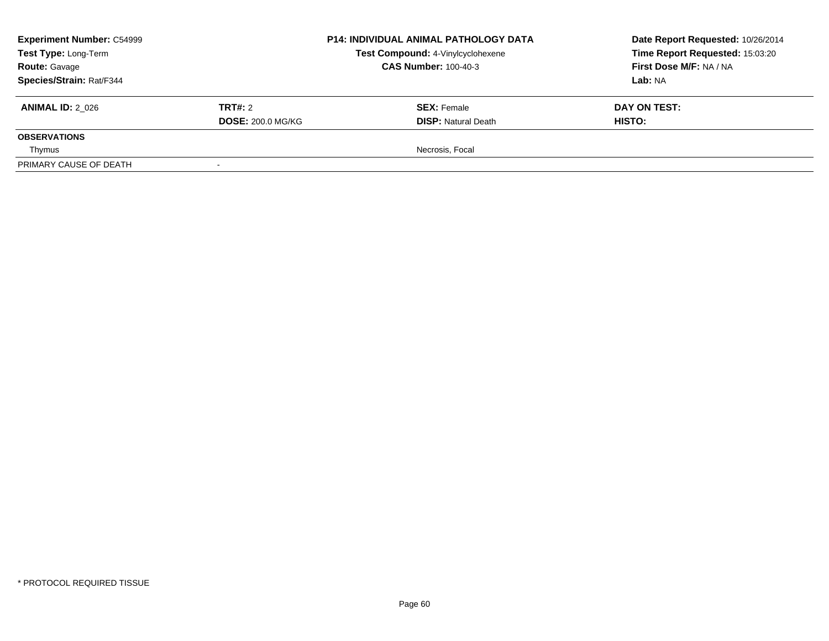| <b>Experiment Number: C54999</b><br>Test Type: Long-Term<br><b>Route: Gavage</b><br>Species/Strain: Rat/F344 |                                            | <b>P14: INDIVIDUAL ANIMAL PATHOLOGY DATA</b><br>Test Compound: 4-Vinylcyclohexene<br><b>CAS Number: 100-40-3</b> | Date Report Requested: 10/26/2014<br>Time Report Requested: 15:03:20<br>First Dose M/F: NA / NA<br>Lab: NA |
|--------------------------------------------------------------------------------------------------------------|--------------------------------------------|------------------------------------------------------------------------------------------------------------------|------------------------------------------------------------------------------------------------------------|
| <b>ANIMAL ID: 2 026</b>                                                                                      | <b>TRT#: 2</b><br><b>DOSE: 200.0 MG/KG</b> | <b>SEX: Female</b><br><b>DISP: Natural Death</b>                                                                 | DAY ON TEST:<br><b>HISTO:</b>                                                                              |
| <b>OBSERVATIONS</b>                                                                                          |                                            |                                                                                                                  |                                                                                                            |
| Thymus                                                                                                       |                                            | Necrosis, Focal                                                                                                  |                                                                                                            |
| PRIMARY CAUSE OF DEATH                                                                                       |                                            |                                                                                                                  |                                                                                                            |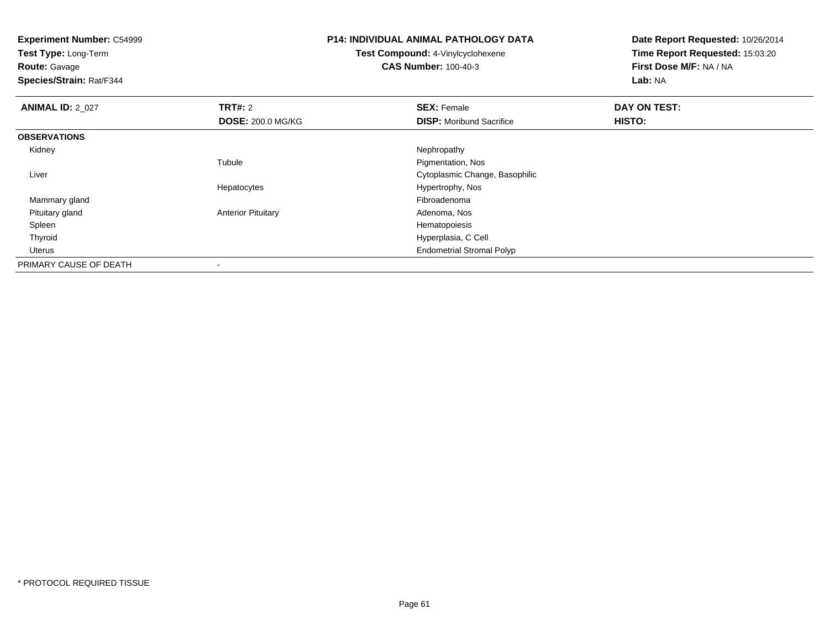| <b>Experiment Number: C54999</b><br>Test Type: Long-Term<br><b>Route: Gavage</b><br>Species/Strain: Rat/F344 |                           | <b>P14: INDIVIDUAL ANIMAL PATHOLOGY DATA</b><br>Test Compound: 4-Vinylcyclohexene<br><b>CAS Number: 100-40-3</b> | Date Report Requested: 10/26/2014<br>Time Report Requested: 15:03:20<br>First Dose M/F: NA / NA<br>Lab: NA |
|--------------------------------------------------------------------------------------------------------------|---------------------------|------------------------------------------------------------------------------------------------------------------|------------------------------------------------------------------------------------------------------------|
| <b>ANIMAL ID: 2_027</b>                                                                                      | <b>TRT#: 2</b>            | <b>SEX: Female</b>                                                                                               | DAY ON TEST:                                                                                               |
|                                                                                                              | <b>DOSE: 200.0 MG/KG</b>  | <b>DISP:</b> Moribund Sacrifice                                                                                  | HISTO:                                                                                                     |
| <b>OBSERVATIONS</b>                                                                                          |                           |                                                                                                                  |                                                                                                            |
| Kidney                                                                                                       |                           | Nephropathy                                                                                                      |                                                                                                            |
|                                                                                                              | Tubule                    | Pigmentation, Nos                                                                                                |                                                                                                            |
| Liver                                                                                                        |                           | Cytoplasmic Change, Basophilic                                                                                   |                                                                                                            |
|                                                                                                              | Hepatocytes               | Hypertrophy, Nos                                                                                                 |                                                                                                            |
| Mammary gland                                                                                                |                           | Fibroadenoma                                                                                                     |                                                                                                            |
| Pituitary gland                                                                                              | <b>Anterior Pituitary</b> | Adenoma, Nos                                                                                                     |                                                                                                            |
| Spleen                                                                                                       |                           | Hematopoiesis                                                                                                    |                                                                                                            |
| Thyroid                                                                                                      |                           | Hyperplasia, C Cell                                                                                              |                                                                                                            |
| Uterus                                                                                                       |                           | <b>Endometrial Stromal Polyp</b>                                                                                 |                                                                                                            |
| PRIMARY CAUSE OF DEATH                                                                                       |                           |                                                                                                                  |                                                                                                            |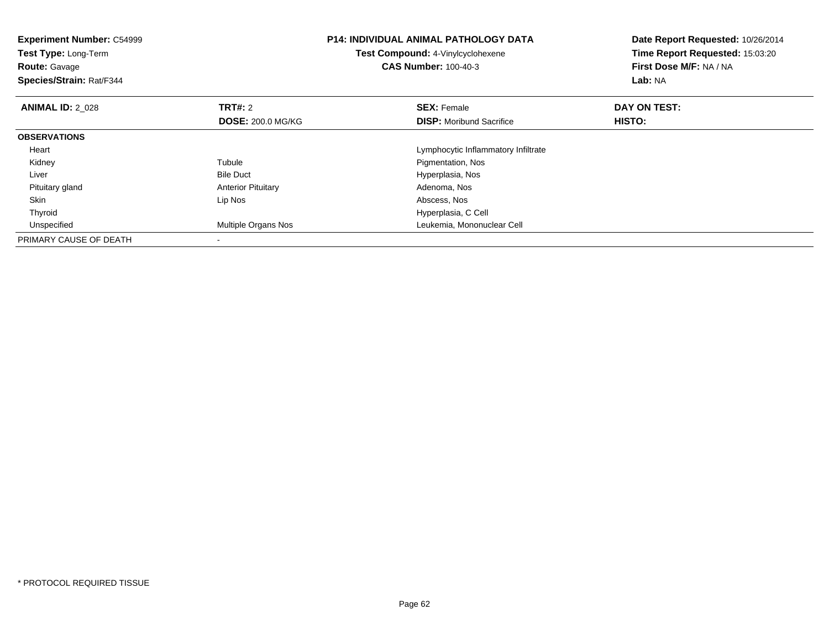| <b>Experiment Number: C54999</b><br>Test Type: Long-Term<br><b>Route: Gavage</b><br>Species/Strain: Rat/F344 |                                            | <b>P14: INDIVIDUAL ANIMAL PATHOLOGY DATA</b><br>Test Compound: 4-Vinylcyclohexene<br><b>CAS Number: 100-40-3</b> | Date Report Requested: 10/26/2014<br>Time Report Requested: 15:03:20<br>First Dose M/F: NA / NA<br><b>Lab: NA</b> |
|--------------------------------------------------------------------------------------------------------------|--------------------------------------------|------------------------------------------------------------------------------------------------------------------|-------------------------------------------------------------------------------------------------------------------|
| <b>ANIMAL ID: 2 028</b>                                                                                      | <b>TRT#: 2</b><br><b>DOSE: 200.0 MG/KG</b> | <b>SEX: Female</b><br><b>DISP:</b> Moribund Sacrifice                                                            | DAY ON TEST:<br>HISTO:                                                                                            |
| <b>OBSERVATIONS</b>                                                                                          |                                            |                                                                                                                  |                                                                                                                   |
| Heart                                                                                                        |                                            | Lymphocytic Inflammatory Infiltrate                                                                              |                                                                                                                   |
| Kidney                                                                                                       | Tubule                                     | Pigmentation, Nos                                                                                                |                                                                                                                   |
| Liver                                                                                                        | <b>Bile Duct</b>                           | Hyperplasia, Nos                                                                                                 |                                                                                                                   |
| Pituitary gland                                                                                              | <b>Anterior Pituitary</b>                  | Adenoma, Nos                                                                                                     |                                                                                                                   |
| Skin                                                                                                         | Lip Nos                                    | Abscess, Nos                                                                                                     |                                                                                                                   |
| Thyroid                                                                                                      |                                            | Hyperplasia, C Cell                                                                                              |                                                                                                                   |
| Unspecified                                                                                                  | <b>Multiple Organs Nos</b>                 | Leukemia, Mononuclear Cell                                                                                       |                                                                                                                   |
| PRIMARY CAUSE OF DEATH                                                                                       |                                            |                                                                                                                  |                                                                                                                   |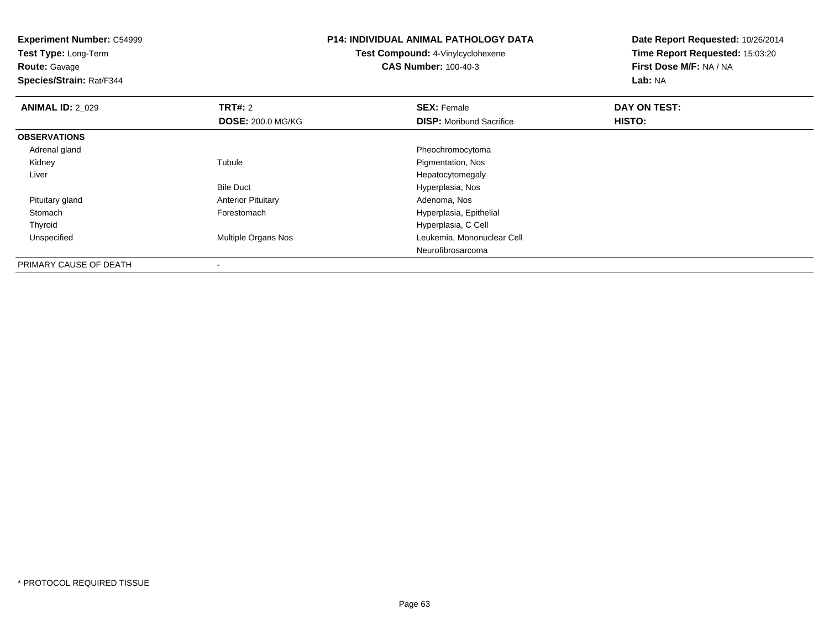**Experiment Number:** C54999**Test Type:** Long-Term**Route:** Gavage **Species/Strain:** Rat/F344**P14: INDIVIDUAL ANIMAL PATHOLOGY DATATest Compound:** 4-Vinylcyclohexene**CAS Number:** 100-40-3**Date Report Requested:** 10/26/2014**Time Report Requested:** 15:03:20**First Dose M/F:** NA / NA**Lab:** NA**ANIMAL ID: 2 029 TRT#:** 2 **SEX:** Female **DAY ON TEST: DOSE:** 200.0 MG/KG**DISP:** Moribund Sacrifice **HISTO: OBSERVATIONS** Adrenal glandPheochromocytoma<br>
Pigmentation, Nos<br>
Pigmentation, Nos Kidneyy the contract of the contract of the contract of the contract of the contract of the contract of the contract of the contract of the contract of the contract of the contract of the contract of the contract of the contract Pigmentation, Nos Liver Hepatocytomegalyt **Extreme Extreme Extreme Extreme Extreme Extreme Extreme Extreme Extreme Extreme Extreme Extreme Extreme Extreme Extreme Extreme Extreme Extreme Extreme Extreme Extreme Extreme Extreme Extreme Extreme Extreme Extreme Ext** Bile Duct Pituitary glandAnterior Pituitary **Adenoma, Nostang Pituitary** Adenoma, Nostang Pitual Adenoma, Nostang Pitual Adenoma, Nostang<br>
Hyperplasia, Ep StomachHyperplasia, Epithelial ThyroidHyperplasia, C Cell<br>Multiple Organs Nos<br>Leukemia, Mononu UnspecifiedLeukemia, Mononuclear Cell Neurofibrosarcoma

PRIMARY CAUSE OF DEATH-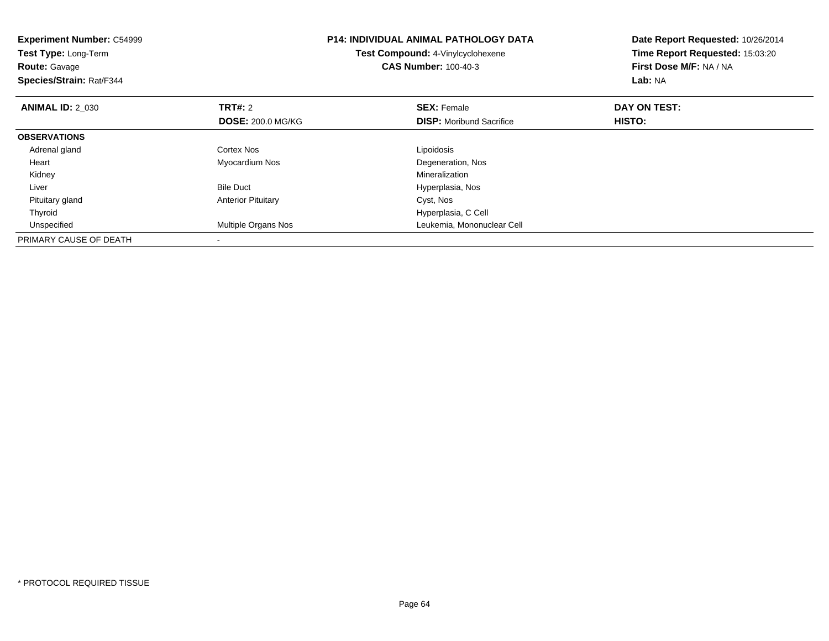| <b>Experiment Number: C54999</b><br>Test Type: Long-Term<br><b>Route: Gavage</b><br>Species/Strain: Rat/F344 | P14: INDIVIDUAL ANIMAL PATHOLOGY DATA<br>Test Compound: 4-Vinylcyclohexene<br><b>CAS Number: 100-40-3</b> |                                 | Date Report Requested: 10/26/2014<br>Time Report Requested: 15:03:20<br>First Dose M/F: NA / NA<br>Lab: NA |  |
|--------------------------------------------------------------------------------------------------------------|-----------------------------------------------------------------------------------------------------------|---------------------------------|------------------------------------------------------------------------------------------------------------|--|
| <b>ANIMAL ID: 2 030</b>                                                                                      | <b>TRT#:</b> 2                                                                                            | <b>SEX: Female</b>              | DAY ON TEST:                                                                                               |  |
|                                                                                                              | <b>DOSE: 200.0 MG/KG</b>                                                                                  | <b>DISP:</b> Moribund Sacrifice | HISTO:                                                                                                     |  |
| <b>OBSERVATIONS</b>                                                                                          |                                                                                                           |                                 |                                                                                                            |  |
| Adrenal gland                                                                                                | Cortex Nos                                                                                                | Lipoidosis                      |                                                                                                            |  |
| Heart                                                                                                        | Myocardium Nos                                                                                            | Degeneration, Nos               |                                                                                                            |  |
| Kidney                                                                                                       |                                                                                                           | Mineralization                  |                                                                                                            |  |
| Liver                                                                                                        | <b>Bile Duct</b>                                                                                          | Hyperplasia, Nos                |                                                                                                            |  |
| Pituitary gland                                                                                              | <b>Anterior Pituitary</b>                                                                                 | Cyst, Nos                       |                                                                                                            |  |
| Thyroid                                                                                                      |                                                                                                           | Hyperplasia, C Cell             |                                                                                                            |  |
| Unspecified                                                                                                  | Multiple Organs Nos                                                                                       | Leukemia, Mononuclear Cell      |                                                                                                            |  |
| PRIMARY CAUSE OF DEATH                                                                                       |                                                                                                           |                                 |                                                                                                            |  |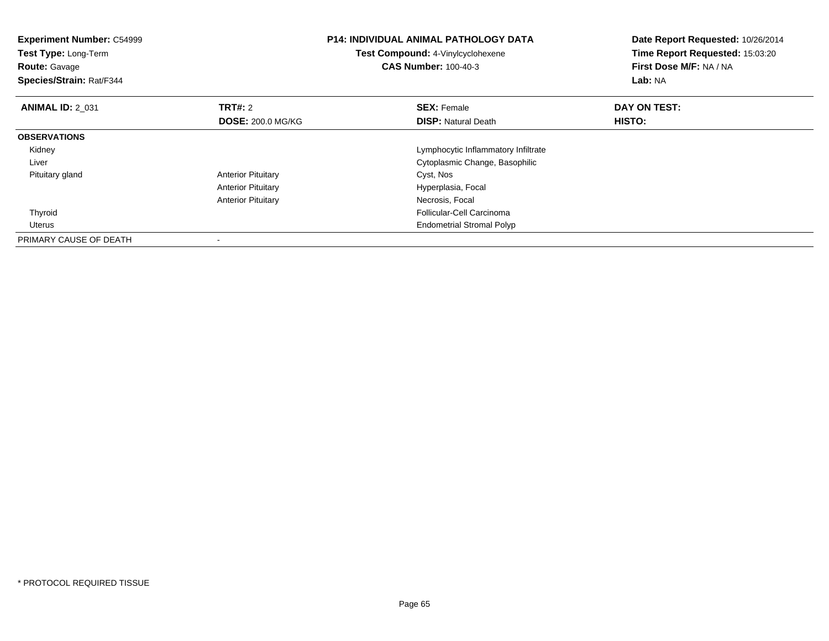| <b>Experiment Number: C54999</b><br>Test Type: Long-Term<br><b>Route: Gavage</b><br>Species/Strain: Rat/F344 |                                            | <b>P14: INDIVIDUAL ANIMAL PATHOLOGY DATA</b><br>Test Compound: 4-Vinylcyclohexene<br><b>CAS Number: 100-40-3</b> | Date Report Requested: 10/26/2014<br>Time Report Requested: 15:03:20<br>First Dose M/F: NA / NA<br>Lab: NA |  |
|--------------------------------------------------------------------------------------------------------------|--------------------------------------------|------------------------------------------------------------------------------------------------------------------|------------------------------------------------------------------------------------------------------------|--|
| <b>ANIMAL ID: 2 031</b>                                                                                      | <b>TRT#: 2</b><br><b>DOSE: 200.0 MG/KG</b> | <b>SEX: Female</b><br><b>DISP:</b> Natural Death                                                                 | DAY ON TEST:<br>HISTO:                                                                                     |  |
| <b>OBSERVATIONS</b>                                                                                          |                                            |                                                                                                                  |                                                                                                            |  |
| Kidney                                                                                                       |                                            | Lymphocytic Inflammatory Infiltrate                                                                              |                                                                                                            |  |
| Liver                                                                                                        |                                            | Cytoplasmic Change, Basophilic                                                                                   |                                                                                                            |  |
| Pituitary gland                                                                                              | <b>Anterior Pituitary</b>                  | Cyst, Nos                                                                                                        |                                                                                                            |  |
|                                                                                                              | <b>Anterior Pituitary</b>                  | Hyperplasia, Focal                                                                                               |                                                                                                            |  |
|                                                                                                              | <b>Anterior Pituitary</b>                  | Necrosis, Focal                                                                                                  |                                                                                                            |  |
| Thyroid                                                                                                      |                                            | Follicular-Cell Carcinoma                                                                                        |                                                                                                            |  |
| <b>Uterus</b>                                                                                                |                                            | <b>Endometrial Stromal Polyp</b>                                                                                 |                                                                                                            |  |
| PRIMARY CAUSE OF DEATH                                                                                       |                                            |                                                                                                                  |                                                                                                            |  |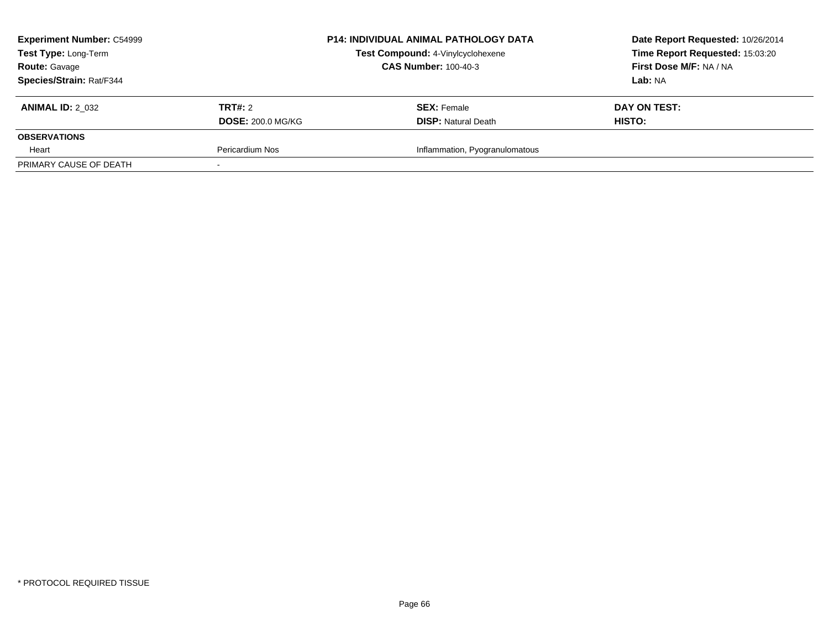| <b>Experiment Number: C54999</b><br>Test Type: Long-Term |                             | <b>P14: INDIVIDUAL ANIMAL PATHOLOGY DATA</b><br>Test Compound: 4-Vinylcyclohexene | Date Report Requested: 10/26/2014<br>Time Report Requested: 15:03:20 |  |
|----------------------------------------------------------|-----------------------------|-----------------------------------------------------------------------------------|----------------------------------------------------------------------|--|
| <b>Route: Gavage</b>                                     | <b>CAS Number: 100-40-3</b> |                                                                                   | First Dose M/F: NA / NA                                              |  |
| Species/Strain: Rat/F344                                 |                             |                                                                                   | Lab: NA                                                              |  |
| <b>ANIMAL ID: 2 032</b>                                  | <b>TRT#:</b> 2              | <b>SEX: Female</b>                                                                | DAY ON TEST:                                                         |  |
|                                                          | <b>DOSE: 200.0 MG/KG</b>    | <b>DISP:</b> Natural Death                                                        | HISTO:                                                               |  |
| <b>OBSERVATIONS</b>                                      |                             |                                                                                   |                                                                      |  |
| Heart                                                    | Pericardium Nos             | Inflammation, Pyogranulomatous                                                    |                                                                      |  |
| PRIMARY CAUSE OF DEATH                                   |                             |                                                                                   |                                                                      |  |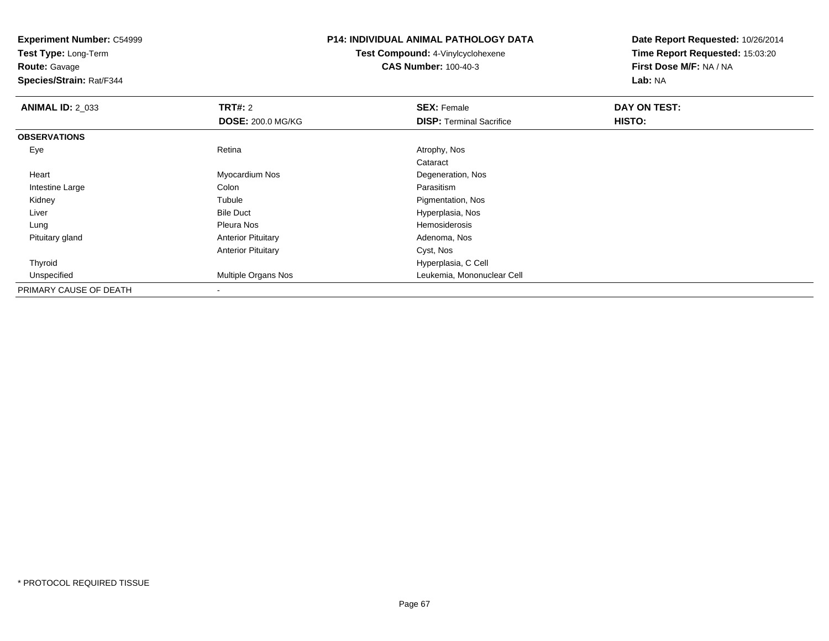**Experiment Number:** C54999**Test Type:** Long-Term**Route:** Gavage **Species/Strain:** Rat/F344**P14: INDIVIDUAL ANIMAL PATHOLOGY DATATest Compound:** 4-Vinylcyclohexene**CAS Number:** 100-40-3**Date Report Requested:** 10/26/2014**Time Report Requested:** 15:03:20**First Dose M/F:** NA / NA**Lab:** NA**ANIMAL ID: 2 033 TRT#:** 2 **SEX:** Female **DAY ON TEST: DOSE:** 200.0 MG/KG**DISP:** Terminal Sacrifice **HISTO: OBSERVATIONS** Eyee and the contract of the Retina Atrophy, Nos and Atrophy, Nos and Atrophy, Nos and Atrophy, Nos and Atrophy, Nos Cataract Heart Myocardium Nos Degeneration, Nos Intestine Largee and the Colon Colon Colon Colon and the Parasitism Pigmentation, Nos Kidneyy the contract of the contract of the contract of the contract of the contract of the contract of the contract of the contract of the contract of the contract of the contract of the contract of the contract of the contract LiverBile Duct **Hyperplasia**, Nos Lung Pleura Nos Hemosiderosis Pituitary glandAnterior Pituitary **Adenoma, Nos** Adenoma, Nos Anterior Pituitary Cyst, Nos Thyroid Hyperplasia, C Cell Unspecified Multiple Organs Nos Leukemia, Mononuclear Cell PRIMARY CAUSE OF DEATH-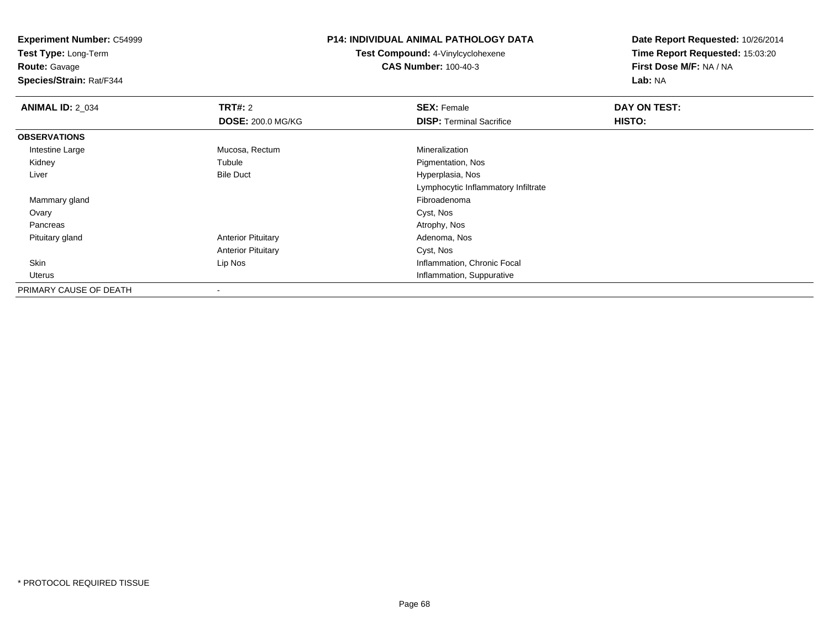**Test Type:** Long-Term

**Route:** Gavage

**Species/Strain:** Rat/F344

#### **P14: INDIVIDUAL ANIMAL PATHOLOGY DATA**

**Test Compound:** 4-Vinylcyclohexene**CAS Number:** 100-40-3

| <b>ANIMAL ID: 2_034</b> | <b>TRT#: 2</b>            | <b>SEX: Female</b>                  | DAY ON TEST: |  |
|-------------------------|---------------------------|-------------------------------------|--------------|--|
|                         | <b>DOSE: 200.0 MG/KG</b>  | <b>DISP:</b> Terminal Sacrifice     | HISTO:       |  |
| <b>OBSERVATIONS</b>     |                           |                                     |              |  |
| Intestine Large         | Mucosa, Rectum            | Mineralization                      |              |  |
| Kidney                  | Tubule                    | Pigmentation, Nos                   |              |  |
| Liver                   | <b>Bile Duct</b>          | Hyperplasia, Nos                    |              |  |
|                         |                           | Lymphocytic Inflammatory Infiltrate |              |  |
| Mammary gland           |                           | Fibroadenoma                        |              |  |
| Ovary                   |                           | Cyst, Nos                           |              |  |
| Pancreas                |                           | Atrophy, Nos                        |              |  |
| Pituitary gland         | <b>Anterior Pituitary</b> | Adenoma, Nos                        |              |  |
|                         | <b>Anterior Pituitary</b> | Cyst, Nos                           |              |  |
| Skin                    | Lip Nos                   | Inflammation, Chronic Focal         |              |  |
| Uterus                  |                           | Inflammation, Suppurative           |              |  |
| PRIMARY CAUSE OF DEATH  |                           |                                     |              |  |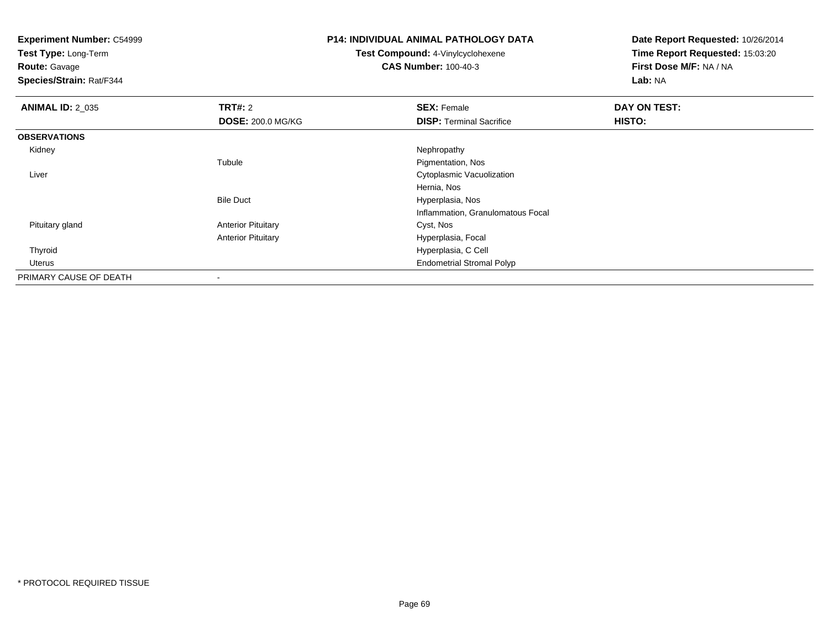**Test Type:** Long-Term

**Route:** Gavage

**Species/Strain:** Rat/F344

## **P14: INDIVIDUAL ANIMAL PATHOLOGY DATA**

**Test Compound:** 4-Vinylcyclohexene**CAS Number:** 100-40-3

| <b>ANIMAL ID: 2_035</b> | <b>TRT#: 2</b>            | <b>SEX: Female</b>                | DAY ON TEST: |  |
|-------------------------|---------------------------|-----------------------------------|--------------|--|
|                         | <b>DOSE: 200.0 MG/KG</b>  | <b>DISP: Terminal Sacrifice</b>   | HISTO:       |  |
| <b>OBSERVATIONS</b>     |                           |                                   |              |  |
| Kidney                  |                           | Nephropathy                       |              |  |
|                         | Tubule                    | Pigmentation, Nos                 |              |  |
| Liver                   |                           | Cytoplasmic Vacuolization         |              |  |
|                         |                           | Hernia, Nos                       |              |  |
|                         | <b>Bile Duct</b>          | Hyperplasia, Nos                  |              |  |
|                         |                           | Inflammation, Granulomatous Focal |              |  |
| Pituitary gland         | <b>Anterior Pituitary</b> | Cyst, Nos                         |              |  |
|                         | <b>Anterior Pituitary</b> | Hyperplasia, Focal                |              |  |
| Thyroid                 |                           | Hyperplasia, C Cell               |              |  |
| Uterus                  |                           | <b>Endometrial Stromal Polyp</b>  |              |  |
| PRIMARY CAUSE OF DEATH  |                           |                                   |              |  |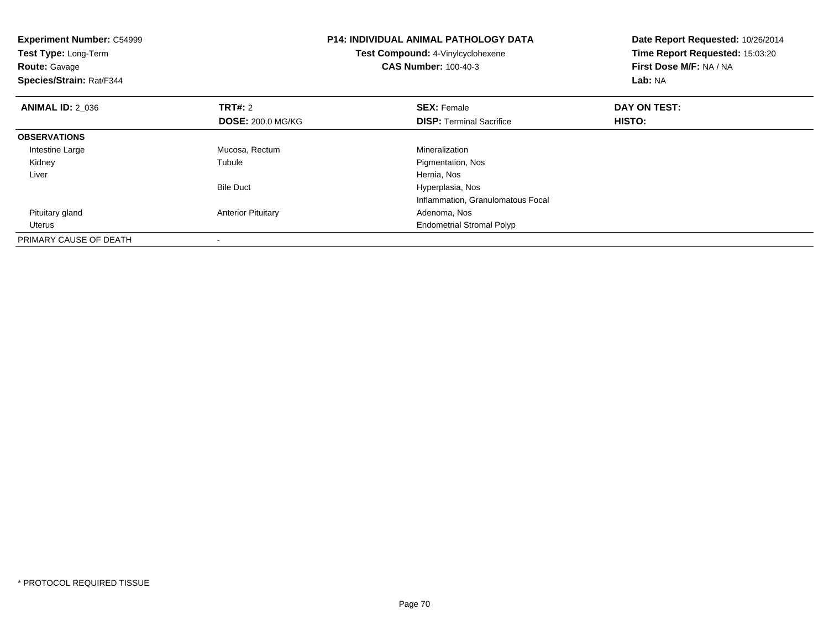| <b>Experiment Number: C54999</b><br>Test Type: Long-Term<br><b>Route: Gavage</b><br>Species/Strain: Rat/F344 | <b>P14: INDIVIDUAL ANIMAL PATHOLOGY DATA</b><br>Test Compound: 4-Vinylcyclohexene<br><b>CAS Number: 100-40-3</b> |                                   | Date Report Requested: 10/26/2014<br>Time Report Requested: 15:03:20<br>First Dose M/F: NA / NA<br>Lab: NA |  |
|--------------------------------------------------------------------------------------------------------------|------------------------------------------------------------------------------------------------------------------|-----------------------------------|------------------------------------------------------------------------------------------------------------|--|
| <b>ANIMAL ID: 2 036</b>                                                                                      | <b>TRT#:</b> 2                                                                                                   | <b>SEX: Female</b>                | DAY ON TEST:                                                                                               |  |
|                                                                                                              | <b>DOSE: 200.0 MG/KG</b>                                                                                         | <b>DISP:</b> Terminal Sacrifice   | HISTO:                                                                                                     |  |
| <b>OBSERVATIONS</b>                                                                                          |                                                                                                                  |                                   |                                                                                                            |  |
| Intestine Large                                                                                              | Mucosa, Rectum                                                                                                   | Mineralization                    |                                                                                                            |  |
| Kidney                                                                                                       | Tubule                                                                                                           | Pigmentation, Nos                 |                                                                                                            |  |
| Liver                                                                                                        |                                                                                                                  | Hernia, Nos                       |                                                                                                            |  |
|                                                                                                              | <b>Bile Duct</b>                                                                                                 | Hyperplasia, Nos                  |                                                                                                            |  |
|                                                                                                              |                                                                                                                  | Inflammation, Granulomatous Focal |                                                                                                            |  |
| Pituitary gland                                                                                              | <b>Anterior Pituitary</b>                                                                                        | Adenoma, Nos                      |                                                                                                            |  |
| Uterus                                                                                                       |                                                                                                                  | <b>Endometrial Stromal Polyp</b>  |                                                                                                            |  |
| PRIMARY CAUSE OF DEATH                                                                                       |                                                                                                                  |                                   |                                                                                                            |  |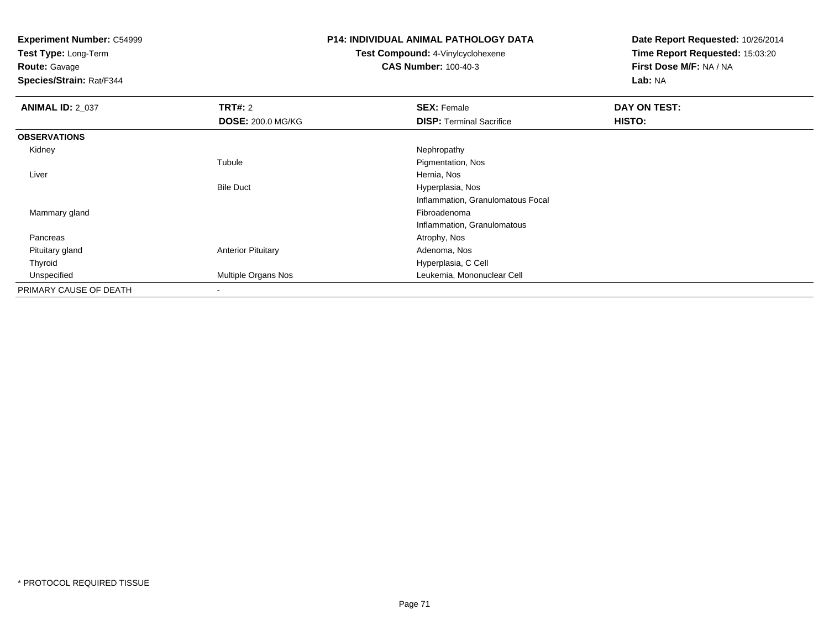**Test Type:** Long-Term

**Route:** Gavage

**Species/Strain:** Rat/F344

### **P14: INDIVIDUAL ANIMAL PATHOLOGY DATA**

**Test Compound:** 4-Vinylcyclohexene**CAS Number:** 100-40-3

| <b>ANIMAL ID: 2_037</b> | TRT#: 2                   | <b>SEX: Female</b>                | DAY ON TEST:  |  |
|-------------------------|---------------------------|-----------------------------------|---------------|--|
|                         | <b>DOSE: 200.0 MG/KG</b>  | <b>DISP: Terminal Sacrifice</b>   | <b>HISTO:</b> |  |
| <b>OBSERVATIONS</b>     |                           |                                   |               |  |
| Kidney                  |                           | Nephropathy                       |               |  |
|                         | Tubule                    | Pigmentation, Nos                 |               |  |
| Liver                   |                           | Hernia, Nos                       |               |  |
|                         | <b>Bile Duct</b>          | Hyperplasia, Nos                  |               |  |
|                         |                           | Inflammation, Granulomatous Focal |               |  |
| Mammary gland           |                           | Fibroadenoma                      |               |  |
|                         |                           | Inflammation, Granulomatous       |               |  |
| Pancreas                |                           | Atrophy, Nos                      |               |  |
| Pituitary gland         | <b>Anterior Pituitary</b> | Adenoma, Nos                      |               |  |
| Thyroid                 |                           | Hyperplasia, C Cell               |               |  |
| Unspecified             | Multiple Organs Nos       | Leukemia, Mononuclear Cell        |               |  |
| PRIMARY CAUSE OF DEATH  | $\overline{\phantom{a}}$  |                                   |               |  |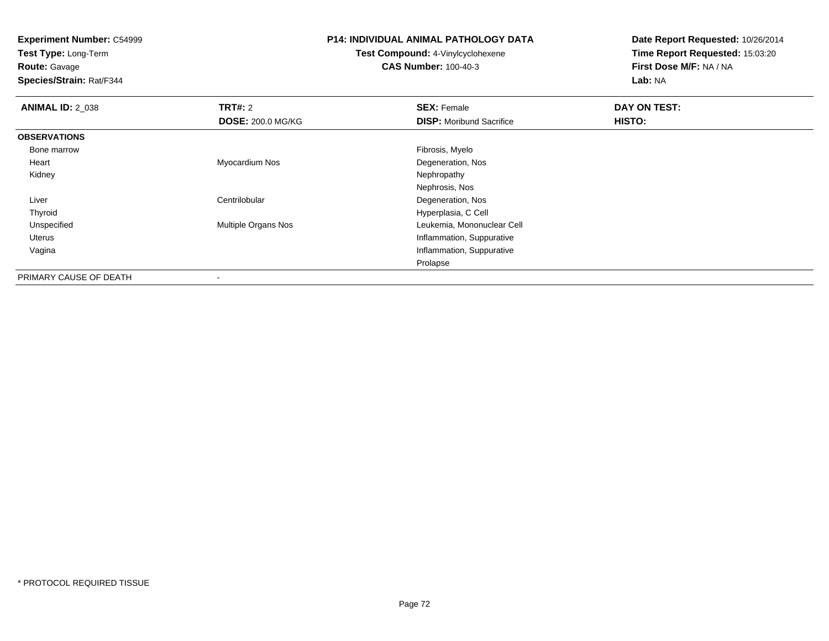**Experiment Number:** C54999**Test Type:** Long-Term**Route:** Gavage **Species/Strain:** Rat/F344**P14: INDIVIDUAL ANIMAL PATHOLOGY DATATest Compound:** 4-Vinylcyclohexene**CAS Number:** 100-40-3**Date Report Requested:** 10/26/2014**Time Report Requested:** 15:03:20**First Dose M/F:** NA / NA**Lab:** NA**ANIMAL ID: 2 038 REX:** Female **DAY ON TEST: CONSIST: SEX:** Female **DAY ON TEST: DOSE:** 200.0 MG/KG**DISP:** Moribund Sacrifice **HISTO: OBSERVATIONS** Bone marroww which is a state of the state of the state of the state of the state of the Fibrosis, Myelo state of the state of the state of the state of the state of the state of the state of the state of the state of the state of th Heart Myocardium Nos Degeneration, Nos Kidneyy the control of the control of the control of the control of the control of the control of the control of the control of the control of the control of the control of the control of the control of the control of the contro Nephrosis, Nos**Centrilobular Continues and Continues Continues and Continues According Continues Continues Continues Continues Continues Continues Continues Continues Continues Continues Continues Continues Continues Continues Continues**  Liver Hyperplasia, C Cell Thyroid Unspecified Multiple Organs Nos Leukemia, Mononuclear Cell Uterus Inflammation, Suppurativea matter of the control of the control of the control of the control of the control of the control of the control of the control of the control of the control of the control of the control of the control of the control of VaginaProlapsePRIMARY CAUSE OF DEATH

-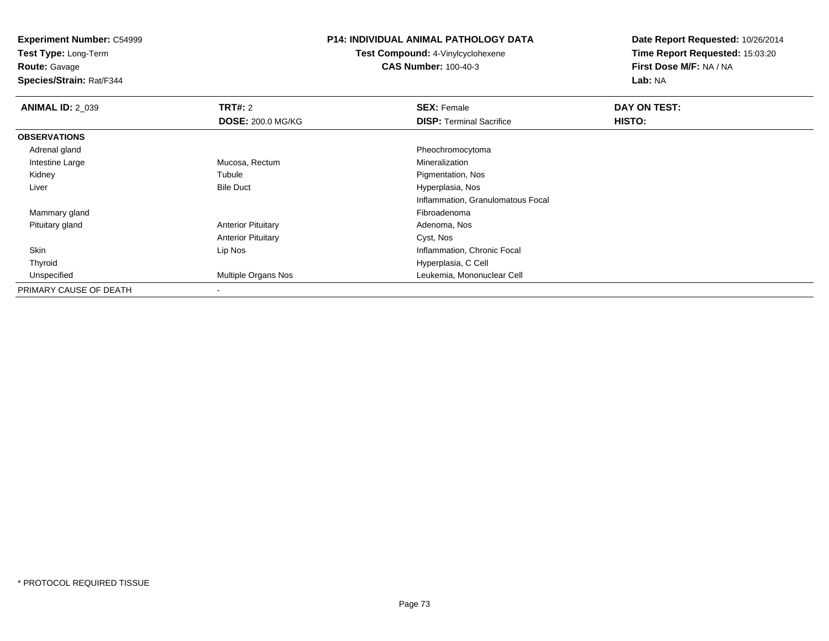**Test Type:** Long-Term

**Route:** Gavage

**Species/Strain:** Rat/F344

## **P14: INDIVIDUAL ANIMAL PATHOLOGY DATA**

**Test Compound:** 4-Vinylcyclohexene**CAS Number:** 100-40-3

| <b>ANIMAL ID: 2 039</b> | <b>TRT#: 2</b>            | <b>SEX: Female</b>                | DAY ON TEST: |  |
|-------------------------|---------------------------|-----------------------------------|--------------|--|
|                         | <b>DOSE: 200.0 MG/KG</b>  | <b>DISP: Terminal Sacrifice</b>   | HISTO:       |  |
| <b>OBSERVATIONS</b>     |                           |                                   |              |  |
| Adrenal gland           |                           | Pheochromocytoma                  |              |  |
| Intestine Large         | Mucosa, Rectum            | Mineralization                    |              |  |
| Kidney                  | Tubule                    | Pigmentation, Nos                 |              |  |
| Liver                   | <b>Bile Duct</b>          | Hyperplasia, Nos                  |              |  |
|                         |                           | Inflammation, Granulomatous Focal |              |  |
| Mammary gland           |                           | Fibroadenoma                      |              |  |
| Pituitary gland         | <b>Anterior Pituitary</b> | Adenoma, Nos                      |              |  |
|                         | <b>Anterior Pituitary</b> | Cyst, Nos                         |              |  |
| Skin                    | Lip Nos                   | Inflammation, Chronic Focal       |              |  |
| Thyroid                 |                           | Hyperplasia, C Cell               |              |  |
| Unspecified             | Multiple Organs Nos       | Leukemia, Mononuclear Cell        |              |  |
| PRIMARY CAUSE OF DEATH  |                           |                                   |              |  |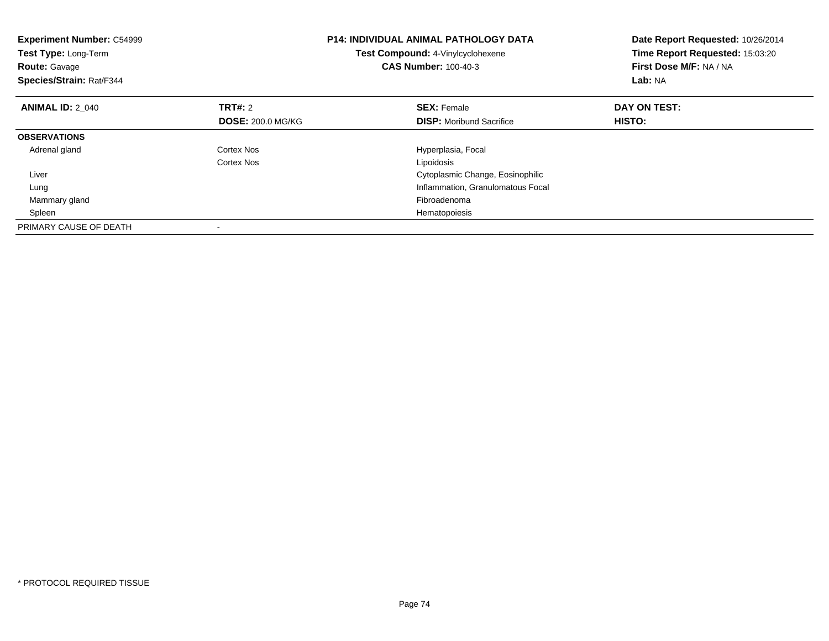| <b>Experiment Number: C54999</b><br>Test Type: Long-Term<br><b>Route: Gavage</b><br>Species/Strain: Rat/F344 |                          | <b>P14: INDIVIDUAL ANIMAL PATHOLOGY DATA</b><br>Test Compound: 4-Vinylcyclohexene<br><b>CAS Number: 100-40-3</b> | Date Report Requested: 10/26/2014<br>Time Report Requested: 15:03:20<br>First Dose M/F: NA / NA<br>Lab: NA |
|--------------------------------------------------------------------------------------------------------------|--------------------------|------------------------------------------------------------------------------------------------------------------|------------------------------------------------------------------------------------------------------------|
| <b>ANIMAL ID: 2 040</b>                                                                                      | <b>TRT#: 2</b>           | <b>SEX: Female</b>                                                                                               | DAY ON TEST:                                                                                               |
|                                                                                                              | <b>DOSE: 200.0 MG/KG</b> | <b>DISP:</b> Moribund Sacrifice                                                                                  | HISTO:                                                                                                     |
| <b>OBSERVATIONS</b>                                                                                          |                          |                                                                                                                  |                                                                                                            |
| Adrenal gland                                                                                                | Cortex Nos               | Hyperplasia, Focal                                                                                               |                                                                                                            |
|                                                                                                              | Cortex Nos               | Lipoidosis                                                                                                       |                                                                                                            |
| Liver                                                                                                        |                          | Cytoplasmic Change, Eosinophilic                                                                                 |                                                                                                            |
| Lung                                                                                                         |                          | Inflammation, Granulomatous Focal                                                                                |                                                                                                            |
| Mammary gland                                                                                                |                          | Fibroadenoma                                                                                                     |                                                                                                            |
| Spleen                                                                                                       |                          | Hematopoiesis                                                                                                    |                                                                                                            |
| PRIMARY CAUSE OF DEATH                                                                                       |                          |                                                                                                                  |                                                                                                            |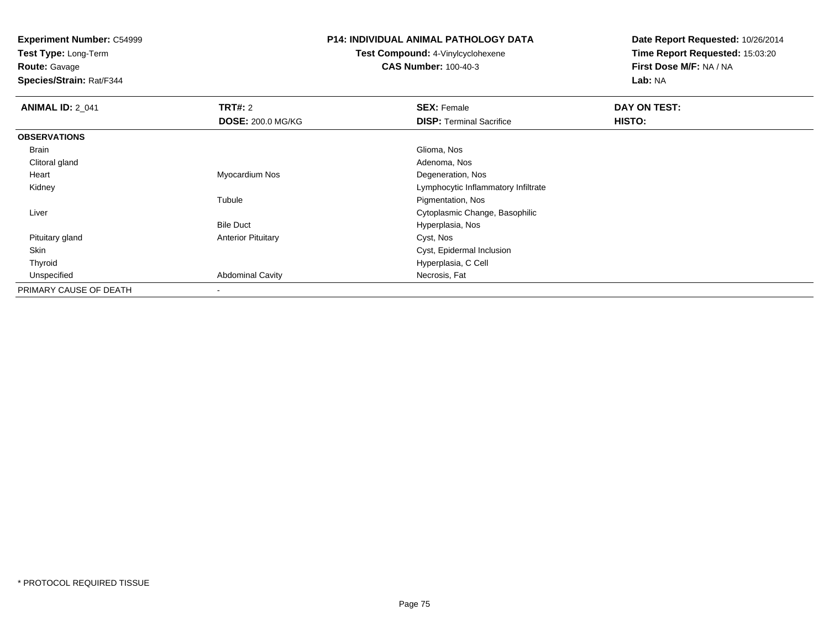**Test Type:** Long-Term

**Route:** Gavage

**Species/Strain:** Rat/F344

#### **P14: INDIVIDUAL ANIMAL PATHOLOGY DATA**

**Test Compound:** 4-Vinylcyclohexene**CAS Number:** 100-40-3

| <b>ANIMAL ID: 2_041</b> | TRT#: 2                   | <b>SEX: Female</b>                  | DAY ON TEST: |  |
|-------------------------|---------------------------|-------------------------------------|--------------|--|
|                         | <b>DOSE: 200.0 MG/KG</b>  | <b>DISP:</b> Terminal Sacrifice     | HISTO:       |  |
| <b>OBSERVATIONS</b>     |                           |                                     |              |  |
| Brain                   |                           | Glioma, Nos                         |              |  |
| Clitoral gland          |                           | Adenoma, Nos                        |              |  |
| Heart                   | Myocardium Nos            | Degeneration, Nos                   |              |  |
| Kidney                  |                           | Lymphocytic Inflammatory Infiltrate |              |  |
|                         | Tubule                    | Pigmentation, Nos                   |              |  |
| Liver                   |                           | Cytoplasmic Change, Basophilic      |              |  |
|                         | <b>Bile Duct</b>          | Hyperplasia, Nos                    |              |  |
| Pituitary gland         | <b>Anterior Pituitary</b> | Cyst, Nos                           |              |  |
| Skin                    |                           | Cyst, Epidermal Inclusion           |              |  |
| Thyroid                 |                           | Hyperplasia, C Cell                 |              |  |
| Unspecified             | <b>Abdominal Cavity</b>   | Necrosis, Fat                       |              |  |
| PRIMARY CAUSE OF DEATH  | $\blacksquare$            |                                     |              |  |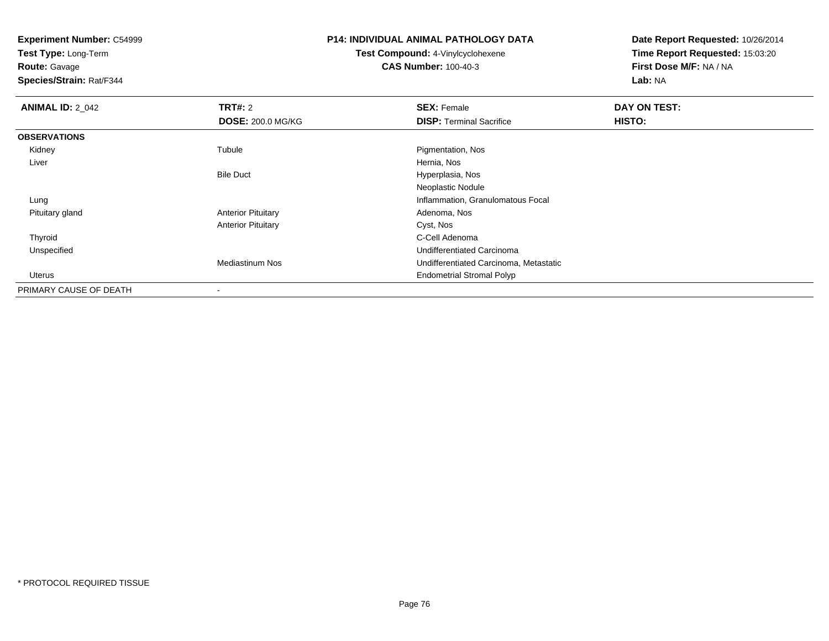**Test Type:** Long-Term

**Route:** Gavage

**Species/Strain:** Rat/F344

# **P14: INDIVIDUAL ANIMAL PATHOLOGY DATA**

**Test Compound:** 4-Vinylcyclohexene**CAS Number:** 100-40-3

| <b>ANIMAL ID: 2 042</b> | TRT#: 2                   | <b>SEX: Female</b>                     | DAY ON TEST: |  |
|-------------------------|---------------------------|----------------------------------------|--------------|--|
|                         | <b>DOSE: 200.0 MG/KG</b>  | <b>DISP:</b> Terminal Sacrifice        | HISTO:       |  |
| <b>OBSERVATIONS</b>     |                           |                                        |              |  |
| Kidney                  | Tubule                    | Pigmentation, Nos                      |              |  |
| Liver                   |                           | Hernia, Nos                            |              |  |
|                         | <b>Bile Duct</b>          | Hyperplasia, Nos                       |              |  |
|                         |                           | Neoplastic Nodule                      |              |  |
| Lung                    |                           | Inflammation, Granulomatous Focal      |              |  |
| Pituitary gland         | <b>Anterior Pituitary</b> | Adenoma, Nos                           |              |  |
|                         | <b>Anterior Pituitary</b> | Cyst, Nos                              |              |  |
| Thyroid                 |                           | C-Cell Adenoma                         |              |  |
| Unspecified             |                           | Undifferentiated Carcinoma             |              |  |
|                         | <b>Mediastinum Nos</b>    | Undifferentiated Carcinoma, Metastatic |              |  |
| Uterus                  |                           | <b>Endometrial Stromal Polyp</b>       |              |  |
| PRIMARY CAUSE OF DEATH  | $\overline{\phantom{a}}$  |                                        |              |  |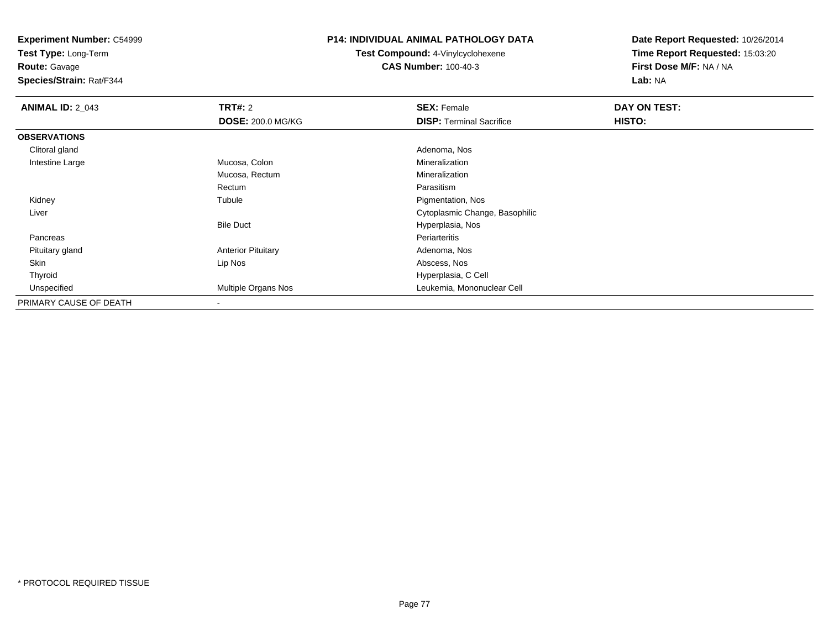**Test Type:** Long-Term

**Route:** Gavage

**Species/Strain:** Rat/F344

#### **P14: INDIVIDUAL ANIMAL PATHOLOGY DATA**

**Test Compound:** 4-Vinylcyclohexene**CAS Number:** 100-40-3

| <b>ANIMAL ID: 2_043</b> | TRT#: 2                   | <b>SEX: Female</b>              | DAY ON TEST: |  |
|-------------------------|---------------------------|---------------------------------|--------------|--|
|                         | <b>DOSE: 200.0 MG/KG</b>  | <b>DISP: Terminal Sacrifice</b> | HISTO:       |  |
| <b>OBSERVATIONS</b>     |                           |                                 |              |  |
| Clitoral gland          |                           | Adenoma, Nos                    |              |  |
| Intestine Large         | Mucosa, Colon             | Mineralization                  |              |  |
|                         | Mucosa, Rectum            | Mineralization                  |              |  |
|                         | Rectum                    | Parasitism                      |              |  |
| Kidney                  | Tubule                    | Pigmentation, Nos               |              |  |
| Liver                   |                           | Cytoplasmic Change, Basophilic  |              |  |
|                         | <b>Bile Duct</b>          | Hyperplasia, Nos                |              |  |
| Pancreas                |                           | Periarteritis                   |              |  |
| Pituitary gland         | <b>Anterior Pituitary</b> | Adenoma, Nos                    |              |  |
| Skin                    | Lip Nos                   | Abscess, Nos                    |              |  |
| Thyroid                 |                           | Hyperplasia, C Cell             |              |  |
| Unspecified             | Multiple Organs Nos       | Leukemia, Mononuclear Cell      |              |  |
| PRIMARY CAUSE OF DEATH  |                           |                                 |              |  |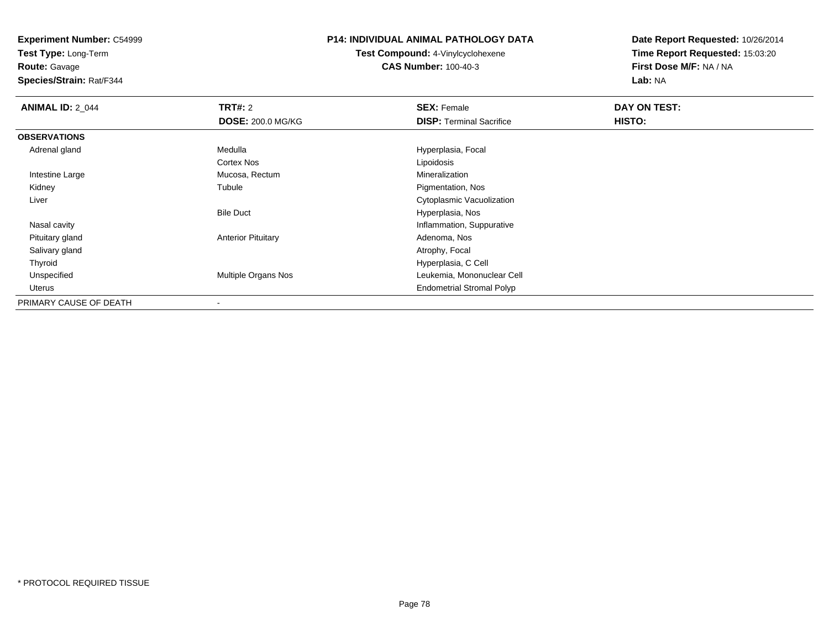**Test Type:** Long-Term

**Route:** Gavage

**Species/Strain:** Rat/F344

# **P14: INDIVIDUAL ANIMAL PATHOLOGY DATA**

**Test Compound:** 4-Vinylcyclohexene**CAS Number:** 100-40-3

| <b>ANIMAL ID: 2 044</b> | <b>TRT#: 2</b>            | <b>SEX: Female</b>               | DAY ON TEST: |  |
|-------------------------|---------------------------|----------------------------------|--------------|--|
|                         | <b>DOSE: 200.0 MG/KG</b>  | <b>DISP: Terminal Sacrifice</b>  | HISTO:       |  |
| <b>OBSERVATIONS</b>     |                           |                                  |              |  |
| Adrenal gland           | Medulla                   | Hyperplasia, Focal               |              |  |
|                         | Cortex Nos                | Lipoidosis                       |              |  |
| Intestine Large         | Mucosa, Rectum            | Mineralization                   |              |  |
| Kidney                  | Tubule                    | Pigmentation, Nos                |              |  |
| Liver                   |                           | Cytoplasmic Vacuolization        |              |  |
|                         | <b>Bile Duct</b>          | Hyperplasia, Nos                 |              |  |
| Nasal cavity            |                           | Inflammation, Suppurative        |              |  |
| Pituitary gland         | <b>Anterior Pituitary</b> | Adenoma, Nos                     |              |  |
| Salivary gland          |                           | Atrophy, Focal                   |              |  |
| Thyroid                 |                           | Hyperplasia, C Cell              |              |  |
| Unspecified             | Multiple Organs Nos       | Leukemia, Mononuclear Cell       |              |  |
| Uterus                  |                           | <b>Endometrial Stromal Polyp</b> |              |  |
| PRIMARY CAUSE OF DEATH  |                           |                                  |              |  |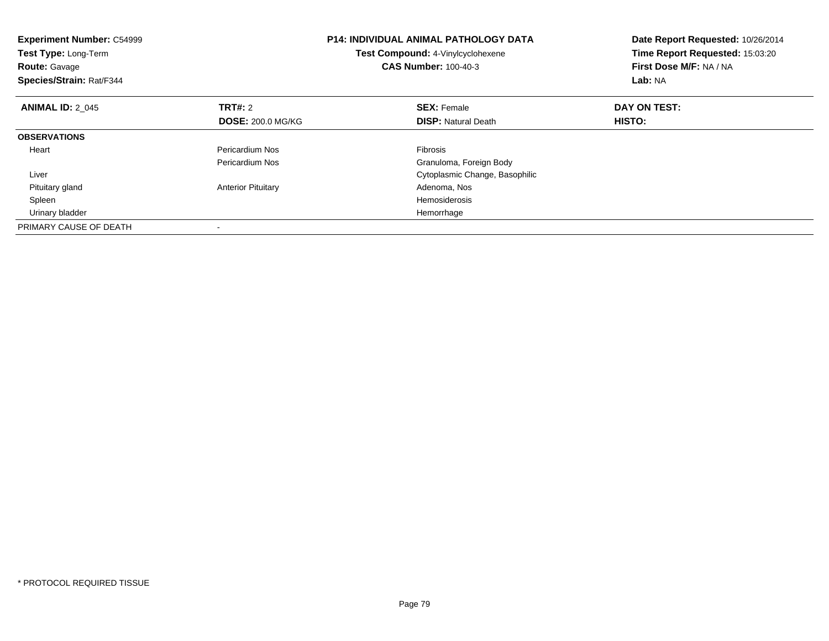| <b>Experiment Number: C54999</b><br><b>Test Type: Long-Term</b><br><b>Route: Gavage</b><br>Species/Strain: Rat/F344 |                           | <b>P14: INDIVIDUAL ANIMAL PATHOLOGY DATA</b><br>Test Compound: 4-Vinylcyclohexene<br><b>CAS Number: 100-40-3</b> | Date Report Requested: 10/26/2014<br>Time Report Requested: 15:03:20<br>First Dose M/F: NA / NA<br>Lab: NA |
|---------------------------------------------------------------------------------------------------------------------|---------------------------|------------------------------------------------------------------------------------------------------------------|------------------------------------------------------------------------------------------------------------|
| <b>ANIMAL ID: 2 045</b>                                                                                             | TRT#: 2                   | <b>SEX: Female</b>                                                                                               | DAY ON TEST:                                                                                               |
|                                                                                                                     | <b>DOSE: 200.0 MG/KG</b>  | <b>DISP:</b> Natural Death                                                                                       | HISTO:                                                                                                     |
| <b>OBSERVATIONS</b>                                                                                                 |                           |                                                                                                                  |                                                                                                            |
| Heart                                                                                                               | Pericardium Nos           | <b>Fibrosis</b>                                                                                                  |                                                                                                            |
|                                                                                                                     | Pericardium Nos           | Granuloma, Foreign Body                                                                                          |                                                                                                            |
| Liver                                                                                                               |                           | Cytoplasmic Change, Basophilic                                                                                   |                                                                                                            |
| Pituitary gland                                                                                                     | <b>Anterior Pituitary</b> | Adenoma, Nos                                                                                                     |                                                                                                            |
| Spleen                                                                                                              |                           | Hemosiderosis                                                                                                    |                                                                                                            |
| Urinary bladder                                                                                                     |                           | Hemorrhage                                                                                                       |                                                                                                            |
| PRIMARY CAUSE OF DEATH                                                                                              |                           |                                                                                                                  |                                                                                                            |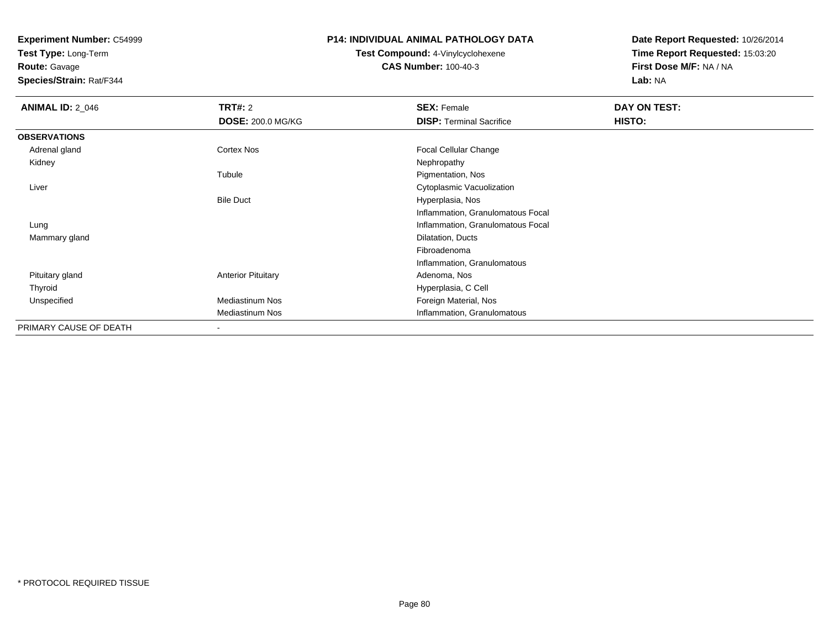**Test Type:** Long-Term

# **Route:** Gavage

**Species/Strain:** Rat/F344

# **P14: INDIVIDUAL ANIMAL PATHOLOGY DATA**

# **Test Compound:** 4-Vinylcyclohexene**CAS Number:** 100-40-3

| <b>ANIMAL ID: 2_046</b> | TRT#: 2                   | <b>SEX: Female</b>                | DAY ON TEST: |  |
|-------------------------|---------------------------|-----------------------------------|--------------|--|
|                         | <b>DOSE: 200.0 MG/KG</b>  | <b>DISP: Terminal Sacrifice</b>   | HISTO:       |  |
| <b>OBSERVATIONS</b>     |                           |                                   |              |  |
| Adrenal gland           | Cortex Nos                | <b>Focal Cellular Change</b>      |              |  |
| Kidney                  |                           | Nephropathy                       |              |  |
|                         | Tubule                    | Pigmentation, Nos                 |              |  |
| Liver                   |                           | Cytoplasmic Vacuolization         |              |  |
|                         | <b>Bile Duct</b>          | Hyperplasia, Nos                  |              |  |
|                         |                           | Inflammation, Granulomatous Focal |              |  |
| Lung                    |                           | Inflammation, Granulomatous Focal |              |  |
| Mammary gland           |                           | Dilatation, Ducts                 |              |  |
|                         |                           | Fibroadenoma                      |              |  |
|                         |                           | Inflammation, Granulomatous       |              |  |
| Pituitary gland         | <b>Anterior Pituitary</b> | Adenoma, Nos                      |              |  |
| Thyroid                 |                           | Hyperplasia, C Cell               |              |  |
| Unspecified             | <b>Mediastinum Nos</b>    | Foreign Material, Nos             |              |  |
|                         | <b>Mediastinum Nos</b>    | Inflammation, Granulomatous       |              |  |
| PRIMARY CAUSE OF DEATH  | ٠                         |                                   |              |  |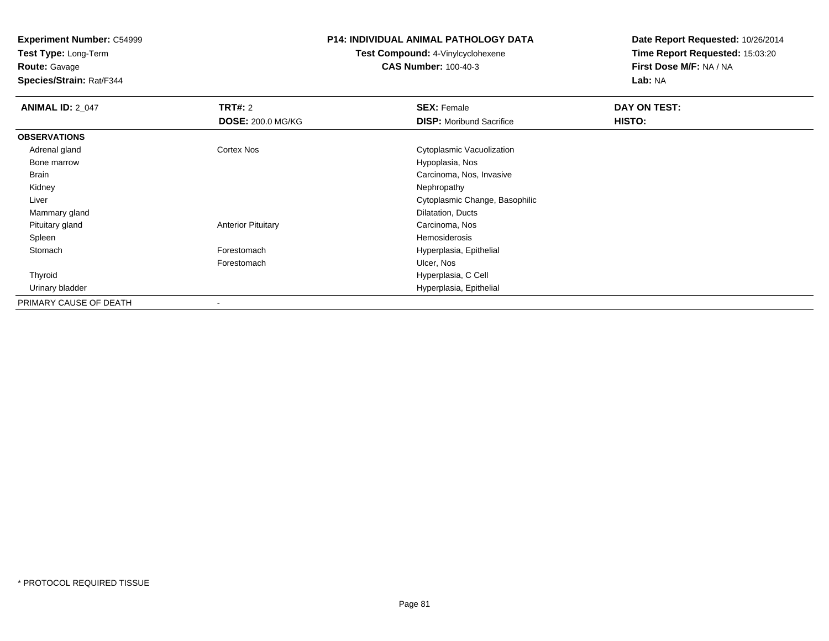**Test Type:** Long-Term

**Route:** Gavage

**Species/Strain:** Rat/F344

#### **P14: INDIVIDUAL ANIMAL PATHOLOGY DATA**

**Test Compound:** 4-Vinylcyclohexene**CAS Number:** 100-40-3

| <b>ANIMAL ID: 2_047</b> | TRT#: 2                   | <b>SEX: Female</b>              | DAY ON TEST: |  |
|-------------------------|---------------------------|---------------------------------|--------------|--|
|                         | <b>DOSE: 200.0 MG/KG</b>  | <b>DISP:</b> Moribund Sacrifice | HISTO:       |  |
| <b>OBSERVATIONS</b>     |                           |                                 |              |  |
| Adrenal gland           | <b>Cortex Nos</b>         | Cytoplasmic Vacuolization       |              |  |
| Bone marrow             |                           | Hypoplasia, Nos                 |              |  |
| Brain                   |                           | Carcinoma, Nos, Invasive        |              |  |
| Kidney                  |                           | Nephropathy                     |              |  |
| Liver                   |                           | Cytoplasmic Change, Basophilic  |              |  |
| Mammary gland           |                           | Dilatation, Ducts               |              |  |
| Pituitary gland         | <b>Anterior Pituitary</b> | Carcinoma, Nos                  |              |  |
| Spleen                  |                           | Hemosiderosis                   |              |  |
| Stomach                 | Forestomach               | Hyperplasia, Epithelial         |              |  |
|                         | Forestomach               | Ulcer, Nos                      |              |  |
| Thyroid                 |                           | Hyperplasia, C Cell             |              |  |
| Urinary bladder         |                           | Hyperplasia, Epithelial         |              |  |
| PRIMARY CAUSE OF DEATH  | $\overline{\phantom{a}}$  |                                 |              |  |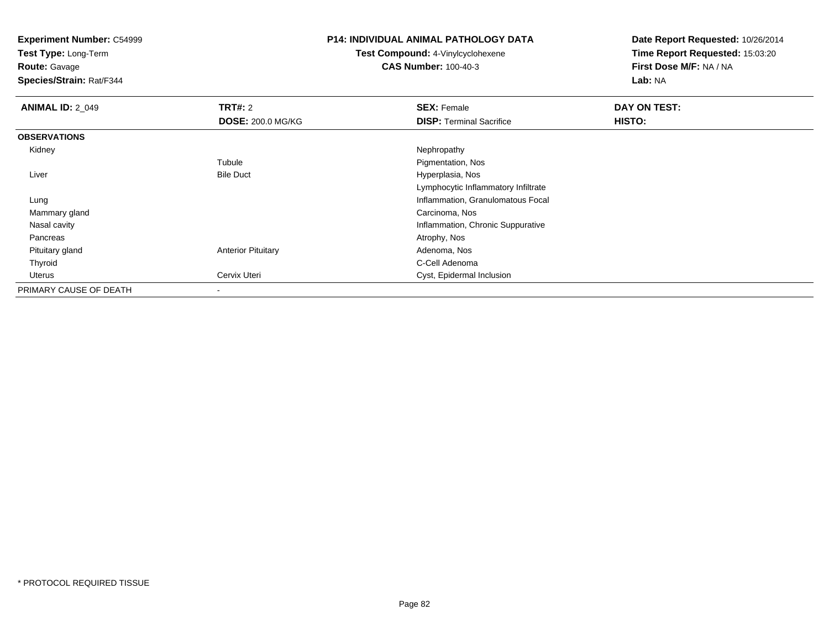**Test Type:** Long-Term

**Route:** Gavage

**Species/Strain:** Rat/F344

# **P14: INDIVIDUAL ANIMAL PATHOLOGY DATA**

**Test Compound:** 4-Vinylcyclohexene**CAS Number:** 100-40-3

| <b>ANIMAL ID: 2_049</b> | TRT#: 2                   | <b>SEX: Female</b>                  | DAY ON TEST: |  |
|-------------------------|---------------------------|-------------------------------------|--------------|--|
|                         | <b>DOSE: 200.0 MG/KG</b>  | <b>DISP:</b> Terminal Sacrifice     | HISTO:       |  |
| <b>OBSERVATIONS</b>     |                           |                                     |              |  |
| Kidney                  |                           | Nephropathy                         |              |  |
|                         | Tubule                    | Pigmentation, Nos                   |              |  |
| Liver                   | <b>Bile Duct</b>          | Hyperplasia, Nos                    |              |  |
|                         |                           | Lymphocytic Inflammatory Infiltrate |              |  |
| Lung                    |                           | Inflammation, Granulomatous Focal   |              |  |
| Mammary gland           |                           | Carcinoma, Nos                      |              |  |
| Nasal cavity            |                           | Inflammation, Chronic Suppurative   |              |  |
| Pancreas                |                           | Atrophy, Nos                        |              |  |
| Pituitary gland         | <b>Anterior Pituitary</b> | Adenoma, Nos                        |              |  |
| Thyroid                 |                           | C-Cell Adenoma                      |              |  |
| Uterus                  | Cervix Uteri              | Cyst, Epidermal Inclusion           |              |  |
| PRIMARY CAUSE OF DEATH  | ٠                         |                                     |              |  |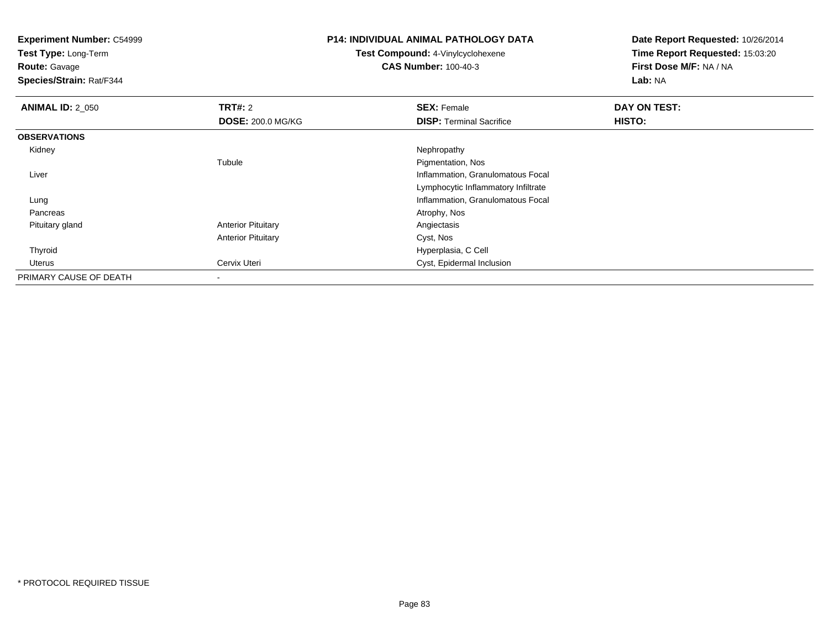**Experiment Number:** C54999**Test Type:** Long-Term**Route:** Gavage **Species/Strain:** Rat/F344**P14: INDIVIDUAL ANIMAL PATHOLOGY DATATest Compound:** 4-Vinylcyclohexene**CAS Number:** 100-40-3**Date Report Requested:** 10/26/2014**Time Report Requested:** 15:03:20**First Dose M/F:** NA / NA**Lab:** NA**ANIMAL ID: 2 050 Communist SEX: Female DAY ON TEST: DAY ON TEST: DOSE:** 200.0 MG/KG**DISP:** Terminal Sacrifice **HISTO: OBSERVATIONS** Kidneyy the control of the control of the control of the control of the control of the control of the control of the control of the control of the control of the control of the control of the control of the control of the contro Tubule Pigmentation, Nos Liver Inflammation, Granulomatous Focal Lymphocytic Inflammatory Infiltrate Inflammation, Granulomatous Focal Lung Pancreass and the contract of the contract of the contract of the contract of the contract of the contract of the contract of  $\mathcal{A}$  Pituitary glandAnterior Pituitary **Anterior Pituitary Angiectasis** Anterior Pituitary Cyst, Nos Thyroid Hyperplasia, C Cell UterusCyst, Epidermal Inclusion PRIMARY CAUSE OF DEATH-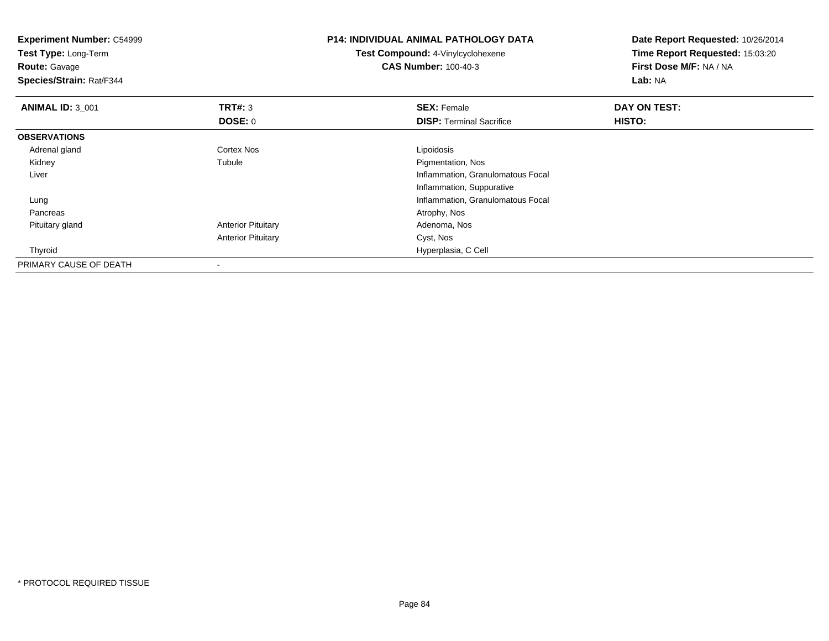| <b>Experiment Number: C54999</b><br>Test Type: Long-Term<br><b>Route: Gavage</b><br>Species/Strain: Rat/F344 |                           | <b>P14: INDIVIDUAL ANIMAL PATHOLOGY DATA</b><br>Test Compound: 4-Vinylcyclohexene<br><b>CAS Number: 100-40-3</b> | Date Report Requested: 10/26/2014<br>Time Report Requested: 15:03:20<br>First Dose M/F: NA / NA<br>Lab: NA |  |
|--------------------------------------------------------------------------------------------------------------|---------------------------|------------------------------------------------------------------------------------------------------------------|------------------------------------------------------------------------------------------------------------|--|
| <b>ANIMAL ID: 3 001</b>                                                                                      | <b>TRT#: 3</b>            | <b>SEX: Female</b>                                                                                               | DAY ON TEST:                                                                                               |  |
|                                                                                                              | DOSE: 0                   | <b>DISP: Terminal Sacrifice</b>                                                                                  | HISTO:                                                                                                     |  |
| <b>OBSERVATIONS</b>                                                                                          |                           |                                                                                                                  |                                                                                                            |  |
| Adrenal gland                                                                                                | Cortex Nos                | Lipoidosis                                                                                                       |                                                                                                            |  |
| Kidney                                                                                                       | Tubule                    | Pigmentation, Nos                                                                                                |                                                                                                            |  |
| Liver                                                                                                        |                           | Inflammation, Granulomatous Focal                                                                                |                                                                                                            |  |
|                                                                                                              |                           | Inflammation, Suppurative                                                                                        |                                                                                                            |  |
| Lung                                                                                                         |                           | Inflammation, Granulomatous Focal                                                                                |                                                                                                            |  |
| Pancreas                                                                                                     |                           | Atrophy, Nos                                                                                                     |                                                                                                            |  |
| Pituitary gland                                                                                              | <b>Anterior Pituitary</b> | Adenoma, Nos                                                                                                     |                                                                                                            |  |
|                                                                                                              | <b>Anterior Pituitary</b> | Cyst, Nos                                                                                                        |                                                                                                            |  |
| Thyroid                                                                                                      |                           | Hyperplasia, C Cell                                                                                              |                                                                                                            |  |
| PRIMARY CAUSE OF DEATH                                                                                       |                           |                                                                                                                  |                                                                                                            |  |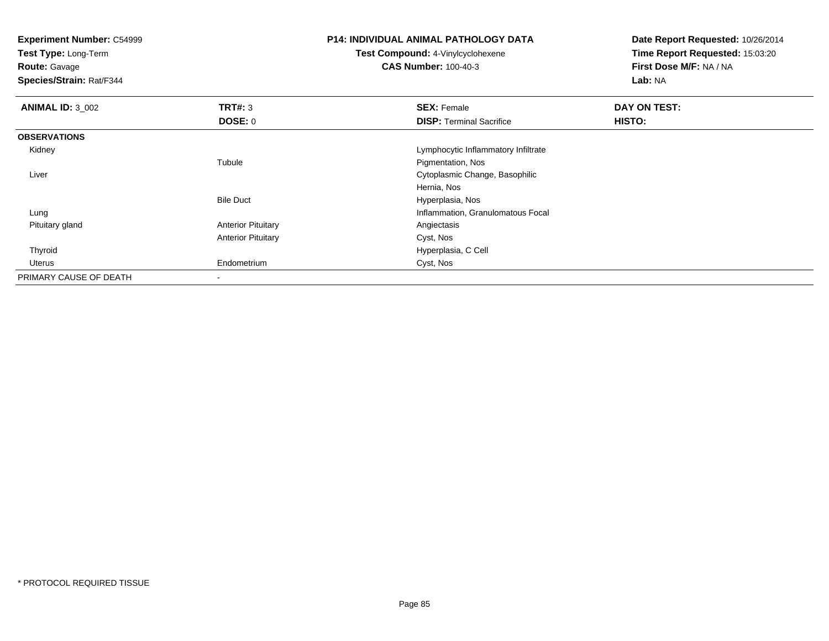**Experiment Number:** C54999**Test Type:** Long-Term**Route:** Gavage **Species/Strain:** Rat/F344**P14: INDIVIDUAL ANIMAL PATHOLOGY DATATest Compound:** 4-Vinylcyclohexene**CAS Number:** 100-40-3**Date Report Requested:** 10/26/2014**Time Report Requested:** 15:03:20**First Dose M/F:** NA / NA**Lab:** NA**ANIMAL ID: 3 002 TRT#:** <sup>3</sup> **SEX:** Female **DAY ON TEST: DOSE:** 0**DISP:** Terminal Sacrifice **HISTO: OBSERVATIONS** Kidney Lymphocytic Inflammatory InfiltrateTubule Pigmentation, Nos Liver Cytoplasmic Change, BasophilicHernia, Nos Hyperplasia, NosBile Duct Inflammation, Granulomatous Focal Lung Pituitary glandAnterior Pituitary **Anterior Pituitary Angiectasis** Anterior Pituitary Cyst, Nos Thyroid Hyperplasia, C Cell Uterus Endometrium Cyst, Nos PRIMARY CAUSE OF DEATH-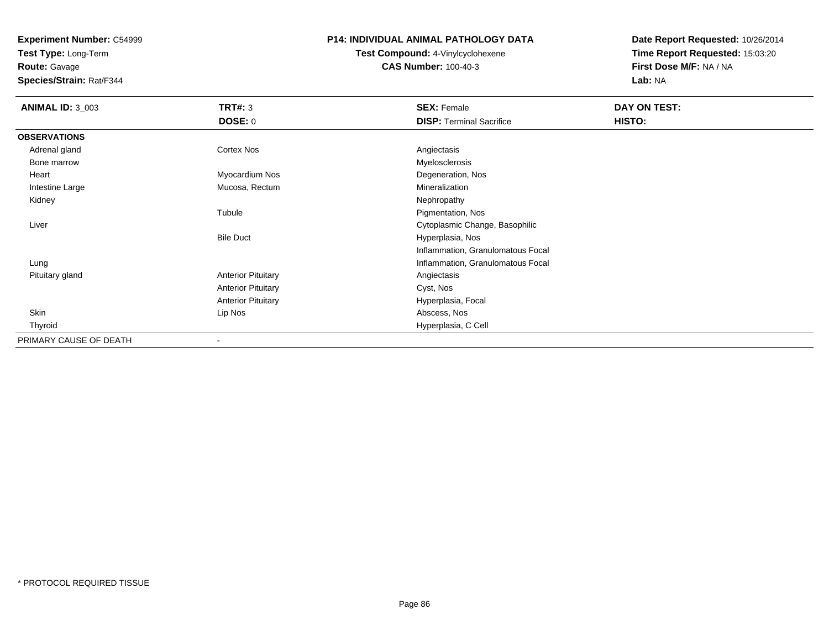**Test Type:** Long-Term

**Route:** Gavage

**Species/Strain:** Rat/F344

### **P14: INDIVIDUAL ANIMAL PATHOLOGY DATA**

**Test Compound:** 4-Vinylcyclohexene**CAS Number:** 100-40-3

| <b>ANIMAL ID: 3_003</b> | <b>TRT#: 3</b>            | <b>SEX: Female</b>                | DAY ON TEST: |  |
|-------------------------|---------------------------|-----------------------------------|--------------|--|
|                         | <b>DOSE: 0</b>            | <b>DISP: Terminal Sacrifice</b>   | HISTO:       |  |
| <b>OBSERVATIONS</b>     |                           |                                   |              |  |
| Adrenal gland           | <b>Cortex Nos</b>         | Angiectasis                       |              |  |
| Bone marrow             |                           | Myelosclerosis                    |              |  |
| Heart                   | Myocardium Nos            | Degeneration, Nos                 |              |  |
| Intestine Large         | Mucosa, Rectum            | Mineralization                    |              |  |
| Kidney                  |                           | Nephropathy                       |              |  |
|                         | Tubule                    | Pigmentation, Nos                 |              |  |
| Liver                   |                           | Cytoplasmic Change, Basophilic    |              |  |
|                         | <b>Bile Duct</b>          | Hyperplasia, Nos                  |              |  |
|                         |                           | Inflammation, Granulomatous Focal |              |  |
| Lung                    |                           | Inflammation, Granulomatous Focal |              |  |
| Pituitary gland         | <b>Anterior Pituitary</b> | Angiectasis                       |              |  |
|                         | <b>Anterior Pituitary</b> | Cyst, Nos                         |              |  |
|                         | <b>Anterior Pituitary</b> | Hyperplasia, Focal                |              |  |
| Skin                    | Lip Nos                   | Abscess, Nos                      |              |  |
| Thyroid                 |                           | Hyperplasia, C Cell               |              |  |
| PRIMARY CAUSE OF DEATH  |                           |                                   |              |  |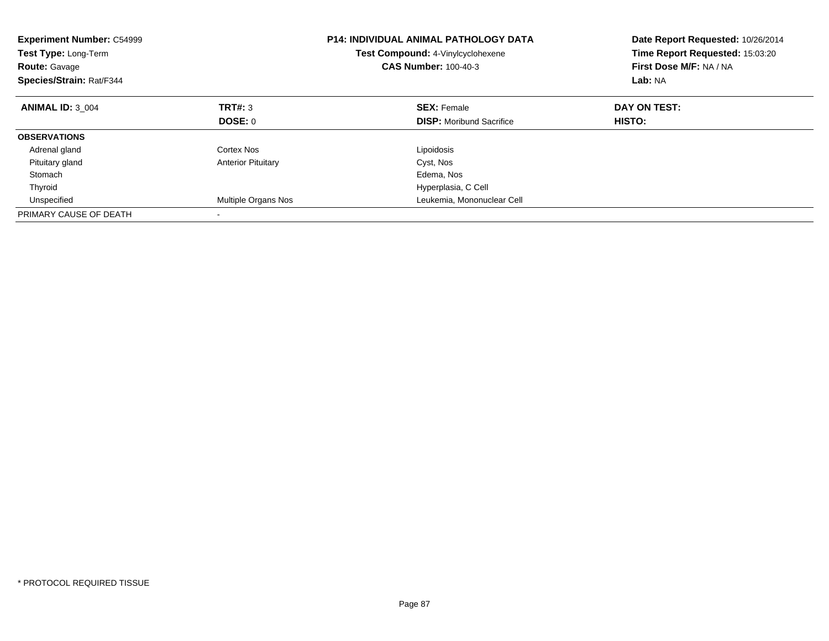| <b>Experiment Number: C54999</b><br><b>Test Type: Long-Term</b><br><b>Route: Gavage</b><br>Species/Strain: Rat/F344 |                           | <b>P14: INDIVIDUAL ANIMAL PATHOLOGY DATA</b><br><b>Test Compound: 4-Vinylcyclohexene</b><br><b>CAS Number: 100-40-3</b> | Date Report Requested: 10/26/2014<br>Time Report Requested: 15:03:20<br>First Dose M/F: NA / NA<br>Lab: NA |
|---------------------------------------------------------------------------------------------------------------------|---------------------------|-------------------------------------------------------------------------------------------------------------------------|------------------------------------------------------------------------------------------------------------|
| <b>ANIMAL ID: 3 004</b>                                                                                             | TRT#: 3                   | <b>SEX: Female</b>                                                                                                      | DAY ON TEST:                                                                                               |
|                                                                                                                     | DOSE: 0                   | <b>DISP:</b> Moribund Sacrifice                                                                                         | HISTO:                                                                                                     |
| <b>OBSERVATIONS</b>                                                                                                 |                           |                                                                                                                         |                                                                                                            |
| Adrenal gland                                                                                                       | Cortex Nos                | Lipoidosis                                                                                                              |                                                                                                            |
| Pituitary gland                                                                                                     | <b>Anterior Pituitary</b> | Cyst, Nos                                                                                                               |                                                                                                            |
| Stomach                                                                                                             |                           | Edema, Nos                                                                                                              |                                                                                                            |
| Thyroid                                                                                                             |                           | Hyperplasia, C Cell                                                                                                     |                                                                                                            |
| Unspecified                                                                                                         | Multiple Organs Nos       | Leukemia, Mononuclear Cell                                                                                              |                                                                                                            |
| PRIMARY CAUSE OF DEATH                                                                                              |                           |                                                                                                                         |                                                                                                            |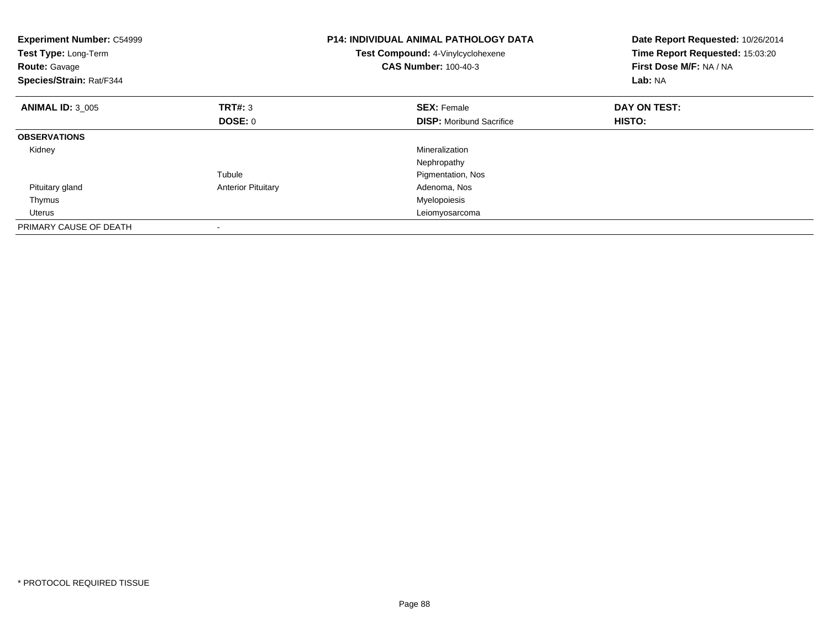| <b>Experiment Number: C54999</b><br>Test Type: Long-Term<br><b>Route: Gavage</b><br>Species/Strain: Rat/F344 |                           | <b>P14: INDIVIDUAL ANIMAL PATHOLOGY DATA</b><br>Test Compound: 4-Vinylcyclohexene<br><b>CAS Number: 100-40-3</b> | Date Report Requested: 10/26/2014<br>Time Report Requested: 15:03:20<br>First Dose M/F: NA / NA<br>Lab: NA |
|--------------------------------------------------------------------------------------------------------------|---------------------------|------------------------------------------------------------------------------------------------------------------|------------------------------------------------------------------------------------------------------------|
| <b>ANIMAL ID: 3 005</b>                                                                                      | TRT#: 3                   | <b>SEX: Female</b>                                                                                               | DAY ON TEST:                                                                                               |
|                                                                                                              | DOSE: 0                   | <b>DISP:</b> Moribund Sacrifice                                                                                  | HISTO:                                                                                                     |
| <b>OBSERVATIONS</b>                                                                                          |                           |                                                                                                                  |                                                                                                            |
| Kidney                                                                                                       |                           | Mineralization                                                                                                   |                                                                                                            |
|                                                                                                              |                           | Nephropathy                                                                                                      |                                                                                                            |
|                                                                                                              | Tubule                    | Pigmentation, Nos                                                                                                |                                                                                                            |
| Pituitary gland                                                                                              | <b>Anterior Pituitary</b> | Adenoma, Nos                                                                                                     |                                                                                                            |
| Thymus                                                                                                       |                           | Myelopoiesis                                                                                                     |                                                                                                            |
| Uterus                                                                                                       |                           | Leiomyosarcoma                                                                                                   |                                                                                                            |
| PRIMARY CAUSE OF DEATH                                                                                       |                           |                                                                                                                  |                                                                                                            |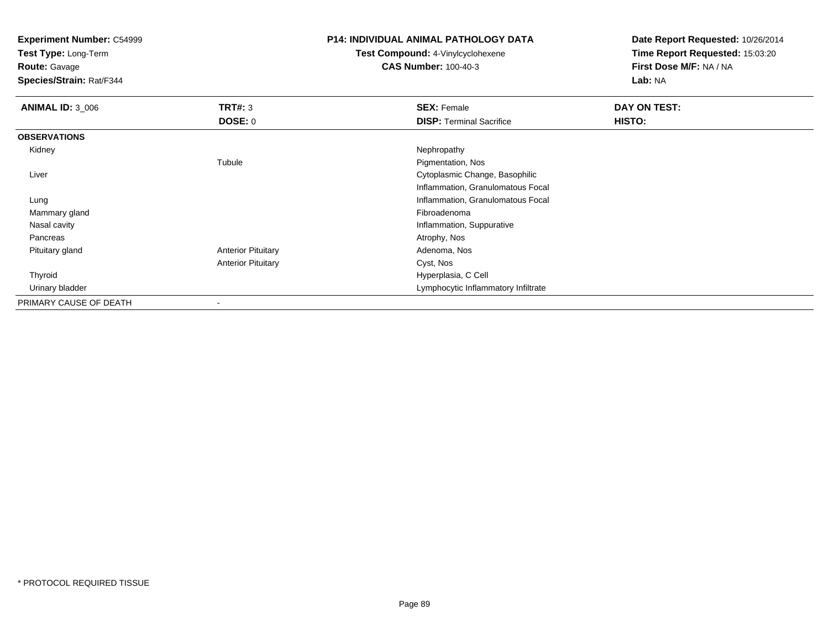**Test Type:** Long-Term

**Route:** Gavage

**Species/Strain:** Rat/F344

# **P14: INDIVIDUAL ANIMAL PATHOLOGY DATA**

**Test Compound:** 4-Vinylcyclohexene**CAS Number:** 100-40-3

| <b>ANIMAL ID: 3 006</b> | <b>TRT#: 3</b>            | <b>SEX: Female</b>                  | DAY ON TEST: |
|-------------------------|---------------------------|-------------------------------------|--------------|
|                         | <b>DOSE: 0</b>            | <b>DISP: Terminal Sacrifice</b>     | HISTO:       |
| <b>OBSERVATIONS</b>     |                           |                                     |              |
| Kidney                  |                           | Nephropathy                         |              |
|                         | Tubule                    | Pigmentation, Nos                   |              |
| Liver                   |                           | Cytoplasmic Change, Basophilic      |              |
|                         |                           | Inflammation, Granulomatous Focal   |              |
| Lung                    |                           | Inflammation, Granulomatous Focal   |              |
| Mammary gland           |                           | Fibroadenoma                        |              |
| Nasal cavity            |                           | Inflammation, Suppurative           |              |
| Pancreas                |                           | Atrophy, Nos                        |              |
| Pituitary gland         | <b>Anterior Pituitary</b> | Adenoma, Nos                        |              |
|                         | <b>Anterior Pituitary</b> | Cyst, Nos                           |              |
| Thyroid                 |                           | Hyperplasia, C Cell                 |              |
| Urinary bladder         |                           | Lymphocytic Inflammatory Infiltrate |              |
| PRIMARY CAUSE OF DEATH  |                           |                                     |              |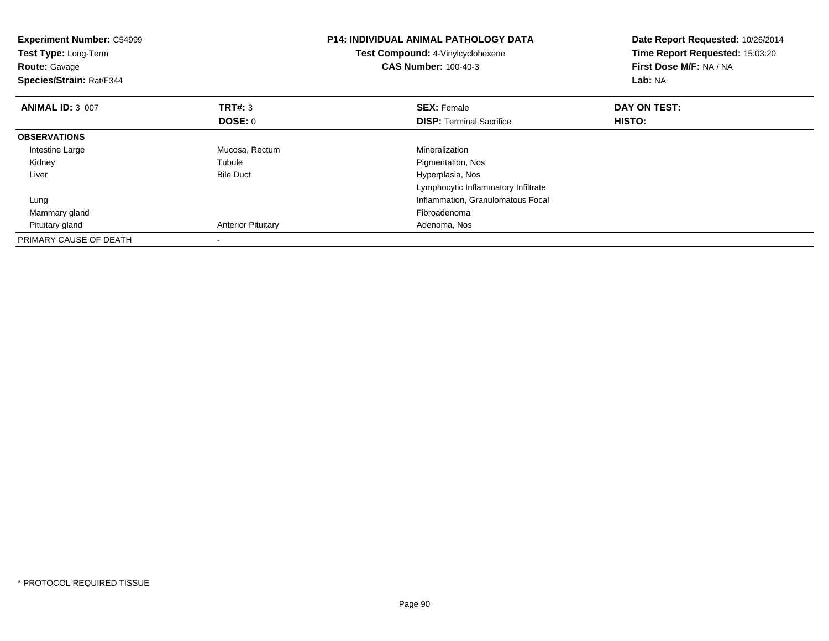| <b>Experiment Number: C54999</b><br>Test Type: Long-Term<br><b>Route: Gavage</b><br>Species/Strain: Rat/F344 |                           | <b>P14: INDIVIDUAL ANIMAL PATHOLOGY DATA</b><br>Test Compound: 4-Vinylcyclohexene<br><b>CAS Number: 100-40-3</b> | Date Report Requested: 10/26/2014<br>Time Report Requested: 15:03:20<br>First Dose M/F: NA / NA<br>Lab: NA |
|--------------------------------------------------------------------------------------------------------------|---------------------------|------------------------------------------------------------------------------------------------------------------|------------------------------------------------------------------------------------------------------------|
| <b>ANIMAL ID: 3 007</b>                                                                                      | <b>TRT#: 3</b>            | <b>SEX: Female</b>                                                                                               | DAY ON TEST:                                                                                               |
|                                                                                                              | DOSE: 0                   | <b>DISP:</b> Terminal Sacrifice                                                                                  | HISTO:                                                                                                     |
| <b>OBSERVATIONS</b>                                                                                          |                           |                                                                                                                  |                                                                                                            |
| Intestine Large                                                                                              | Mucosa, Rectum            | Mineralization                                                                                                   |                                                                                                            |
| Kidney                                                                                                       | Tubule                    | Pigmentation, Nos                                                                                                |                                                                                                            |
| Liver                                                                                                        | <b>Bile Duct</b>          | Hyperplasia, Nos                                                                                                 |                                                                                                            |
|                                                                                                              |                           | Lymphocytic Inflammatory Infiltrate                                                                              |                                                                                                            |
| Lung                                                                                                         |                           | Inflammation, Granulomatous Focal                                                                                |                                                                                                            |
| Mammary gland                                                                                                |                           | Fibroadenoma                                                                                                     |                                                                                                            |
| Pituitary gland                                                                                              | <b>Anterior Pituitary</b> | Adenoma, Nos                                                                                                     |                                                                                                            |
| PRIMARY CAUSE OF DEATH                                                                                       |                           |                                                                                                                  |                                                                                                            |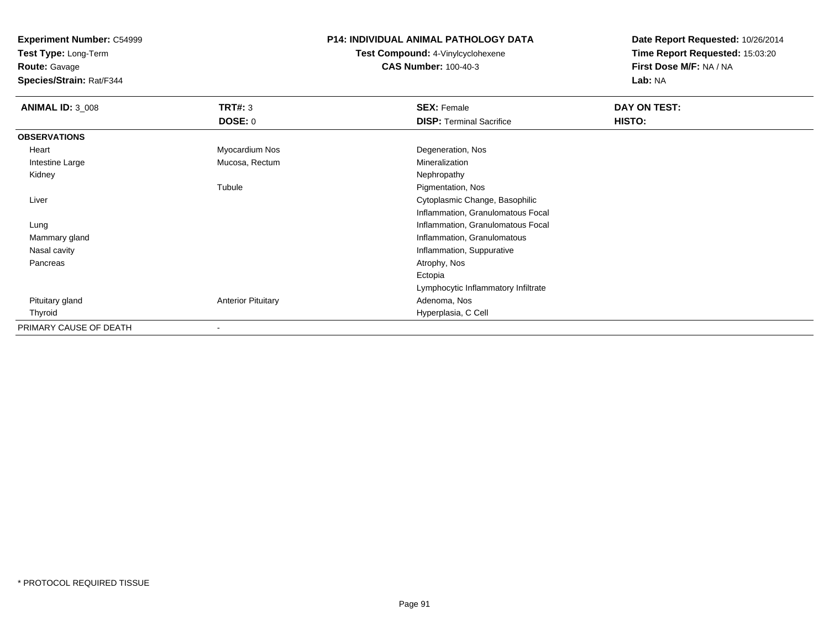**Test Type:** Long-Term

**Route:** Gavage

**Species/Strain:** Rat/F344

### **P14: INDIVIDUAL ANIMAL PATHOLOGY DATA**

**Test Compound:** 4-Vinylcyclohexene**CAS Number:** 100-40-3

| <b>ANIMAL ID: 3_008</b> | TRT#: 3                   | <b>SEX: Female</b>                  | DAY ON TEST:  |  |
|-------------------------|---------------------------|-------------------------------------|---------------|--|
|                         | <b>DOSE: 0</b>            | <b>DISP: Terminal Sacrifice</b>     | <b>HISTO:</b> |  |
| <b>OBSERVATIONS</b>     |                           |                                     |               |  |
| Heart                   | Myocardium Nos            | Degeneration, Nos                   |               |  |
| Intestine Large         | Mucosa, Rectum            | Mineralization                      |               |  |
| Kidney                  |                           | Nephropathy                         |               |  |
|                         | Tubule                    | Pigmentation, Nos                   |               |  |
| Liver                   |                           | Cytoplasmic Change, Basophilic      |               |  |
|                         |                           | Inflammation, Granulomatous Focal   |               |  |
| Lung                    |                           | Inflammation, Granulomatous Focal   |               |  |
| Mammary gland           |                           | Inflammation, Granulomatous         |               |  |
| Nasal cavity            |                           | Inflammation, Suppurative           |               |  |
| Pancreas                |                           | Atrophy, Nos                        |               |  |
|                         |                           | Ectopia                             |               |  |
|                         |                           | Lymphocytic Inflammatory Infiltrate |               |  |
| Pituitary gland         | <b>Anterior Pituitary</b> | Adenoma, Nos                        |               |  |
| Thyroid                 |                           | Hyperplasia, C Cell                 |               |  |
| PRIMARY CAUSE OF DEATH  | $\overline{\phantom{a}}$  |                                     |               |  |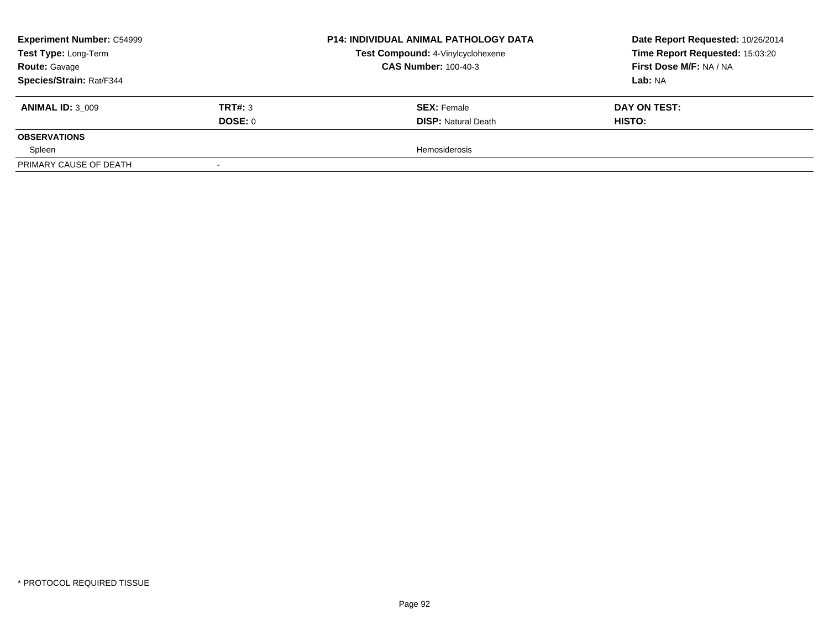| <b>Experiment Number: C54999</b><br>Test Type: Long-Term<br><b>Route: Gavage</b> |         | <b>P14: INDIVIDUAL ANIMAL PATHOLOGY DATA</b> | Date Report Requested: 10/26/2014 |
|----------------------------------------------------------------------------------|---------|----------------------------------------------|-----------------------------------|
|                                                                                  |         | Test Compound: 4-Vinylcyclohexene            | Time Report Requested: 15:03:20   |
|                                                                                  |         | <b>CAS Number: 100-40-3</b>                  | First Dose M/F: NA / NA           |
| Species/Strain: Rat/F344                                                         |         |                                              | Lab: NA                           |
| <b>ANIMAL ID: 3 009</b>                                                          | TRT#: 3 | <b>SEX: Female</b>                           | DAY ON TEST:                      |
|                                                                                  | DOSE: 0 | <b>DISP: Natural Death</b>                   | <b>HISTO:</b>                     |
| <b>OBSERVATIONS</b>                                                              |         |                                              |                                   |
| Spleen                                                                           |         | <b>Hemosiderosis</b>                         |                                   |
| PRIMARY CAUSE OF DEATH                                                           |         |                                              |                                   |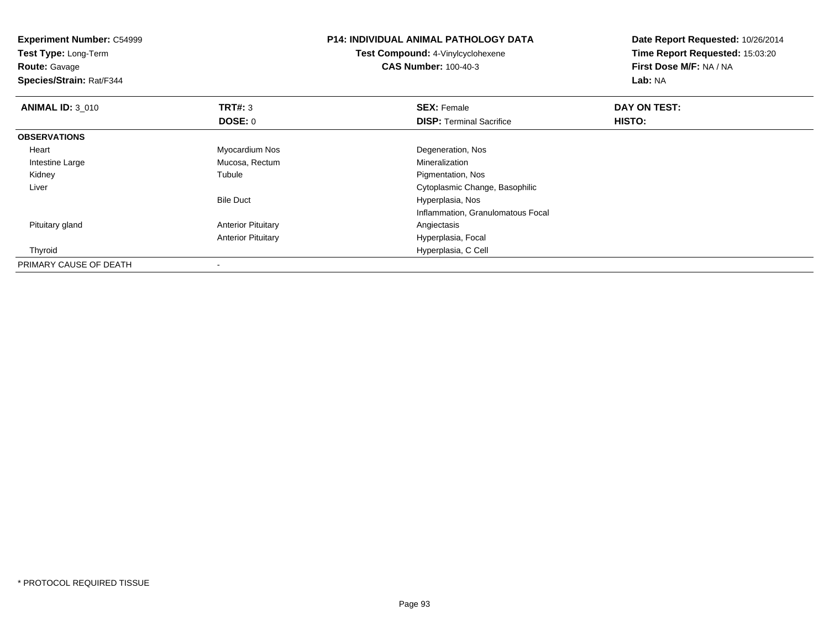| <b>Experiment Number: C54999</b><br><b>Test Type: Long-Term</b><br><b>Route: Gavage</b> |                           | <b>P14: INDIVIDUAL ANIMAL PATHOLOGY DATA</b><br>Test Compound: 4-Vinylcyclohexene<br><b>CAS Number: 100-40-3</b> | Date Report Requested: 10/26/2014<br>Time Report Requested: 15:03:20<br>First Dose M/F: NA / NA |
|-----------------------------------------------------------------------------------------|---------------------------|------------------------------------------------------------------------------------------------------------------|-------------------------------------------------------------------------------------------------|
| Species/Strain: Rat/F344                                                                |                           |                                                                                                                  | Lab: NA                                                                                         |
| <b>ANIMAL ID: 3 010</b>                                                                 | TRT#: 3                   | <b>SEX: Female</b>                                                                                               | DAY ON TEST:                                                                                    |
|                                                                                         | <b>DOSE: 0</b>            | <b>DISP: Terminal Sacrifice</b>                                                                                  | HISTO:                                                                                          |
| <b>OBSERVATIONS</b>                                                                     |                           |                                                                                                                  |                                                                                                 |
| Heart                                                                                   | Myocardium Nos            | Degeneration, Nos                                                                                                |                                                                                                 |
| Intestine Large                                                                         | Mucosa, Rectum            | Mineralization                                                                                                   |                                                                                                 |
| Kidney                                                                                  | Tubule                    | Pigmentation, Nos                                                                                                |                                                                                                 |
| Liver                                                                                   |                           | Cytoplasmic Change, Basophilic                                                                                   |                                                                                                 |
|                                                                                         | <b>Bile Duct</b>          | Hyperplasia, Nos                                                                                                 |                                                                                                 |
|                                                                                         |                           | Inflammation, Granulomatous Focal                                                                                |                                                                                                 |
| Pituitary gland                                                                         | <b>Anterior Pituitary</b> | Angiectasis                                                                                                      |                                                                                                 |
|                                                                                         | <b>Anterior Pituitary</b> | Hyperplasia, Focal                                                                                               |                                                                                                 |
| Thyroid                                                                                 |                           | Hyperplasia, C Cell                                                                                              |                                                                                                 |
| PRIMARY CAUSE OF DEATH                                                                  |                           |                                                                                                                  |                                                                                                 |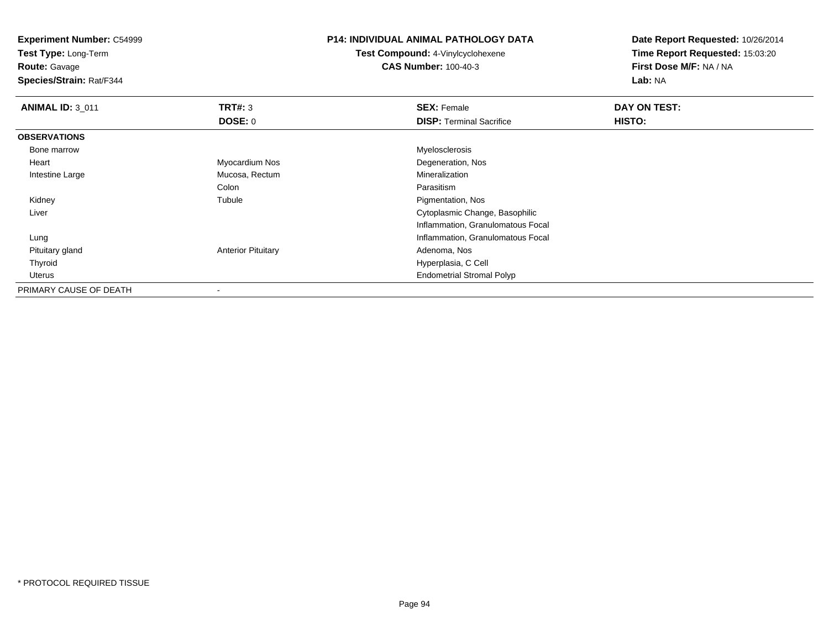**Experiment Number:** C54999**Test Type:** Long-Term**Route:** Gavage **Species/Strain:** Rat/F344**P14: INDIVIDUAL ANIMAL PATHOLOGY DATATest Compound:** 4-Vinylcyclohexene**CAS Number:** 100-40-3**Date Report Requested:** 10/26/2014**Time Report Requested:** 15:03:20**First Dose M/F:** NA / NA**Lab:** NA**ANIMAL ID:** 3\_011**TRT#:** 3 **SEX:** Female **DAY ON TEST: DOSE:** 0**DISP:** Terminal Sacrifice **HISTO: OBSERVATIONS** Bone marroww when the contract of the contract of the contract of the contract of the contract of the contract of the contract of the contract of the contract of the contract of the contract of the contract of the contract of the con Heart Myocardium Nos Degeneration, Nos Intestine Large Mucosa, Rectum Mineralization ColonColon **Parasitism**<br>
Tubule **Properties**<br>
Pigmentati Pigmentation, Nos Kidneyy the contract of the contract of the contract of the contract of the contract of the contract of the contract of the contract of the contract of the contract of the contract of the contract of the contract of the contract Liver Cytoplasmic Change, Basophilic Inflammation, Granulomatous Focal Lung Inflammation, Granulomatous Focal Pituitary glandAnterior Pituitary **Adenoma, Nos** Adenoma, Nos Thyroid Hyperplasia, C Cell Uterus Endometrial Stromal PolypPRIMARY CAUSE OF DEATH-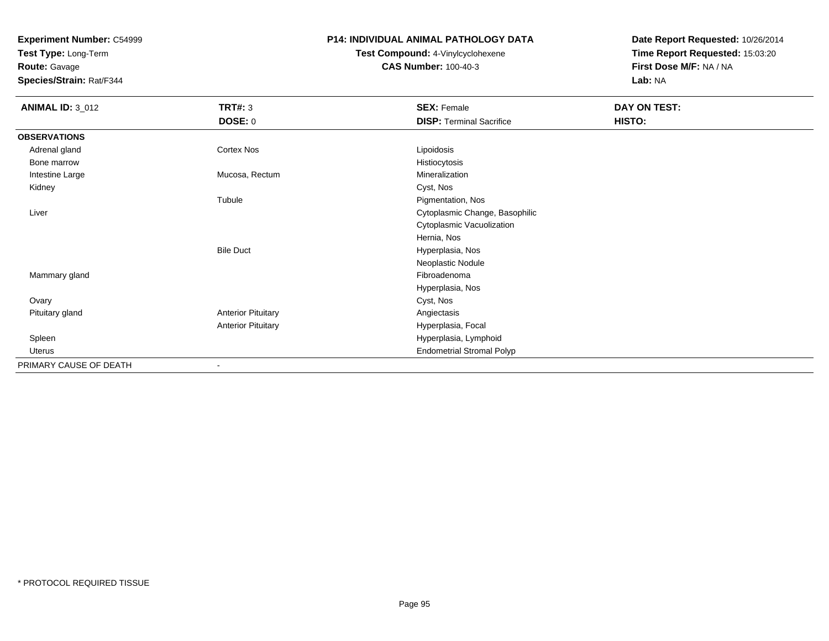**Test Type:** Long-Term

**Route:** Gavage

**Species/Strain:** Rat/F344

# **P14: INDIVIDUAL ANIMAL PATHOLOGY DATA**

**Test Compound:** 4-Vinylcyclohexene**CAS Number:** 100-40-3

| <b>ANIMAL ID: 3_012</b> | <b>TRT#: 3</b>            | <b>SEX: Female</b>               | DAY ON TEST: |  |
|-------------------------|---------------------------|----------------------------------|--------------|--|
|                         | <b>DOSE: 0</b>            | <b>DISP: Terminal Sacrifice</b>  | HISTO:       |  |
| <b>OBSERVATIONS</b>     |                           |                                  |              |  |
| Adrenal gland           | Cortex Nos                | Lipoidosis                       |              |  |
| Bone marrow             |                           | Histiocytosis                    |              |  |
| Intestine Large         | Mucosa, Rectum            | Mineralization                   |              |  |
| Kidney                  |                           | Cyst, Nos                        |              |  |
|                         | Tubule                    | Pigmentation, Nos                |              |  |
| Liver                   |                           | Cytoplasmic Change, Basophilic   |              |  |
|                         |                           | Cytoplasmic Vacuolization        |              |  |
|                         |                           | Hernia, Nos                      |              |  |
|                         | <b>Bile Duct</b>          | Hyperplasia, Nos                 |              |  |
|                         |                           | Neoplastic Nodule                |              |  |
| Mammary gland           |                           | Fibroadenoma                     |              |  |
|                         |                           | Hyperplasia, Nos                 |              |  |
| Ovary                   |                           | Cyst, Nos                        |              |  |
| Pituitary gland         | <b>Anterior Pituitary</b> | Angiectasis                      |              |  |
|                         | <b>Anterior Pituitary</b> | Hyperplasia, Focal               |              |  |
| Spleen                  |                           | Hyperplasia, Lymphoid            |              |  |
| Uterus                  |                           | <b>Endometrial Stromal Polyp</b> |              |  |
| PRIMARY CAUSE OF DEATH  | $\blacksquare$            |                                  |              |  |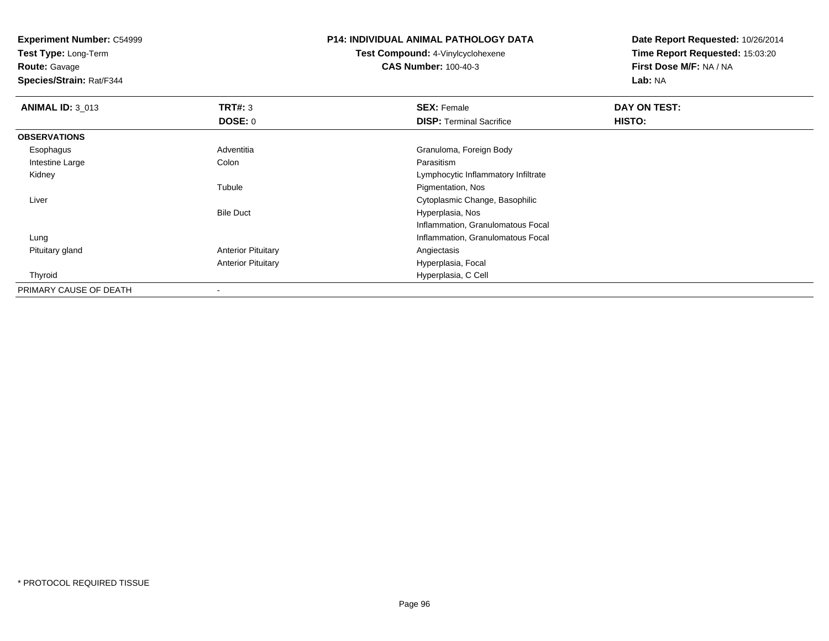**Test Type:** Long-Term

**Route:** Gavage

**Species/Strain:** Rat/F344

# **P14: INDIVIDUAL ANIMAL PATHOLOGY DATA**

**Test Compound:** 4-Vinylcyclohexene**CAS Number:** 100-40-3

| <b>ANIMAL ID: 3_013</b> | TRT#: 3                   | <b>SEX: Female</b>                  | DAY ON TEST: |  |
|-------------------------|---------------------------|-------------------------------------|--------------|--|
|                         | DOSE: 0                   | <b>DISP: Terminal Sacrifice</b>     | HISTO:       |  |
| <b>OBSERVATIONS</b>     |                           |                                     |              |  |
| Esophagus               | Adventitia                | Granuloma, Foreign Body             |              |  |
| Intestine Large         | Colon                     | Parasitism                          |              |  |
| Kidney                  |                           | Lymphocytic Inflammatory Infiltrate |              |  |
|                         | Tubule                    | Pigmentation, Nos                   |              |  |
| Liver                   |                           | Cytoplasmic Change, Basophilic      |              |  |
|                         | <b>Bile Duct</b>          | Hyperplasia, Nos                    |              |  |
|                         |                           | Inflammation, Granulomatous Focal   |              |  |
| Lung                    |                           | Inflammation, Granulomatous Focal   |              |  |
| Pituitary gland         | <b>Anterior Pituitary</b> | Angiectasis                         |              |  |
|                         | <b>Anterior Pituitary</b> | Hyperplasia, Focal                  |              |  |
| Thyroid                 |                           | Hyperplasia, C Cell                 |              |  |
| PRIMARY CAUSE OF DEATH  |                           |                                     |              |  |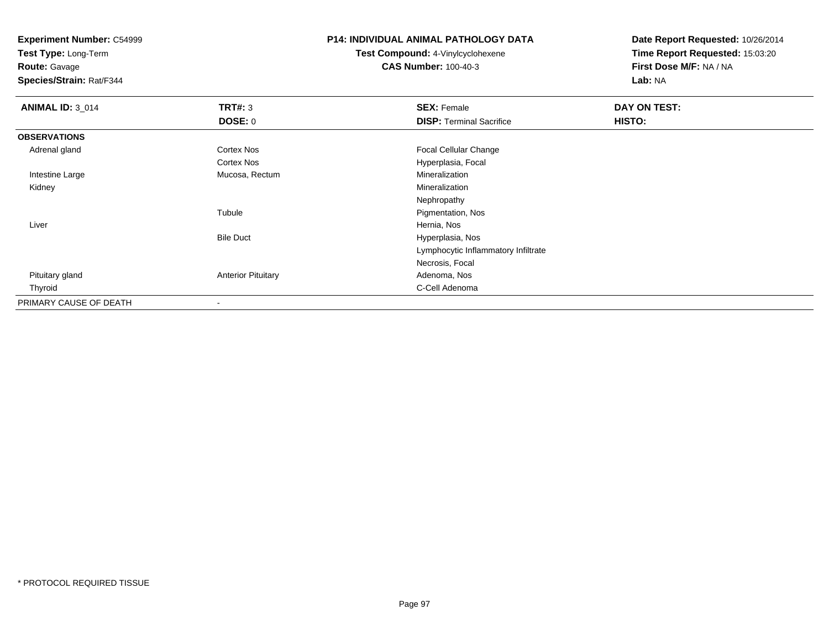**Test Type:** Long-Term

**Route:** Gavage

**Species/Strain:** Rat/F344

# **P14: INDIVIDUAL ANIMAL PATHOLOGY DATA**

**Test Compound:** 4-Vinylcyclohexene**CAS Number:** 100-40-3

| <b>ANIMAL ID: 3_014</b> | TRT#: 3                   | <b>SEX: Female</b>                  | DAY ON TEST: |  |
|-------------------------|---------------------------|-------------------------------------|--------------|--|
|                         | <b>DOSE: 0</b>            | <b>DISP: Terminal Sacrifice</b>     | HISTO:       |  |
| <b>OBSERVATIONS</b>     |                           |                                     |              |  |
| Adrenal gland           | <b>Cortex Nos</b>         | Focal Cellular Change               |              |  |
|                         | Cortex Nos                | Hyperplasia, Focal                  |              |  |
| Intestine Large         | Mucosa, Rectum            | Mineralization                      |              |  |
| Kidney                  |                           | Mineralization                      |              |  |
|                         |                           | Nephropathy                         |              |  |
|                         | Tubule                    | Pigmentation, Nos                   |              |  |
| Liver                   |                           | Hernia, Nos                         |              |  |
|                         | <b>Bile Duct</b>          | Hyperplasia, Nos                    |              |  |
|                         |                           | Lymphocytic Inflammatory Infiltrate |              |  |
|                         |                           | Necrosis, Focal                     |              |  |
| Pituitary gland         | <b>Anterior Pituitary</b> | Adenoma, Nos                        |              |  |
| Thyroid                 |                           | C-Cell Adenoma                      |              |  |
| PRIMARY CAUSE OF DEATH  |                           |                                     |              |  |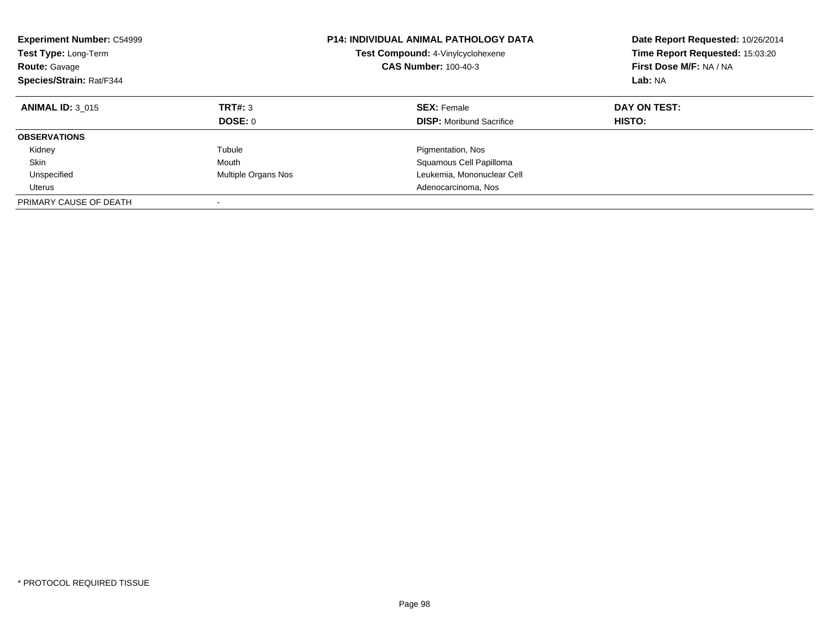| <b>Experiment Number: C54999</b><br><b>Test Type: Long-Term</b><br><b>Route: Gavage</b><br>Species/Strain: Rat/F344 |                     | <b>P14: INDIVIDUAL ANIMAL PATHOLOGY DATA</b><br>Test Compound: 4-Vinylcyclohexene<br><b>CAS Number: 100-40-3</b> | Date Report Requested: 10/26/2014<br>Time Report Requested: 15:03:20<br>First Dose M/F: NA / NA<br>Lab: NA |
|---------------------------------------------------------------------------------------------------------------------|---------------------|------------------------------------------------------------------------------------------------------------------|------------------------------------------------------------------------------------------------------------|
| <b>ANIMAL ID: 3 015</b>                                                                                             | TRT#: 3<br>DOSE: 0  | <b>SEX: Female</b><br><b>DISP:</b> Moribund Sacrifice                                                            | DAY ON TEST:<br>HISTO:                                                                                     |
| <b>OBSERVATIONS</b>                                                                                                 |                     |                                                                                                                  |                                                                                                            |
| Kidney                                                                                                              | Tubule              | Pigmentation, Nos                                                                                                |                                                                                                            |
| Skin                                                                                                                | Mouth               | Squamous Cell Papilloma                                                                                          |                                                                                                            |
| Unspecified                                                                                                         | Multiple Organs Nos | Leukemia, Mononuclear Cell                                                                                       |                                                                                                            |
| Uterus                                                                                                              |                     | Adenocarcinoma, Nos                                                                                              |                                                                                                            |
| PRIMARY CAUSE OF DEATH                                                                                              |                     |                                                                                                                  |                                                                                                            |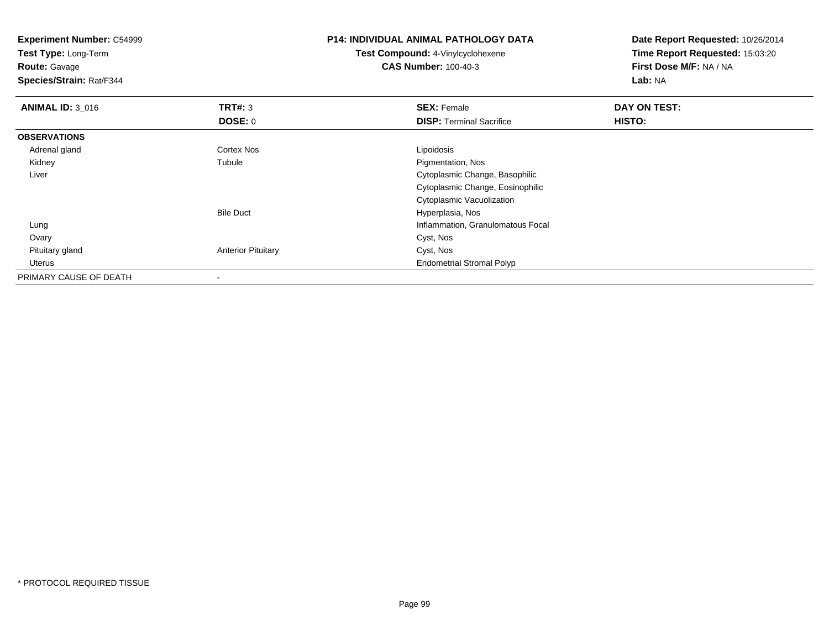| <b>Experiment Number: C54999</b><br>Test Type: Long-Term<br><b>Route: Gavage</b><br>Species/Strain: Rat/F344 |                           | <b>P14: INDIVIDUAL ANIMAL PATHOLOGY DATA</b><br>Test Compound: 4-Vinylcyclohexene<br><b>CAS Number: 100-40-3</b> | Date Report Requested: 10/26/2014<br>Time Report Requested: 15:03:20<br>First Dose M/F: NA / NA<br>Lab: NA |
|--------------------------------------------------------------------------------------------------------------|---------------------------|------------------------------------------------------------------------------------------------------------------|------------------------------------------------------------------------------------------------------------|
| <b>ANIMAL ID: 3_016</b>                                                                                      | TRT#: 3                   | <b>SEX: Female</b>                                                                                               | DAY ON TEST:                                                                                               |
|                                                                                                              | <b>DOSE: 0</b>            | <b>DISP: Terminal Sacrifice</b>                                                                                  | <b>HISTO:</b>                                                                                              |
| <b>OBSERVATIONS</b>                                                                                          |                           |                                                                                                                  |                                                                                                            |
| Adrenal gland                                                                                                | Cortex Nos                | Lipoidosis                                                                                                       |                                                                                                            |
| Kidney                                                                                                       | Tubule                    | Pigmentation, Nos                                                                                                |                                                                                                            |
| Liver                                                                                                        |                           | Cytoplasmic Change, Basophilic                                                                                   |                                                                                                            |
|                                                                                                              |                           | Cytoplasmic Change, Eosinophilic                                                                                 |                                                                                                            |
|                                                                                                              |                           | Cytoplasmic Vacuolization                                                                                        |                                                                                                            |
|                                                                                                              | <b>Bile Duct</b>          | Hyperplasia, Nos                                                                                                 |                                                                                                            |
| Lung                                                                                                         |                           | Inflammation, Granulomatous Focal                                                                                |                                                                                                            |
| Ovary                                                                                                        |                           | Cyst, Nos                                                                                                        |                                                                                                            |
| Pituitary gland                                                                                              | <b>Anterior Pituitary</b> | Cyst, Nos                                                                                                        |                                                                                                            |
| Uterus                                                                                                       |                           | <b>Endometrial Stromal Polyp</b>                                                                                 |                                                                                                            |
| PRIMARY CAUSE OF DEATH                                                                                       |                           |                                                                                                                  |                                                                                                            |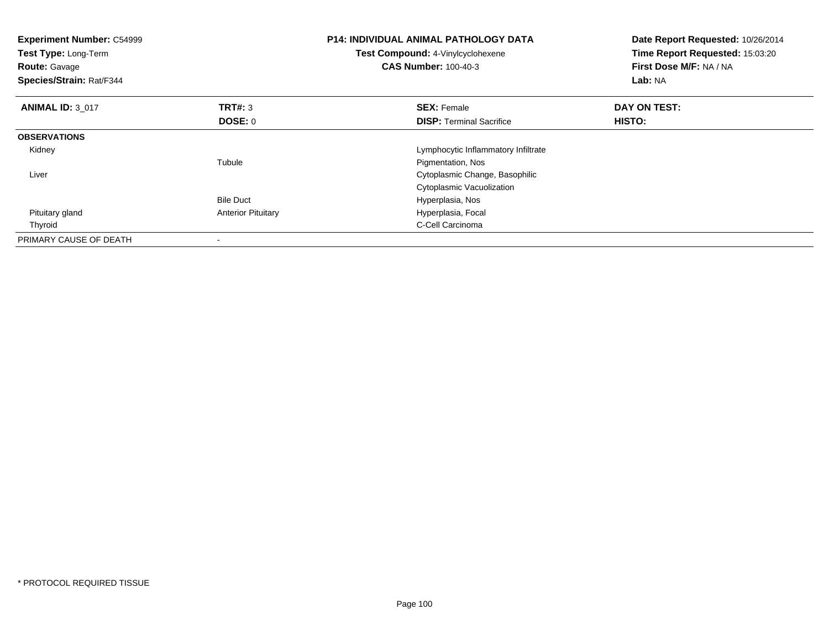| <b>Experiment Number: C54999</b><br>Test Type: Long-Term<br><b>Route: Gavage</b><br>Species/Strain: Rat/F344 |                           | <b>P14: INDIVIDUAL ANIMAL PATHOLOGY DATA</b><br>Test Compound: 4-Vinylcyclohexene<br><b>CAS Number: 100-40-3</b> | Date Report Requested: 10/26/2014<br>Time Report Requested: 15:03:20<br>First Dose M/F: NA / NA<br>Lab: NA |
|--------------------------------------------------------------------------------------------------------------|---------------------------|------------------------------------------------------------------------------------------------------------------|------------------------------------------------------------------------------------------------------------|
| <b>ANIMAL ID: 3 017</b>                                                                                      | TRT#: 3                   | <b>SEX: Female</b>                                                                                               | DAY ON TEST:                                                                                               |
|                                                                                                              | DOSE: 0                   | <b>DISP:</b> Terminal Sacrifice                                                                                  | <b>HISTO:</b>                                                                                              |
| <b>OBSERVATIONS</b>                                                                                          |                           |                                                                                                                  |                                                                                                            |
| Kidney                                                                                                       |                           | Lymphocytic Inflammatory Infiltrate                                                                              |                                                                                                            |
|                                                                                                              | Tubule                    | Pigmentation, Nos                                                                                                |                                                                                                            |
| Liver                                                                                                        |                           | Cytoplasmic Change, Basophilic                                                                                   |                                                                                                            |
|                                                                                                              |                           | Cytoplasmic Vacuolization                                                                                        |                                                                                                            |
|                                                                                                              | <b>Bile Duct</b>          | Hyperplasia, Nos                                                                                                 |                                                                                                            |
| Pituitary gland                                                                                              | <b>Anterior Pituitary</b> | Hyperplasia, Focal                                                                                               |                                                                                                            |
| Thyroid                                                                                                      |                           | C-Cell Carcinoma                                                                                                 |                                                                                                            |
| PRIMARY CAUSE OF DEATH                                                                                       | $\overline{\phantom{a}}$  |                                                                                                                  |                                                                                                            |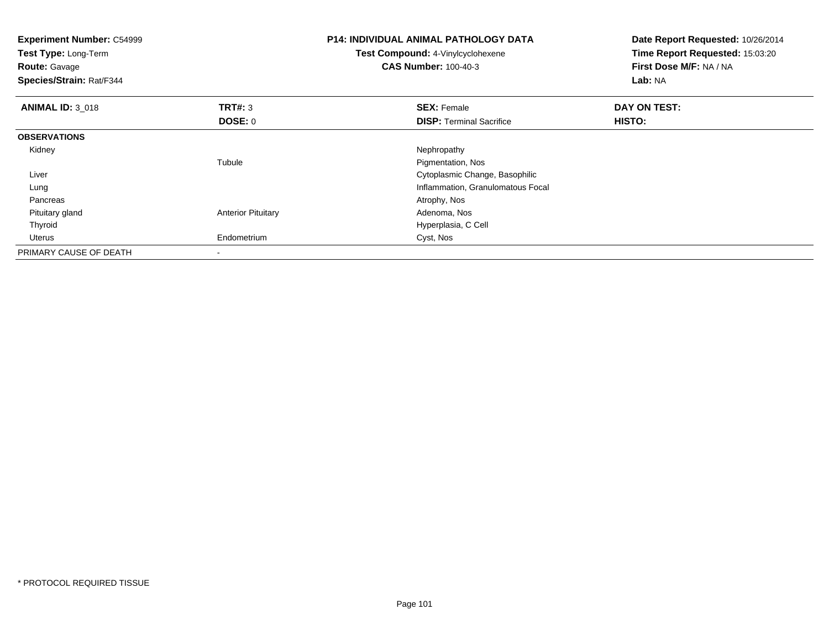| <b>Experiment Number: C54999</b><br>Test Type: Long-Term<br><b>Route: Gavage</b><br>Species/Strain: Rat/F344 |                           | <b>P14: INDIVIDUAL ANIMAL PATHOLOGY DATA</b><br>Test Compound: 4-Vinylcyclohexene<br><b>CAS Number: 100-40-3</b> | Date Report Requested: 10/26/2014<br>Time Report Requested: 15:03:20<br>First Dose M/F: NA / NA<br>Lab: NA |
|--------------------------------------------------------------------------------------------------------------|---------------------------|------------------------------------------------------------------------------------------------------------------|------------------------------------------------------------------------------------------------------------|
| <b>ANIMAL ID: 3_018</b>                                                                                      | <b>TRT#: 3</b>            | <b>SEX: Female</b>                                                                                               | DAY ON TEST:                                                                                               |
|                                                                                                              | <b>DOSE: 0</b>            | <b>DISP:</b> Terminal Sacrifice                                                                                  | <b>HISTO:</b>                                                                                              |
| <b>OBSERVATIONS</b>                                                                                          |                           |                                                                                                                  |                                                                                                            |
| Kidney                                                                                                       |                           | Nephropathy                                                                                                      |                                                                                                            |
|                                                                                                              | Tubule                    | Pigmentation, Nos                                                                                                |                                                                                                            |
| Liver                                                                                                        |                           | Cytoplasmic Change, Basophilic                                                                                   |                                                                                                            |
| Lung                                                                                                         |                           | Inflammation, Granulomatous Focal                                                                                |                                                                                                            |
| Pancreas                                                                                                     |                           | Atrophy, Nos                                                                                                     |                                                                                                            |
| Pituitary gland                                                                                              | <b>Anterior Pituitary</b> | Adenoma, Nos                                                                                                     |                                                                                                            |
| Thyroid                                                                                                      |                           | Hyperplasia, C Cell                                                                                              |                                                                                                            |
| <b>Uterus</b>                                                                                                | Endometrium               | Cyst, Nos                                                                                                        |                                                                                                            |
| PRIMARY CAUSE OF DEATH                                                                                       | -                         |                                                                                                                  |                                                                                                            |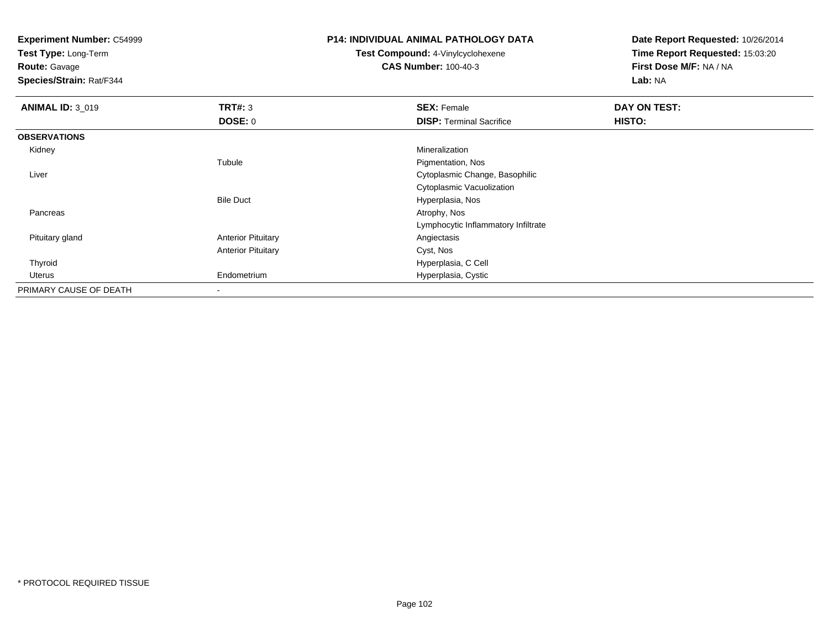**Test Type:** Long-Term

**Route:** Gavage

**Species/Strain:** Rat/F344

#### **P14: INDIVIDUAL ANIMAL PATHOLOGY DATA**

**Test Compound:** 4-Vinylcyclohexene**CAS Number:** 100-40-3

| <b>ANIMAL ID: 3_019</b> | TRT#: 3                   | <b>SEX: Female</b>                  | DAY ON TEST: |  |
|-------------------------|---------------------------|-------------------------------------|--------------|--|
|                         | DOSE: 0                   | <b>DISP: Terminal Sacrifice</b>     | HISTO:       |  |
| <b>OBSERVATIONS</b>     |                           |                                     |              |  |
| Kidney                  |                           | Mineralization                      |              |  |
|                         | Tubule                    | Pigmentation, Nos                   |              |  |
| Liver                   |                           | Cytoplasmic Change, Basophilic      |              |  |
|                         |                           | Cytoplasmic Vacuolization           |              |  |
|                         | <b>Bile Duct</b>          | Hyperplasia, Nos                    |              |  |
| Pancreas                |                           | Atrophy, Nos                        |              |  |
|                         |                           | Lymphocytic Inflammatory Infiltrate |              |  |
| Pituitary gland         | <b>Anterior Pituitary</b> | Angiectasis                         |              |  |
|                         | <b>Anterior Pituitary</b> | Cyst, Nos                           |              |  |
| Thyroid                 |                           | Hyperplasia, C Cell                 |              |  |
| Uterus                  | Endometrium               | Hyperplasia, Cystic                 |              |  |
| PRIMARY CAUSE OF DEATH  |                           |                                     |              |  |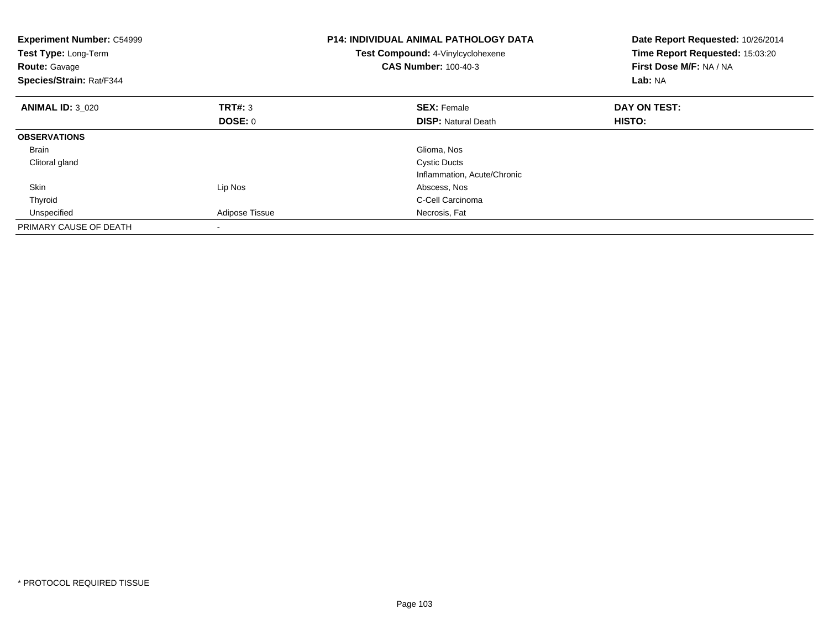| <b>Experiment Number: C54999</b><br>Test Type: Long-Term<br><b>Route: Gavage</b><br>Species/Strain: Rat/F344 |                | <b>P14: INDIVIDUAL ANIMAL PATHOLOGY DATA</b><br>Test Compound: 4-Vinylcyclohexene<br><b>CAS Number: 100-40-3</b> | Date Report Requested: 10/26/2014<br>Time Report Requested: 15:03:20<br>First Dose M/F: NA / NA<br>Lab: NA |
|--------------------------------------------------------------------------------------------------------------|----------------|------------------------------------------------------------------------------------------------------------------|------------------------------------------------------------------------------------------------------------|
| <b>ANIMAL ID: 3 020</b>                                                                                      | TRT#: 3        | <b>SEX: Female</b>                                                                                               | DAY ON TEST:                                                                                               |
|                                                                                                              | <b>DOSE: 0</b> | <b>DISP: Natural Death</b>                                                                                       | <b>HISTO:</b>                                                                                              |
| <b>OBSERVATIONS</b>                                                                                          |                |                                                                                                                  |                                                                                                            |
| Brain                                                                                                        |                | Glioma, Nos                                                                                                      |                                                                                                            |
| Clitoral gland                                                                                               |                | <b>Cystic Ducts</b>                                                                                              |                                                                                                            |
|                                                                                                              |                | Inflammation, Acute/Chronic                                                                                      |                                                                                                            |
| Skin                                                                                                         | Lip Nos        | Abscess, Nos                                                                                                     |                                                                                                            |
| Thyroid                                                                                                      |                | C-Cell Carcinoma                                                                                                 |                                                                                                            |
| Unspecified                                                                                                  | Adipose Tissue | Necrosis, Fat                                                                                                    |                                                                                                            |
| PRIMARY CAUSE OF DEATH                                                                                       |                |                                                                                                                  |                                                                                                            |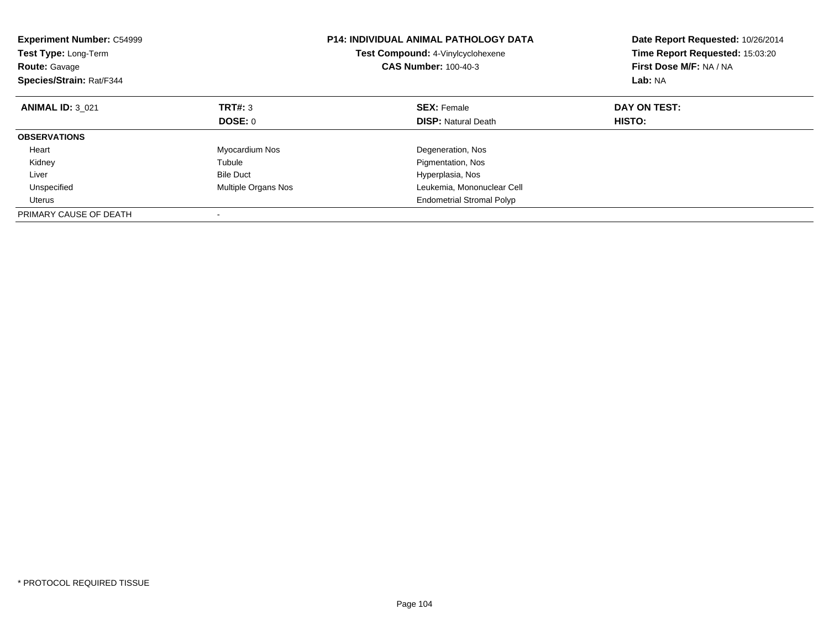| <b>Experiment Number: C54999</b><br>Test Type: Long-Term<br><b>Route: Gavage</b><br>Species/Strain: Rat/F344 |                     | <b>P14: INDIVIDUAL ANIMAL PATHOLOGY DATA</b><br>Test Compound: 4-Vinylcyclohexene<br><b>CAS Number: 100-40-3</b> | Date Report Requested: 10/26/2014<br>Time Report Requested: 15:03:20<br>First Dose M/F: NA / NA<br>Lab: NA |
|--------------------------------------------------------------------------------------------------------------|---------------------|------------------------------------------------------------------------------------------------------------------|------------------------------------------------------------------------------------------------------------|
| <b>ANIMAL ID: 3 021</b>                                                                                      | TRT#: 3             | <b>SEX: Female</b>                                                                                               | DAY ON TEST:                                                                                               |
|                                                                                                              | DOSE: 0             | <b>DISP:</b> Natural Death                                                                                       | HISTO:                                                                                                     |
| <b>OBSERVATIONS</b>                                                                                          |                     |                                                                                                                  |                                                                                                            |
| Heart                                                                                                        | Myocardium Nos      | Degeneration, Nos                                                                                                |                                                                                                            |
| Kidney                                                                                                       | Tubule              | Pigmentation, Nos                                                                                                |                                                                                                            |
| Liver                                                                                                        | <b>Bile Duct</b>    | Hyperplasia, Nos                                                                                                 |                                                                                                            |
| Unspecified                                                                                                  | Multiple Organs Nos | Leukemia, Mononuclear Cell                                                                                       |                                                                                                            |
| Uterus                                                                                                       |                     | <b>Endometrial Stromal Polyp</b>                                                                                 |                                                                                                            |
| PRIMARY CAUSE OF DEATH                                                                                       |                     |                                                                                                                  |                                                                                                            |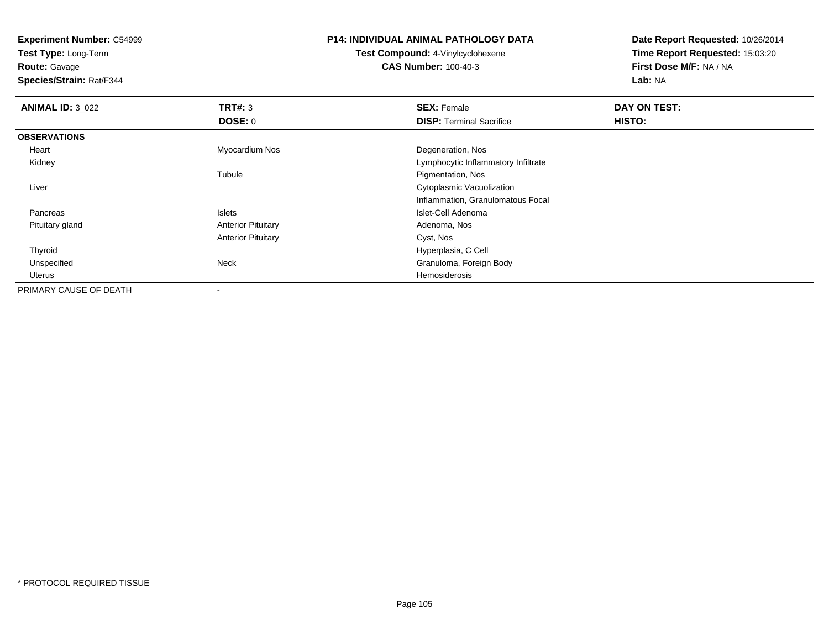**Test Type:** Long-Term

**Route:** Gavage

**Species/Strain:** Rat/F344

### **P14: INDIVIDUAL ANIMAL PATHOLOGY DATA**

**Test Compound:** 4-Vinylcyclohexene**CAS Number:** 100-40-3

| <b>ANIMAL ID: 3_022</b> | TRT#: 3                   | <b>SEX: Female</b>                  | DAY ON TEST: |  |
|-------------------------|---------------------------|-------------------------------------|--------------|--|
|                         | DOSE: 0                   | <b>DISP: Terminal Sacrifice</b>     | HISTO:       |  |
| <b>OBSERVATIONS</b>     |                           |                                     |              |  |
| Heart                   | Myocardium Nos            | Degeneration, Nos                   |              |  |
| Kidney                  |                           | Lymphocytic Inflammatory Infiltrate |              |  |
|                         | Tubule                    | Pigmentation, Nos                   |              |  |
| Liver                   |                           | Cytoplasmic Vacuolization           |              |  |
|                         |                           | Inflammation, Granulomatous Focal   |              |  |
| Pancreas                | Islets                    | Islet-Cell Adenoma                  |              |  |
| Pituitary gland         | <b>Anterior Pituitary</b> | Adenoma, Nos                        |              |  |
|                         | <b>Anterior Pituitary</b> | Cyst, Nos                           |              |  |
| Thyroid                 |                           | Hyperplasia, C Cell                 |              |  |
| Unspecified             | Neck                      | Granuloma, Foreign Body             |              |  |
| Uterus                  |                           | Hemosiderosis                       |              |  |
| PRIMARY CAUSE OF DEATH  | $\overline{\phantom{a}}$  |                                     |              |  |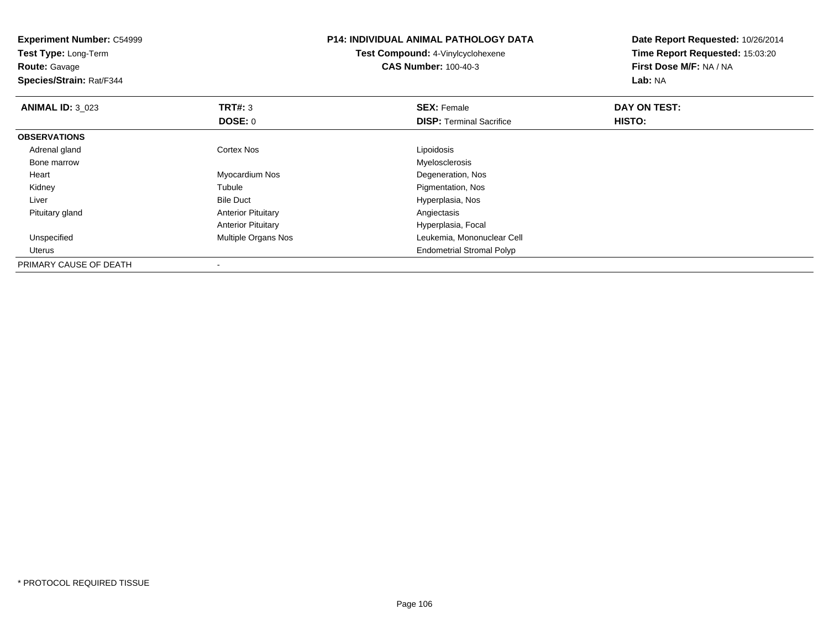| <b>Experiment Number: C54999</b><br>Test Type: Long-Term<br><b>Route: Gavage</b><br>Species/Strain: Rat/F344 |                           | <b>P14: INDIVIDUAL ANIMAL PATHOLOGY DATA</b><br><b>Test Compound: 4-Vinylcyclohexene</b><br><b>CAS Number: 100-40-3</b> | Date Report Requested: 10/26/2014<br>Time Report Requested: 15:03:20<br>First Dose M/F: NA / NA<br>Lab: NA |
|--------------------------------------------------------------------------------------------------------------|---------------------------|-------------------------------------------------------------------------------------------------------------------------|------------------------------------------------------------------------------------------------------------|
| <b>ANIMAL ID: 3 023</b>                                                                                      | <b>TRT#: 3</b>            | <b>SEX: Female</b>                                                                                                      | DAY ON TEST:                                                                                               |
|                                                                                                              | <b>DOSE: 0</b>            | <b>DISP: Terminal Sacrifice</b>                                                                                         | HISTO:                                                                                                     |
| <b>OBSERVATIONS</b>                                                                                          |                           |                                                                                                                         |                                                                                                            |
| Adrenal gland                                                                                                | Cortex Nos                | Lipoidosis                                                                                                              |                                                                                                            |
| Bone marrow                                                                                                  |                           | Myelosclerosis                                                                                                          |                                                                                                            |
| Heart                                                                                                        | Myocardium Nos            | Degeneration, Nos                                                                                                       |                                                                                                            |
| Kidney                                                                                                       | Tubule                    | Pigmentation, Nos                                                                                                       |                                                                                                            |
| Liver                                                                                                        | <b>Bile Duct</b>          | Hyperplasia, Nos                                                                                                        |                                                                                                            |
| Pituitary gland                                                                                              | <b>Anterior Pituitary</b> | Angiectasis                                                                                                             |                                                                                                            |
|                                                                                                              | <b>Anterior Pituitary</b> | Hyperplasia, Focal                                                                                                      |                                                                                                            |
| Unspecified                                                                                                  | Multiple Organs Nos       | Leukemia, Mononuclear Cell                                                                                              |                                                                                                            |
| Uterus                                                                                                       |                           | <b>Endometrial Stromal Polyp</b>                                                                                        |                                                                                                            |
| PRIMARY CAUSE OF DEATH                                                                                       |                           |                                                                                                                         |                                                                                                            |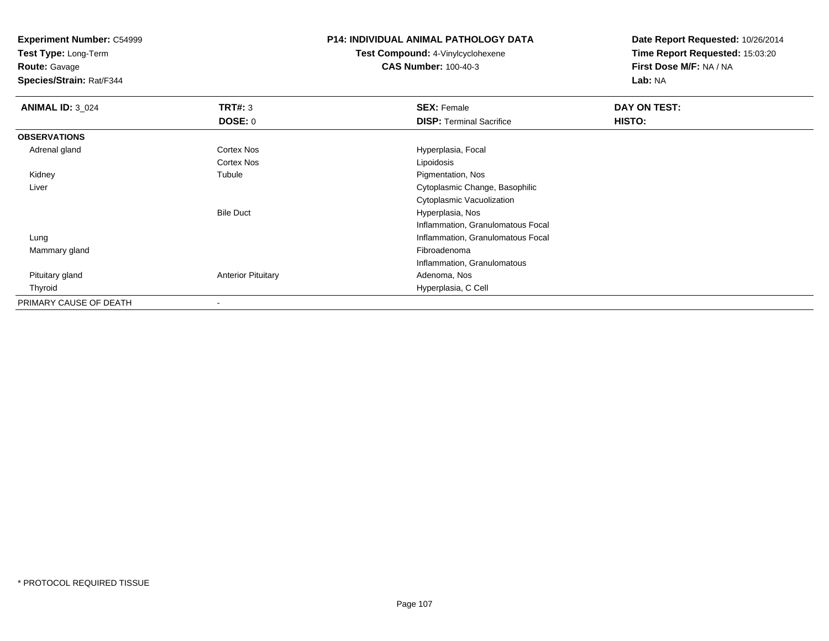**Test Type:** Long-Term

**Route:** Gavage

**Species/Strain:** Rat/F344

# **P14: INDIVIDUAL ANIMAL PATHOLOGY DATA**

**Test Compound:** 4-Vinylcyclohexene**CAS Number:** 100-40-3

| <b>ANIMAL ID: 3 024</b> | TRT#: 3                   | <b>SEX: Female</b>                | DAY ON TEST: |  |
|-------------------------|---------------------------|-----------------------------------|--------------|--|
|                         | DOSE: 0                   | <b>DISP: Terminal Sacrifice</b>   | HISTO:       |  |
| <b>OBSERVATIONS</b>     |                           |                                   |              |  |
| Adrenal gland           | Cortex Nos                | Hyperplasia, Focal                |              |  |
|                         | Cortex Nos                | Lipoidosis                        |              |  |
| Kidney                  | Tubule                    | Pigmentation, Nos                 |              |  |
| Liver                   |                           | Cytoplasmic Change, Basophilic    |              |  |
|                         |                           | Cytoplasmic Vacuolization         |              |  |
|                         | <b>Bile Duct</b>          | Hyperplasia, Nos                  |              |  |
|                         |                           | Inflammation, Granulomatous Focal |              |  |
| Lung                    |                           | Inflammation, Granulomatous Focal |              |  |
| Mammary gland           |                           | Fibroadenoma                      |              |  |
|                         |                           | Inflammation, Granulomatous       |              |  |
| Pituitary gland         | <b>Anterior Pituitary</b> | Adenoma, Nos                      |              |  |
| Thyroid                 |                           | Hyperplasia, C Cell               |              |  |
| PRIMARY CAUSE OF DEATH  |                           |                                   |              |  |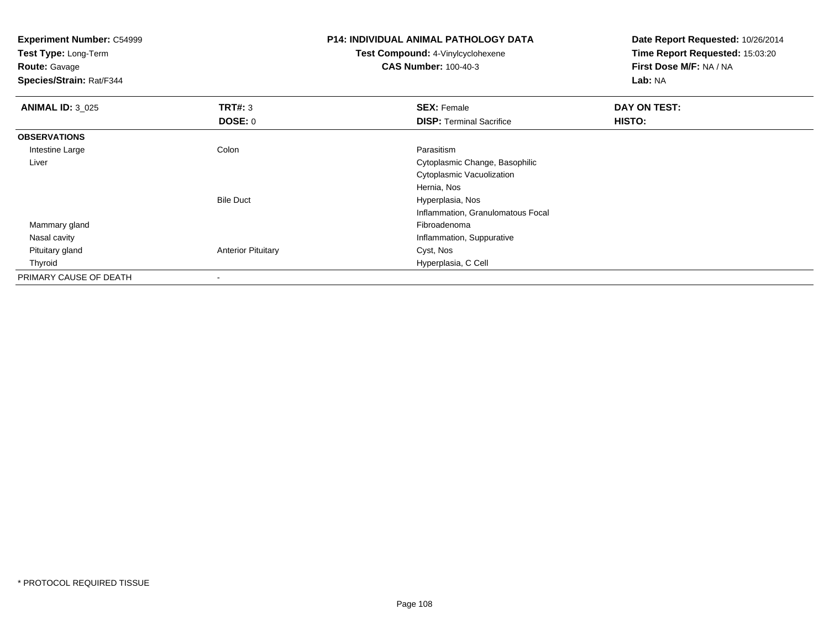| <b>Experiment Number: C54999</b><br>Test Type: Long-Term<br><b>Route: Gavage</b><br>Species/Strain: Rat/F344 |                           | <b>P14: INDIVIDUAL ANIMAL PATHOLOGY DATA</b><br><b>Test Compound: 4-Vinylcyclohexene</b><br><b>CAS Number: 100-40-3</b> | Date Report Requested: 10/26/2014<br>Time Report Requested: 15:03:20<br>First Dose M/F: NA / NA<br>Lab: NA |
|--------------------------------------------------------------------------------------------------------------|---------------------------|-------------------------------------------------------------------------------------------------------------------------|------------------------------------------------------------------------------------------------------------|
| <b>ANIMAL ID: 3_025</b>                                                                                      | TRT#: 3                   | <b>SEX: Female</b>                                                                                                      | DAY ON TEST:                                                                                               |
|                                                                                                              | <b>DOSE: 0</b>            | <b>DISP: Terminal Sacrifice</b>                                                                                         | HISTO:                                                                                                     |
| <b>OBSERVATIONS</b>                                                                                          |                           |                                                                                                                         |                                                                                                            |
| Intestine Large                                                                                              | Colon                     | Parasitism                                                                                                              |                                                                                                            |
| Liver                                                                                                        |                           | Cytoplasmic Change, Basophilic                                                                                          |                                                                                                            |
|                                                                                                              |                           | Cytoplasmic Vacuolization                                                                                               |                                                                                                            |
|                                                                                                              |                           | Hernia, Nos                                                                                                             |                                                                                                            |
|                                                                                                              | <b>Bile Duct</b>          | Hyperplasia, Nos                                                                                                        |                                                                                                            |
|                                                                                                              |                           | Inflammation, Granulomatous Focal                                                                                       |                                                                                                            |
| Mammary gland                                                                                                |                           | Fibroadenoma                                                                                                            |                                                                                                            |
| Nasal cavity                                                                                                 |                           | Inflammation, Suppurative                                                                                               |                                                                                                            |
| Pituitary gland                                                                                              | <b>Anterior Pituitary</b> | Cyst, Nos                                                                                                               |                                                                                                            |
| Thyroid                                                                                                      |                           | Hyperplasia, C Cell                                                                                                     |                                                                                                            |
| PRIMARY CAUSE OF DEATH                                                                                       |                           |                                                                                                                         |                                                                                                            |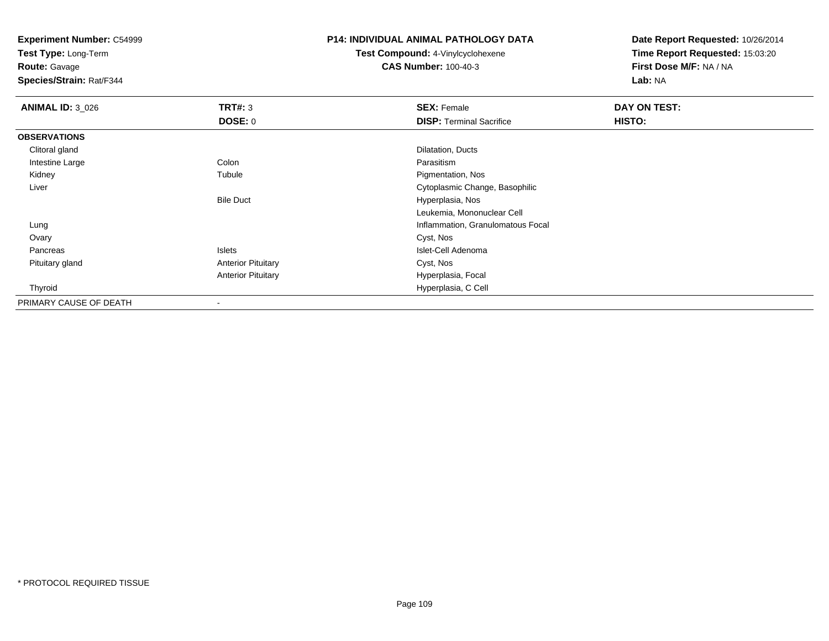**Test Type:** Long-Term

# **Route:** Gavage

**Species/Strain:** Rat/F344

# **P14: INDIVIDUAL ANIMAL PATHOLOGY DATA**

# **Test Compound:** 4-Vinylcyclohexene**CAS Number:** 100-40-3

| <b>ANIMAL ID: 3 026</b> | TRT#: 3                   | <b>SEX: Female</b>                | DAY ON TEST: |  |
|-------------------------|---------------------------|-----------------------------------|--------------|--|
|                         | <b>DOSE: 0</b>            | <b>DISP: Terminal Sacrifice</b>   | HISTO:       |  |
| <b>OBSERVATIONS</b>     |                           |                                   |              |  |
| Clitoral gland          |                           | Dilatation, Ducts                 |              |  |
| Intestine Large         | Colon                     | Parasitism                        |              |  |
| Kidney                  | Tubule                    | Pigmentation, Nos                 |              |  |
| Liver                   |                           | Cytoplasmic Change, Basophilic    |              |  |
|                         | <b>Bile Duct</b>          | Hyperplasia, Nos                  |              |  |
|                         |                           | Leukemia, Mononuclear Cell        |              |  |
| Lung                    |                           | Inflammation, Granulomatous Focal |              |  |
| Ovary                   |                           | Cyst, Nos                         |              |  |
| Pancreas                | Islets                    | Islet-Cell Adenoma                |              |  |
| Pituitary gland         | <b>Anterior Pituitary</b> | Cyst, Nos                         |              |  |
|                         | <b>Anterior Pituitary</b> | Hyperplasia, Focal                |              |  |
| Thyroid                 |                           | Hyperplasia, C Cell               |              |  |
| PRIMARY CAUSE OF DEATH  |                           |                                   |              |  |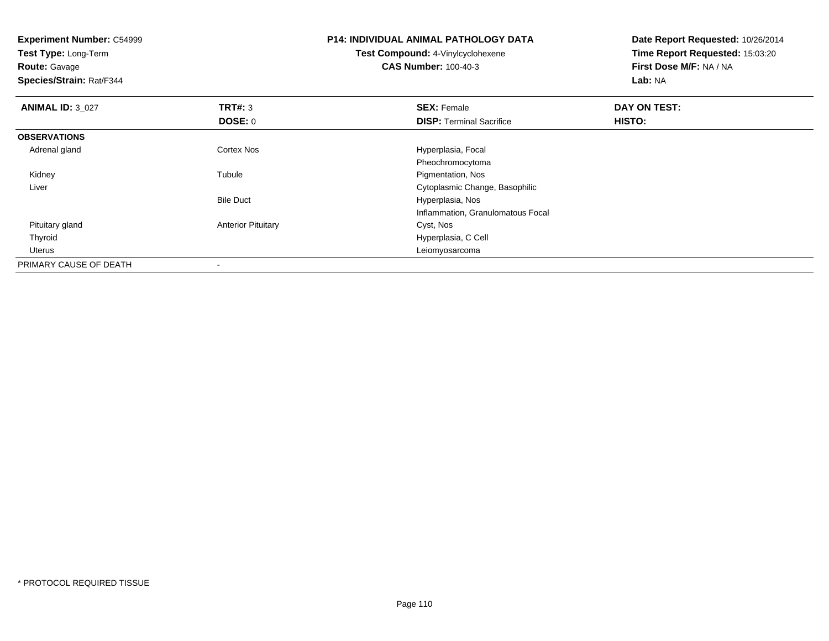| <b>Experiment Number: C54999</b><br>Test Type: Long-Term<br><b>Route: Gavage</b><br>Species/Strain: Rat/F344 |                           | <b>P14: INDIVIDUAL ANIMAL PATHOLOGY DATA</b><br>Test Compound: 4-Vinylcyclohexene<br><b>CAS Number: 100-40-3</b> | Date Report Requested: 10/26/2014<br>Time Report Requested: 15:03:20<br>First Dose M/F: NA / NA<br>Lab: NA |
|--------------------------------------------------------------------------------------------------------------|---------------------------|------------------------------------------------------------------------------------------------------------------|------------------------------------------------------------------------------------------------------------|
| <b>ANIMAL ID: 3_027</b>                                                                                      | TRT#: 3                   | <b>SEX: Female</b>                                                                                               | DAY ON TEST:                                                                                               |
|                                                                                                              | DOSE: 0                   | <b>DISP: Terminal Sacrifice</b>                                                                                  | HISTO:                                                                                                     |
| <b>OBSERVATIONS</b>                                                                                          |                           |                                                                                                                  |                                                                                                            |
| Adrenal gland                                                                                                | <b>Cortex Nos</b>         | Hyperplasia, Focal                                                                                               |                                                                                                            |
|                                                                                                              |                           | Pheochromocytoma                                                                                                 |                                                                                                            |
| Kidney                                                                                                       | Tubule                    | Pigmentation, Nos                                                                                                |                                                                                                            |
| Liver                                                                                                        |                           | Cytoplasmic Change, Basophilic                                                                                   |                                                                                                            |
|                                                                                                              | <b>Bile Duct</b>          | Hyperplasia, Nos                                                                                                 |                                                                                                            |
|                                                                                                              |                           | Inflammation, Granulomatous Focal                                                                                |                                                                                                            |
| Pituitary gland                                                                                              | <b>Anterior Pituitary</b> | Cyst, Nos                                                                                                        |                                                                                                            |
| Thyroid                                                                                                      |                           | Hyperplasia, C Cell                                                                                              |                                                                                                            |
| Uterus                                                                                                       |                           | Leiomyosarcoma                                                                                                   |                                                                                                            |
| PRIMARY CAUSE OF DEATH                                                                                       |                           |                                                                                                                  |                                                                                                            |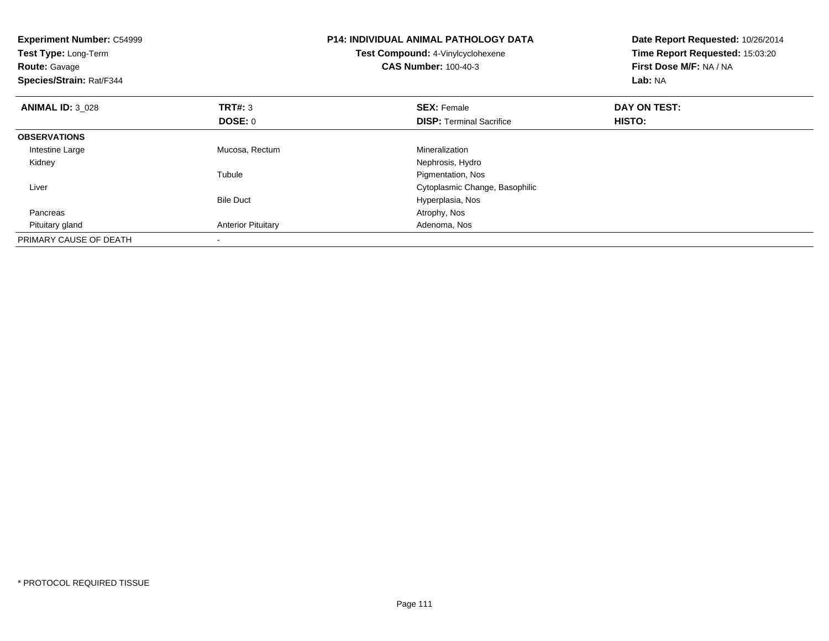| <b>Experiment Number: C54999</b><br>Test Type: Long-Term<br><b>Route: Gavage</b><br>Species/Strain: Rat/F344 |                           | <b>P14: INDIVIDUAL ANIMAL PATHOLOGY DATA</b><br>Test Compound: 4-Vinylcyclohexene<br><b>CAS Number: 100-40-3</b> | Date Report Requested: 10/26/2014<br>Time Report Requested: 15:03:20<br>First Dose M/F: NA / NA<br>Lab: NA |
|--------------------------------------------------------------------------------------------------------------|---------------------------|------------------------------------------------------------------------------------------------------------------|------------------------------------------------------------------------------------------------------------|
| <b>ANIMAL ID: 3 028</b>                                                                                      | <b>TRT#: 3</b>            | <b>SEX: Female</b>                                                                                               | DAY ON TEST:                                                                                               |
|                                                                                                              | <b>DOSE: 0</b>            | <b>DISP:</b> Terminal Sacrifice                                                                                  | HISTO:                                                                                                     |
| <b>OBSERVATIONS</b>                                                                                          |                           |                                                                                                                  |                                                                                                            |
| Intestine Large                                                                                              | Mucosa, Rectum            | Mineralization                                                                                                   |                                                                                                            |
| Kidney                                                                                                       |                           | Nephrosis, Hydro                                                                                                 |                                                                                                            |
|                                                                                                              | Tubule                    | Pigmentation, Nos                                                                                                |                                                                                                            |
| Liver                                                                                                        |                           | Cytoplasmic Change, Basophilic                                                                                   |                                                                                                            |
|                                                                                                              | <b>Bile Duct</b>          | Hyperplasia, Nos                                                                                                 |                                                                                                            |
| Pancreas                                                                                                     |                           | Atrophy, Nos                                                                                                     |                                                                                                            |
| Pituitary gland                                                                                              | <b>Anterior Pituitary</b> | Adenoma, Nos                                                                                                     |                                                                                                            |
| PRIMARY CAUSE OF DEATH                                                                                       |                           |                                                                                                                  |                                                                                                            |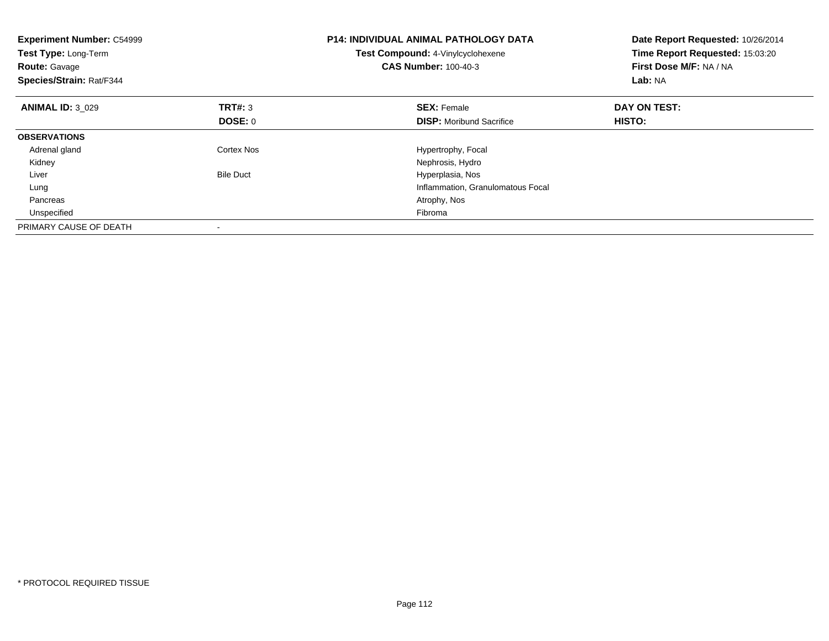| <b>Experiment Number: C54999</b><br>Test Type: Long-Term<br><b>Route: Gavage</b><br>Species/Strain: Rat/F344 |                  | <b>P14: INDIVIDUAL ANIMAL PATHOLOGY DATA</b><br>Test Compound: 4-Vinylcyclohexene<br><b>CAS Number: 100-40-3</b> | Date Report Requested: 10/26/2014<br>Time Report Requested: 15:03:20<br>First Dose M/F: NA / NA<br>Lab: NA |
|--------------------------------------------------------------------------------------------------------------|------------------|------------------------------------------------------------------------------------------------------------------|------------------------------------------------------------------------------------------------------------|
| <b>ANIMAL ID: 3 029</b>                                                                                      | <b>TRT#: 3</b>   | <b>SEX: Female</b>                                                                                               | DAY ON TEST:                                                                                               |
|                                                                                                              | DOSE: 0          | <b>DISP:</b> Moribund Sacrifice                                                                                  | HISTO:                                                                                                     |
| <b>OBSERVATIONS</b>                                                                                          |                  |                                                                                                                  |                                                                                                            |
| Adrenal gland                                                                                                | Cortex Nos       | Hypertrophy, Focal                                                                                               |                                                                                                            |
| Kidney                                                                                                       |                  | Nephrosis, Hydro                                                                                                 |                                                                                                            |
| Liver                                                                                                        | <b>Bile Duct</b> | Hyperplasia, Nos                                                                                                 |                                                                                                            |
| Lung                                                                                                         |                  | Inflammation, Granulomatous Focal                                                                                |                                                                                                            |
| Pancreas                                                                                                     |                  | Atrophy, Nos                                                                                                     |                                                                                                            |
| Unspecified                                                                                                  |                  | Fibroma                                                                                                          |                                                                                                            |
| PRIMARY CAUSE OF DEATH                                                                                       |                  |                                                                                                                  |                                                                                                            |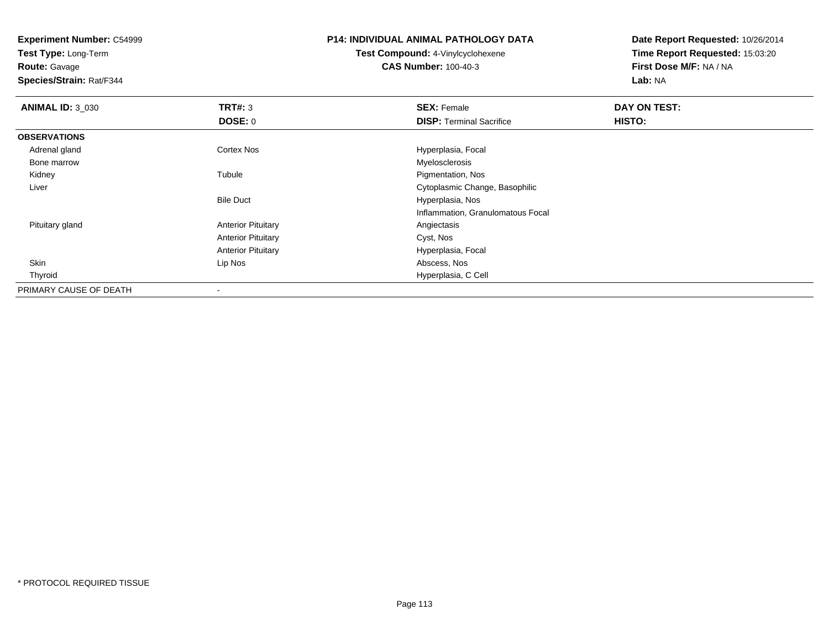**Test Type:** Long-Term

**Route:** Gavage

**Species/Strain:** Rat/F344

# **P14: INDIVIDUAL ANIMAL PATHOLOGY DATA**

**Test Compound:** 4-Vinylcyclohexene**CAS Number:** 100-40-3

| <b>ANIMAL ID: 3 030</b> | TRT#: 3                   | <b>SEX: Female</b>                | DAY ON TEST: |  |
|-------------------------|---------------------------|-----------------------------------|--------------|--|
|                         | <b>DOSE: 0</b>            | <b>DISP:</b> Terminal Sacrifice   | HISTO:       |  |
| <b>OBSERVATIONS</b>     |                           |                                   |              |  |
| Adrenal gland           | <b>Cortex Nos</b>         | Hyperplasia, Focal                |              |  |
| Bone marrow             |                           | Myelosclerosis                    |              |  |
| Kidney                  | Tubule                    | Pigmentation, Nos                 |              |  |
| Liver                   |                           | Cytoplasmic Change, Basophilic    |              |  |
|                         | <b>Bile Duct</b>          | Hyperplasia, Nos                  |              |  |
|                         |                           | Inflammation, Granulomatous Focal |              |  |
| Pituitary gland         | <b>Anterior Pituitary</b> | Angiectasis                       |              |  |
|                         | <b>Anterior Pituitary</b> | Cyst, Nos                         |              |  |
|                         | <b>Anterior Pituitary</b> | Hyperplasia, Focal                |              |  |
| Skin                    | Lip Nos                   | Abscess, Nos                      |              |  |
| Thyroid                 |                           | Hyperplasia, C Cell               |              |  |
| PRIMARY CAUSE OF DEATH  |                           |                                   |              |  |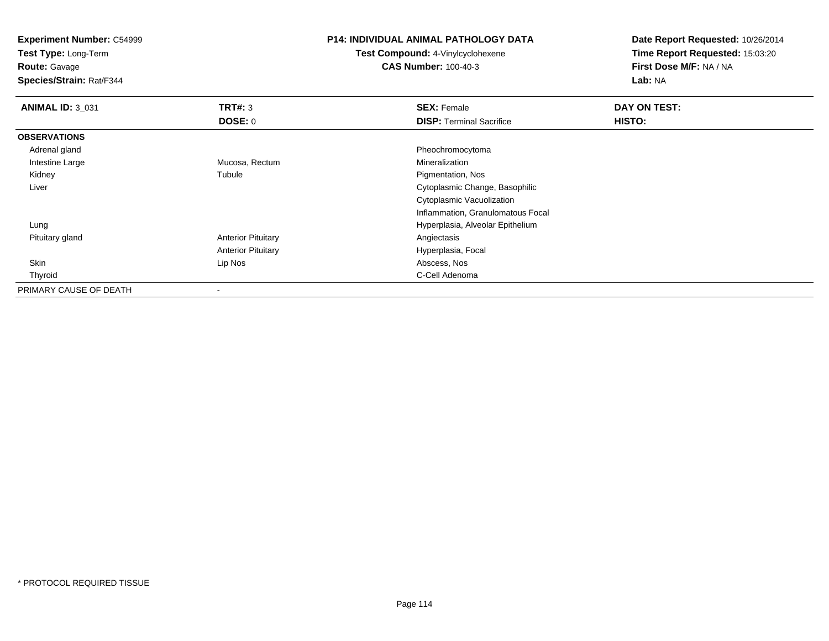**Test Type:** Long-Term

**Route:** Gavage

**Species/Strain:** Rat/F344

# **P14: INDIVIDUAL ANIMAL PATHOLOGY DATA**

**Test Compound:** 4-Vinylcyclohexene**CAS Number:** 100-40-3

| <b>ANIMAL ID: 3_031</b> | <b>TRT#: 3</b>            | <b>SEX: Female</b>                | DAY ON TEST: |
|-------------------------|---------------------------|-----------------------------------|--------------|
|                         | <b>DOSE: 0</b>            | <b>DISP: Terminal Sacrifice</b>   | HISTO:       |
| <b>OBSERVATIONS</b>     |                           |                                   |              |
| Adrenal gland           |                           | Pheochromocytoma                  |              |
| Intestine Large         | Mucosa, Rectum            | Mineralization                    |              |
| Kidney                  | Tubule                    | Pigmentation, Nos                 |              |
| Liver                   |                           | Cytoplasmic Change, Basophilic    |              |
|                         |                           | Cytoplasmic Vacuolization         |              |
|                         |                           | Inflammation, Granulomatous Focal |              |
| Lung                    |                           | Hyperplasia, Alveolar Epithelium  |              |
| Pituitary gland         | <b>Anterior Pituitary</b> | Angiectasis                       |              |
|                         | <b>Anterior Pituitary</b> | Hyperplasia, Focal                |              |
| Skin                    | Lip Nos                   | Abscess, Nos                      |              |
| Thyroid                 |                           | C-Cell Adenoma                    |              |
| PRIMARY CAUSE OF DEATH  | ۰                         |                                   |              |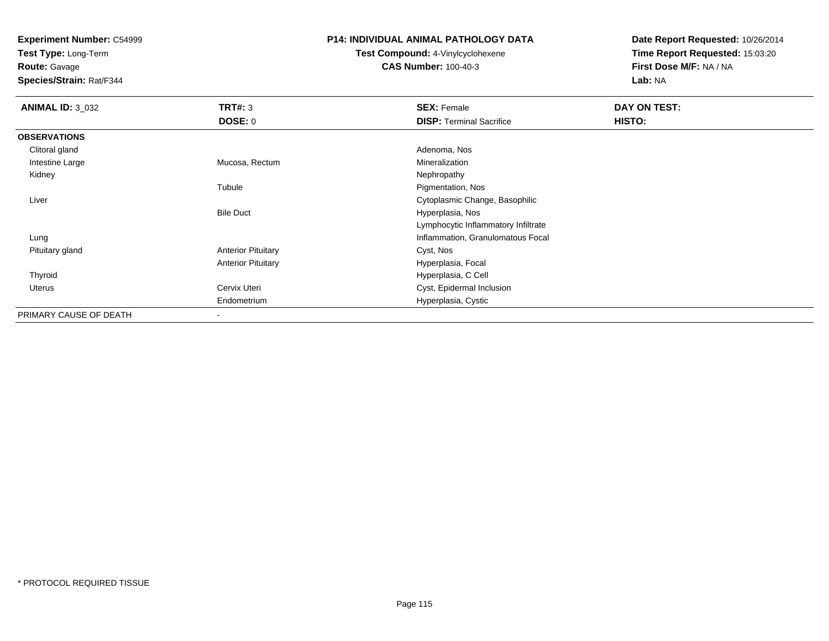**Test Type:** Long-Term

**Route:** Gavage

**Species/Strain:** Rat/F344

## **P14: INDIVIDUAL ANIMAL PATHOLOGY DATA**

**Test Compound:** 4-Vinylcyclohexene**CAS Number:** 100-40-3

| <b>ANIMAL ID: 3_032</b> | TRT#: 3                   | <b>SEX: Female</b>                  | DAY ON TEST: |  |
|-------------------------|---------------------------|-------------------------------------|--------------|--|
|                         | DOSE: 0                   | <b>DISP: Terminal Sacrifice</b>     | HISTO:       |  |
| <b>OBSERVATIONS</b>     |                           |                                     |              |  |
| Clitoral gland          |                           | Adenoma, Nos                        |              |  |
| Intestine Large         | Mucosa, Rectum            | Mineralization                      |              |  |
| Kidney                  |                           | Nephropathy                         |              |  |
|                         | Tubule                    | Pigmentation, Nos                   |              |  |
| Liver                   |                           | Cytoplasmic Change, Basophilic      |              |  |
|                         | <b>Bile Duct</b>          | Hyperplasia, Nos                    |              |  |
|                         |                           | Lymphocytic Inflammatory Infiltrate |              |  |
| Lung                    |                           | Inflammation, Granulomatous Focal   |              |  |
| Pituitary gland         | <b>Anterior Pituitary</b> | Cyst, Nos                           |              |  |
|                         | <b>Anterior Pituitary</b> | Hyperplasia, Focal                  |              |  |
| Thyroid                 |                           | Hyperplasia, C Cell                 |              |  |
| <b>Uterus</b>           | Cervix Uteri              | Cyst, Epidermal Inclusion           |              |  |
|                         | Endometrium               | Hyperplasia, Cystic                 |              |  |
| PRIMARY CAUSE OF DEATH  | $\blacksquare$            |                                     |              |  |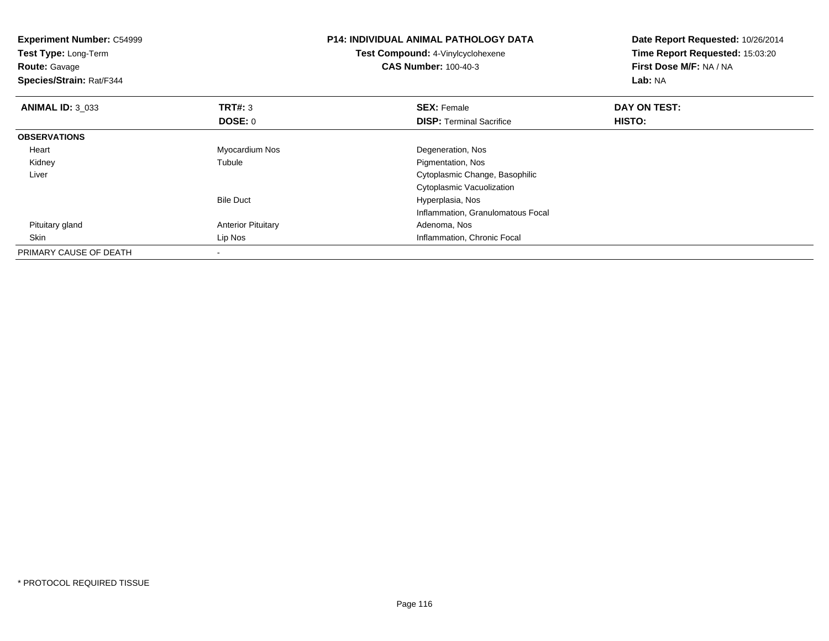| <b>Experiment Number: C54999</b><br>Test Type: Long-Term<br><b>Route: Gavage</b><br>Species/Strain: Rat/F344 |                           | <b>P14: INDIVIDUAL ANIMAL PATHOLOGY DATA</b><br><b>Test Compound: 4-Vinylcyclohexene</b><br><b>CAS Number: 100-40-3</b> | Date Report Requested: 10/26/2014<br>Time Report Requested: 15:03:20<br>First Dose M/F: NA / NA<br><b>Lab: NA</b> |
|--------------------------------------------------------------------------------------------------------------|---------------------------|-------------------------------------------------------------------------------------------------------------------------|-------------------------------------------------------------------------------------------------------------------|
| <b>ANIMAL ID: 3 033</b>                                                                                      | TRT#: 3                   | <b>SEX: Female</b>                                                                                                      | DAY ON TEST:                                                                                                      |
|                                                                                                              | DOSE: 0                   | <b>DISP: Terminal Sacrifice</b>                                                                                         | <b>HISTO:</b>                                                                                                     |
| <b>OBSERVATIONS</b>                                                                                          |                           |                                                                                                                         |                                                                                                                   |
| Heart                                                                                                        | Myocardium Nos            | Degeneration, Nos                                                                                                       |                                                                                                                   |
| Kidney                                                                                                       | Tubule                    | Pigmentation, Nos                                                                                                       |                                                                                                                   |
| Liver                                                                                                        |                           | Cytoplasmic Change, Basophilic                                                                                          |                                                                                                                   |
|                                                                                                              |                           | Cytoplasmic Vacuolization                                                                                               |                                                                                                                   |
|                                                                                                              | <b>Bile Duct</b>          | Hyperplasia, Nos                                                                                                        |                                                                                                                   |
|                                                                                                              |                           | Inflammation, Granulomatous Focal                                                                                       |                                                                                                                   |
| Pituitary gland                                                                                              | <b>Anterior Pituitary</b> | Adenoma, Nos                                                                                                            |                                                                                                                   |
| Skin                                                                                                         | Lip Nos                   | Inflammation, Chronic Focal                                                                                             |                                                                                                                   |
| PRIMARY CAUSE OF DEATH                                                                                       | $\overline{\phantom{a}}$  |                                                                                                                         |                                                                                                                   |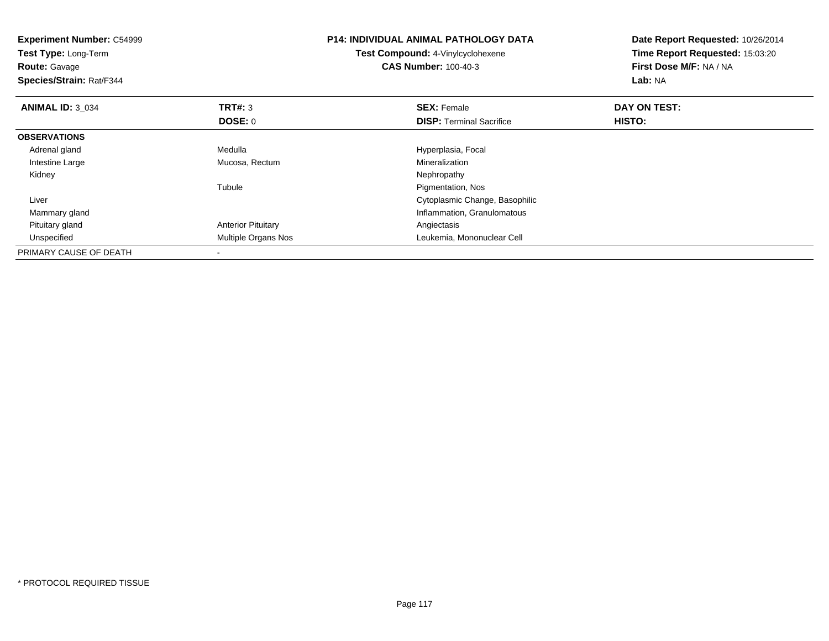| <b>Experiment Number: C54999</b><br><b>Test Type: Long-Term</b><br><b>Route: Gavage</b><br>Species/Strain: Rat/F344 |                           | <b>P14: INDIVIDUAL ANIMAL PATHOLOGY DATA</b><br><b>Test Compound: 4-Vinylcyclohexene</b><br><b>CAS Number: 100-40-3</b> | Date Report Requested: 10/26/2014<br>Time Report Requested: 15:03:20<br>First Dose M/F: NA / NA<br>Lab: NA |
|---------------------------------------------------------------------------------------------------------------------|---------------------------|-------------------------------------------------------------------------------------------------------------------------|------------------------------------------------------------------------------------------------------------|
| <b>ANIMAL ID: 3 034</b>                                                                                             | <b>TRT#: 3</b>            | <b>SEX: Female</b>                                                                                                      | DAY ON TEST:                                                                                               |
|                                                                                                                     | DOSE: 0                   | <b>DISP:</b> Terminal Sacrifice                                                                                         | <b>HISTO:</b>                                                                                              |
| <b>OBSERVATIONS</b>                                                                                                 |                           |                                                                                                                         |                                                                                                            |
| Adrenal gland                                                                                                       | Medulla                   | Hyperplasia, Focal                                                                                                      |                                                                                                            |
| Intestine Large                                                                                                     | Mucosa, Rectum            | Mineralization                                                                                                          |                                                                                                            |
| Kidney                                                                                                              |                           | Nephropathy                                                                                                             |                                                                                                            |
|                                                                                                                     | Tubule                    | Pigmentation, Nos                                                                                                       |                                                                                                            |
| Liver                                                                                                               |                           | Cytoplasmic Change, Basophilic                                                                                          |                                                                                                            |
| Mammary gland                                                                                                       |                           | Inflammation, Granulomatous                                                                                             |                                                                                                            |
| Pituitary gland                                                                                                     | <b>Anterior Pituitary</b> | Angiectasis                                                                                                             |                                                                                                            |
| Unspecified                                                                                                         | Multiple Organs Nos       | Leukemia, Mononuclear Cell                                                                                              |                                                                                                            |
| PRIMARY CAUSE OF DEATH                                                                                              |                           |                                                                                                                         |                                                                                                            |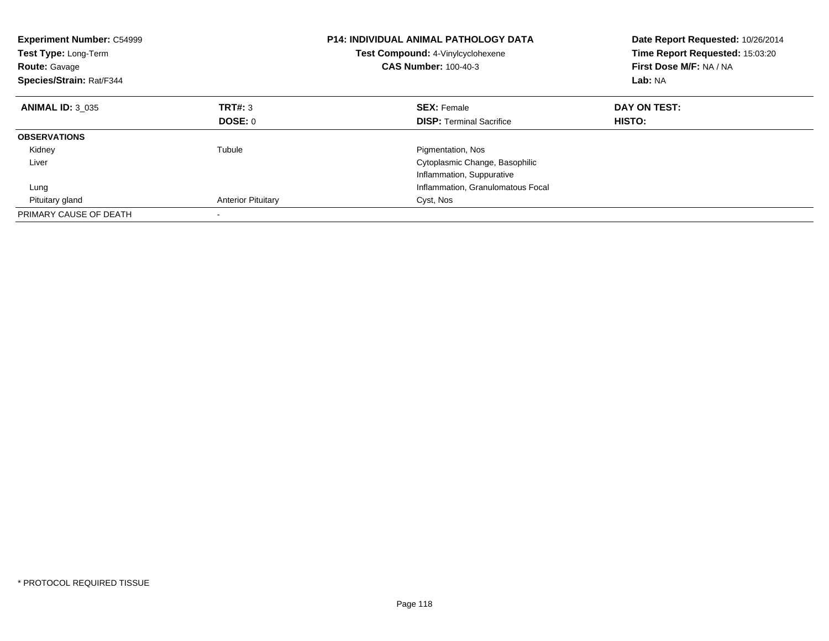| <b>Experiment Number: C54999</b><br>Test Type: Long-Term<br><b>Route: Gavage</b><br>Species/Strain: Rat/F344 |                           | <b>P14: INDIVIDUAL ANIMAL PATHOLOGY DATA</b><br>Test Compound: 4-Vinylcyclohexene<br><b>CAS Number: 100-40-3</b> | Date Report Requested: 10/26/2014<br>Time Report Requested: 15:03:20<br>First Dose M/F: NA / NA<br>Lab: NA |
|--------------------------------------------------------------------------------------------------------------|---------------------------|------------------------------------------------------------------------------------------------------------------|------------------------------------------------------------------------------------------------------------|
| <b>ANIMAL ID: 3 035</b>                                                                                      | <b>TRT#: 3</b>            | <b>SEX: Female</b>                                                                                               | DAY ON TEST:                                                                                               |
|                                                                                                              | DOSE: 0                   | <b>DISP:</b> Terminal Sacrifice                                                                                  | HISTO:                                                                                                     |
| <b>OBSERVATIONS</b>                                                                                          |                           |                                                                                                                  |                                                                                                            |
| Kidney                                                                                                       | Tubule                    | Pigmentation, Nos                                                                                                |                                                                                                            |
| Liver                                                                                                        |                           | Cytoplasmic Change, Basophilic                                                                                   |                                                                                                            |
|                                                                                                              |                           | Inflammation, Suppurative                                                                                        |                                                                                                            |
| Lung                                                                                                         |                           | Inflammation, Granulomatous Focal                                                                                |                                                                                                            |
| Pituitary gland                                                                                              | <b>Anterior Pituitary</b> | Cyst, Nos                                                                                                        |                                                                                                            |
| PRIMARY CAUSE OF DEATH                                                                                       |                           |                                                                                                                  |                                                                                                            |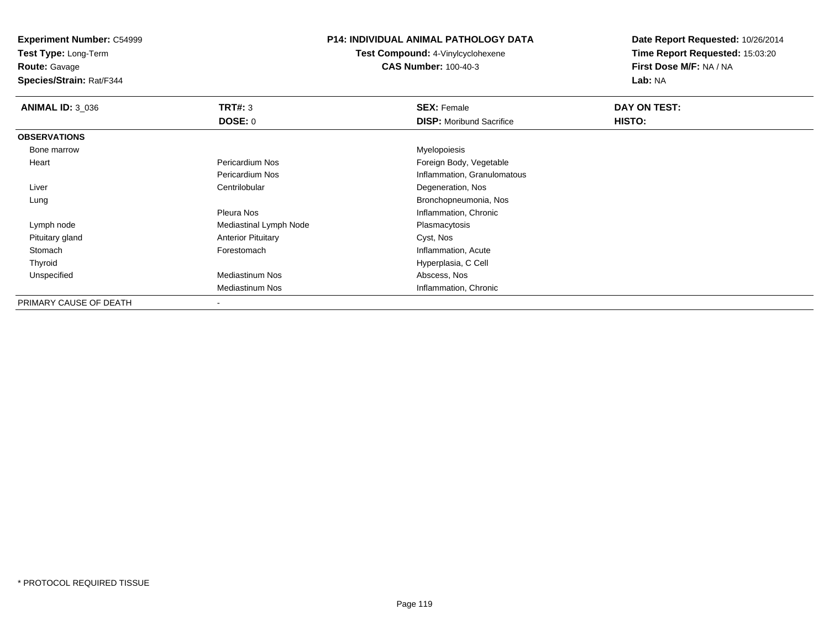**Test Type:** Long-Term

**Route:** Gavage

**Species/Strain:** Rat/F344

# **P14: INDIVIDUAL ANIMAL PATHOLOGY DATA**

**Test Compound:** 4-Vinylcyclohexene**CAS Number:** 100-40-3

| <b>ANIMAL ID: 3 036</b> | TRT#: 3                   | <b>SEX: Female</b>              | DAY ON TEST: |  |
|-------------------------|---------------------------|---------------------------------|--------------|--|
|                         | <b>DOSE: 0</b>            | <b>DISP:</b> Moribund Sacrifice | HISTO:       |  |
| <b>OBSERVATIONS</b>     |                           |                                 |              |  |
| Bone marrow             |                           | Myelopoiesis                    |              |  |
| Heart                   | Pericardium Nos           | Foreign Body, Vegetable         |              |  |
|                         | Pericardium Nos           | Inflammation, Granulomatous     |              |  |
| Liver                   | Centrilobular             | Degeneration, Nos               |              |  |
| Lung                    |                           | Bronchopneumonia, Nos           |              |  |
|                         | Pleura Nos                | Inflammation, Chronic           |              |  |
| Lymph node              | Mediastinal Lymph Node    | Plasmacytosis                   |              |  |
| Pituitary gland         | <b>Anterior Pituitary</b> | Cyst, Nos                       |              |  |
| Stomach                 | Forestomach               | Inflammation, Acute             |              |  |
| Thyroid                 |                           | Hyperplasia, C Cell             |              |  |
| Unspecified             | <b>Mediastinum Nos</b>    | Abscess, Nos                    |              |  |
|                         | Mediastinum Nos           | Inflammation, Chronic           |              |  |
| PRIMARY CAUSE OF DEATH  |                           |                                 |              |  |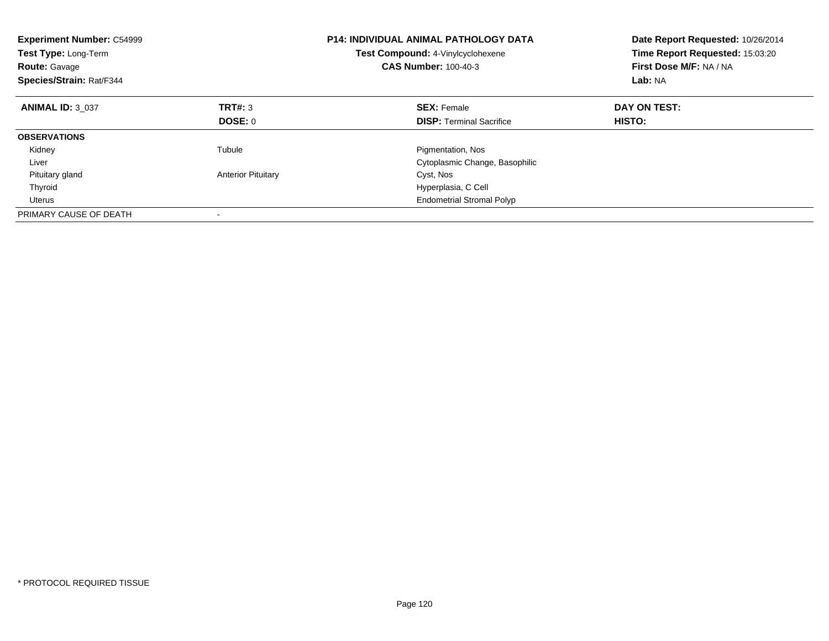| <b>Experiment Number: C54999</b><br>Test Type: Long-Term<br><b>Route: Gavage</b><br>Species/Strain: Rat/F344 |                           | <b>P14: INDIVIDUAL ANIMAL PATHOLOGY DATA</b><br>Test Compound: 4-Vinylcyclohexene<br><b>CAS Number: 100-40-3</b> | Date Report Requested: 10/26/2014<br>Time Report Requested: 15:03:20<br>First Dose M/F: NA / NA<br>Lab: NA |
|--------------------------------------------------------------------------------------------------------------|---------------------------|------------------------------------------------------------------------------------------------------------------|------------------------------------------------------------------------------------------------------------|
| <b>ANIMAL ID: 3 037</b>                                                                                      | TRT#: 3                   | <b>SEX: Female</b>                                                                                               | DAY ON TEST:                                                                                               |
|                                                                                                              | DOSE: 0                   | <b>DISP:</b> Terminal Sacrifice                                                                                  | <b>HISTO:</b>                                                                                              |
| <b>OBSERVATIONS</b>                                                                                          |                           |                                                                                                                  |                                                                                                            |
| Kidney                                                                                                       | Tubule                    | Pigmentation, Nos                                                                                                |                                                                                                            |
| Liver                                                                                                        |                           | Cytoplasmic Change, Basophilic                                                                                   |                                                                                                            |
| Pituitary gland                                                                                              | <b>Anterior Pituitary</b> | Cyst, Nos                                                                                                        |                                                                                                            |
| Thyroid                                                                                                      |                           | Hyperplasia, C Cell                                                                                              |                                                                                                            |
| Uterus                                                                                                       |                           | <b>Endometrial Stromal Polyp</b>                                                                                 |                                                                                                            |
| PRIMARY CAUSE OF DEATH                                                                                       |                           |                                                                                                                  |                                                                                                            |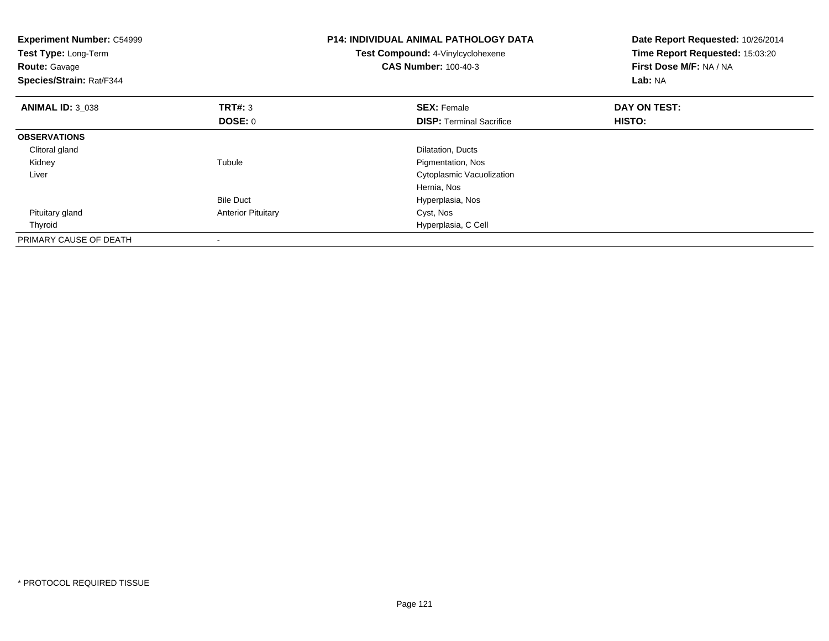| <b>Experiment Number: C54999</b><br>Test Type: Long-Term<br><b>Route: Gavage</b><br>Species/Strain: Rat/F344 |                           | <b>P14: INDIVIDUAL ANIMAL PATHOLOGY DATA</b><br>Test Compound: 4-Vinylcyclohexene<br><b>CAS Number: 100-40-3</b> | Date Report Requested: 10/26/2014<br>Time Report Requested: 15:03:20<br>First Dose M/F: NA / NA<br>Lab: NA |
|--------------------------------------------------------------------------------------------------------------|---------------------------|------------------------------------------------------------------------------------------------------------------|------------------------------------------------------------------------------------------------------------|
| <b>ANIMAL ID: 3 038</b>                                                                                      | <b>TRT#: 3</b>            | <b>SEX: Female</b>                                                                                               | DAY ON TEST:                                                                                               |
|                                                                                                              | DOSE: 0                   | <b>DISP:</b> Terminal Sacrifice                                                                                  | HISTO:                                                                                                     |
| <b>OBSERVATIONS</b>                                                                                          |                           |                                                                                                                  |                                                                                                            |
| Clitoral gland                                                                                               |                           | Dilatation, Ducts                                                                                                |                                                                                                            |
| Kidney                                                                                                       | Tubule                    | Pigmentation, Nos                                                                                                |                                                                                                            |
| Liver                                                                                                        |                           | Cytoplasmic Vacuolization                                                                                        |                                                                                                            |
|                                                                                                              |                           | Hernia, Nos                                                                                                      |                                                                                                            |
|                                                                                                              | <b>Bile Duct</b>          | Hyperplasia, Nos                                                                                                 |                                                                                                            |
| Pituitary gland                                                                                              | <b>Anterior Pituitary</b> | Cyst, Nos                                                                                                        |                                                                                                            |
| Thyroid                                                                                                      |                           | Hyperplasia, C Cell                                                                                              |                                                                                                            |
| PRIMARY CAUSE OF DEATH                                                                                       |                           |                                                                                                                  |                                                                                                            |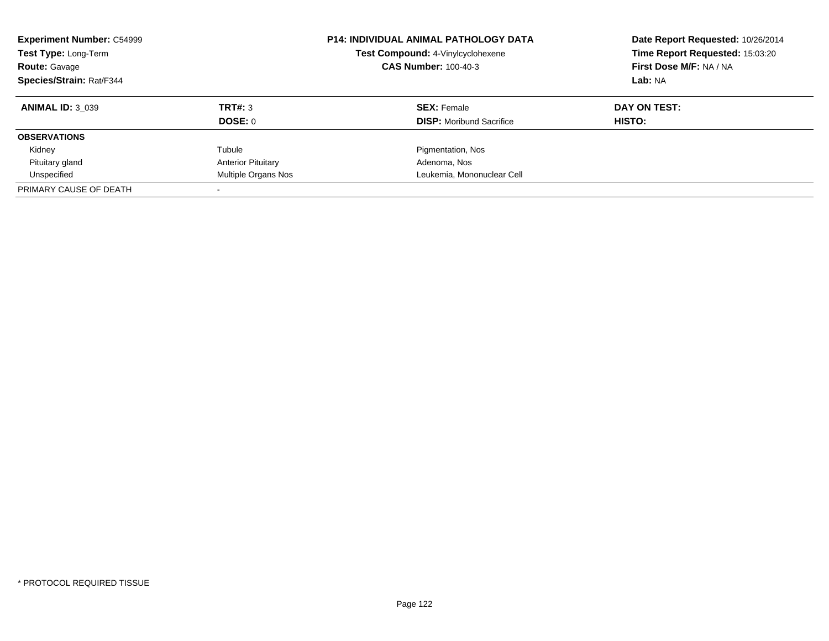| <b>Experiment Number: C54999</b><br><b>Test Type: Long-Term</b><br><b>Route: Gavage</b><br>Species/Strain: Rat/F344 |                           | <b>P14: INDIVIDUAL ANIMAL PATHOLOGY DATA</b><br>Test Compound: 4-Vinylcyclohexene<br><b>CAS Number: 100-40-3</b> | Date Report Requested: 10/26/2014<br>Time Report Requested: 15:03:20<br>First Dose M/F: NA / NA<br>Lab: NA |
|---------------------------------------------------------------------------------------------------------------------|---------------------------|------------------------------------------------------------------------------------------------------------------|------------------------------------------------------------------------------------------------------------|
| <b>ANIMAL ID: 3 039</b>                                                                                             | TRT#: 3<br>DOSE: 0        | <b>SEX: Female</b><br><b>DISP:</b> Moribund Sacrifice                                                            | DAY ON TEST:<br>HISTO:                                                                                     |
| <b>OBSERVATIONS</b>                                                                                                 |                           |                                                                                                                  |                                                                                                            |
| Kidney                                                                                                              | Tubule                    | Pigmentation, Nos                                                                                                |                                                                                                            |
| Pituitary gland                                                                                                     | <b>Anterior Pituitary</b> | Adenoma, Nos                                                                                                     |                                                                                                            |
| Unspecified                                                                                                         | Multiple Organs Nos       | Leukemia, Mononuclear Cell                                                                                       |                                                                                                            |
| PRIMARY CAUSE OF DEATH                                                                                              |                           |                                                                                                                  |                                                                                                            |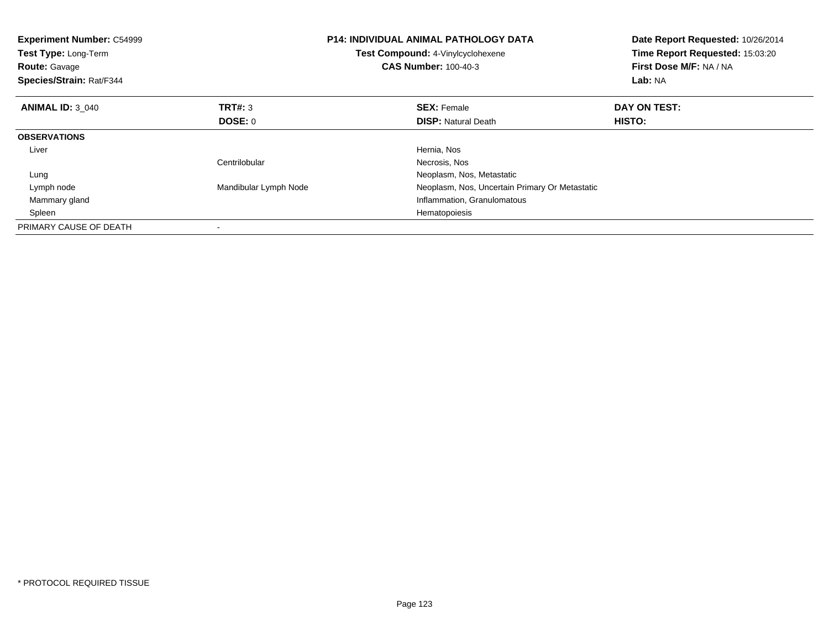| <b>Experiment Number: C54999</b><br>Test Type: Long-Term<br><b>Route: Gavage</b><br>Species/Strain: Rat/F344 |                       | <b>P14: INDIVIDUAL ANIMAL PATHOLOGY DATA</b><br><b>Test Compound: 4-Vinylcyclohexene</b><br><b>CAS Number: 100-40-3</b> | Date Report Requested: 10/26/2014<br>Time Report Requested: 15:03:20<br>First Dose M/F: NA / NA<br>Lab: NA |
|--------------------------------------------------------------------------------------------------------------|-----------------------|-------------------------------------------------------------------------------------------------------------------------|------------------------------------------------------------------------------------------------------------|
| <b>ANIMAL ID: 3 040</b>                                                                                      | TRT#: 3               | <b>SEX: Female</b>                                                                                                      | DAY ON TEST:                                                                                               |
|                                                                                                              | DOSE: 0               | <b>DISP: Natural Death</b>                                                                                              | <b>HISTO:</b>                                                                                              |
| <b>OBSERVATIONS</b>                                                                                          |                       |                                                                                                                         |                                                                                                            |
| Liver                                                                                                        |                       | Hernia, Nos                                                                                                             |                                                                                                            |
|                                                                                                              | Centrilobular         | Necrosis, Nos                                                                                                           |                                                                                                            |
| Lung                                                                                                         |                       | Neoplasm, Nos, Metastatic                                                                                               |                                                                                                            |
| Lymph node                                                                                                   | Mandibular Lymph Node | Neoplasm, Nos, Uncertain Primary Or Metastatic                                                                          |                                                                                                            |
| Mammary gland                                                                                                |                       | Inflammation, Granulomatous                                                                                             |                                                                                                            |
| Spleen                                                                                                       |                       | Hematopoiesis                                                                                                           |                                                                                                            |
| PRIMARY CAUSE OF DEATH                                                                                       |                       |                                                                                                                         |                                                                                                            |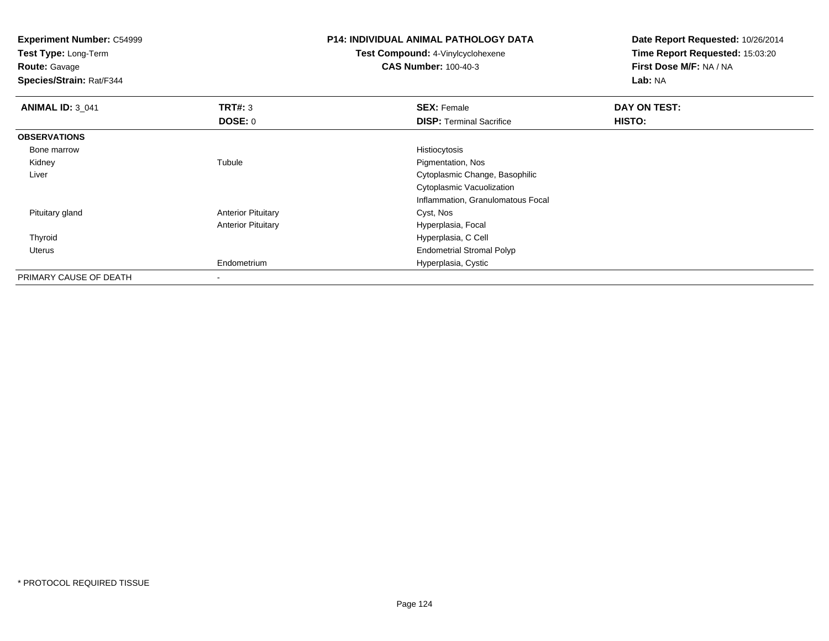**Experiment Number:** C54999**Test Type:** Long-Term**Route:** Gavage **Species/Strain:** Rat/F344**P14: INDIVIDUAL ANIMAL PATHOLOGY DATATest Compound:** 4-Vinylcyclohexene**CAS Number:** 100-40-3**Date Report Requested:** 10/26/2014**Time Report Requested:** 15:03:20**First Dose M/F:** NA / NA**Lab:** NA**ANIMAL ID:** 3\_041**TRT#:** 3 **SEX:** Female **DAY ON TEST: DOSE:** 0**DISP:** Terminal Sacrifice **HISTO: OBSERVATIONS** Bone marroww Histiocytosis **History Company**  Kidneyy the contract of the contract of the contract of the contract of the contract of the contract of the contract of the contract of the contract of the contract of the contract of the contract of the contract of the contract Tubule **Pigmentation, Nos**  Liver Cytoplasmic Change, BasophilicCytoplasmic Vacuolization Inflammation, Granulomatous Focal Pituitary glandAnterior Pituitary **Cyst, Nos** Anterior Pituitary Hyperplasia, Focal Thyroid Hyperplasia, C Cell Uterus Endometrial Stromal PolypEndometrium Hyperplasia, Cystic PRIMARY CAUSE OF DEATH-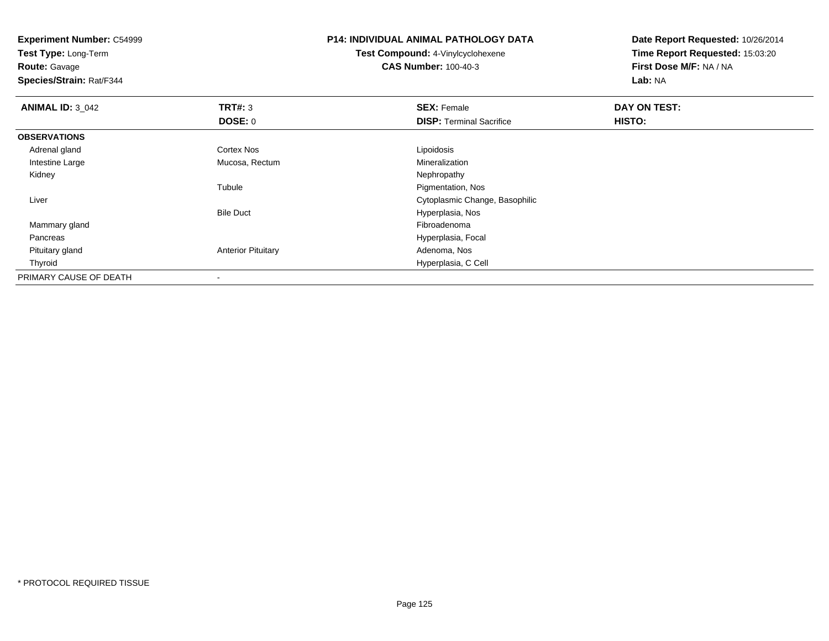**Experiment Number:** C54999**Test Type:** Long-Term**Route:** Gavage **Species/Strain:** Rat/F344**P14: INDIVIDUAL ANIMAL PATHOLOGY DATATest Compound:** 4-Vinylcyclohexene**CAS Number:** 100-40-3**Date Report Requested:** 10/26/2014**Time Report Requested:** 15:03:20**First Dose M/F:** NA / NA**Lab:** NA**ANIMAL ID: 3 042 TRT#:** <sup>3</sup> **SEX:** Female **DAY ON TEST: DOSE:** 0**DISP:** Terminal Sacrifice **HISTO: OBSERVATIONS** Adrenal glandd Cortex Nos Cortex Nos Lipoidosis Intestine Large Mucosa, RectumMineralization<br>Nephropathy Kidneyy the control of the control of the control of the control of the control of the control of the control of the control of the control of the control of the control of the control of the control of the control of the contro Tubule Pigmentation, Nos Liver Cytoplasmic Change, BasophilicBile Duct Hyperplasia, Nos Mammary glandd and the control of the control of the control of the control of the control of the control of the control of the control of the control of the control of the control of the control of the control of the control of the co Pancreas Hyperplasia, Focal Pituitary glandAnterior Pituitary **Adenoma, Nos** Adenoma, Nos Thyroid Hyperplasia, C Cell PRIMARY CAUSE OF DEATH-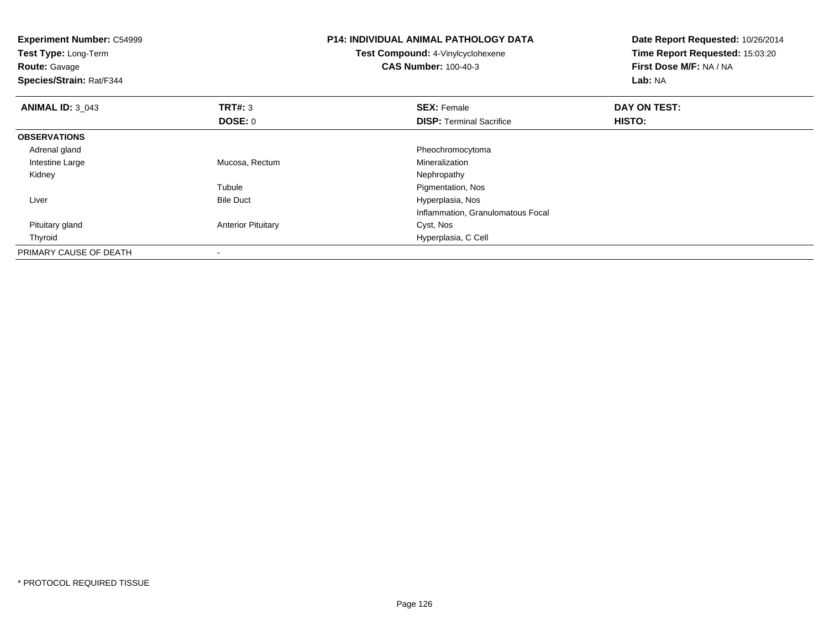| <b>Experiment Number: C54999</b><br>Test Type: Long-Term<br><b>Route: Gavage</b><br>Species/Strain: Rat/F344 |                           | <b>P14: INDIVIDUAL ANIMAL PATHOLOGY DATA</b><br><b>Test Compound: 4-Vinylcyclohexene</b><br><b>CAS Number: 100-40-3</b> | Date Report Requested: 10/26/2014<br>Time Report Requested: 15:03:20<br>First Dose M/F: NA / NA<br>Lab: NA |
|--------------------------------------------------------------------------------------------------------------|---------------------------|-------------------------------------------------------------------------------------------------------------------------|------------------------------------------------------------------------------------------------------------|
| <b>ANIMAL ID: 3 043</b>                                                                                      | TRT#: 3                   | <b>SEX: Female</b>                                                                                                      | DAY ON TEST:                                                                                               |
|                                                                                                              | DOSE: 0                   | <b>DISP:</b> Terminal Sacrifice                                                                                         | <b>HISTO:</b>                                                                                              |
| <b>OBSERVATIONS</b>                                                                                          |                           |                                                                                                                         |                                                                                                            |
| Adrenal gland                                                                                                |                           | Pheochromocytoma                                                                                                        |                                                                                                            |
| Intestine Large                                                                                              | Mucosa, Rectum            | Mineralization                                                                                                          |                                                                                                            |
| Kidney                                                                                                       |                           | Nephropathy                                                                                                             |                                                                                                            |
|                                                                                                              | Tubule                    | Pigmentation, Nos                                                                                                       |                                                                                                            |
| Liver                                                                                                        | <b>Bile Duct</b>          | Hyperplasia, Nos                                                                                                        |                                                                                                            |
|                                                                                                              |                           | Inflammation, Granulomatous Focal                                                                                       |                                                                                                            |
| Pituitary gland                                                                                              | <b>Anterior Pituitary</b> | Cyst, Nos                                                                                                               |                                                                                                            |
| Thyroid                                                                                                      |                           | Hyperplasia, C Cell                                                                                                     |                                                                                                            |
| PRIMARY CAUSE OF DEATH                                                                                       |                           |                                                                                                                         |                                                                                                            |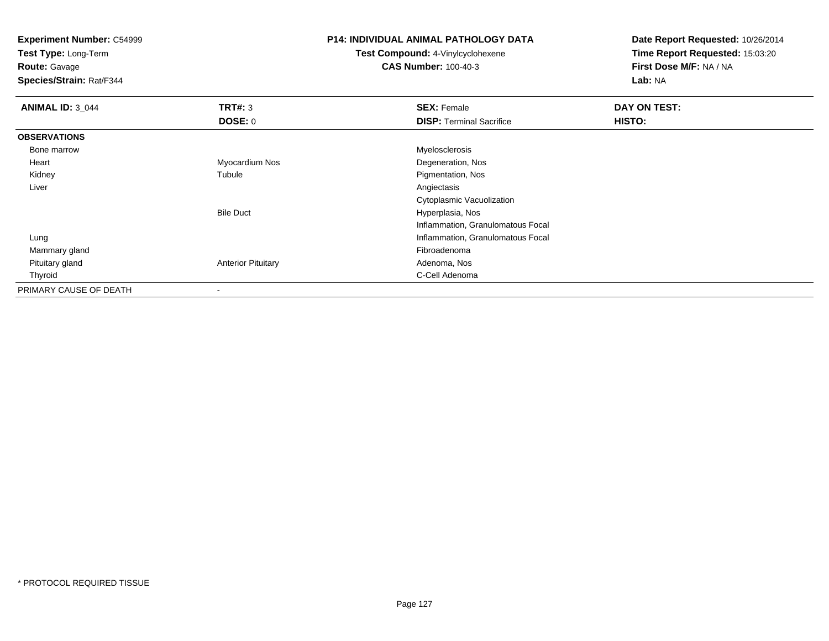**Experiment Number:** C54999**Test Type:** Long-Term**Route:** Gavage **Species/Strain:** Rat/F344**P14: INDIVIDUAL ANIMAL PATHOLOGY DATATest Compound:** 4-Vinylcyclohexene**CAS Number:** 100-40-3**Date Report Requested:** 10/26/2014**Time Report Requested:** 15:03:20**First Dose M/F:** NA / NA**Lab:** NA**ANIMAL ID:** 3\_044**TRT#:** 3 **SEX:** Female **DAY ON TEST: DOSE:** 0**DISP:** Terminal Sacrifice **HISTO: OBSERVATIONS** Bone marroww when the contract of the contract of the contract of the contract of the contract of the contract of the contract of the contract of the contract of the contract of the contract of the contract of the contract of the con Heart Myocardium Nos Degeneration, Nos Kidneyy the contract of the contract of the contract of the contract of the contract of the contract of the contract of the contract of the contract of the contract of the contract of the contract of the contract of the contract Tubule Pigmentation, Nos<br>
Pigmentation, Nos<br>
Angiectasis Liverr and the contract of the contract of the contract of the contract of the contract of the contract of the contract of the contract of the contract of the contract of the contract of the contract of the contract of the cont Cytoplasmic VacuolizationBile Duct Hyperplasia, Nos Inflammation, Granulomatous Focal Lung Inflammation, Granulomatous Focal Mammary glandd and the control of the control of the control of the control of the control of the control of the control of the control of the control of the control of the control of the control of the control of the control of the co Pituitary glandAnterior Pituitary **Adenoma, Nos** Adenoma, Nos Thyroidd **C-Cell Adenoma** and the control of the control of the control of the control of the control of the control of the control of the control of the control of the control of the control of the control of the control of the

PRIMARY CAUSE OF DEATH-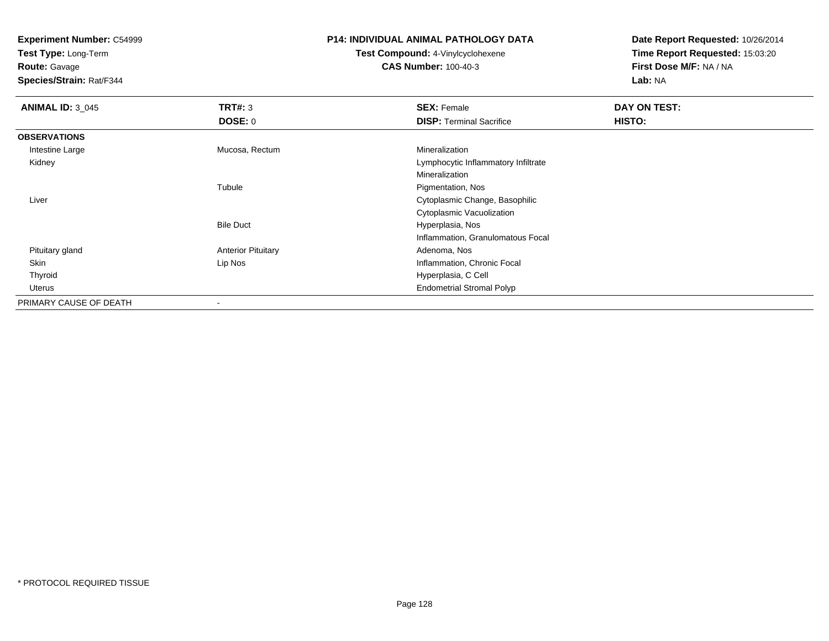**Test Type:** Long-Term

**Route:** Gavage

**Species/Strain:** Rat/F344

# **P14: INDIVIDUAL ANIMAL PATHOLOGY DATA**

**Test Compound:** 4-Vinylcyclohexene**CAS Number:** 100-40-3

| <b>ANIMAL ID: 3_045</b> | TRT#: 3                   | <b>SEX: Female</b>                  | DAY ON TEST: |  |
|-------------------------|---------------------------|-------------------------------------|--------------|--|
|                         | DOSE: 0                   | <b>DISP: Terminal Sacrifice</b>     | HISTO:       |  |
| <b>OBSERVATIONS</b>     |                           |                                     |              |  |
| Intestine Large         | Mucosa, Rectum            | Mineralization                      |              |  |
| Kidney                  |                           | Lymphocytic Inflammatory Infiltrate |              |  |
|                         |                           | Mineralization                      |              |  |
|                         | Tubule                    | Pigmentation, Nos                   |              |  |
| Liver                   |                           | Cytoplasmic Change, Basophilic      |              |  |
|                         |                           | Cytoplasmic Vacuolization           |              |  |
|                         | <b>Bile Duct</b>          | Hyperplasia, Nos                    |              |  |
|                         |                           | Inflammation, Granulomatous Focal   |              |  |
| Pituitary gland         | <b>Anterior Pituitary</b> | Adenoma, Nos                        |              |  |
| Skin                    | Lip Nos                   | Inflammation, Chronic Focal         |              |  |
| Thyroid                 |                           | Hyperplasia, C Cell                 |              |  |
| Uterus                  |                           | <b>Endometrial Stromal Polyp</b>    |              |  |
| PRIMARY CAUSE OF DEATH  |                           |                                     |              |  |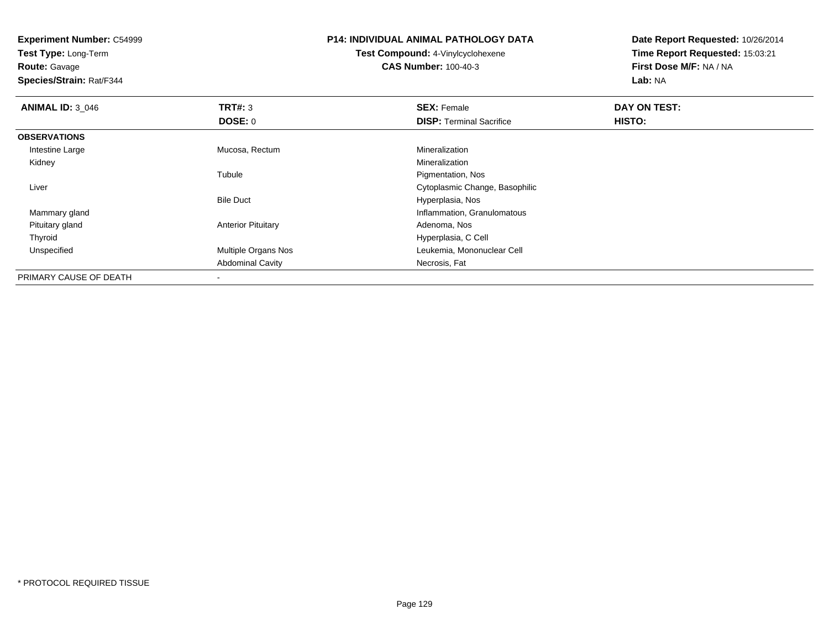**Test Type:** Long-Term

**Route:** Gavage

**Species/Strain:** Rat/F344

# **P14: INDIVIDUAL ANIMAL PATHOLOGY DATA**

**Test Compound:** 4-Vinylcyclohexene**CAS Number:** 100-40-3

| <b>ANIMAL ID: 3_046</b> | <b>TRT#: 3</b>            | <b>SEX: Female</b>              | DAY ON TEST:  |  |
|-------------------------|---------------------------|---------------------------------|---------------|--|
|                         | DOSE: 0                   | <b>DISP: Terminal Sacrifice</b> | <b>HISTO:</b> |  |
| <b>OBSERVATIONS</b>     |                           |                                 |               |  |
| Intestine Large         | Mucosa, Rectum            | Mineralization                  |               |  |
| Kidney                  |                           | Mineralization                  |               |  |
|                         | Tubule                    | Pigmentation, Nos               |               |  |
| Liver                   |                           | Cytoplasmic Change, Basophilic  |               |  |
|                         | <b>Bile Duct</b>          | Hyperplasia, Nos                |               |  |
| Mammary gland           |                           | Inflammation, Granulomatous     |               |  |
| Pituitary gland         | <b>Anterior Pituitary</b> | Adenoma, Nos                    |               |  |
| Thyroid                 |                           | Hyperplasia, C Cell             |               |  |
| Unspecified             | Multiple Organs Nos       | Leukemia, Mononuclear Cell      |               |  |
|                         | <b>Abdominal Cavity</b>   | Necrosis, Fat                   |               |  |
| PRIMARY CAUSE OF DEATH  | ۰                         |                                 |               |  |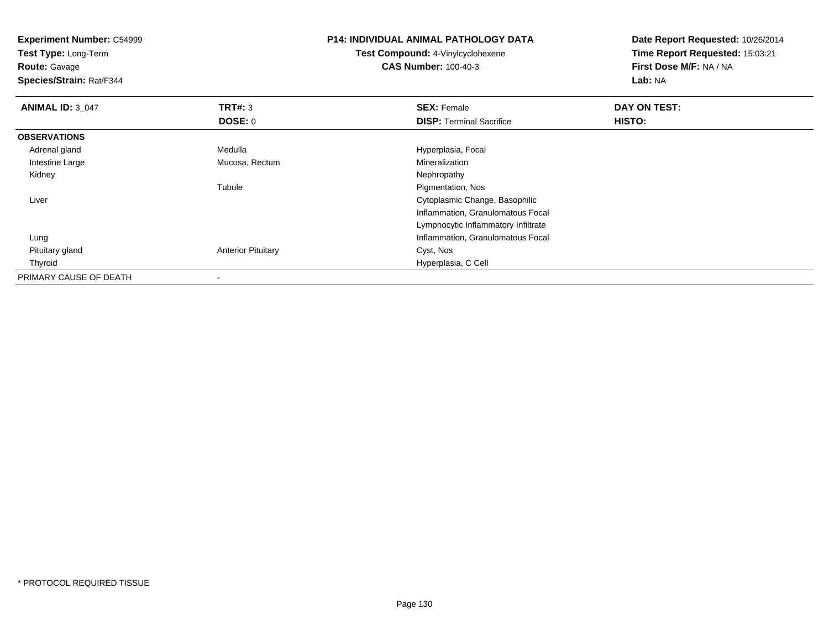| <b>Experiment Number: C54999</b><br>Test Type: Long-Term<br><b>Route: Gavage</b><br>Species/Strain: Rat/F344 |                           | <b>P14: INDIVIDUAL ANIMAL PATHOLOGY DATA</b><br><b>Test Compound: 4-Vinylcyclohexene</b><br><b>CAS Number: 100-40-3</b> | Date Report Requested: 10/26/2014<br>Time Report Requested: 15:03:21<br>First Dose M/F: NA / NA<br>Lab: NA |
|--------------------------------------------------------------------------------------------------------------|---------------------------|-------------------------------------------------------------------------------------------------------------------------|------------------------------------------------------------------------------------------------------------|
| <b>ANIMAL ID: 3_047</b>                                                                                      | TRT#: 3                   | <b>SEX: Female</b>                                                                                                      | DAY ON TEST:                                                                                               |
|                                                                                                              | <b>DOSE: 0</b>            | <b>DISP: Terminal Sacrifice</b>                                                                                         | HISTO:                                                                                                     |
| <b>OBSERVATIONS</b>                                                                                          |                           |                                                                                                                         |                                                                                                            |
| Adrenal gland                                                                                                | Medulla                   | Hyperplasia, Focal                                                                                                      |                                                                                                            |
| Intestine Large                                                                                              | Mucosa, Rectum            | Mineralization                                                                                                          |                                                                                                            |
| Kidney                                                                                                       |                           | Nephropathy                                                                                                             |                                                                                                            |
|                                                                                                              | Tubule                    | Pigmentation, Nos                                                                                                       |                                                                                                            |
| Liver                                                                                                        |                           | Cytoplasmic Change, Basophilic                                                                                          |                                                                                                            |
|                                                                                                              |                           | Inflammation, Granulomatous Focal                                                                                       |                                                                                                            |
|                                                                                                              |                           | Lymphocytic Inflammatory Infiltrate                                                                                     |                                                                                                            |
| Lung                                                                                                         |                           | Inflammation, Granulomatous Focal                                                                                       |                                                                                                            |
| Pituitary gland                                                                                              | <b>Anterior Pituitary</b> | Cyst, Nos                                                                                                               |                                                                                                            |
| Thyroid                                                                                                      |                           | Hyperplasia, C Cell                                                                                                     |                                                                                                            |
| PRIMARY CAUSE OF DEATH                                                                                       |                           |                                                                                                                         |                                                                                                            |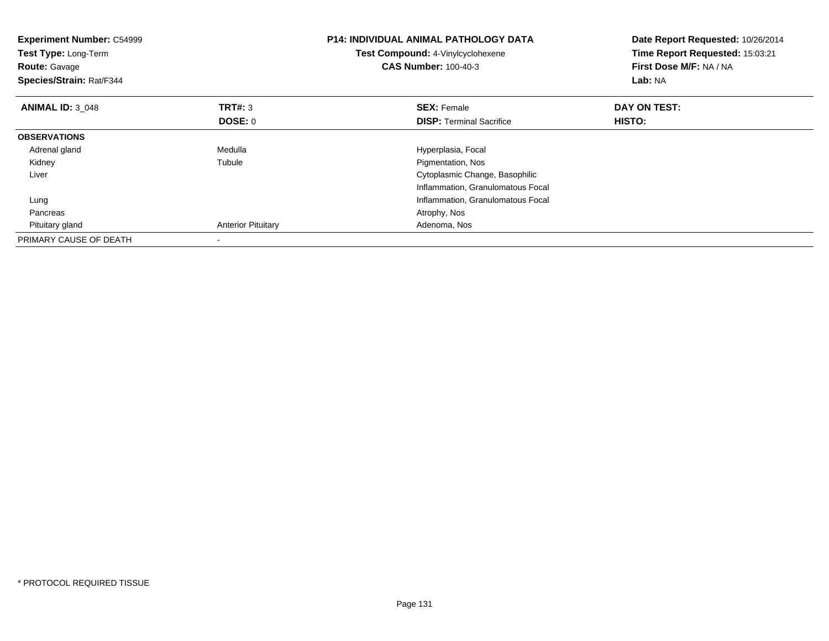| <b>Experiment Number: C54999</b><br>Test Type: Long-Term<br><b>Route: Gavage</b><br>Species/Strain: Rat/F344 |                           | <b>P14: INDIVIDUAL ANIMAL PATHOLOGY DATA</b><br>Test Compound: 4-Vinylcyclohexene<br><b>CAS Number: 100-40-3</b> | Date Report Requested: 10/26/2014<br>Time Report Requested: 15:03:21<br>First Dose M/F: NA / NA<br>Lab: NA |
|--------------------------------------------------------------------------------------------------------------|---------------------------|------------------------------------------------------------------------------------------------------------------|------------------------------------------------------------------------------------------------------------|
| <b>ANIMAL ID: 3 048</b>                                                                                      | <b>TRT#: 3</b>            | <b>SEX: Female</b>                                                                                               | DAY ON TEST:                                                                                               |
|                                                                                                              | DOSE: 0                   | <b>DISP:</b> Terminal Sacrifice                                                                                  | <b>HISTO:</b>                                                                                              |
| <b>OBSERVATIONS</b>                                                                                          |                           |                                                                                                                  |                                                                                                            |
| Adrenal gland                                                                                                | Medulla                   | Hyperplasia, Focal                                                                                               |                                                                                                            |
| Kidney                                                                                                       | Tubule                    | Pigmentation, Nos                                                                                                |                                                                                                            |
| Liver                                                                                                        |                           | Cytoplasmic Change, Basophilic                                                                                   |                                                                                                            |
|                                                                                                              |                           | Inflammation, Granulomatous Focal                                                                                |                                                                                                            |
| Lung                                                                                                         |                           | Inflammation, Granulomatous Focal                                                                                |                                                                                                            |
| Pancreas                                                                                                     |                           | Atrophy, Nos                                                                                                     |                                                                                                            |
| Pituitary gland                                                                                              | <b>Anterior Pituitary</b> | Adenoma, Nos                                                                                                     |                                                                                                            |
| PRIMARY CAUSE OF DEATH                                                                                       |                           |                                                                                                                  |                                                                                                            |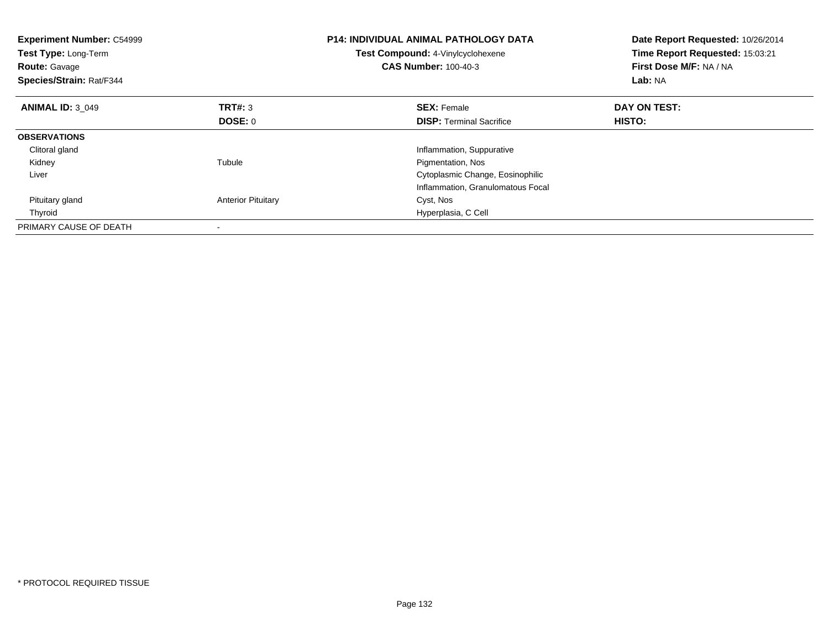| <b>Experiment Number: C54999</b><br>Test Type: Long-Term<br><b>Route: Gavage</b><br>Species/Strain: Rat/F344 |                           | <b>P14: INDIVIDUAL ANIMAL PATHOLOGY DATA</b><br>Test Compound: 4-Vinylcyclohexene<br><b>CAS Number: 100-40-3</b> | Date Report Requested: 10/26/2014<br>Time Report Requested: 15:03:21<br>First Dose M/F: NA / NA<br>Lab: NA |
|--------------------------------------------------------------------------------------------------------------|---------------------------|------------------------------------------------------------------------------------------------------------------|------------------------------------------------------------------------------------------------------------|
| <b>ANIMAL ID: 3 049</b>                                                                                      | <b>TRT#: 3</b>            | <b>SEX: Female</b>                                                                                               | DAY ON TEST:                                                                                               |
|                                                                                                              | <b>DOSE: 0</b>            | <b>DISP:</b> Terminal Sacrifice                                                                                  | <b>HISTO:</b>                                                                                              |
| <b>OBSERVATIONS</b>                                                                                          |                           |                                                                                                                  |                                                                                                            |
| Clitoral gland                                                                                               |                           | Inflammation, Suppurative                                                                                        |                                                                                                            |
| Kidney                                                                                                       | Tubule                    | Pigmentation, Nos                                                                                                |                                                                                                            |
| Liver                                                                                                        |                           | Cytoplasmic Change, Eosinophilic                                                                                 |                                                                                                            |
|                                                                                                              |                           | Inflammation, Granulomatous Focal                                                                                |                                                                                                            |
| Pituitary gland                                                                                              | <b>Anterior Pituitary</b> | Cyst, Nos                                                                                                        |                                                                                                            |
| Thyroid                                                                                                      |                           | Hyperplasia, C Cell                                                                                              |                                                                                                            |
| PRIMARY CAUSE OF DEATH                                                                                       |                           |                                                                                                                  |                                                                                                            |